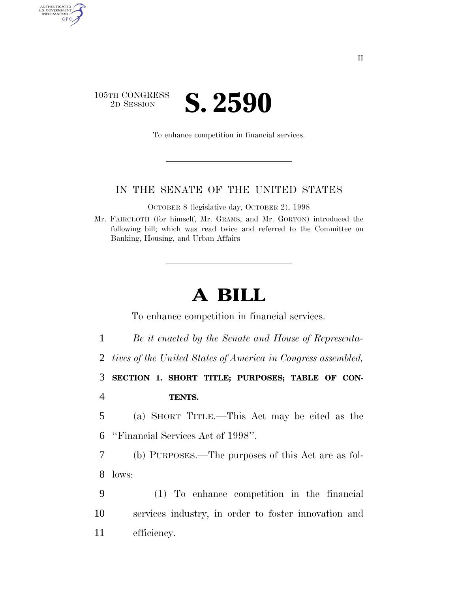

AUTHENTICATED<br>U.S. GOVERNMENT<br>INFORMATION GPO

To enhance competition in financial services.

# IN THE SENATE OF THE UNITED STATES

OCTOBER 8 (legislative day, OCTOBER 2), 1998

Mr. FAIRCLOTH (for himself, Mr. GRAMS, and Mr. GORTON) introduced the following bill; which was read twice and referred to the Committee on Banking, Housing, and Urban Affairs

# **A BILL**

To enhance competition in financial services.

1 *Be it enacted by the Senate and House of Representa-*

2 *tives of the United States of America in Congress assembled,*

3 **SECTION 1. SHORT TITLE; PURPOSES; TABLE OF CON-**4 **TENTS.**

5 (a) SHORT TITLE.—This Act may be cited as the 6 ''Financial Services Act of 1998''.

7 (b) PURPOSES.—The purposes of this Act are as fol-8 lows:

9 (1) To enhance competition in the financial 10 services industry, in order to foster innovation and 11 efficiency.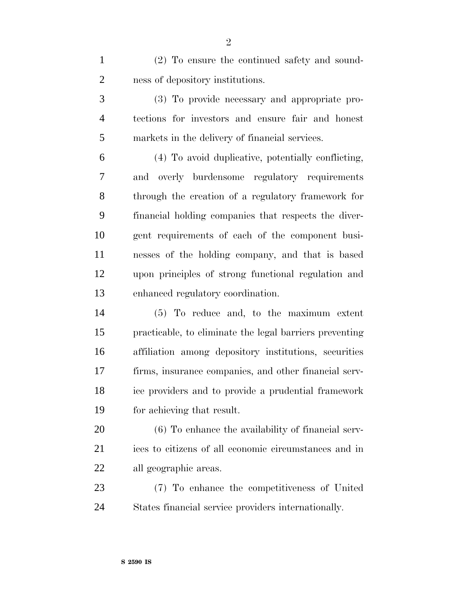(2) To ensure the continued safety and sound-ness of depository institutions.

 (3) To provide necessary and appropriate pro- tections for investors and ensure fair and honest markets in the delivery of financial services.

 (4) To avoid duplicative, potentially conflicting, and overly burdensome regulatory requirements through the creation of a regulatory framework for financial holding companies that respects the diver- gent requirements of each of the component busi- nesses of the holding company, and that is based upon principles of strong functional regulation and enhanced regulatory coordination.

 (5) To reduce and, to the maximum extent practicable, to eliminate the legal barriers preventing affiliation among depository institutions, securities firms, insurance companies, and other financial serv- ice providers and to provide a prudential framework for achieving that result.

 (6) To enhance the availability of financial serv- ices to citizens of all economic circumstances and in all geographic areas.

 (7) To enhance the competitiveness of United States financial service providers internationally.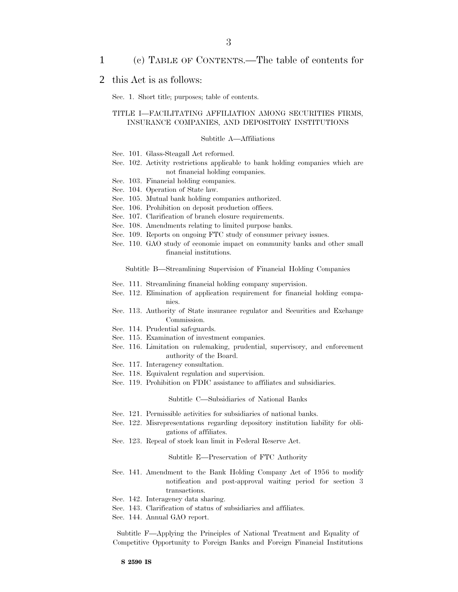# 1 (c) TABLE OF CONTENTS.—The table of contents for

# 2 this Act is as follows:

Sec. 1. Short title; purposes; table of contents.

# TITLE I—FACILITATING AFFILIATION AMONG SECURITIES FIRMS, INSURANCE COMPANIES, AND DEPOSITORY INSTITUTIONS

## Subtitle A—Affiliations

- Sec. 101. Glass-Steagall Act reformed.
- Sec. 102. Activity restrictions applicable to bank holding companies which are not financial holding companies.
- Sec. 103. Financial holding companies.
- Sec. 104. Operation of State law.
- Sec. 105. Mutual bank holding companies authorized.
- Sec. 106. Prohibition on deposit production offices.
- Sec. 107. Clarification of branch closure requirements.
- Sec. 108. Amendments relating to limited purpose banks.
- Sec. 109. Reports on ongoing FTC study of consumer privacy issues.
- Sec. 110. GAO study of economic impact on community banks and other small financial institutions.

Subtitle B—Streamlining Supervision of Financial Holding Companies

- Sec. 111. Streamlining financial holding company supervision.
- Sec. 112. Elimination of application requirement for financial holding companies.
- Sec. 113. Authority of State insurance regulator and Securities and Exchange Commission.
- Sec. 114. Prudential safeguards.
- Sec. 115. Examination of investment companies.
- Sec. 116. Limitation on rulemaking, prudential, supervisory, and enforcement authority of the Board.
- Sec. 117. Interagency consultation.
- Sec. 118. Equivalent regulation and supervision.
- Sec. 119. Prohibition on FDIC assistance to affiliates and subsidiaries.

## Subtitle C—Subsidiaries of National Banks

- Sec. 121. Permissible activities for subsidiaries of national banks.
- Sec. 122. Misrepresentations regarding depository institution liability for obligations of affiliates.
- Sec. 123. Repeal of stock loan limit in Federal Reserve Act.

Subtitle E—Preservation of FTC Authority

- Sec. 141. Amendment to the Bank Holding Company Act of 1956 to modify notification and post-approval waiting period for section 3 transactions.
- Sec. 142. Interagency data sharing.
- Sec. 143. Clarification of status of subsidiaries and affiliates.
- Sec. 144. Annual GAO report.

Subtitle F—Applying the Principles of National Treatment and Equality of Competitive Opportunity to Foreign Banks and Foreign Financial Institutions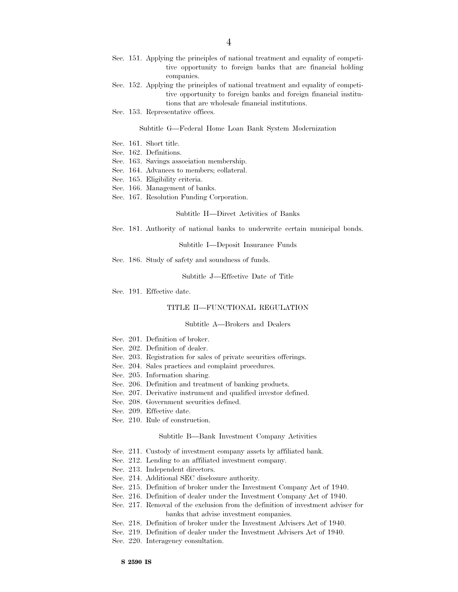- Sec. 151. Applying the principles of national treatment and equality of competitive opportunity to foreign banks that are financial holding companies.
- Sec. 152. Applying the principles of national treatment and equality of competitive opportunity to foreign banks and foreign financial institutions that are wholesale financial institutions.
- Sec. 153. Representative offices.

### Subtitle G—Federal Home Loan Bank System Modernization

- Sec. 161. Short title.
- Sec. 162. Definitions.
- Sec. 163. Savings association membership.
- Sec. 164. Advances to members; collateral.
- Sec. 165. Eligibility criteria.
- Sec. 166. Management of banks.
- Sec. 167. Resolution Funding Corporation.

## Subtitle H—Direct Activities of Banks

Sec. 181. Authority of national banks to underwrite certain municipal bonds.

#### Subtitle I—Deposit Insurance Funds

Sec. 186. Study of safety and soundness of funds.

Subtitle J—Effective Date of Title

Sec. 191. Effective date.

### TITLE II—FUNCTIONAL REGULATION

### Subtitle A—Brokers and Dealers

- Sec. 201. Definition of broker.
- Sec. 202. Definition of dealer.
- Sec. 203. Registration for sales of private securities offerings.
- Sec. 204. Sales practices and complaint procedures.
- Sec. 205. Information sharing.
- Sec. 206. Definition and treatment of banking products.
- Sec. 207. Derivative instrument and qualified investor defined.
- Sec. 208. Government securities defined.
- Sec. 209. Effective date.
- Sec. 210. Rule of construction.

### Subtitle B—Bank Investment Company Activities

- Sec. 211. Custody of investment company assets by affiliated bank.
- Sec. 212. Lending to an affiliated investment company.
- Sec. 213. Independent directors.
- Sec. 214. Additional SEC disclosure authority.
- Sec. 215. Definition of broker under the Investment Company Act of 1940.
- Sec. 216. Definition of dealer under the Investment Company Act of 1940.
- Sec. 217. Removal of the exclusion from the definition of investment adviser for banks that advise investment companies.
- Sec. 218. Definition of broker under the Investment Advisers Act of 1940.
- Sec. 219. Definition of dealer under the Investment Advisers Act of 1940.
- Sec. 220. Interagency consultation.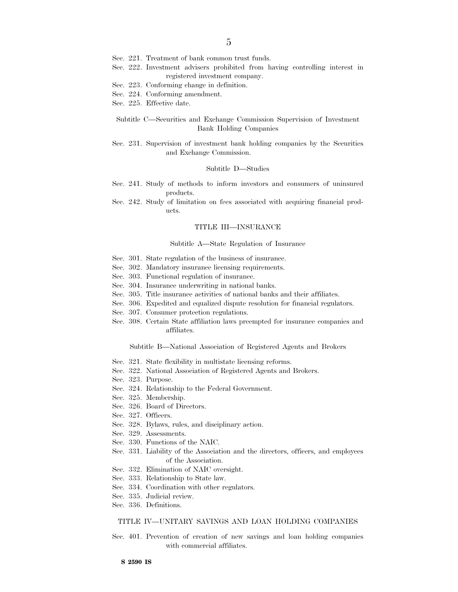- Sec. 221. Treatment of bank common trust funds.
- Sec. 222. Investment advisers prohibited from having controlling interest in registered investment company.
- Sec. 223. Conforming change in definition.
- Sec. 224. Conforming amendment.
- Sec. 225. Effective date.

## Subtitle C—Securities and Exchange Commission Supervision of Investment Bank Holding Companies

Sec. 231. Supervision of investment bank holding companies by the Securities and Exchange Commission.

#### Subtitle D—Studies

- Sec. 241. Study of methods to inform investors and consumers of uninsured products.
- Sec. 242. Study of limitation on fees associated with acquiring financial products.

#### TITLE III—INSURANCE

#### Subtitle A—State Regulation of Insurance

- Sec. 301. State regulation of the business of insurance.
- Sec. 302. Mandatory insurance licensing requirements.
- Sec. 303. Functional regulation of insurance.
- Sec. 304. Insurance underwriting in national banks.
- Sec. 305. Title insurance activities of national banks and their affiliates.
- Sec. 306. Expedited and equalized dispute resolution for financial regulators.
- Sec. 307. Consumer protection regulations.
- Sec. 308. Certain State affiliation laws preempted for insurance companies and affiliates.

Subtitle B—National Association of Registered Agents and Brokers

- Sec. 321. State flexibility in multistate licensing reforms.
- Sec. 322. National Association of Registered Agents and Brokers.
- Sec. 323. Purpose.
- Sec. 324. Relationship to the Federal Government.
- Sec. 325. Membership.
- Sec. 326. Board of Directors.
- Sec. 327. Officers.
- Sec. 328. Bylaws, rules, and disciplinary action.
- Sec. 329. Assessments.
- Sec. 330. Functions of the NAIC.
- Sec. 331. Liability of the Association and the directors, officers, and employees of the Association.
- Sec. 332. Elimination of NAIC oversight.
- Sec. 333. Relationship to State law.
- Sec. 334. Coordination with other regulators.
- Sec. 335. Judicial review.
- Sec. 336. Definitions.

## TITLE IV—UNITARY SAVINGS AND LOAN HOLDING COMPANIES

Sec. 401. Prevention of creation of new savings and loan holding companies with commercial affiliates.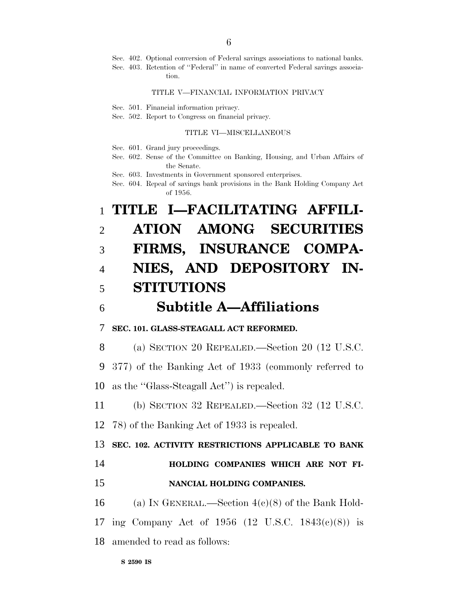Sec. 402. Optional conversion of Federal savings associations to national banks.

Sec. 403. Retention of ''Federal'' in name of converted Federal savings association.

### TITLE V—FINANCIAL INFORMATION PRIVACY

Sec. 501. Financial information privacy.

Sec. 502. Report to Congress on financial privacy.

## TITLE VI—MISCELLANEOUS

Sec. 601. Grand jury proceedings.

Sec. 602. Sense of the Committee on Banking, Housing, and Urban Affairs of the Senate.

Sec. 603. Investments in Government sponsored enterprises.

Sec. 604. Repeal of savings bank provisions in the Bank Holding Company Act of 1956.

# 1 **TITLE I—FACILITATING AFFILI-**2 **ATION AMONG SECURITIES** 3 **FIRMS, INSURANCE COMPA-**4 **NIES, AND DEPOSITORY IN-**5 **STITUTIONS**

6 **Subtitle A—Affiliations**

7 **SEC. 101. GLASS-STEAGALL ACT REFORMED.**

8 (a) SECTION 20 REPEALED.—Section 20 (12 U.S.C.

9 377) of the Banking Act of 1933 (commonly referred to

10 as the ''Glass-Steagall Act'') is repealed.

11 (b) SECTION 32 REPEALED.—Section 32 (12 U.S.C.

12 78) of the Banking Act of 1933 is repealed.

13 **SEC. 102. ACTIVITY RESTRICTIONS APPLICABLE TO BANK**

- 14 **HOLDING COMPANIES WHICH ARE NOT FI-**
- 15 **NANCIAL HOLDING COMPANIES.**

16 (a) IN GENERAL.—Section  $4(c)(8)$  of the Bank Hold-17 ing Company Act of 1956 (12 U.S.C. 1843(c)(8)) is 18 amended to read as follows: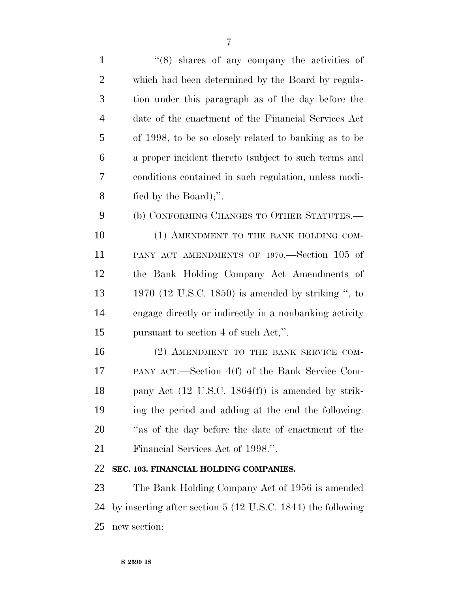1 ''(8) shares of any company the activities of which had been determined by the Board by regula- tion under this paragraph as of the day before the date of the enactment of the Financial Services Act of 1998, to be so closely related to banking as to be a proper incident thereto (subject to such terms and conditions contained in such regulation, unless modi- fied by the Board);''. (b) CONFORMING CHANGES TO OTHER STATUTES.— 10 (1) AMENDMENT TO THE BANK HOLDING COM- PANY ACT AMENDMENTS OF 1970.—Section 105 of the Bank Holding Company Act Amendments of 1970 (12 U.S.C. 1850) is amended by striking '', to engage directly or indirectly in a nonbanking activity pursuant to section 4 of such Act,''. 16 (2) AMENDMENT TO THE BANK SERVICE COM- PANY ACT.—Section 4(f) of the Bank Service Com- pany Act (12 U.S.C. 1864(f)) is amended by strik- ing the period and adding at the end the following: ''as of the day before the date of enactment of the

Financial Services Act of 1998.''.

# **SEC. 103. FINANCIAL HOLDING COMPANIES.**

 The Bank Holding Company Act of 1956 is amended by inserting after section 5 (12 U.S.C. 1844) the following new section: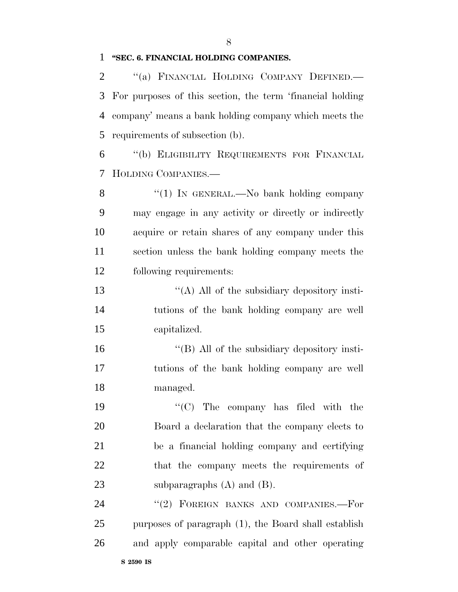# **''SEC. 6. FINANCIAL HOLDING COMPANIES.**

2 "(a) FINANCIAL HOLDING COMPANY DEFINED.— For purposes of this section, the term 'financial holding company' means a bank holding company which meets the requirements of subsection (b).

 ''(b) ELIGIBILITY REQUIREMENTS FOR FINANCIAL HOLDING COMPANIES.—

8 "(1) In GENERAL.—No bank holding company may engage in any activity or directly or indirectly acquire or retain shares of any company under this section unless the bank holding company meets the following requirements:

13  $\langle (A)$  All of the subsidiary depository insti- tutions of the bank holding company are well capitalized.

16 "(B) All of the subsidiary depository insti- tutions of the bank holding company are well managed.

 $\frac{1}{2}$  The company has filed with the Board a declaration that the company elects to be a financial holding company and certifying that the company meets the requirements of 23 subparagraphs (A) and (B).

24 "(2) FOREIGN BANKS AND COMPANIES.-For purposes of paragraph (1), the Board shall establish and apply comparable capital and other operating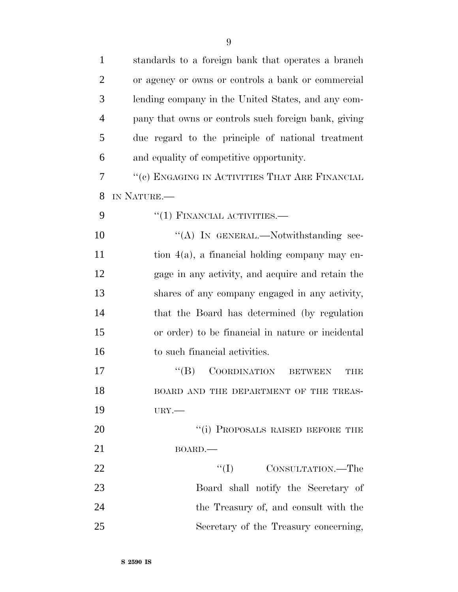| $\mathbf{1}$   | standards to a foreign bank that operates a branch           |
|----------------|--------------------------------------------------------------|
| $\overline{2}$ | or agency or owns or controls a bank or commercial           |
| 3              | lending company in the United States, and any com-           |
| $\overline{4}$ | pany that owns or controls such foreign bank, giving         |
| 5              | due regard to the principle of national treatment            |
| 6              | and equality of competitive opportunity.                     |
| 7              | "(c) ENGAGING IN ACTIVITIES THAT ARE FINANCIAL               |
| 8              | IN NATURE.                                                   |
| 9              | $``(1)$ FINANCIAL ACTIVITIES.—                               |
| 10             | "(A) IN GENERAL.—Notwithstanding sec-                        |
| 11             | tion 4(a), a financial holding company may en-               |
| 12             | gage in any activity, and acquire and retain the             |
| 13             | shares of any company engaged in any activity,               |
| 14             | that the Board has determined (by regulation                 |
| 15             | or order) to be financial in nature or incidental            |
| 16             | to such financial activities.                                |
| 17             | <b>COORDINATION</b><br>$\lq\lq (B)$<br><b>BETWEEN</b><br>THE |
| 18             | BOARD AND THE DEPARTMENT OF THE TREAS-                       |
| 19             | $URY$ .                                                      |
| 20             | "(i) PROPOSALS RAISED BEFORE THE                             |
| 21             | BOARD.                                                       |
| 22             | ``(I)<br>CONSULTATION.—The                                   |
| 23             | Board shall notify the Secretary of                          |
| 24             | the Treasury of, and consult with the                        |
| 25             | Secretary of the Treasury concerning,                        |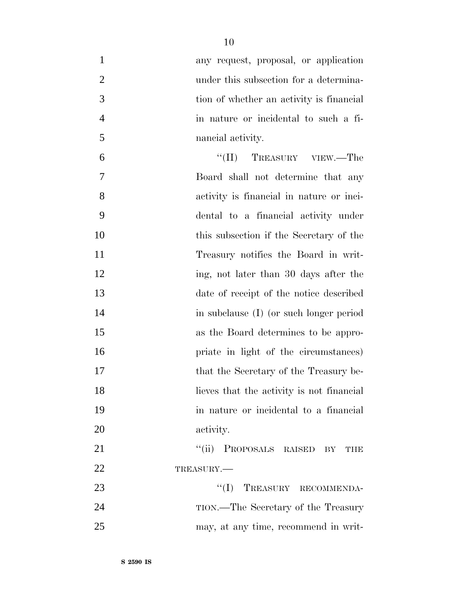| $\mathbf{1}$   | any request, proposal, or application     |
|----------------|-------------------------------------------|
| $\overline{2}$ | under this subsection for a determina-    |
| 3              | tion of whether an activity is financial  |
| $\overline{4}$ | in nature or incidental to such a fi-     |
| 5              | nancial activity.                         |
| 6              | "(II) TREASURY VIEW.—The                  |
| 7              | Board shall not determine that any        |
| 8              | activity is financial in nature or inci-  |
| 9              | dental to a financial activity under      |
| 10             | this subsection if the Secretary of the   |
| 11             | Treasury notifies the Board in writ-      |
| 12             | ing, not later than 30 days after the     |
| 13             | date of receipt of the notice described   |
| 14             | in subclause (I) (or such longer period   |
| 15             | as the Board determines to be appro-      |
| 16             | priate in light of the circumstances)     |
| 17             | that the Secretary of the Treasury be-    |
| 18             | lieves that the activity is not financial |
| 19             | in nature or incidental to a financial    |
| 20             | activity.                                 |
| 21             | ``(ii)<br>PROPOSALS RAISED BY THE         |
| 22             | TREASURY.                                 |
| 23             | "(I) TREASURY RECOMMENDA-                 |
| 24             | TION.—The Secretary of the Treasury       |
| 25             | may, at any time, recommend in writ-      |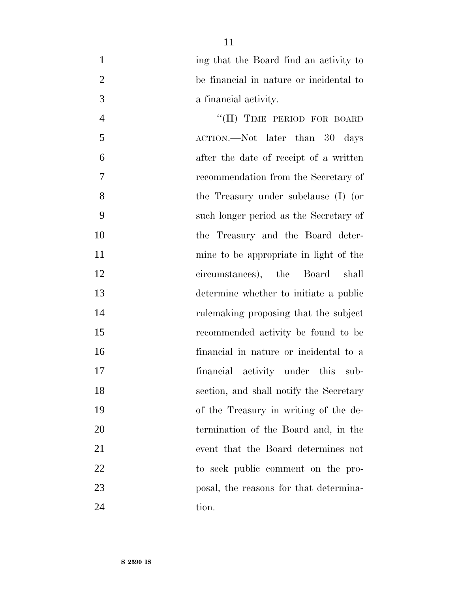|   | ing that the Board find an activity to  |
|---|-----------------------------------------|
|   | be financial in nature or incidental to |
| 3 | a financial activity.                   |

4 "(II) TIME PERIOD FOR BOARD" ACTION.—Not later than 30 days after the date of receipt of a written recommendation from the Secretary of the Treasury under subclause (I) (or such longer period as the Secretary of the Treasury and the Board deter- mine to be appropriate in light of the circumstances), the Board shall determine whether to initiate a public rulemaking proposing that the subject recommended activity be found to be financial in nature or incidental to a financial activity under this sub- section, and shall notify the Secretary of the Treasury in writing of the de- termination of the Board and, in the event that the Board determines not to seek public comment on the pro- posal, the reasons for that determina-24 tion.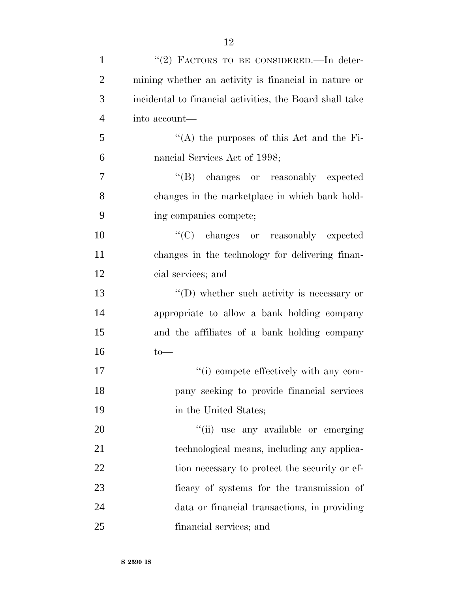| $\mathbf{1}$   | "(2) FACTORS TO BE CONSIDERED.—In deter-                 |
|----------------|----------------------------------------------------------|
| $\overline{2}$ | mining whether an activity is financial in nature or     |
| 3              | incidental to financial activities, the Board shall take |
| $\overline{4}$ | into account—                                            |
| 5              | "(A) the purposes of this Act and the Fi-                |
| 6              | nancial Services Act of 1998;                            |
| $\tau$         | "(B) changes or reasonably expected                      |
| 8              | changes in the marketplace in which bank hold-           |
| 9              | ing companies compete;                                   |
| 10             | "(C) changes or reasonably expected                      |
| 11             | changes in the technology for delivering finan-          |
| 12             | cial services; and                                       |
| 13             | $\lq\lq$ (D) whether such activity is necessary or       |
| 14             | appropriate to allow a bank holding company              |
| 15             | and the affiliates of a bank holding company             |
| 16             | $to-$                                                    |
| 17             | "(i) compete effectively with any com-                   |
| 18             | pany seeking to provide financial services               |
| 19             | in the United States;                                    |
| 20             | "(ii) use any available or emerging                      |
| 21             | technological means, including any applica-              |
| 22             | tion necessary to protect the security or ef-            |
| 23             | ficacy of systems for the transmission of                |
| 24             | data or financial transactions, in providing             |
| 25             | financial services; and                                  |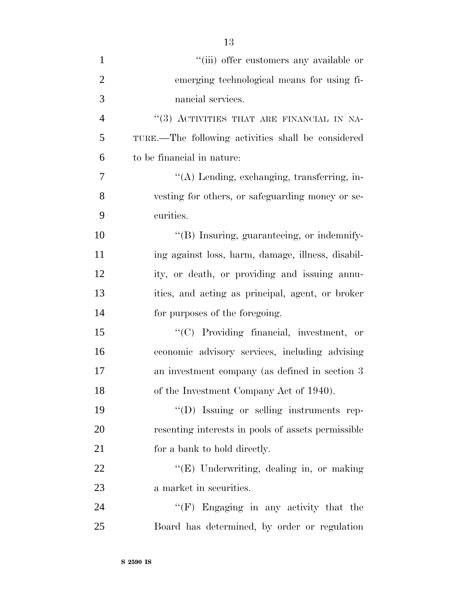| $\mathbf{1}$   | "(iii) offer customers any available or            |
|----------------|----------------------------------------------------|
| $\overline{2}$ | emerging technological means for using fi-         |
| 3              | nancial services.                                  |
| $\overline{4}$ | "(3) ACTIVITIES THAT ARE FINANCIAL IN NA-          |
| 5              | TURE.—The following activities shall be considered |
| 6              | to be financial in nature:                         |
| 7              | "(A) Lending, exchanging, transferring, in-        |
| 8              | vesting for others, or safeguarding money or se-   |
| 9              | curities.                                          |
| 10             | "(B) Insuring, guaranteeing, or indemnify-         |
| 11             | ing against loss, harm, damage, illness, disabil-  |
| 12             | ity, or death, or providing and issuing annu-      |
| 13             | ities, and acting as principal, agent, or broker   |
| 14             | for purposes of the foregoing.                     |
| 15             | "(C) Providing financial, investment, or           |
| 16             | economic advisory services, including advising     |
| 17             | an investment company (as defined in section 3)    |
| 18             | of the Investment Company Act of 1940).            |
| 19             | "(D) Issuing or selling instruments rep-           |
| 20             | resenting interests in pools of assets permissible |
| 21             | for a bank to hold directly.                       |
| 22             | "(E) Underwriting, dealing in, or making           |
| 23             | a market in securities.                            |
| 24             | "(F) Engaging in any activity that the             |
| 25             | Board has determined, by order or regulation       |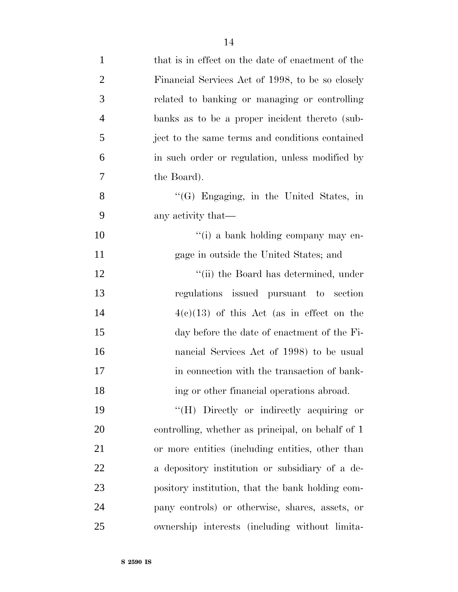| $\mathbf{1}$   | that is in effect on the date of enactment of the |
|----------------|---------------------------------------------------|
| $\overline{2}$ | Financial Services Act of 1998, to be so closely  |
| 3              | related to banking or managing or controlling     |
| $\overline{4}$ | banks as to be a proper incident thereto (sub-    |
| 5              | ject to the same terms and conditions contained   |
| 6              | in such order or regulation, unless modified by   |
| 7              | the Board).                                       |
| 8              | $\lq\lq(G)$ Engaging, in the United States, in    |
| 9              | any activity that—                                |
| 10             | "(i) a bank holding company may en-               |
| 11             | gage in outside the United States; and            |
| 12             | "(ii) the Board has determined, under             |
| 13             | regulations issued pursuant to section            |
| 14             | $4(e)(13)$ of this Act (as in effect on the       |
| 15             | day before the date of enactment of the Fi-       |
| 16             | nancial Services Act of 1998) to be usual         |
| 17             | in connection with the transaction of bank-       |
| 18             | ing or other financial operations abroad.         |
| 19             | "(H) Directly or indirectly acquiring or          |
| 20             | controlling, whether as principal, on behalf of 1 |
| 21             | or more entities (including entities, other than  |
| 22             | a depository institution or subsidiary of a de-   |
| 23             | pository institution, that the bank holding com-  |
| 24             | pany controls) or otherwise, shares, assets, or   |
| 25             | ownership interests (including without limita-    |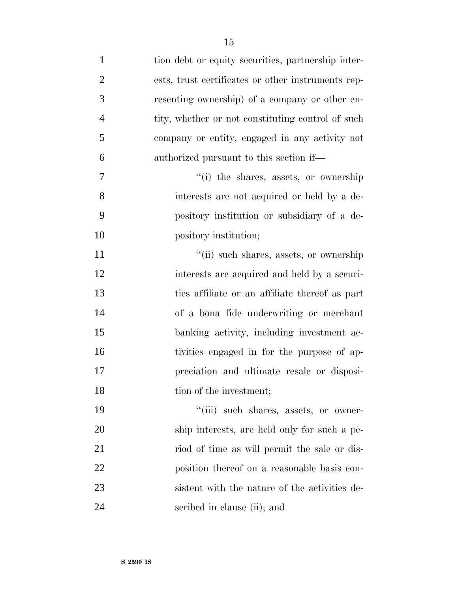| $\mathbf{1}$   | tion debt or equity securities, partnership inter- |
|----------------|----------------------------------------------------|
| $\overline{2}$ | ests, trust certificates or other instruments rep- |
| 3              | resenting ownership) of a company or other en-     |
| $\overline{4}$ | tity, whether or not constituting control of such  |
| 5              | company or entity, engaged in any activity not     |
| 6              | authorized pursuant to this section if—            |
| $\tau$         | "(i) the shares, assets, or ownership              |
| 8              | interests are not acquired or held by a de-        |
| 9              | pository institution or subsidiary of a de-        |
| 10             | pository institution;                              |
| 11             | "(ii) such shares, assets, or ownership            |
| 12             | interests are acquired and held by a securi-       |
| 13             | ties affiliate or an affiliate thereof as part     |
| 14             | of a bona fide underwriting or merchant            |
| 15             | banking activity, including investment ac-         |
| 16             | tivities engaged in for the purpose of ap-         |
| 17             | preciation and ultimate resale or disposi-         |
| 18             | tion of the investment;                            |
| 19             | "(iii) such shares, assets, or owner-              |
| 20             | ship interests, are held only for such a pe-       |
| 21             | riod of time as will permit the sale or dis-       |
| 22             | position thereof on a reasonable basis con-        |
| 23             | sistent with the nature of the activities de-      |

scribed in clause (ii); and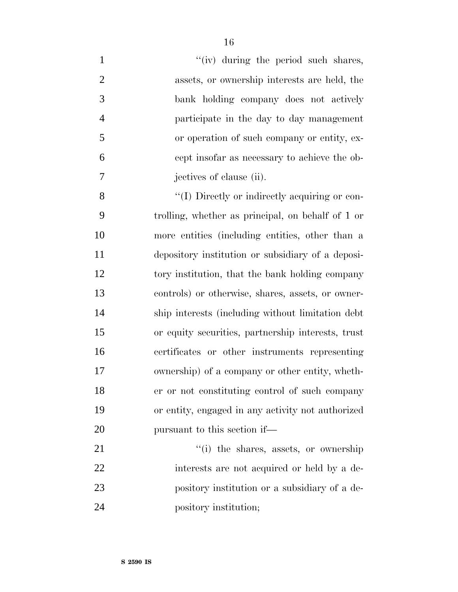| $\mathbf{1}$   | "(iv) during the period such shares,               |
|----------------|----------------------------------------------------|
| $\overline{2}$ | assets, or ownership interests are held, the       |
| 3              | bank holding company does not actively             |
| $\overline{4}$ | participate in the day to day management           |
| 5              | or operation of such company or entity, ex-        |
| 6              | cept insofar as necessary to achieve the ob-       |
| 7              | jectives of clause (ii).                           |
| 8              | "(I) Directly or indirectly acquiring or con-      |
| 9              | trolling, whether as principal, on behalf of 1 or  |
| 10             | more entities (including entities, other than a    |
| 11             | depository institution or subsidiary of a deposi-  |
| 12             | tory institution, that the bank holding company    |
| 13             | controls) or otherwise, shares, assets, or owner-  |
| 14             | ship interests (including without limitation debt  |
| 15             | or equity securities, partnership interests, trust |
| 16             | certificates or other instruments representing     |
| 17             | ownership) of a company or other entity, wheth-    |
| 18             | er or not constituting control of such company     |
| 19             | or entity, engaged in any activity not authorized  |
| 20             | pursuant to this section if—                       |
| 21             | "(i) the shares, assets, or ownership              |
| 22             | interests are not acquired or held by a de-        |
| 23             | pository institution or a subsidiary of a de-      |
| 24             | pository institution;                              |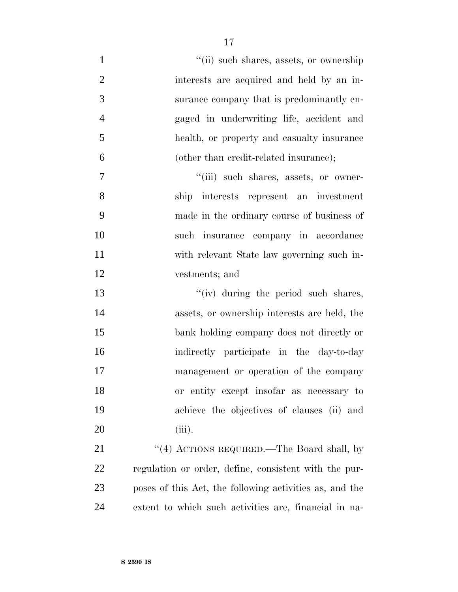| $\mathbf{1}$   | "(ii) such shares, assets, or ownership                 |
|----------------|---------------------------------------------------------|
| $\overline{2}$ | interests are acquired and held by an in-               |
| 3              | surance company that is predominantly en-               |
| $\overline{4}$ | gaged in underwriting life, accident and                |
| 5              | health, or property and casualty insurance              |
| 6              | (other than credit-related insurance);                  |
| $\overline{7}$ | "(iii) such shares, assets, or owner-                   |
| 8              | ship interests represent an investment                  |
| 9              | made in the ordinary course of business of              |
| 10             | such insurance company in accordance                    |
| 11             | with relevant State law governing such in-              |
| 12             | vestments; and                                          |
| 13             | "(iv) during the period such shares,                    |
| 14             | assets, or ownership interests are held, the            |
| 15             | bank holding company does not directly or               |
| 16             | indirectly participate in the day-to-day                |
| 17             | management or operation of the company                  |
| 18             | or entity except insofar as necessary to                |
| 19             | achieve the objectives of clauses (ii) and              |
| 20             | $(iii)$ .                                               |
| 21             | "(4) ACTIONS REQUIRED.—The Board shall, by              |
| 22             | regulation or order, define, consistent with the pur-   |
| 23             | poses of this Act, the following activities as, and the |
| 24             | extent to which such activities are, financial in na-   |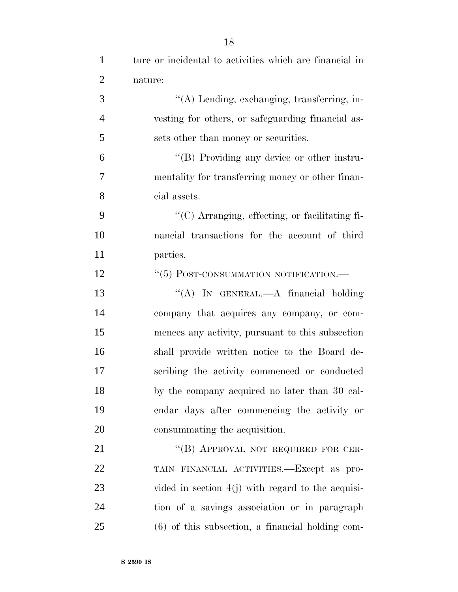| $\mathbf{1}$   | ture or incidental to activities which are financial in |
|----------------|---------------------------------------------------------|
| $\overline{2}$ | nature:                                                 |
| 3              | $\lq\lq$ (A) Lending, exchanging, transferring, in-     |
| $\overline{4}$ | vesting for others, or safeguarding financial as-       |
| 5              | sets other than money or securities.                    |
| 6              | "(B) Providing any device or other instru-              |
| 7              | mentality for transferring money or other finan-        |
| 8              | cial assets.                                            |
| 9              | "(C) Arranging, effecting, or facilitating fi-          |
| 10             | nancial transactions for the account of third           |
| 11             | parties.                                                |
| 12             | "(5) POST-CONSUMMATION NOTIFICATION.—                   |
| 13             | "(A) IN GENERAL.—A financial holding                    |
| 14             | company that acquires any company, or com-              |
| 15             | mences any activity, pursuant to this subsection        |
| 16             | shall provide written notice to the Board de-           |
| 17             | scribing the activity commenced or conducted            |
| 18             | by the company acquired no later than 30 cal-           |
| 19             | endar days after commencing the activity or             |
| 20             | consummating the acquisition.                           |
| 21             | "(B) APPROVAL NOT REQUIRED FOR CER-                     |
| 22             | TAIN FINANCIAL ACTIVITIES.—Except as pro-               |
| 23             | vided in section $4(j)$ with regard to the acquisi-     |
| 24             | tion of a savings association or in paragraph           |
| 25             | $(6)$ of this subsection, a financial holding com-      |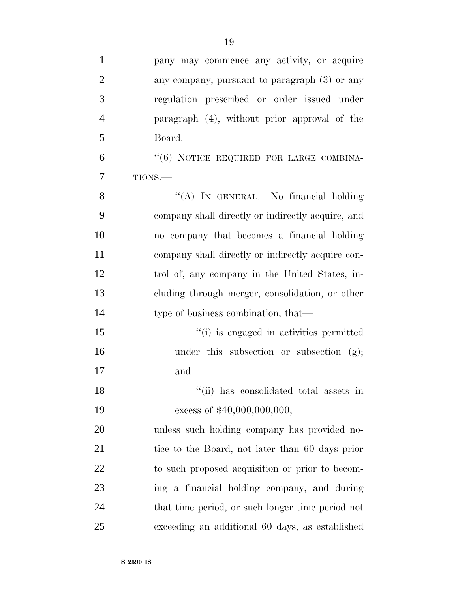| $\mathbf{1}$   | pany may commence any activity, or acquire        |
|----------------|---------------------------------------------------|
| $\overline{2}$ | any company, pursuant to paragraph (3) or any     |
| 3              | regulation prescribed or order issued under       |
| $\overline{4}$ | paragraph (4), without prior approval of the      |
| 5              | Board.                                            |
| 6              | "(6) NOTICE REQUIRED FOR LARGE COMBINA-           |
| 7              | TIONS.                                            |
| 8              | "(A) IN GENERAL.—No financial holding             |
| 9              | company shall directly or indirectly acquire, and |
| 10             | no company that becomes a financial holding       |
| 11             | company shall directly or indirectly acquire con- |
| 12             | trol of, any company in the United States, in-    |
| 13             | cluding through merger, consolidation, or other   |
| 14             | type of business combination, that—               |
| 15             | "(i) is engaged in activities permitted           |
| 16             | under this subsection or subsection $(g)$ ;       |
| 17             | and                                               |
| 18             | "(ii) has consolidated total assets in            |
| 19             | excess of \$40,000,000,000,                       |
| 20             | unless such holding company has provided no-      |
| 21             | tice to the Board, not later than 60 days prior   |
| 22             | to such proposed acquisition or prior to becom-   |
| 23             | ing a financial holding company, and during       |
| 24             | that time period, or such longer time period not  |
| 25             | exceeding an additional 60 days, as established   |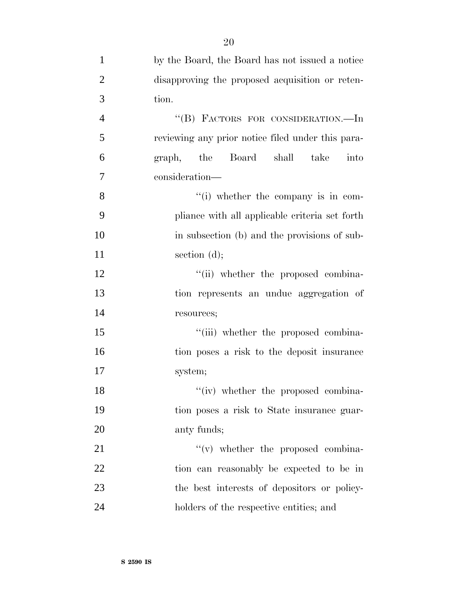| $\mathbf{1}$   | by the Board, the Board has not issued a notice   |
|----------------|---------------------------------------------------|
| $\overline{2}$ | disapproving the proposed acquisition or reten-   |
| 3              | tion.                                             |
| $\overline{4}$ | "(B) FACTORS FOR CONSIDERATION.-In                |
| 5              | reviewing any prior notice filed under this para- |
| 6              | graph, the Board shall<br>take<br>into            |
| 7              | consideration-                                    |
| 8              | "(i) whether the company is in com-               |
| 9              | pliance with all applicable criteria set forth    |
| 10             | in subsection (b) and the provisions of sub-      |
| 11             | section $(d)$ ;                                   |
| 12             | "(ii) whether the proposed combina-               |
| 13             | tion represents an undue aggregation of           |
| 14             | resources;                                        |
| 15             | "(iii) whether the proposed combina-              |
| 16             | tion poses a risk to the deposit insurance        |
| 17             | system;                                           |
| 18             | "(iv) whether the proposed combina-               |
| 19             | tion poses a risk to State insurance guar-        |
| 20             | anty funds;                                       |
| 21             | $f'(v)$ whether the proposed combina-             |
| 22             | tion can reasonably be expected to be in          |
| 23             | the best interests of depositors or policy-       |
| 24             | holders of the respective entities; and           |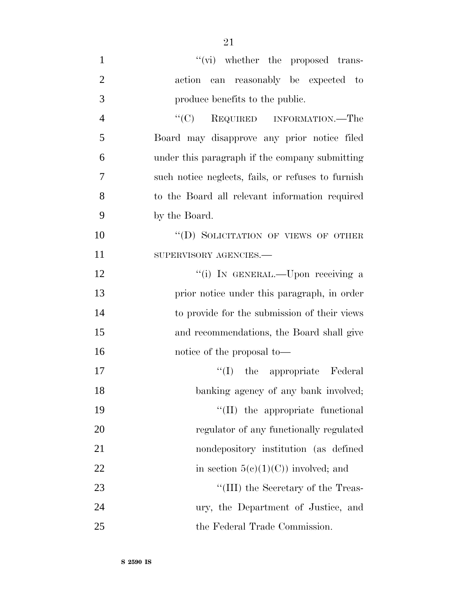| $\mathbf{1}$   | $\lq\lq$ whether the proposed trans-               |
|----------------|----------------------------------------------------|
| $\overline{2}$ | action can reasonably be expected to               |
| 3              | produce benefits to the public.                    |
| $\overline{4}$ | "(C) REQUIRED INFORMATION.—The                     |
| 5              | Board may disapprove any prior notice filed        |
| 6              | under this paragraph if the company submitting     |
| 7              | such notice neglects, fails, or refuses to furnish |
| 8              | to the Board all relevant information required     |
| 9              | by the Board.                                      |
| 10             | "(D) SOLICITATION OF VIEWS OF OTHER                |
| 11             | SUPERVISORY AGENCIES.-                             |
| 12             | "(i) IN GENERAL.—Upon receiving a                  |
| 13             | prior notice under this paragraph, in order        |
| 14             | to provide for the submission of their views       |
| 15             | and recommendations, the Board shall give          |
| 16             | notice of the proposal to-                         |
| 17             | "(I) the appropriate Federal                       |
| 18             | banking agency of any bank involved;               |
| 19             | "(II) the appropriate functional                   |
| 20             | regulator of any functionally regulated            |
| 21             | nondepository institution (as defined              |
| 22             | in section $5(c)(1)(C)$ involved; and              |
| 23             | "(III) the Secretary of the Treas-                 |
| 24             | ury, the Department of Justice, and                |
| 25             | the Federal Trade Commission.                      |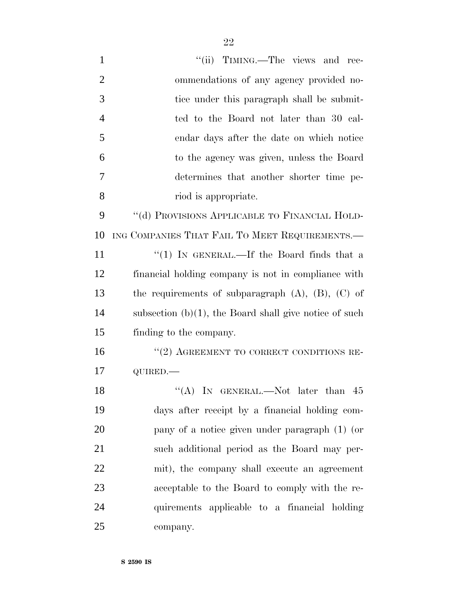| $\mathbf{1}$   | "(ii) TIMING.—The views and rec-                          |
|----------------|-----------------------------------------------------------|
| $\overline{2}$ | ommendations of any agency provided no-                   |
| 3              | tice under this paragraph shall be submit-                |
| $\overline{4}$ | ted to the Board not later than 30 cal-                   |
| 5              | endar days after the date on which notice                 |
| 6              | to the agency was given, unless the Board                 |
| 7              | determines that another shorter time pe-                  |
| 8              | riod is appropriate.                                      |
| 9              | "(d) PROVISIONS APPLICABLE TO FINANCIAL HOLD-             |
| 10             | ING COMPANIES THAT FAIL TO MEET REQUIREMENTS.—            |
| 11             | "(1) IN GENERAL.—If the Board finds that a                |
| 12             | financial holding company is not in compliance with       |
| 13             | the requirements of subparagraph $(A)$ , $(B)$ , $(C)$ of |
| 14             | subsection $(b)(1)$ , the Board shall give notice of such |
| 15             | finding to the company.                                   |
| 16             | $``(2)$ AGREEMENT TO CORRECT CONDITIONS RE-               |
| 17             | QUIRED.                                                   |
| 18             | "(A) IN GENERAL.—Not later than $45$                      |
| 19             | days after receipt by a financial holding com-            |
| 20             | pany of a notice given under paragraph (1) (or            |
| 21             | such additional period as the Board may per-              |
| 22             | mit), the company shall execute an agreement              |
| 23             | acceptable to the Board to comply with the re-            |
| 24             | quirements applicable to a financial holding              |
| 25             | company.                                                  |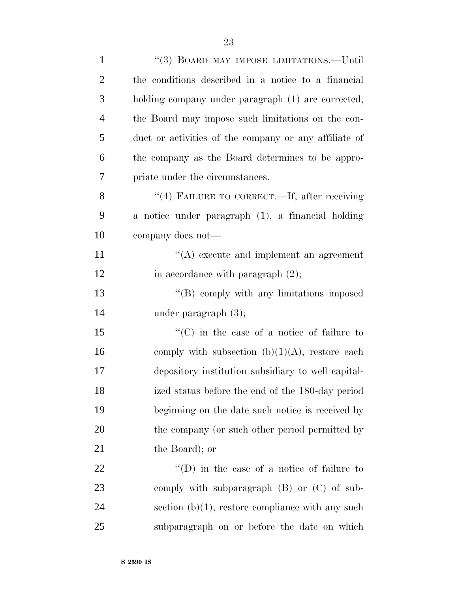| $\mathbf{1}$   | "(3) BOARD MAY IMPOSE LIMITATIONS.—Until              |
|----------------|-------------------------------------------------------|
| $\overline{2}$ | the conditions described in a notice to a financial   |
| 3              | holding company under paragraph (1) are corrected,    |
| $\overline{4}$ | the Board may impose such limitations on the con-     |
| 5              | duct or activities of the company or any affiliate of |
| 6              | the company as the Board determines to be appro-      |
| 7              | priate under the circumstances.                       |
| 8              | "(4) FAILURE TO CORRECT.—If, after receiving          |
| 9              | a notice under paragraph (1), a financial holding     |
| 10             | company does not—                                     |
| 11             | $\lq\lq$ execute and implement an agreement           |
| 12             | in accordance with paragraph $(2)$ ;                  |
| 13             | $\lq\lq$ comply with any limitations imposed          |
| 14             | under paragraph $(3)$ ;                               |
| 15             | $\lq\lq$ (C) in the case of a notice of failure to    |
| 16             | comply with subsection $(b)(1)(A)$ , restore each     |
| 17             | depository institution subsidiary to well capital-    |
| 18             | ized status before the end of the 180-day period      |
| 19             | beginning on the date such notice is received by      |
| 20             | the company (or such other period permitted by        |
| 21             | the Board); or                                        |
| 22             | $\lq\lq$ (D) in the case of a notice of failure to    |
| 23             | comply with subparagraph (B) or (C) of sub-           |
| 24             | section $(b)(1)$ , restore compliance with any such   |
| 25             | subparagraph on or before the date on which           |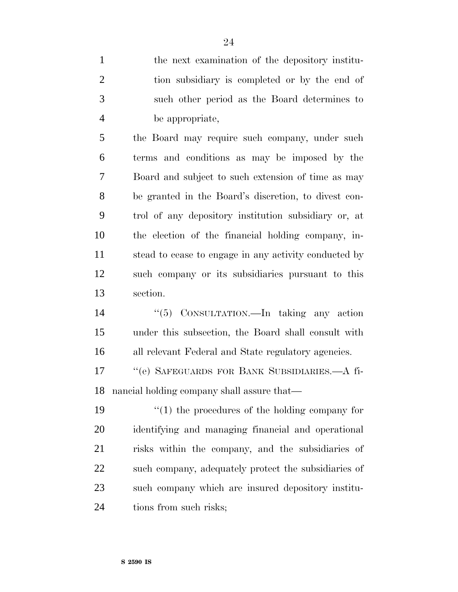the next examination of the depository institu- tion subsidiary is completed or by the end of such other period as the Board determines to be appropriate,

 the Board may require such company, under such terms and conditions as may be imposed by the Board and subject to such extension of time as may be granted in the Board's discretion, to divest con- trol of any depository institution subsidiary or, at the election of the financial holding company, in- stead to cease to engage in any activity conducted by such company or its subsidiaries pursuant to this section.

 ''(5) CONSULTATION.—In taking any action under this subsection, the Board shall consult with all relevant Federal and State regulatory agencies.

 ''(e) SAFEGUARDS FOR BANK SUBSIDIARIES.—A fi-nancial holding company shall assure that—

 $\frac{1}{2}$  (1) the procedures of the holding company for identifying and managing financial and operational risks within the company, and the subsidiaries of such company, adequately protect the subsidiaries of such company which are insured depository institu-24 tions from such risks;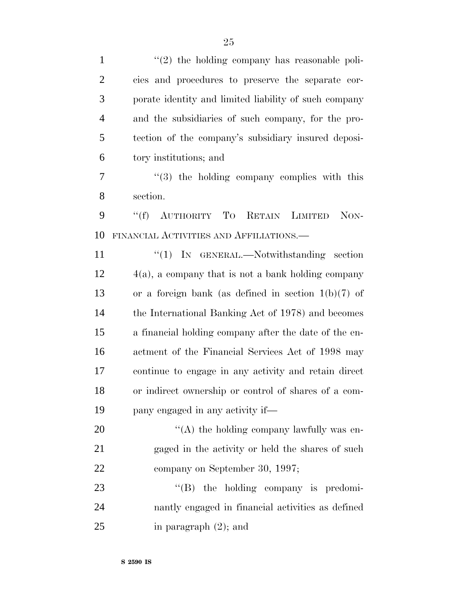| $\mathbf{1}$   | $\lq(2)$ the holding company has reasonable poli-     |
|----------------|-------------------------------------------------------|
| $\overline{2}$ | cies and procedures to preserve the separate cor-     |
| 3              | porate identity and limited liability of such company |
| $\overline{4}$ | and the subsidiaries of such company, for the pro-    |
| 5              | tection of the company's subsidiary insured deposi-   |
| 6              | tory institutions; and                                |
| 7              | $(3)$ the holding company complies with this          |
| 8              | section.                                              |
| 9              | ``(f)<br>AUTHORITY TO<br>RETAIN LIMITED<br>NON-       |
| 10             | FINANCIAL ACTIVITIES AND AFFILIATIONS.—               |
| 11             | " $(1)$ IN GENERAL.—Notwithstanding section           |
| 12             | $4(a)$ , a company that is not a bank holding company |
| 13             | or a foreign bank (as defined in section $1(b)(7)$ of |
| 14             | the International Banking Act of 1978) and becomes    |
| 15             | a financial holding company after the date of the en- |
| 16             | actment of the Financial Services Act of 1998 may     |
| 17             | continue to engage in any activity and retain direct  |
| 18             | or indirect ownership or control of shares of a com-  |
| 19             | pany engaged in any activity if—                      |
| 20             | "(A) the holding company lawfully was en-             |
| 21             | gaged in the activity or held the shares of such      |
| 22             | company on September 30, 1997;                        |
| 23             | $\lq\lq (B)$ the holding company is predomi-          |
| 24             | nantly engaged in financial activities as defined     |
| 25             | in paragraph $(2)$ ; and                              |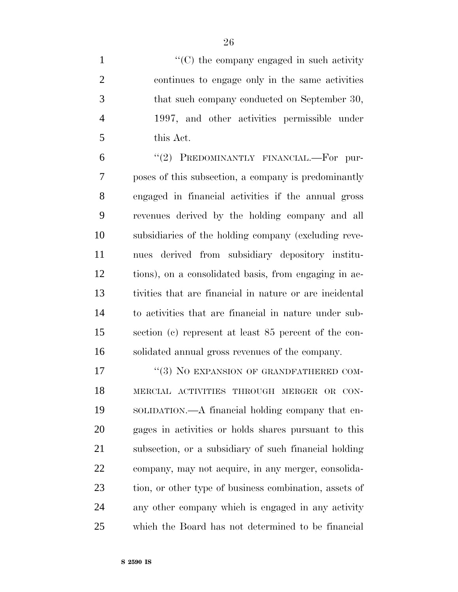$\cdot$  (C) the company engaged in such activity continues to engage only in the same activities that such company conducted on September 30, 1997, and other activities permissible under this Act.

6 "(2) PREDOMINANTLY FINANCIAL.—For pur- poses of this subsection, a company is predominantly engaged in financial activities if the annual gross revenues derived by the holding company and all subsidiaries of the holding company (excluding reve- nues derived from subsidiary depository institu- tions), on a consolidated basis, from engaging in ac- tivities that are financial in nature or are incidental to activities that are financial in nature under sub- section (c) represent at least 85 percent of the con-solidated annual gross revenues of the company.

17 "(3) NO EXPANSION OF GRANDFATHERED COM- MERCIAL ACTIVITIES THROUGH MERGER OR CON- SOLIDATION.—A financial holding company that en- gages in activities or holds shares pursuant to this subsection, or a subsidiary of such financial holding company, may not acquire, in any merger, consolida- tion, or other type of business combination, assets of any other company which is engaged in any activity which the Board has not determined to be financial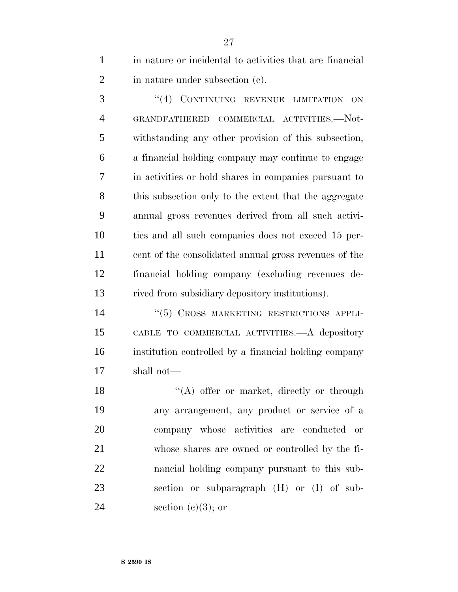in nature or incidental to activities that are financial in nature under subsection (c).

 ''(4) CONTINUING REVENUE LIMITATION ON GRANDFATHERED COMMERCIAL ACTIVITIES.—Not- withstanding any other provision of this subsection, a financial holding company may continue to engage in activities or hold shares in companies pursuant to this subsection only to the extent that the aggregate annual gross revenues derived from all such activi- ties and all such companies does not exceed 15 per- cent of the consolidated annual gross revenues of the financial holding company (excluding revenues de-rived from subsidiary depository institutions).

14 "(5) CROSS MARKETING RESTRICTIONS APPLI- CABLE TO COMMERCIAL ACTIVITIES.—A depository institution controlled by a financial holding company shall not—

18 "(A) offer or market, directly or through any arrangement, any product or service of a company whose activities are conducted or whose shares are owned or controlled by the fi- nancial holding company pursuant to this sub- section or subparagraph (H) or (I) of sub-24 section  $(e)(3)$ ; or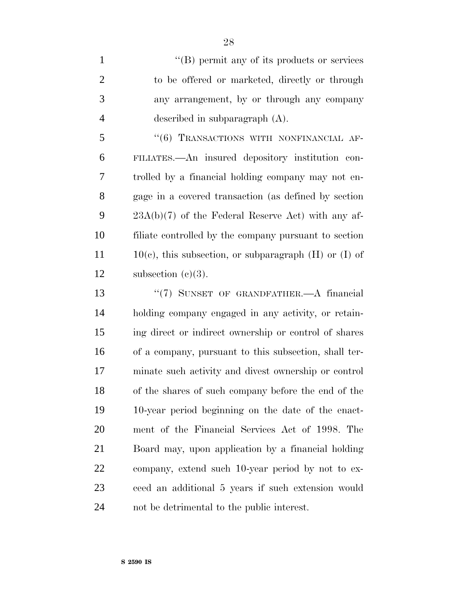1 ''(B) permit any of its products or services to be offered or marketed, directly or through any arrangement, by or through any company described in subparagraph (A).

5 "(6) TRANSACTIONS WITH NONFINANCIAL AF- FILIATES.—An insured depository institution con- trolled by a financial holding company may not en- gage in a covered transaction (as defined by section 23A(b)(7) of the Federal Reserve Act) with any af- filiate controlled by the company pursuant to section  $11 \t10(e)$ , this subsection, or subparagraph (H) or (I) of 12 subsection  $(e)(3)$ .

 ''(7) SUNSET OF GRANDFATHER.—A financial holding company engaged in any activity, or retain- ing direct or indirect ownership or control of shares of a company, pursuant to this subsection, shall ter- minate such activity and divest ownership or control of the shares of such company before the end of the 10-year period beginning on the date of the enact- ment of the Financial Services Act of 1998. The Board may, upon application by a financial holding company, extend such 10-year period by not to ex- ceed an additional 5 years if such extension would not be detrimental to the public interest.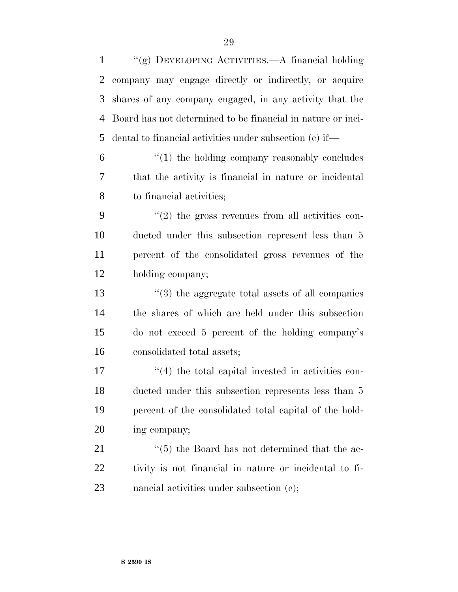| $\mathbf{1}$   | "(g) DEVELOPING ACTIVITIES.—A financial holding             |
|----------------|-------------------------------------------------------------|
| $\overline{2}$ | company may engage directly or indirectly, or acquire       |
| 3              | shares of any company engaged, in any activity that the     |
| $\overline{4}$ | Board has not determined to be financial in nature or inci- |
| 5              | dental to financial activities under subsection (c) if—     |
| 6              | $\lq(1)$ the holding company reasonably concludes           |
| 7              | that the activity is financial in nature or incidental      |
| 8              | to financial activities;                                    |
| 9              | $\lq(2)$ the gross revenues from all activities con-        |
| 10             | ducted under this subsection represent less than 5          |
| 11             | percent of the consolidated gross revenues of the           |
| 12             | holding company;                                            |
| 13             | $\cdot\cdot(3)$ the aggregate total assets of all companies |
| 14             | the shares of which are held under this subsection          |
| 15             | do not exceed 5 percent of the holding company's            |
| 16             | consolidated total assets;                                  |
| 17             | $\lq(4)$ the total capital invested in activities con-      |
| 18             | ducted under this subsection represents less than 5         |
| 19             | percent of the consolidated total capital of the hold-      |
| 20             | ing company;                                                |
| 21             | $\cdot\cdot$ (5) the Board has not determined that the ac-  |
| 22             | tivity is not financial in nature or incidental to fi-      |
| 23             | nancial activities under subsection (c);                    |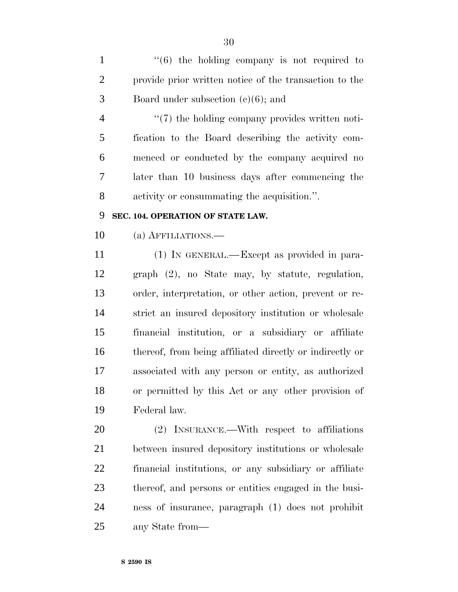$\frac{1}{1}$  ''(6) the holding company is not required to provide prior written notice of the transaction to the Board under subsection (c)(6); and

 $\frac{4}{7}$  the holding company provides written noti- fication to the Board describing the activity com- menced or conducted by the company acquired no later than 10 business days after commencing the activity or consummating the acquisition.''.

# **SEC. 104. OPERATION OF STATE LAW.**

(a) AFFILIATIONS.—

 (1) IN GENERAL.—Except as provided in para- graph (2), no State may, by statute, regulation, order, interpretation, or other action, prevent or re- strict an insured depository institution or wholesale financial institution, or a subsidiary or affiliate thereof, from being affiliated directly or indirectly or associated with any person or entity, as authorized or permitted by this Act or any other provision of Federal law.

 (2) INSURANCE.—With respect to affiliations between insured depository institutions or wholesale financial institutions, or any subsidiary or affiliate thereof, and persons or entities engaged in the busi- ness of insurance, paragraph (1) does not prohibit any State from—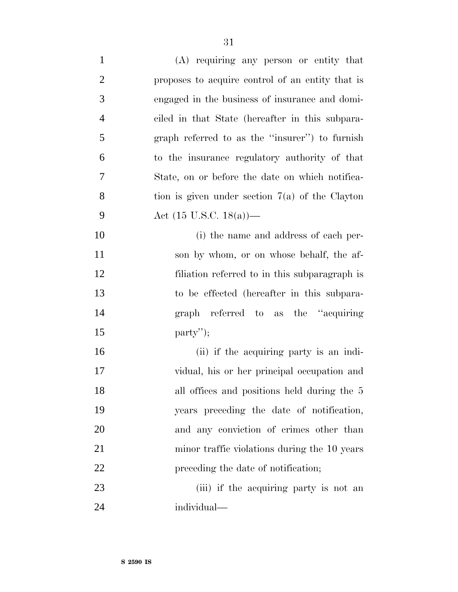| $\mathbf{1}$   | (A) requiring any person or entity that           |
|----------------|---------------------------------------------------|
| $\overline{2}$ | proposes to acquire control of an entity that is  |
| 3              | engaged in the business of insurance and domi-    |
| $\overline{4}$ | ciled in that State (hereafter in this subpara-   |
| 5              | graph referred to as the "insurer" to furnish     |
| 6              | to the insurance regulatory authority of that     |
| 7              | State, on or before the date on which notifica-   |
| 8              | tion is given under section $7(a)$ of the Clayton |
| 9              | Act $(15 \text{ U.S.C. } 18(a))$ —                |
| 10             | (i) the name and address of each per-             |
| 11             | son by whom, or on whose behalf, the af-          |
| 12             | filiation referred to in this subparagraph is     |
| 13             | to be effected (hereafter in this subpara-        |
| 14             | graph referred to as the "acquiring"              |
| 15             | $party$ <sup>"</sup> );                           |
| 16             | (ii) if the acquiring party is an indi-           |
| 17             | vidual, his or her principal occupation and       |
| 18             | all offices and positions held during the 5       |
| 19             | years preceding the date of notification,         |
| 20             | and any conviction of crimes other than           |
| 21             | minor traffic violations during the 10 years      |
| 22             | preceding the date of notification;               |
| 23             | (iii) if the acquiring party is not an            |
| 24             | individual-                                       |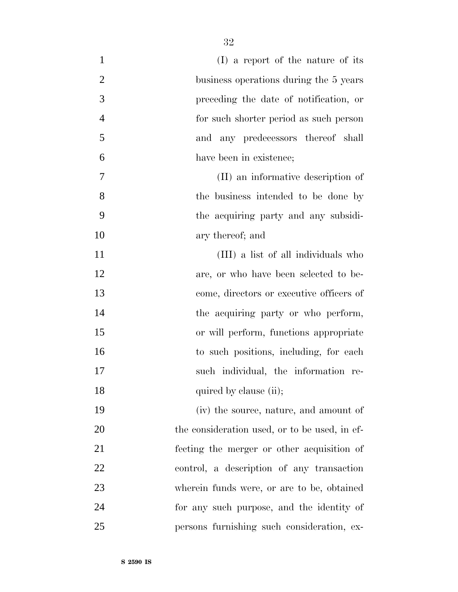| $\mathbf{1}$   | (I) a report of the nature of its             |
|----------------|-----------------------------------------------|
| $\overline{2}$ | business operations during the 5 years        |
| 3              | preceding the date of notification, or        |
| $\overline{4}$ | for such shorter period as such person        |
| 5              | and any predecessors thereof shall            |
| 6              | have been in existence;                       |
| 7              | (II) an informative description of            |
| 8              | the business intended to be done by           |
| 9              | the acquiring party and any subsidi-          |
| 10             | ary thereof; and                              |
| 11             | (III) a list of all individuals who           |
| 12             | are, or who have been selected to be-         |
| 13             | come, directors or executive officers of      |
| 14             | the acquiring party or who perform,           |
| 15             | or will perform, functions appropriate        |
| 16             | to such positions, including, for each        |
| 17             | such individual, the information re-          |
| 18             | quired by clause (ii);                        |
| 19             | (iv) the source, nature, and amount of        |
| 20             | the consideration used, or to be used, in ef- |
| 21             | fecting the merger or other acquisition of    |
| 22             | control, a description of any transaction     |
| 23             | wherein funds were, or are to be, obtained    |
| 24             | for any such purpose, and the identity of     |
| 25             | persons furnishing such consideration, ex-    |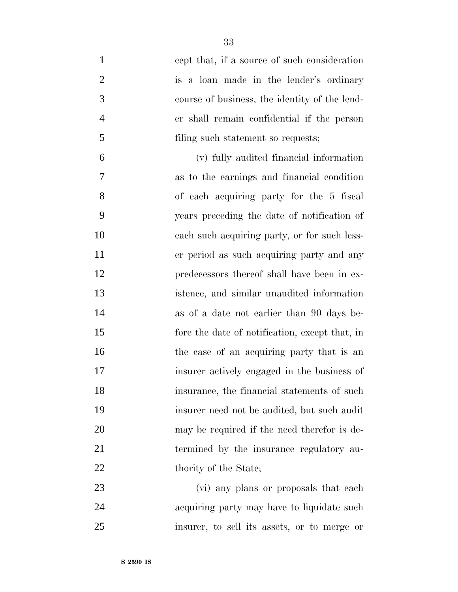| $\mathbf{1}$   | cept that, if a source of such consideration   |
|----------------|------------------------------------------------|
| $\overline{2}$ | is a loan made in the lender's ordinary        |
| 3              | course of business, the identity of the lend-  |
| $\overline{4}$ | er shall remain confidential if the person     |
| 5              | filing such statement so requests;             |
| 6              | (v) fully audited financial information        |
| 7              | as to the earnings and financial condition     |
| 8              | of each acquiring party for the 5 fiscal       |
| 9              | years preceding the date of notification of    |
| 10             | each such acquiring party, or for such less-   |
| 11             | er period as such acquiring party and any      |
| 12             | predecessors thereof shall have been in ex-    |
| 13             | istence, and similar unaudited information     |
| 14             | as of a date not earlier than 90 days be-      |
| 15             | fore the date of notification, except that, in |
| 16             | the case of an acquiring party that is an      |
| 17             | insurer actively engaged in the business of    |
| 18             | insurance, the financial statements of such    |
| 19             | insurer need not be audited, but such audit    |
| 20             | may be required if the need therefor is de-    |
| 21             | termined by the insurance regulatory au-       |
| 22             | thority of the State;                          |
| 23             | (vi) any plans or proposals that each          |
| 24             | acquiring party may have to liquidate such     |
| 25             | insurer, to sell its assets, or to merge or    |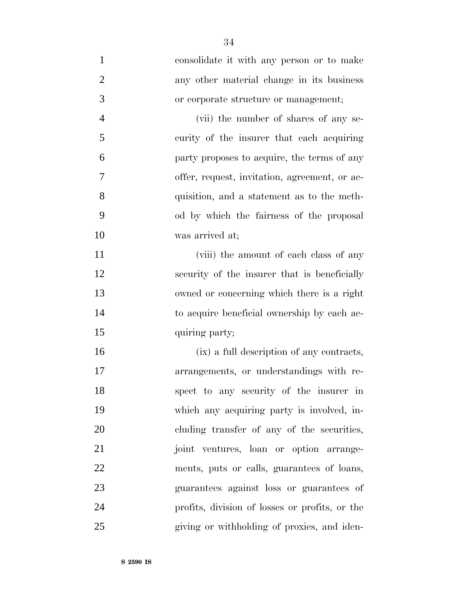consolidate it with any person or to make any other material change in its business or corporate structure or management; (vii) the number of shares of any se- curity of the insurer that each acquiring party proposes to acquire, the terms of any offer, request, invitation, agreement, or ac- quisition, and a statement as to the meth- od by which the fairness of the proposal was arrived at; 11 (viii) the amount of each class of any security of the insurer that is beneficially owned or concerning which there is a right to acquire beneficial ownership by each ac-15 quiring party; (ix) a full description of any contracts, arrangements, or understandings with re- spect to any security of the insurer in which any acquiring party is involved, in- cluding transfer of any of the securities, joint ventures, loan or option arrange- ments, puts or calls, guarantees of loans, guarantees against loss or guarantees of profits, division of losses or profits, or the giving or withholding of proxies, and iden-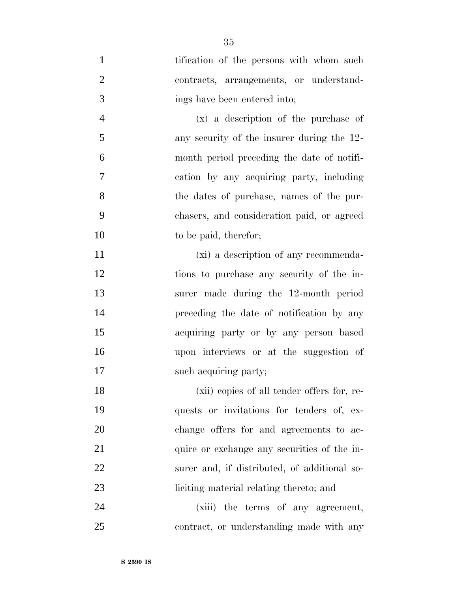1 tification of the persons with whom such contracts, arrangements, or understand- ings have been entered into; (x) a description of the purchase of any security of the insurer during the 12- month period preceding the date of notifi- cation by any acquiring party, including the dates of purchase, names of the pur- chasers, and consideration paid, or agreed 10 to be paid, therefor; (xi) a description of any recommenda- tions to purchase any security of the in- surer made during the 12-month period preceding the date of notification by any acquiring party or by any person based upon interviews or at the suggestion of 17 such acquiring party; (xii) copies of all tender offers for, re- quests or invitations for tenders of, ex- change offers for and agreements to ac-21 quire or exchange any securities of the in-surer and, if distributed, of additional so-

24 (xiii) the terms of any agreement, contract, or understanding made with any

liciting material relating thereto; and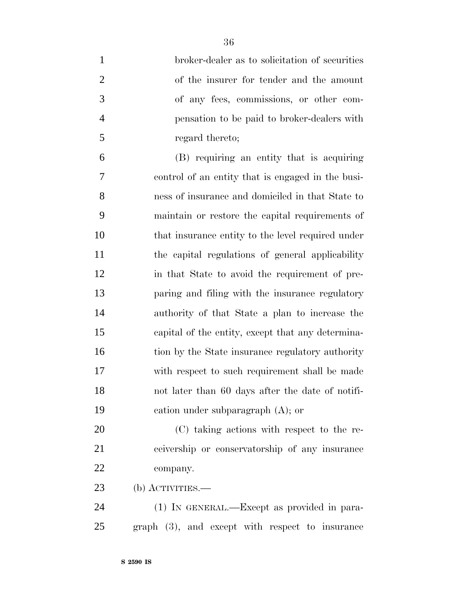| $\mathbf{1}$   | broker-dealer as to solicitation of securities    |
|----------------|---------------------------------------------------|
| $\overline{2}$ | of the insurer for tender and the amount          |
| 3              | of any fees, commissions, or other com-           |
| $\overline{4}$ | pensation to be paid to broker-dealers with       |
| 5              | regard thereto;                                   |
| 6              | (B) requiring an entity that is acquiring         |
| 7              | control of an entity that is engaged in the busi- |
| 8              | ness of insurance and domiciled in that State to  |
| 9              | maintain or restore the capital requirements of   |
| 10             | that insurance entity to the level required under |
| 11             | the capital regulations of general applicability  |
| 12             | in that State to avoid the requirement of pre-    |
| 13             | paring and filing with the insurance regulatory   |
| 14             | authority of that State a plan to increase the    |
| 15             | capital of the entity, except that any determina- |
| 16             | tion by the State insurance regulatory authority  |
| 17             | with respect to such requirement shall be made    |
| 18             | not later than 60 days after the date of notifi-  |
| 19             | cation under subparagraph $(A)$ ; or              |
| 20             | (C) taking actions with respect to the re-        |
| 21             | ceivership or conservatorship of any insurance    |
| 22             | company.                                          |
| 23             | $(b)$ ACTIVITIES.—                                |
| 24             | (1) IN GENERAL.—Except as provided in para-       |
| 25             | graph (3), and except with respect to insurance   |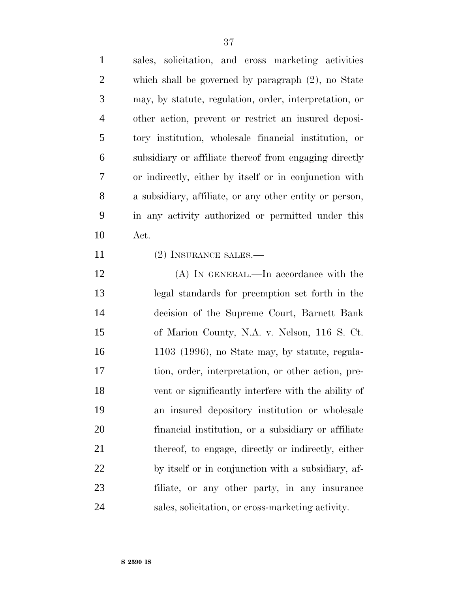| $\mathbf{1}$   | sales, solicitation, and cross marketing activities     |
|----------------|---------------------------------------------------------|
| 2              | which shall be governed by paragraph $(2)$ , no State   |
| 3              | may, by statute, regulation, order, interpretation, or  |
| $\overline{4}$ | other action, prevent or restrict an insured deposi-    |
| 5              | tory institution, wholesale financial institution, or   |
| 6              | subsidiary or affiliate thereof from engaging directly  |
| 7              | or indirectly, either by itself or in conjunction with  |
| 8              | a subsidiary, affiliate, or any other entity or person, |
| 9              | in any activity authorized or permitted under this      |
| 10             | Act.                                                    |
| 11             | $(0)$ Lyoun avon out no                                 |

- 11 (2) INSURANCE SALES.—
- (A) IN GENERAL.—In accordance with the legal standards for preemption set forth in the decision of the Supreme Court, Barnett Bank of Marion County, N.A. v. Nelson, 116 S. Ct. 1103 (1996), no State may, by statute, regula- tion, order, interpretation, or other action, pre- vent or significantly interfere with the ability of an insured depository institution or wholesale financial institution, or a subsidiary or affiliate thereof, to engage, directly or indirectly, either by itself or in conjunction with a subsidiary, af- filiate, or any other party, in any insurance sales, solicitation, or cross-marketing activity.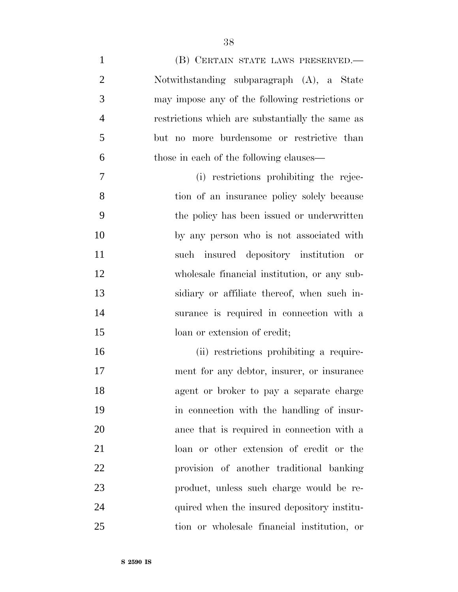1 (B) CERTAIN STATE LAWS PRESERVED.— Notwithstanding subparagraph (A), a State may impose any of the following restrictions or restrictions which are substantially the same as but no more burdensome or restrictive than those in each of the following clauses— (i) restrictions prohibiting the rejec- tion of an insurance policy solely because the policy has been issued or underwritten by any person who is not associated with such insured depository institution or wholesale financial institution, or any sub- sidiary or affiliate thereof, when such in- surance is required in connection with a 15 loan or extension of credit; (ii) restrictions prohibiting a require- ment for any debtor, insurer, or insurance agent or broker to pay a separate charge in connection with the handling of insur-ance that is required in connection with a

loan or other extension of credit or the

provision of another traditional banking

product, unless such charge would be re-

quired when the insured depository institu-

tion or wholesale financial institution, or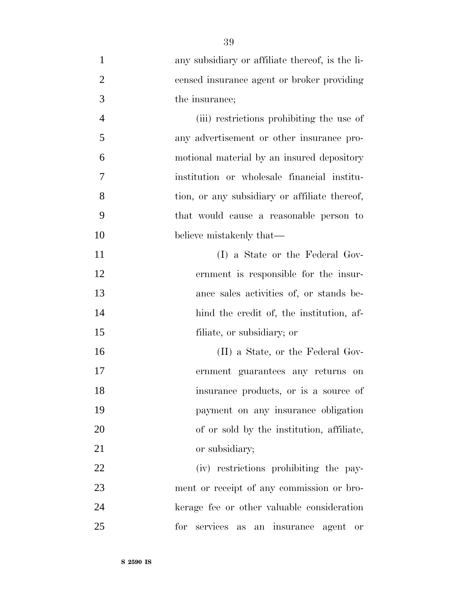| $\mathbf{1}$   | any subsidiary or affiliate thereof, is the li- |
|----------------|-------------------------------------------------|
| $\overline{2}$ | censed insurance agent or broker providing      |
| 3              | the insurance;                                  |
| $\overline{4}$ | (iii) restrictions prohibiting the use of       |
| 5              | any advertisement or other insurance pro-       |
| 6              | motional material by an insured depository      |
| 7              | institution or wholesale financial institu-     |
| 8              | tion, or any subsidiary or affiliate thereof,   |
| 9              | that would cause a reasonable person to         |
| 10             | believe mistakenly that—                        |
| 11             | (I) a State or the Federal Gov-                 |
| 12             | ernment is responsible for the insur-           |
| 13             | ance sales activities of, or stands be-         |
| 14             | hind the credit of, the institution, af-        |
| 15             | filiate, or subsidiary; or                      |
| 16             | (II) a State, or the Federal Gov-               |
| 17             | ernment guarantees any returns on               |
| 18             | insurance products, or is a source of           |
| 19             | payment on any insurance obligation             |
| 20             | of or sold by the institution, affiliate,       |
| 21             | or subsidiary;                                  |
| 22             | (iv) restrictions prohibiting the pay-          |
| 23             | ment or receipt of any commission or bro-       |
| 24             | kerage fee or other valuable consideration      |
| 25             | services as<br>for<br>an insurance agent<br>or  |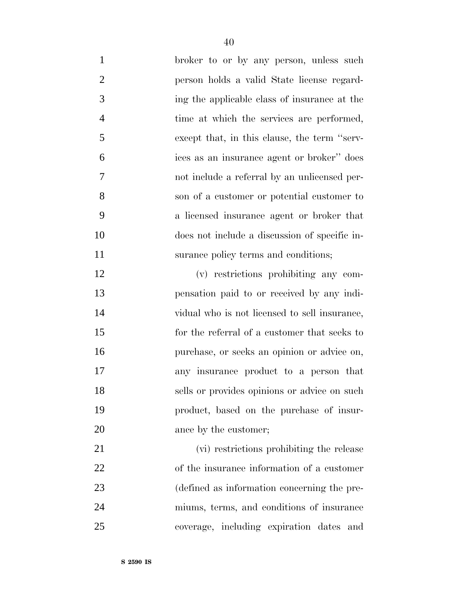| $\mathbf{1}$   | broker to or by any person, unless such       |
|----------------|-----------------------------------------------|
| $\overline{2}$ | person holds a valid State license regard-    |
| 3              | ing the applicable class of insurance at the  |
| $\overline{4}$ | time at which the services are performed,     |
| 5              | except that, in this clause, the term "serv-  |
| 6              | ices as an insurance agent or broker" does    |
| 7              | not include a referral by an unlicensed per-  |
| 8              | son of a customer or potential customer to    |
| 9              | a licensed insurance agent or broker that     |
| 10             | does not include a discussion of specific in- |
| 11             | surance policy terms and conditions;          |
| 12             | (v) restrictions prohibiting any com-         |
| 13             | pensation paid to or received by any indi-    |
| 14             | vidual who is not licensed to sell insurance, |
| 15             | for the referral of a customer that seeks to  |
| 16             | purchase, or seeks an opinion or advice on,   |
| 17             | any insurance product to a person that        |
| 18             | sells or provides opinions or advice on such  |
| 19             | product, based on the purchase of insur-      |
| 20             | ance by the customer;                         |
| 21             | (vi) restrictions prohibiting the release     |
| 22             | of the insurance information of a customer    |
| 23             | (defined as information concerning the pre-   |
| 24             | miums, terms, and conditions of insurance     |
| 25             | coverage, including expiration dates and      |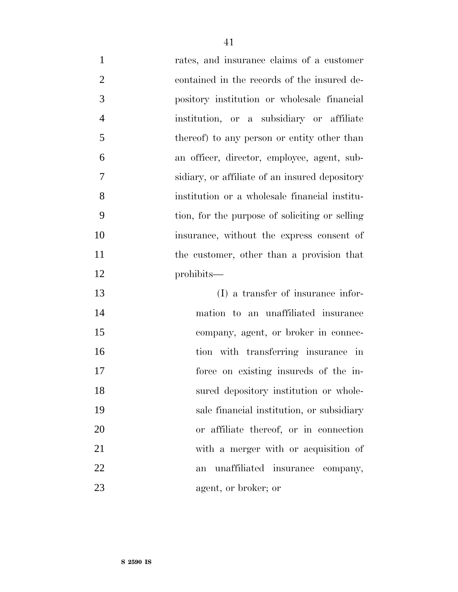rates, and insurance claims of a customer 2 contained in the records of the insured de- pository institution or wholesale financial institution, or a subsidiary or affiliate 5 thereof) to any person or entity other than an officer, director, employee, agent, sub- sidiary, or affiliate of an insured depository institution or a wholesale financial institu- tion, for the purpose of soliciting or selling insurance, without the express consent of 11 the customer, other than a provision that prohibits—

 (I) a transfer of insurance infor- mation to an unaffiliated insurance company, agent, or broker in connec- tion with transferring insurance in force on existing insureds of the in-18 sured depository institution or whole- sale financial institution, or subsidiary or affiliate thereof, or in connection with a merger with or acquisition of an unaffiliated insurance company, agent, or broker; or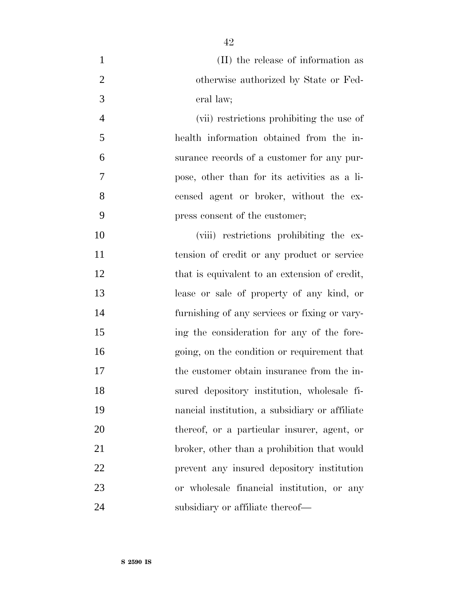| $\mathbf{1}$   | (II) the release of information as             |
|----------------|------------------------------------------------|
| $\overline{2}$ | otherwise authorized by State or Fed-          |
| 3              | eral law;                                      |
| $\overline{4}$ | (vii) restrictions prohibiting the use of      |
| 5              | health information obtained from the in-       |
| 6              | surance records of a customer for any pur-     |
| 7              | pose, other than for its activities as a li-   |
| 8              | censed agent or broker, without the ex-        |
| 9              | press consent of the customer;                 |
| 10             | (viii) restrictions prohibiting the ex-        |
| 11             | tension of credit or any product or service    |
| 12             | that is equivalent to an extension of credit,  |
| 13             | lease or sale of property of any kind, or      |
| 14             | furnishing of any services or fixing or vary-  |
| 15             | ing the consideration for any of the fore-     |
| 16             | going, on the condition or requirement that    |
| 17             | the customer obtain insurance from the in-     |
| 18             | sured depository institution, wholesale fi-    |
| 19             | nancial institution, a subsidiary or affiliate |
| 20             | thereof, or a particular insurer, agent, or    |
| 21             | broker, other than a prohibition that would    |
| 22             | prevent any insured depository institution     |
| 23             | or wholesale financial institution, or any     |
| 24             | subsidiary or affiliate thereof—               |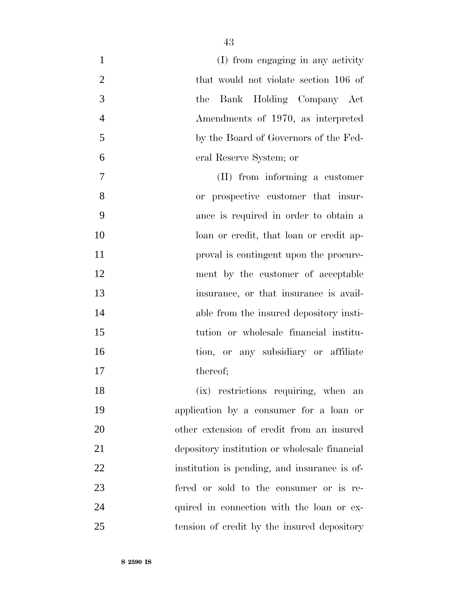| $\mathbf{1}$   | (I) from engaging in any activity             |
|----------------|-----------------------------------------------|
| $\overline{2}$ | that would not violate section 106 of         |
| 3              | Bank Holding Company Act<br>the               |
| $\overline{4}$ | Amendments of 1970, as interpreted            |
| 5              | by the Board of Governors of the Fed-         |
| 6              | eral Reserve System; or                       |
| $\tau$         | (II) from informing a customer                |
| 8              | or prospective customer that insur-           |
| 9              | ance is required in order to obtain a         |
| 10             | loan or credit, that loan or credit ap-       |
| 11             | proval is contingent upon the procure-        |
| 12             | ment by the customer of acceptable            |
| 13             | insurance, or that insurance is avail-        |
| 14             | able from the insured depository insti-       |
| 15             | tution or wholesale financial institu-        |
| 16             | tion, or any subsidiary or affiliate          |
| 17             | thereof;                                      |
| 18             | (ix) restrictions requiring, when an          |
| 19             | application by a consumer for a loan or       |
| 20             | other extension of credit from an insured     |
| 21             | depository institution or wholesale financial |
| 22             | institution is pending, and insurance is of-  |
| 23             | fered or sold to the consumer or is re-       |
| 24             | quired in connection with the loan or ex-     |
| 25             | tension of credit by the insured depository   |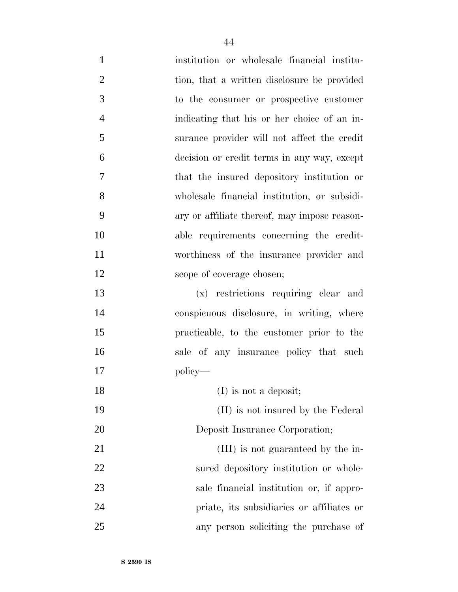institution or wholesale financial institu-2 tion, that a written disclosure be provided to the consumer or prospective customer indicating that his or her choice of an in- surance provider will not affect the credit decision or credit terms in any way, except that the insured depository institution or wholesale financial institution, or subsidi- ary or affiliate thereof, may impose reason- able requirements concerning the credit- worthiness of the insurance provider and 12 scope of coverage chosen; (x) restrictions requiring clear and conspicuous disclosure, in writing, where practicable, to the customer prior to the sale of any insurance policy that such policy— 18 (I) is not a deposit; (II) is not insured by the Federal Deposit Insurance Corporation; 21 (III) is not guaranteed by the in-22 sured depository institution or whole- sale financial institution or, if appro-priate, its subsidiaries or affiliates or

any person soliciting the purchase of

**S 2590 IS**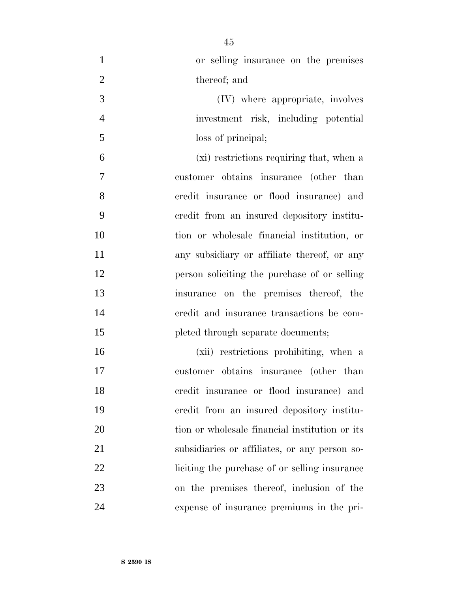| $\mathbf{1}$   | or selling insurance on the premises           |
|----------------|------------------------------------------------|
| $\overline{2}$ | thereof; and                                   |
| 3              | (IV) where appropriate, involves               |
| $\overline{4}$ | investment risk, including potential           |
| 5              | loss of principal;                             |
| 6              | (xi) restrictions requiring that, when a       |
| $\overline{7}$ | customer obtains insurance (other than         |
| 8              | credit insurance or flood insurance) and       |
| 9              | credit from an insured depository institu-     |
| 10             | tion or wholesale financial institution, or    |
| 11             | any subsidiary or affiliate thereof, or any    |
| 12             | person soliciting the purchase of or selling   |
| 13             | insurance on the premises thereof, the         |
| 14             | credit and insurance transactions be com-      |
| 15             | pleted through separate documents;             |
| 16             | (xii) restrictions prohibiting, when a         |
| 17             | customer obtains insurance (other than         |
| 18             | credit insurance or flood insurance) and       |
| 19             | credit from an insured depository institu-     |
| 20             | tion or wholesale financial institution or its |
| 21             | subsidiaries or affiliates, or any person so-  |
| 22             | liciting the purchase of or selling insurance  |
| 23             | on the premises thereof, inclusion of the      |
| 24             | expense of insurance premiums in the pri-      |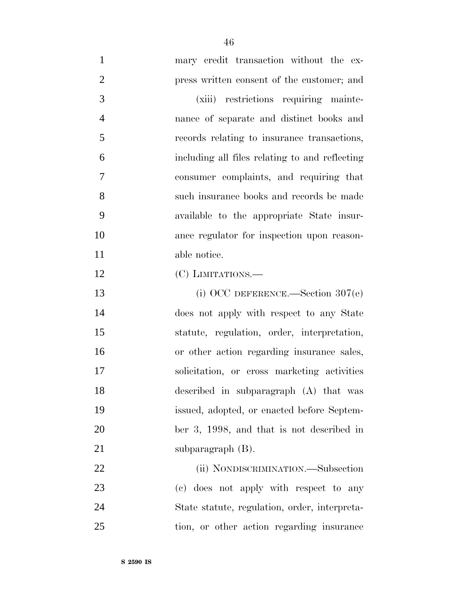mary credit transaction without the ex- press written consent of the customer; and (xiii) restrictions requiring mainte- nance of separate and distinct books and records relating to insurance transactions, including all files relating to and reflecting consumer complaints, and requiring that such insurance books and records be made available to the appropriate State insur- ance regulator for inspection upon reason- able notice. 12 (C) LIMITATIONS.— 13 (i) OCC DEFERENCE.—Section 307(e) does not apply with respect to any State statute, regulation, order, interpretation, or other action regarding insurance sales, solicitation, or cross marketing activities described in subparagraph (A) that was issued, adopted, or enacted before Septem- ber 3, 1998, and that is not described in 21 subparagraph (B).

22 (ii) NONDISCRIMINATION.—Subsection (c) does not apply with respect to any State statute, regulation, order, interpreta-tion, or other action regarding insurance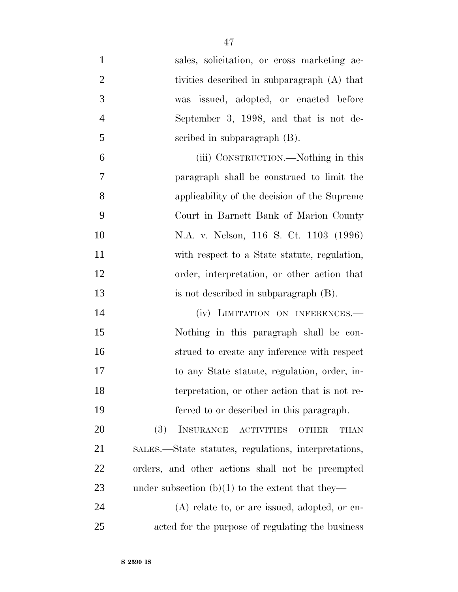| $\mathbf{1}$   | sales, solicitation, or cross marketing ac-                                 |
|----------------|-----------------------------------------------------------------------------|
| $\overline{2}$ | tivities described in subparagraph (A) that                                 |
| 3              | was issued, adopted, or enacted before                                      |
| $\overline{4}$ | September 3, 1998, and that is not de-                                      |
| 5              | scribed in subparagraph (B).                                                |
| 6              | (iii) CONSTRUCTION.—Nothing in this                                         |
| $\overline{7}$ | paragraph shall be construed to limit the                                   |
| 8              | applicability of the decision of the Supreme                                |
| 9              | Court in Barnett Bank of Marion County                                      |
| 10             | N.A. v. Nelson, 116 S. Ct. 1103 (1996)                                      |
| 11             | with respect to a State statute, regulation,                                |
| 12             | order, interpretation, or other action that                                 |
| 13             | is not described in subparagraph (B).                                       |
| 14             | (iv) LIMITATION ON INFERENCES.-                                             |
| 15             | Nothing in this paragraph shall be con-                                     |
| 16             | strued to create any inference with respect                                 |
| 17             | to any State statute, regulation, order, in-                                |
| 18             | terpretation, or other action that is not re-                               |
| 19             | ferred to or described in this paragraph.                                   |
| 20             | INSURANCE<br><b>(3)</b><br><b>ACTIVITIES</b><br><b>THAN</b><br><b>OTHER</b> |
| 21             | SALES.—State statutes, regulations, interpretations,                        |
| 22             | orders, and other actions shall not be preempted                            |
| 23             | under subsection $(b)(1)$ to the extent that they—                          |
| 24             | $(A)$ relate to, or are issued, adopted, or en-                             |
| 25             | acted for the purpose of regulating the business                            |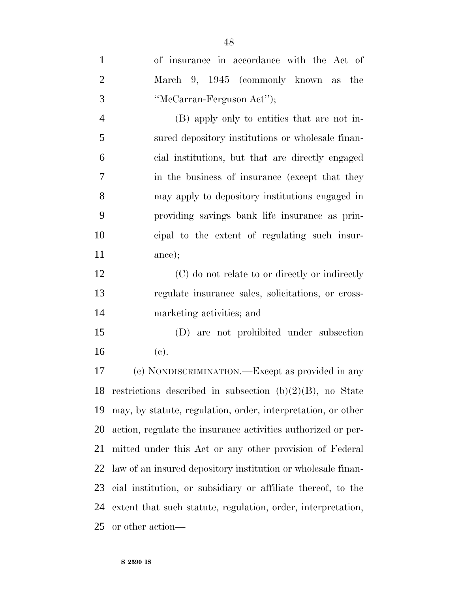| $\mathbf{1}$   | of insurance in accordance with the Act of                     |
|----------------|----------------------------------------------------------------|
| $\overline{2}$ | March 9, 1945 (commonly known as the                           |
| 3              | "McCarran-Ferguson Act");                                      |
| $\overline{4}$ | (B) apply only to entities that are not in-                    |
| 5              | sured depository institutions or wholesale finan-              |
| 6              | cial institutions, but that are directly engaged               |
| 7              | in the business of insurance (except that they                 |
| 8              | may apply to depository institutions engaged in                |
| 9              | providing savings bank life insurance as prin-                 |
| 10             | cipal to the extent of regulating such insur-                  |
| 11             | ance);                                                         |
| 12             | (C) do not relate to or directly or indirectly                 |
| 13             | regulate insurance sales, solicitations, or cross-             |
| 14             | marketing activities; and                                      |
| 15             | (D) are not prohibited under subsection                        |
| 16             | (e).                                                           |
| 17             | (c) NONDISCRIMINATION.—Except as provided in any               |
|                | 18 restrictions described in subsection $(b)(2)(B)$ , no State |
| 19             | may, by statute, regulation, order, interpretation, or other   |
| <b>20</b>      | action, regulate the insurance activities authorized or per-   |
| 21             | mitted under this Act or any other provision of Federal        |
| 22             | law of an insured depository institution or wholesale finan-   |
| 23             | cial institution, or subsidiary or affiliate thereof, to the   |
| 24             | extent that such statute, regulation, order, interpretation,   |
| 25             | or other action—                                               |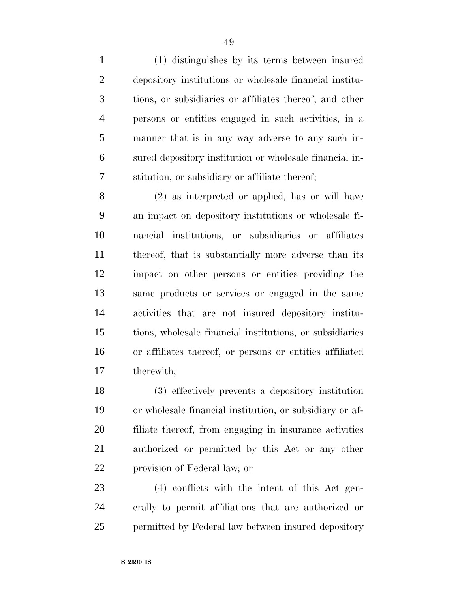(1) distinguishes by its terms between insured depository institutions or wholesale financial institu- tions, or subsidiaries or affiliates thereof, and other persons or entities engaged in such activities, in a manner that is in any way adverse to any such in- sured depository institution or wholesale financial in-stitution, or subsidiary or affiliate thereof;

 (2) as interpreted or applied, has or will have an impact on depository institutions or wholesale fi- nancial institutions, or subsidiaries or affiliates thereof, that is substantially more adverse than its impact on other persons or entities providing the same products or services or engaged in the same activities that are not insured depository institu- tions, wholesale financial institutions, or subsidiaries or affiliates thereof, or persons or entities affiliated therewith;

 (3) effectively prevents a depository institution or wholesale financial institution, or subsidiary or af- filiate thereof, from engaging in insurance activities authorized or permitted by this Act or any other provision of Federal law; or

 (4) conflicts with the intent of this Act gen- erally to permit affiliations that are authorized or permitted by Federal law between insured depository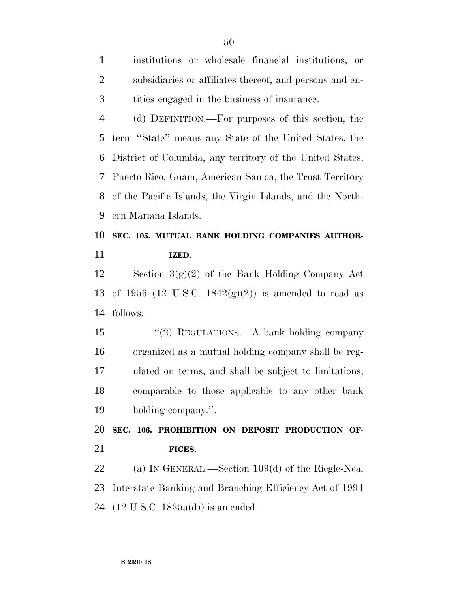institutions or wholesale financial institutions, or subsidiaries or affiliates thereof, and persons and en-tities engaged in the business of insurance.

 (d) DEFINITION.—For purposes of this section, the term ''State'' means any State of the United States, the District of Columbia, any territory of the United States, Puerto Rico, Guam, American Samoa, the Trust Territory of the Pacific Islands, the Virgin Islands, and the North-ern Mariana Islands.

# **SEC. 105. MUTUAL BANK HOLDING COMPANIES AUTHOR-IZED.**

 Section 3(g)(2) of the Bank Holding Company Act 13 of 1956 (12 U.S.C.  $1842(g)(2)$ ) is amended to read as follows:

 ''(2) REGULATIONS.—A bank holding company organized as a mutual holding company shall be reg- ulated on terms, and shall be subject to limitations, comparable to those applicable to any other bank holding company.''.

 **SEC. 106. PROHIBITION ON DEPOSIT PRODUCTION OF-FICES.**

 (a) IN GENERAL.—Section 109(d) of the Riegle-Neal Interstate Banking and Branching Efficiency Act of 1994 (12 U.S.C. 1835a(d)) is amended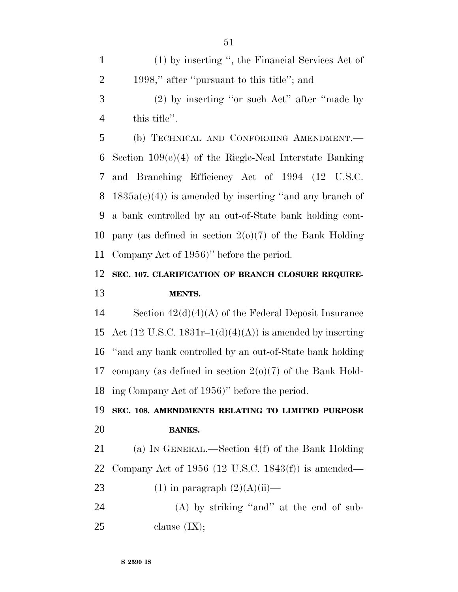(1) by inserting '', the Financial Services Act of 1998,'' after ''pursuant to this title''; and

 (2) by inserting ''or such Act'' after ''made by this title''.

 (b) TECHNICAL AND CONFORMING AMENDMENT.— Section 109(e)(4) of the Riegle-Neal Interstate Banking and Branching Efficiency Act of 1994 (12 U.S.C.  $1835a(e)(4)$  is amended by inserting "and any branch of a bank controlled by an out-of-State bank holding com-10 pany (as defined in section  $2(0)(7)$  of the Bank Holding Company Act of 1956)'' before the period.

#### **SEC. 107. CLARIFICATION OF BRANCH CLOSURE REQUIRE-MENTS.**

 Section 42(d)(4)(A) of the Federal Deposit Insurance 15 Act (12 U.S.C. 1831r–1 $(d)(4)(A)$ ) is amended by inserting ''and any bank controlled by an out-of-State bank holding company (as defined in section 2(o)(7) of the Bank Hold-ing Company Act of 1956)'' before the period.

## **SEC. 108. AMENDMENTS RELATING TO LIMITED PURPOSE BANKS.**

 (a) IN GENERAL.—Section 4(f) of the Bank Holding Company Act of 1956 (12 U.S.C. 1843(f)) is amended—

- 23 (1) in paragraph  $(2)(A)(ii)$ —
- 24 (A) by striking "and" at the end of sub-clause  $(IX);$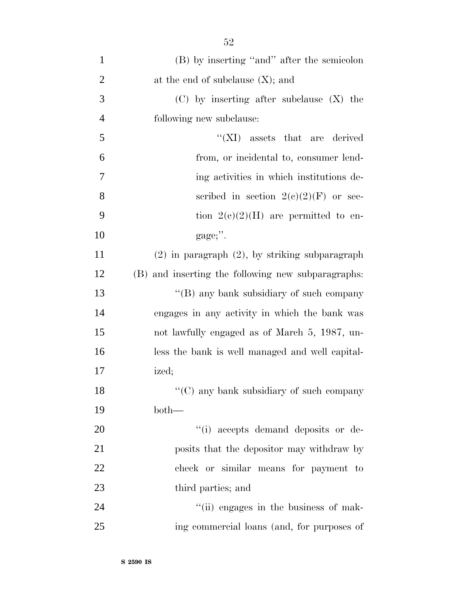| $\mathbf{1}$   | (B) by inserting "and" after the semicolon          |
|----------------|-----------------------------------------------------|
| $\overline{2}$ | at the end of subclause $(X)$ ; and                 |
| 3              | $(C)$ by inserting after subclause $(X)$ the        |
| $\overline{4}$ | following new subclause:                            |
| 5              | $\lq\lq$ (XI) assets that are derived               |
| 6              | from, or incidental to, consumer lend-              |
| 7              | ing activities in which institutions de-            |
| 8              | scribed in section $2(c)(2)(F)$ or sec-             |
| 9              | tion $2(c)(2)(H)$ are permitted to en-              |
| 10             | gage;".                                             |
| 11             | $(2)$ in paragraph $(2)$ , by striking subparagraph |
| 12             | (B) and inserting the following new subparagraphs:  |
| 13             | "(B) any bank subsidiary of such company            |
| 14             | engages in any activity in which the bank was       |
| 15             | not lawfully engaged as of March 5, 1987, un-       |
| 16             | less the bank is well managed and well capital-     |
| 17             | ized;                                               |
| 18             | "(C) any bank subsidiary of such company            |
| 19             | $both-$                                             |
| 20             | "(i) accepts demand deposits or de-                 |
| 21             | posits that the depositor may withdraw by           |
| 22             | check or similar means for payment to               |
| 23             | third parties; and                                  |
| 24             | "(ii) engages in the business of mak-               |
| 25             | ing commercial loans (and, for purposes of          |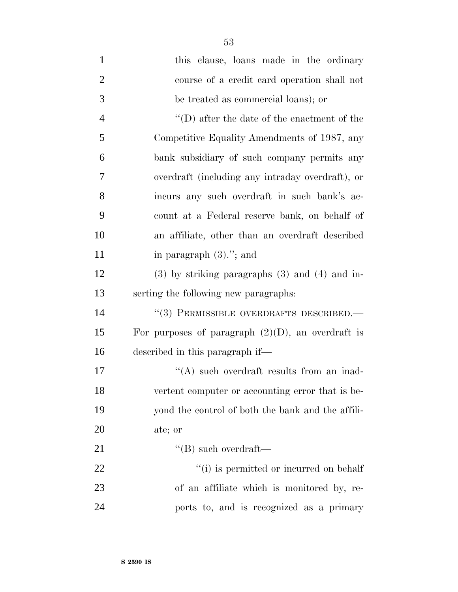| $\mathbf{1}$   | this clause, loans made in the ordinary              |
|----------------|------------------------------------------------------|
| $\overline{2}$ | course of a credit card operation shall not          |
| 3              | be treated as commercial loans); or                  |
| $\overline{4}$ | $\lq\lq$ (D) after the date of the enactment of the  |
| 5              | Competitive Equality Amendments of 1987, any         |
| 6              | bank subsidiary of such company permits any          |
| 7              | overdraft (including any intraday overdraft), or     |
| 8              | incurs any such overdraft in such bank's ac-         |
| 9              | count at a Federal reserve bank, on behalf of        |
| 10             | an affiliate, other than an overdraft described      |
| 11             | in paragraph $(3)$ ."; and                           |
| 12             | $(3)$ by striking paragraphs $(3)$ and $(4)$ and in- |
| 13             | serting the following new paragraphs:                |
| 14             | "(3) PERMISSIBLE OVERDRAFTS DESCRIBED.-              |
| 15             | For purposes of paragraph $(2)(D)$ , an overdraft is |
| 16             | described in this paragraph if—                      |
| 17             | $\lq\lq$ such overdraft results from an inad-        |
| 18             | vertent computer or accounting error that is be-     |
| 19             | yond the control of both the bank and the affili-    |
| 20             | ate; or                                              |
| 21             | $\lq\lq (B)$ such overdraft—                         |
| 22             | "(i) is permitted or incurred on behalf              |
| 23             | of an affiliate which is monitored by, re-           |
| 24             | ports to, and is recognized as a primary             |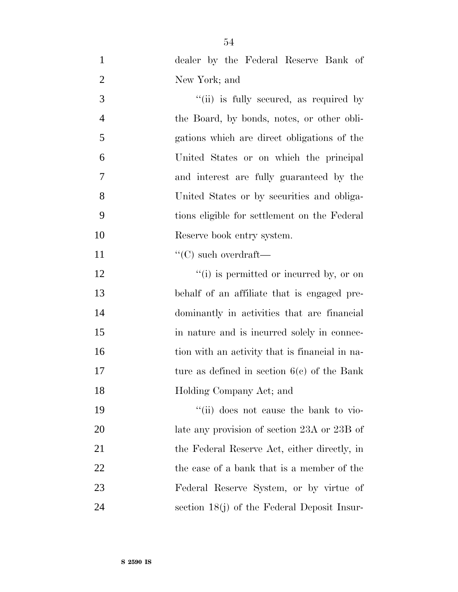| $\mathbf{1}$   | dealer by the Federal Reserve Bank of          |
|----------------|------------------------------------------------|
| $\overline{2}$ | New York; and                                  |
| 3              | "(ii) is fully secured, as required by         |
| $\overline{4}$ | the Board, by bonds, notes, or other obli-     |
| 5              | gations which are direct obligations of the    |
| 6              | United States or on which the principal        |
| 7              | and interest are fully guaranteed by the       |
| 8              | United States or by securities and obliga-     |
| 9              | tions eligible for settlement on the Federal   |
| 10             | Reserve book entry system.                     |
| 11             | $\lq\lq$ such overdraft—                       |
| 12             | $\lq\lq(i)$ is permitted or incurred by, or on |
| 13             | behalf of an affiliate that is engaged pre-    |
| 14             | dominantly in activities that are financial    |
| 15             | in nature and is incurred solely in connec-    |
| 16             | tion with an activity that is financial in na- |
| 17             | ture as defined in section $6(c)$ of the Bank  |
| 18             | Holding Company Act; and                       |
| 19             | "(ii) does not cause the bank to vio-          |
| 20             | late any provision of section 23A or 23B of    |
| 21             | the Federal Reserve Act, either directly, in   |
| 22             | the case of a bank that is a member of the     |
| 23             | Federal Reserve System, or by virtue of        |
| 24             | section $18(j)$ of the Federal Deposit Insur-  |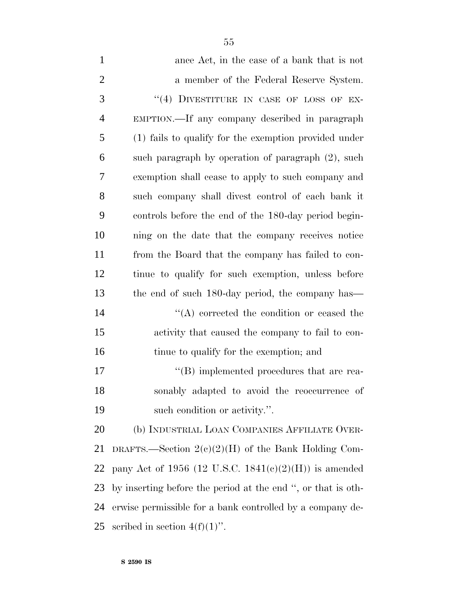| $\mathbf{1}$   | ance Act, in the case of a bank that is not                  |
|----------------|--------------------------------------------------------------|
| $\overline{2}$ | a member of the Federal Reserve System.                      |
| 3              | "(4) DIVESTITURE IN CASE OF LOSS OF EX-                      |
| $\overline{4}$ | EMPTION.—If any company described in paragraph               |
| 5              | (1) fails to qualify for the exemption provided under        |
| 6              | such paragraph by operation of paragraph (2), such           |
| 7              | exemption shall cease to apply to such company and           |
| 8              | such company shall divest control of each bank it            |
| 9              | controls before the end of the 180-day period begin-         |
| 10             | ning on the date that the company receives notice            |
| 11             | from the Board that the company has failed to con-           |
| 12             | tinue to qualify for such exemption, unless before           |
| 13             | the end of such 180-day period, the company has—             |
| 14             | $\lq\lq$ corrected the condition or ceased the               |
| 15             | activity that caused the company to fail to con-             |
| 16             | tinue to qualify for the exemption; and                      |
| 17             | $\lq\lq (B)$ implemented procedures that are rea-            |
| 18             | sonably adapted to avoid the reoccurrence of                 |
| 19             | such condition or activity.".                                |
| 20             | (b) INDUSTRIAL LOAN COMPANIES AFFILIATE OVER-                |
| 21             | DRAFTS.—Section $2(e)(2)(H)$ of the Bank Holding Com-        |
| 22             | pany Act of 1956 (12 U.S.C. 1841(c)(2)(H)) is amended        |
| 23             | by inserting before the period at the end ", or that is oth- |
| 24             | erwise permissible for a bank controlled by a company de-    |
| 25             | scribed in section $4(f)(1)$ ".                              |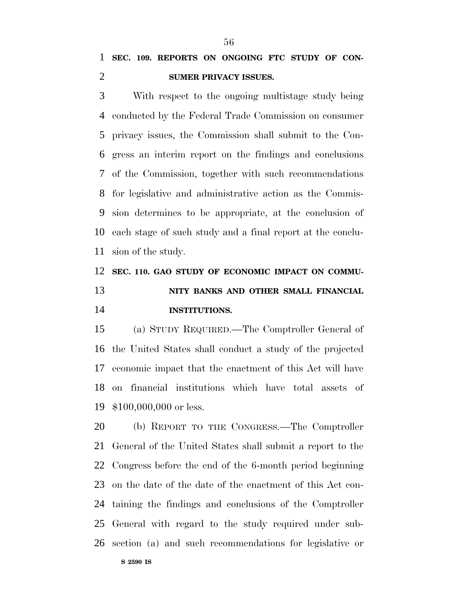## **SEC. 109. REPORTS ON ONGOING FTC STUDY OF CON-SUMER PRIVACY ISSUES.**

 With respect to the ongoing multistage study being conducted by the Federal Trade Commission on consumer privacy issues, the Commission shall submit to the Con- gress an interim report on the findings and conclusions of the Commission, together with such recommendations for legislative and administrative action as the Commis- sion determines to be appropriate, at the conclusion of each stage of such study and a final report at the conclu-sion of the study.

#### **SEC. 110. GAO STUDY OF ECONOMIC IMPACT ON COMMU-**

# **NITY BANKS AND OTHER SMALL FINANCIAL INSTITUTIONS.**

 (a) STUDY REQUIRED.—The Comptroller General of the United States shall conduct a study of the projected economic impact that the enactment of this Act will have on financial institutions which have total assets of \$100,000,000 or less.

 (b) REPORT TO THE CONGRESS.—The Comptroller General of the United States shall submit a report to the Congress before the end of the 6-month period beginning on the date of the date of the enactment of this Act con- taining the findings and conclusions of the Comptroller General with regard to the study required under sub-section (a) and such recommendations for legislative or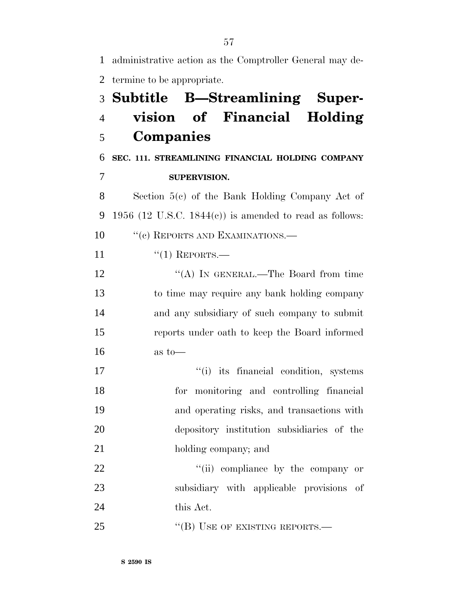administrative action as the Comptroller General may de- termine to be appropriate. **Subtitle B—Streamlining Super- vision of Financial Holding Companies SEC. 111. STREAMLINING FINANCIAL HOLDING COMPANY SUPERVISION.** Section 5(c) of the Bank Holding Company Act of 9 1956 (12 U.S.C. 1844 $(c)$ ) is amended to read as follows: 10 " (c) REPORTS AND EXAMINATIONS.— 11 "(1) REPORTS.— 12 "(A) IN GENERAL.—The Board from time to time may require any bank holding company and any subsidiary of such company to submit reports under oath to keep the Board informed  $16 \quad \text{as to}$  $''(i)$  its financial condition, systems for monitoring and controlling financial and operating risks, and transactions with depository institution subsidiaries of the 21 holding company; and  $\frac{1}{2}$   $\frac{1}{2}$   $\frac{1}{2}$   $\frac{1}{2}$   $\frac{1}{2}$   $\frac{1}{2}$   $\frac{1}{2}$   $\frac{1}{2}$   $\frac{1}{2}$   $\frac{1}{2}$   $\frac{1}{2}$   $\frac{1}{2}$   $\frac{1}{2}$   $\frac{1}{2}$   $\frac{1}{2}$   $\frac{1}{2}$   $\frac{1}{2}$   $\frac{1}{2}$   $\frac{1}{2}$   $\frac{1}{2}$   $\frac{1}{2}$   $\frac{1}{2}$  subsidiary with applicable provisions of this Act. 25 "(B) USE OF EXISTING REPORTS.—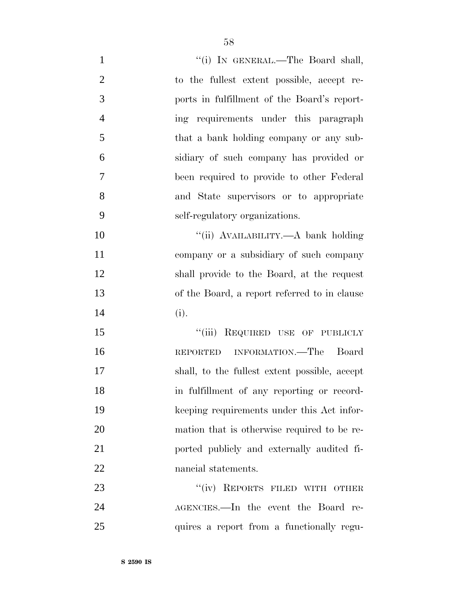| $\mathbf{1}$   | "(i) IN GENERAL.—The Board shall,             |
|----------------|-----------------------------------------------|
| $\overline{2}$ | to the fullest extent possible, accept re-    |
| 3              | ports in fulfillment of the Board's report-   |
| $\overline{4}$ | ing requirements under this paragraph         |
| 5              | that a bank holding company or any sub-       |
| 6              | sidiary of such company has provided or       |
| 7              | been required to provide to other Federal     |
| 8              | and State supervisors or to appropriate       |
| 9              | self-regulatory organizations.                |
| 10             | "(ii) AVAILABILITY.—A bank holding            |
| 11             | company or a subsidiary of such company       |
| 12             | shall provide to the Board, at the request    |
| 13             | of the Board, a report referred to in clause  |
| 14             | (i).                                          |
| 15             | "(iii) REQUIRED USE OF PUBLICLY               |
| 16             | REPORTED INFORMATION.—The Board               |
| 17             | shall, to the fullest extent possible, accept |
| 18             | in fulfillment of any reporting or record-    |
| 19             | keeping requirements under this Act infor-    |
| 20             | mation that is otherwise required to be re-   |
| 21             | ported publicly and externally audited fi-    |
| 22             | nancial statements.                           |
| 23             | "(iv) REPORTS FILED WITH OTHER                |
| 24             | AGENCIES.—In the event the Board re-          |
| 25             | quires a report from a functionally regu-     |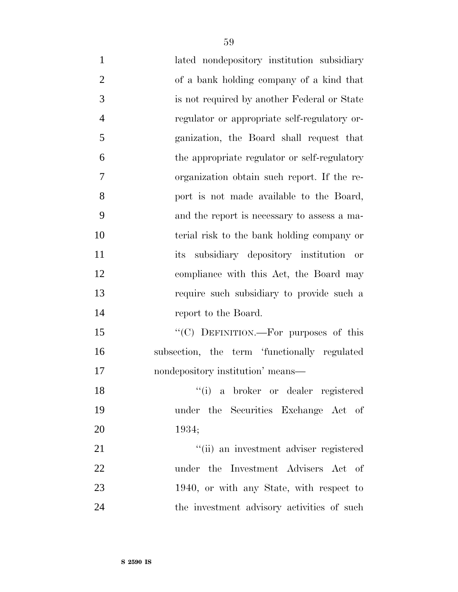- lated nondepository institution subsidiary of a bank holding company of a kind that is not required by another Federal or State regulator or appropriate self-regulatory or- ganization, the Board shall request that the appropriate regulator or self-regulatory organization obtain such report. If the re- port is not made available to the Board, and the report is necessary to assess a ma- terial risk to the bank holding company or its subsidiary depository institution or compliance with this Act, the Board may require such subsidiary to provide such a report to the Board. 15 "(C) DEFINITION.—For purposes of this subsection, the term 'functionally regulated nondepository institution' means— ''(i) a broker or dealer registered under the Securities Exchange Act of 1934; 21 ''(ii) an investment adviser registered under the Investment Advisers Act of 23 1940, or with any State, with respect to
- 24 the investment advisory activities of such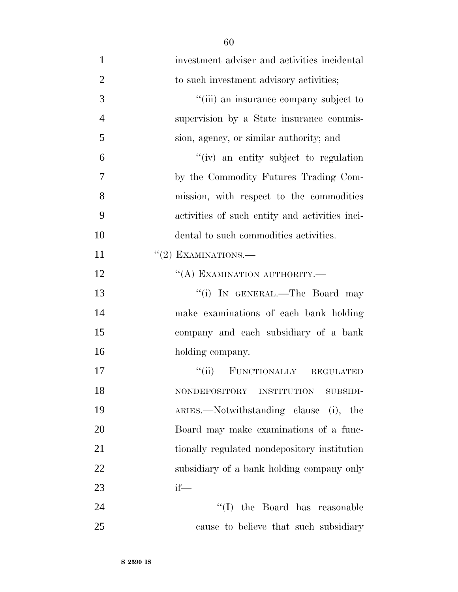investment adviser and activities incidental 2 to such investment advisory activities;  $\frac{1}{1}$  (iii) an insurance company subject to supervision by a State insurance commis- sion, agency, or similar authority; and ''(iv) an entity subject to regulation by the Commodity Futures Trading Com- mission, with respect to the commodities activities of such entity and activities inci- dental to such commodities activities.  $((2)$  EXAMINATIONS.— 12 "(A) EXAMINATION AUTHORITY.— 13 ''(i) In GENERAL.—The Board may make examinations of each bank holding company and each subsidiary of a bank holding company. ''(ii) FUNCTIONALLY REGULATED NONDEPOSITORY INSTITUTION SUBSIDI- ARIES.—Notwithstanding clause (i), the Board may make examinations of a func- tionally regulated nondepository institution subsidiary of a bank holding company only if— 24 ''(I) the Board has reasonable cause to believe that such subsidiary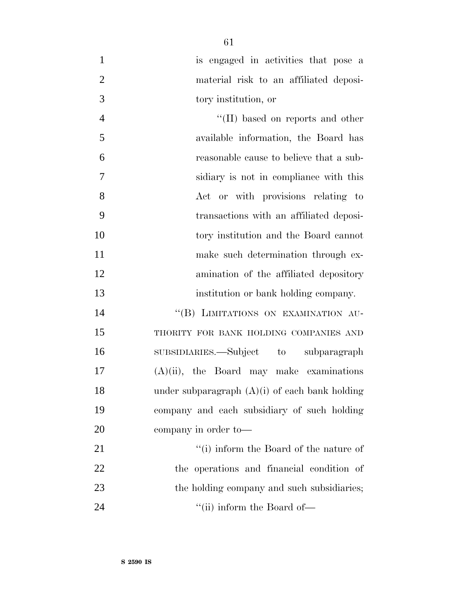- is engaged in activities that pose a material risk to an affiliated deposi-tory institution, or
- 4 ''(II) based on reports and other available information, the Board has reasonable cause to believe that a sub- sidiary is not in compliance with this Act or with provisions relating to transactions with an affiliated deposi- tory institution and the Board cannot 11 make such determination through ex- amination of the affiliated depository institution or bank holding company.

14 "(B) LIMITATIONS ON EXAMINATION AU- THORITY FOR BANK HOLDING COMPANIES AND SUBSIDIARIES.—Subject to subparagraph (A)(ii), the Board may make examinations 18 under subparagraph  $(A)(i)$  of each bank holding company and each subsidiary of such holding company in order to—

21 ''(i) inform the Board of the nature of the operations and financial condition of 23 the holding company and such subsidiaries; 24 ''(ii) inform the Board of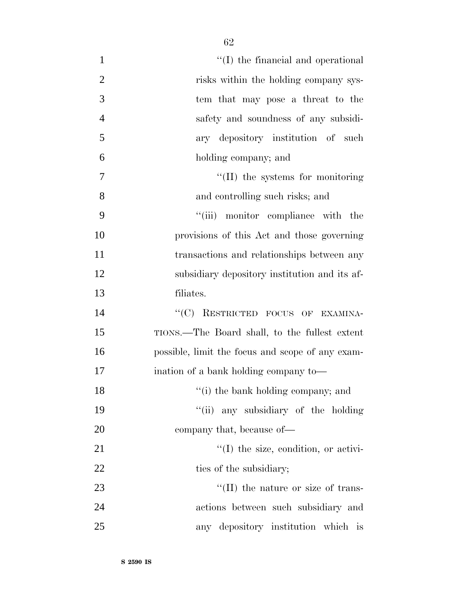| $\mathbf{1}$   | $\lq\lq$ (I) the financial and operational       |
|----------------|--------------------------------------------------|
| $\overline{2}$ | risks within the holding company sys-            |
| 3              | tem that may pose a threat to the                |
| $\overline{4}$ | safety and soundness of any subsidi-             |
| 5              | ary depository institution of such               |
| 6              | holding company; and                             |
| 7              | $\lq\lq$ (II) the systems for monitoring         |
| 8              | and controlling such risks; and                  |
| 9              | "(iii) monitor compliance with the               |
| 10             | provisions of this Act and those governing       |
| 11             | transactions and relationships between any       |
| 12             | subsidiary depository institution and its af-    |
| 13             | filiates.                                        |
| 14             | "(C) RESTRICTED FOCUS OF EXAMINA-                |
| 15             | TIONS.—The Board shall, to the fullest extent    |
| 16             | possible, limit the focus and scope of any exam- |
| 17             | ination of a bank holding company to—            |
| 18             | "(i) the bank holding company; and               |
| 19             | "(ii) any subsidiary of the holding              |
| 20             | company that, because of—                        |
| 21             | $\lq\lq$ (I) the size, condition, or activi-     |
| 22             | ties of the subsidiary;                          |
| 23             | $\lq\lq$ (II) the nature or size of trans-       |
| 24             | actions between such subsidiary and              |
| 25             | any depository institution which is              |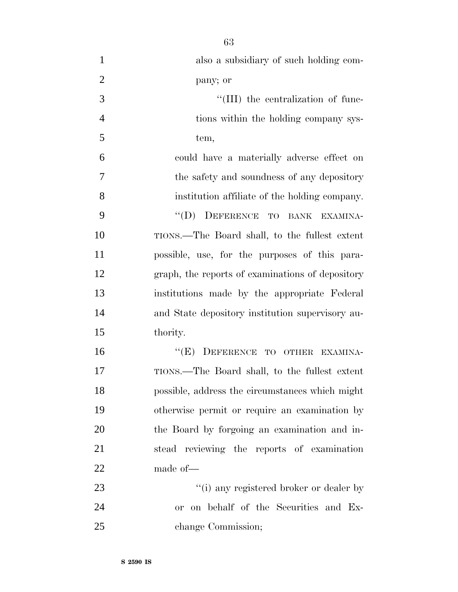| $\mathbf{1}$   | also a subsidiary of such holding com-           |
|----------------|--------------------------------------------------|
| $\overline{2}$ | pany; or                                         |
| 3              | "(III) the centralization of func-               |
| $\overline{4}$ | tions within the holding company sys-            |
| 5              | tem,                                             |
| 6              | could have a materially adverse effect on        |
| 7              | the safety and soundness of any depository       |
| 8              | institution affiliate of the holding company.    |
| 9              | "(D) DEFERENCE TO BANK EXAMINA-                  |
| 10             | TIONS.—The Board shall, to the fullest extent    |
| 11             | possible, use, for the purposes of this para-    |
| 12             | graph, the reports of examinations of depository |
| 13             | institutions made by the appropriate Federal     |
| 14             | and State depository institution supervisory au- |
| 15             | thority.                                         |
| 16             | "(E) DEFERENCE TO OTHER EXAMINA-                 |
| 17             | TIONS.—The Board shall, to the fullest extent    |
| 18             | possible, address the circumstances which might  |
| 19             | otherwise permit or require an examination by    |
| 20             | the Board by forgoing an examination and in-     |
| 21             | stead reviewing the reports of examination       |
| 22             | made of-                                         |
| 23             | "(i) any registered broker or dealer by          |
| 24             | or on behalf of the Securities and Ex-           |
| 25             | change Commission;                               |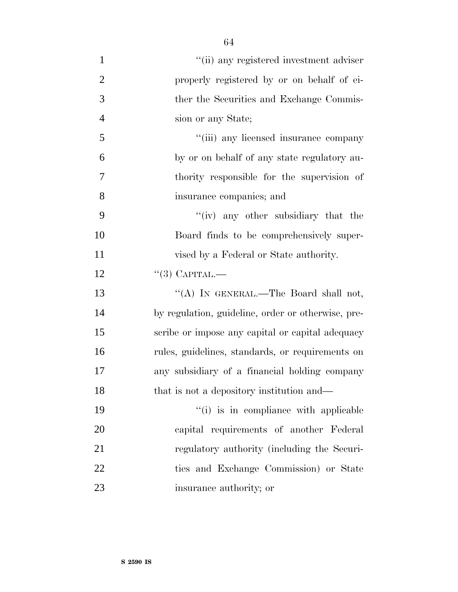| $\mathbf{1}$   | "(ii) any registered investment adviser            |
|----------------|----------------------------------------------------|
| $\overline{2}$ | properly registered by or on behalf of ei-         |
| 3              | ther the Securities and Exchange Commis-           |
| $\overline{4}$ | sion or any State;                                 |
| 5              | "(iii) any licensed insurance company              |
| 6              | by or on behalf of any state regulatory au-        |
| 7              | thority responsible for the supervision of         |
| 8              | insurance companies; and                           |
| 9              | "(iv) any other subsidiary that the                |
| 10             | Board finds to be comprehensively super-           |
| 11             | vised by a Federal or State authority.             |
| 12             | $``(3)$ CAPITAL.—                                  |
| 13             | "(A) IN GENERAL.—The Board shall not,              |
| 14             | by regulation, guideline, order or otherwise, pre- |
| 15             | scribe or impose any capital or capital adequacy   |
| 16             | rules, guidelines, standards, or requirements on   |
| 17             | any subsidiary of a financial holding company      |
| 18             | that is not a depository institution and—          |
| 19             | "(i) is in compliance with applicable              |
| 20             | capital requirements of another Federal            |
| 21             | regulatory authority (including the Securi-        |
| 22             | ties and Exchange Commission) or State             |
| 23             | insurance authority; or                            |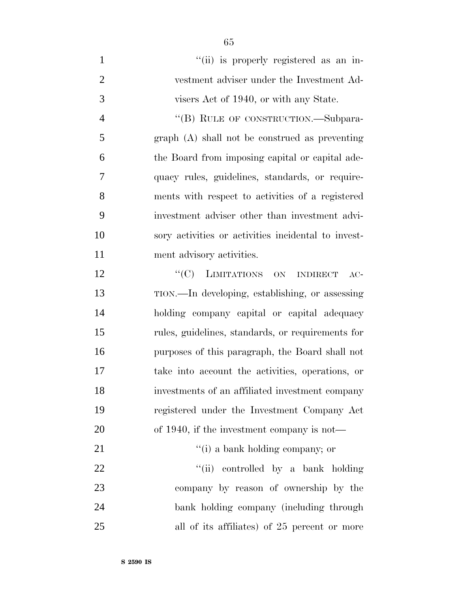- 1  $''(ii)$  is properly registered as an in- vestment adviser under the Investment Ad- visers Act of 1940, or with any State. 4 "(B) RULE OF CONSTRUCTION.—Subpara- graph (A) shall not be construed as preventing the Board from imposing capital or capital ade- quacy rules, guidelines, standards, or require- ments with respect to activities of a registered investment adviser other than investment advi- sory activities or activities incidental to invest-11 ment advisory activities. 12 "'(C) LIMITATIONS ON INDIRECT AC-
- TION.—In developing, establishing, or assessing holding company capital or capital adequacy rules, guidelines, standards, or requirements for purposes of this paragraph, the Board shall not take into account the activities, operations, or investments of an affiliated investment company registered under the Investment Company Act of 1940, if the investment company is not— 21  $\frac{1}{2}$  a bank holding company; or
- 22 ''(ii) controlled by a bank holding company by reason of ownership by the bank holding company (including through all of its affiliates) of 25 percent or more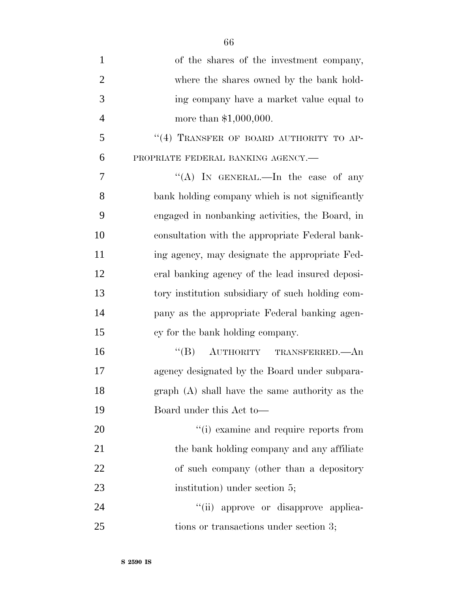| $\mathbf{1}$   | of the shares of the investment company,         |
|----------------|--------------------------------------------------|
| $\overline{2}$ | where the shares owned by the bank hold-         |
| 3              | ing company have a market value equal to         |
| $\overline{4}$ | more than $$1,000,000$ .                         |
| 5              | "(4) TRANSFER OF BOARD AUTHORITY TO AP-          |
| 6              | PROPRIATE FEDERAL BANKING AGENCY.-               |
| 7              | "(A) IN GENERAL.—In the case of any              |
| 8              | bank holding company which is not significantly  |
| 9              | engaged in nonbanking activities, the Board, in  |
| 10             | consultation with the appropriate Federal bank-  |
| 11             | ing agency, may designate the appropriate Fed-   |
| 12             | eral banking agency of the lead insured deposi-  |
| 13             | tory institution subsidiary of such holding com- |
| 14             | pany as the appropriate Federal banking agen-    |
| 15             | cy for the bank holding company.                 |
| 16             | $``(B)$ AUTHORITY TRANSFERRED.—An                |
| 17             | agency designated by the Board under subpara-    |
| 18             | $graph(A)$ shall have the same authority as the  |
| 19             | Board under this Act to-                         |
| 20             | "(i) examine and require reports from            |
| 21             | the bank holding company and any affiliate       |
| 22             | of such company (other than a depository         |
| 23             | institution) under section 5;                    |
| 24             | "(ii) approve or disapprove applica-             |
| 25             | tions or transactions under section 3;           |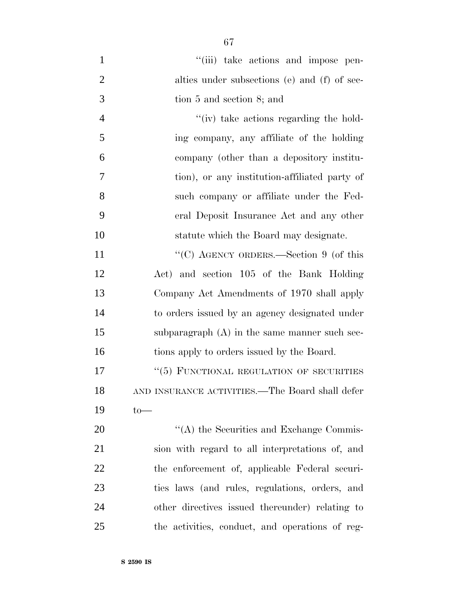| $\mathbf{1}$   | "(iii) take actions and impose pen-             |
|----------------|-------------------------------------------------|
| $\mathfrak{2}$ | alties under subsections (e) and (f) of sec-    |
| 3              | tion 5 and section 8; and                       |
| $\overline{4}$ | $\lq\lq$ (iv) take actions regarding the hold-  |
| 5              | ing company, any affiliate of the holding       |
| 6              | company (other than a depository institu-       |
| 7              | tion), or any institution-affiliated party of   |
| 8              | such company or affiliate under the Fed-        |
| 9              | eral Deposit Insurance Act and any other        |
| 10             | statute which the Board may designate.          |
| 11             | "(C) AGENCY ORDERS.—Section 9 (of this          |
| 12             | Act) and section 105 of the Bank Holding        |
| 13             | Company Act Amendments of 1970 shall apply      |
| 14             | to orders issued by an agency designated under  |
| 15             | subparagraph $(A)$ in the same manner such sec- |
| 16             | tions apply to orders issued by the Board.      |
| 17             | "(5) FUNCTIONAL REGULATION OF SECURITIES        |
| 18             | AND INSURANCE ACTIVITIES.—The Board shall defer |
| 19             | $to-$                                           |
| 20             | $\lq\lq$ the Securities and Exchange Commis-    |
| 21             | sion with regard to all interpretations of, and |
| 22             | the enforcement of, applicable Federal securi-  |
| 23             | ties laws (and rules, regulations, orders, and  |
| 24             | other directives issued thereunder) relating to |
| 25             | the activities, conduct, and operations of reg- |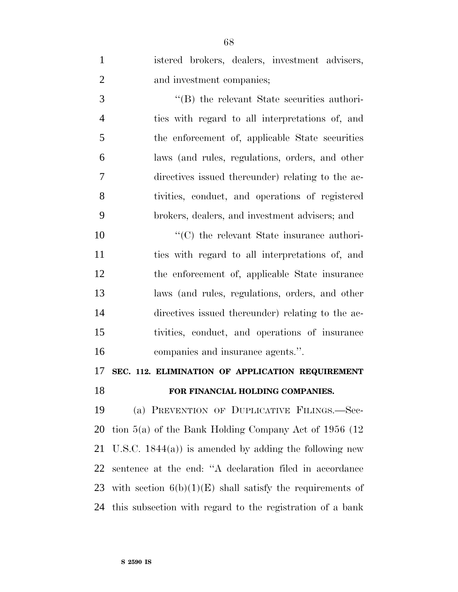istered brokers, dealers, investment advisers, and investment companies; ''(B) the relevant State securities authori- ties with regard to all interpretations of, and the enforcement of, applicable State securities laws (and rules, regulations, orders, and other directives issued thereunder) relating to the ac- tivities, conduct, and operations of registered brokers, dealers, and investment advisers; and  $\cdot$  (C) the relevant State insurance authori- ties with regard to all interpretations of, and the enforcement of, applicable State insurance laws (and rules, regulations, orders, and other directives issued thereunder) relating to the ac- tivities, conduct, and operations of insurance companies and insurance agents.''. **SEC. 112. ELIMINATION OF APPLICATION REQUIREMENT FOR FINANCIAL HOLDING COMPANIES.** (a) PREVENTION OF DUPLICATIVE FILINGS.—Sec- tion 5(a) of the Bank Holding Company Act of 1956 (12 U.S.C. 1844(a)) is amended by adding the following new

 sentence at the end: ''A declaration filed in accordance 23 with section  $6(b)(1)(E)$  shall satisfy the requirements of this subsection with regard to the registration of a bank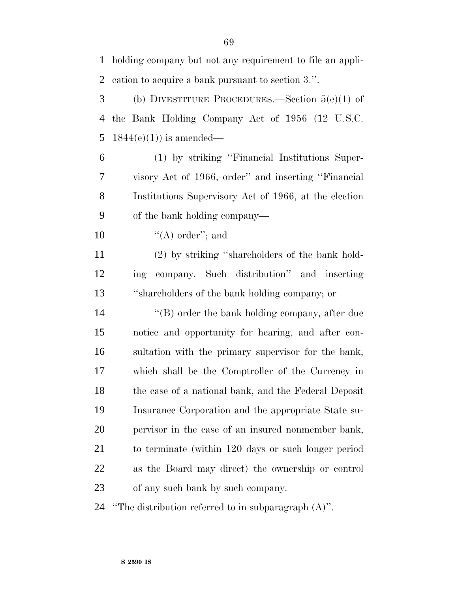holding company but not any requirement to file an appli-cation to acquire a bank pursuant to section 3.''.

 (b) DIVESTITURE PROCEDURES.—Section 5(e)(1) of the Bank Holding Company Act of 1956 (12 U.S.C. 5 1844(e)(1)) is amended—

 (1) by striking ''Financial Institutions Super- visory Act of 1966, order'' and inserting ''Financial Institutions Supervisory Act of 1966, at the election of the bank holding company—

10  $((A)$  order"; and

 (2) by striking ''shareholders of the bank hold- ing company. Such distribution'' and inserting ''shareholders of the bank holding company; or

 ''(B) order the bank holding company, after due notice and opportunity for hearing, and after con- sultation with the primary supervisor for the bank, which shall be the Comptroller of the Currency in the case of a national bank, and the Federal Deposit Insurance Corporation and the appropriate State su- pervisor in the case of an insured nonmember bank, to terminate (within 120 days or such longer period as the Board may direct) the ownership or control of any such bank by such company.

''The distribution referred to in subparagraph (A)''.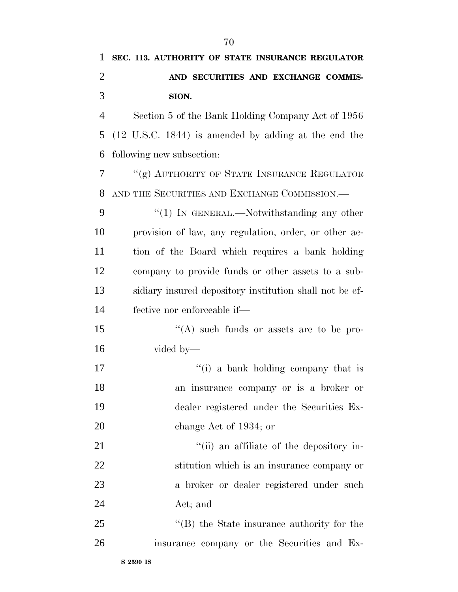| 1              | SEC. 113. AUTHORITY OF STATE INSURANCE REGULATOR            |
|----------------|-------------------------------------------------------------|
| $\overline{2}$ | AND SECURITIES AND EXCHANGE COMMIS-                         |
| 3              | SION.                                                       |
| $\overline{4}$ | Section 5 of the Bank Holding Company Act of 1956           |
| 5              | $(12 \t{U.S.C. } 1844)$ is amended by adding at the end the |
| 6              | following new subsection:                                   |
| 7              | "(g) AUTHORITY OF STATE INSURANCE REGULATOR                 |
| 8              | AND THE SECURITIES AND EXCHANGE COMMISSION.-                |
| 9              | $\lq(1)$ In GENERAL.—Notwithstanding any other              |
| 10             | provision of law, any regulation, order, or other ac-       |
| 11             | tion of the Board which requires a bank holding             |
| 12             | company to provide funds or other assets to a sub-          |
| 13             | sidiary insured depository institution shall not be ef-     |
| 14             | fective nor enforceable if—                                 |
| 15             | $\lq\lq$ such funds or assets are to be pro-                |
| 16             | vided by—                                                   |
| 17             | "(i) a bank holding company that is                         |
| 18             | an insurance company or is a broker or                      |
| 19             | dealer registered under the Securities Ex-                  |
| 20             | change Act of 1934; or                                      |
| 21             | "(ii) an affiliate of the depository in-                    |
| 22             | stitution which is an insurance company or                  |
| 23             | a broker or dealer registered under such                    |
| 24             | Act; and                                                    |
| 25             | $\lq\lq$ the State insurance authority for the              |
| 26             | insurance company or the Securities and Ex-                 |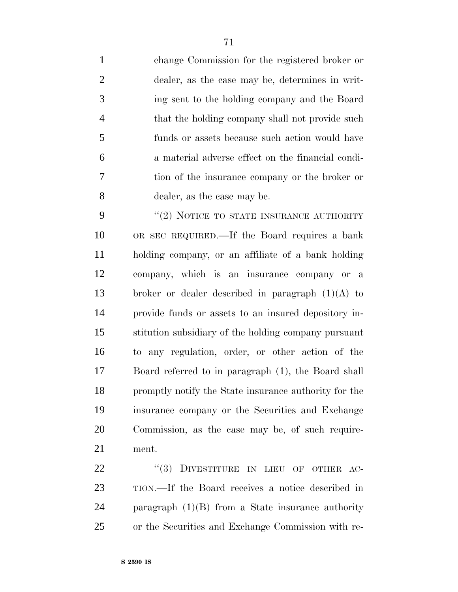change Commission for the registered broker or dealer, as the case may be, determines in writ- ing sent to the holding company and the Board 4 that the holding company shall not provide such funds or assets because such action would have a material adverse effect on the financial condi- tion of the insurance company or the broker or dealer, as the case may be.

9 "(2) NOTICE TO STATE INSURANCE AUTHORITY OR SEC REQUIRED.—If the Board requires a bank holding company, or an affiliate of a bank holding company, which is an insurance company or a 13 broker or dealer described in paragraph  $(1)(A)$  to provide funds or assets to an insured depository in- stitution subsidiary of the holding company pursuant to any regulation, order, or other action of the Board referred to in paragraph (1), the Board shall promptly notify the State insurance authority for the insurance company or the Securities and Exchange Commission, as the case may be, of such require-ment.

22 "(3) DIVESTITURE IN LIEU OF OTHER AC- TION.—If the Board receives a notice described in paragraph (1)(B) from a State insurance authority or the Securities and Exchange Commission with re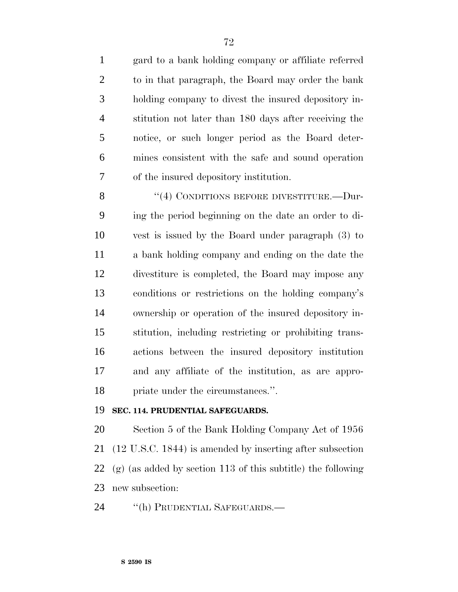gard to a bank holding company or affiliate referred to in that paragraph, the Board may order the bank holding company to divest the insured depository in- stitution not later than 180 days after receiving the notice, or such longer period as the Board deter- mines consistent with the safe and sound operation of the insured depository institution.

8 "(4) CONDITIONS BEFORE DIVESTITURE.—Dur- ing the period beginning on the date an order to di- vest is issued by the Board under paragraph (3) to a bank holding company and ending on the date the divestiture is completed, the Board may impose any conditions or restrictions on the holding company's ownership or operation of the insured depository in- stitution, including restricting or prohibiting trans- actions between the insured depository institution and any affiliate of the institution, as are appro-priate under the circumstances.''.

#### **SEC. 114. PRUDENTIAL SAFEGUARDS.**

 Section 5 of the Bank Holding Company Act of 1956 (12 U.S.C. 1844) is amended by inserting after subsection (g) (as added by section 113 of this subtitle) the following new subsection:

24 "(h) PRUDENTIAL SAFEGUARDS.—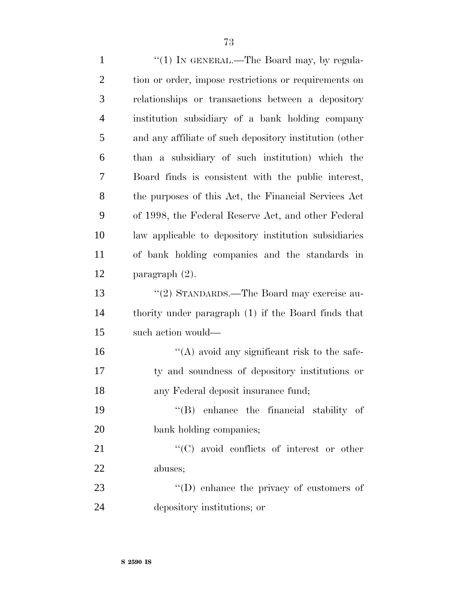1 "(1) IN GENERAL.—The Board may, by regula- tion or order, impose restrictions or requirements on relationships or transactions between a depository institution subsidiary of a bank holding company and any affiliate of such depository institution (other than a subsidiary of such institution) which the Board finds is consistent with the public interest, the purposes of this Act, the Financial Services Act of 1998, the Federal Reserve Act, and other Federal law applicable to depository institution subsidiaries of bank holding companies and the standards in paragraph (2). ''(2) STANDARDS.—The Board may exercise au- thority under paragraph (1) if the Board finds that such action would— ''(A) avoid any significant risk to the safe- ty and soundness of depository institutions or any Federal deposit insurance fund; ''(B) enhance the financial stability of bank holding companies;  $\cdot$  (C) avoid conflicts of interest or other abuses;  $\langle (D) \rangle$  enhance the privacy of customers of depository institutions; or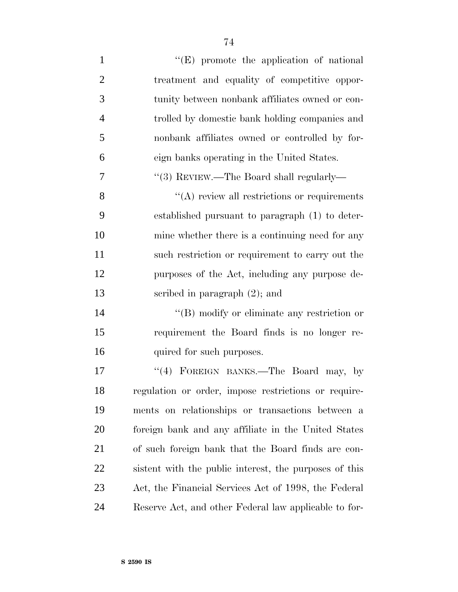$''(E)$  promote the application of national treatment and equality of competitive oppor- tunity between nonbank affiliates owned or con- trolled by domestic bank holding companies and nonbank affiliates owned or controlled by for- eign banks operating in the United States.  $\frac{1}{3}$  REVIEW.—The Board shall regularly— 8 ''(A) review all restrictions or requirements established pursuant to paragraph (1) to deter- mine whether there is a continuing need for any such restriction or requirement to carry out the purposes of the Act, including any purpose de- scribed in paragraph (2); and  $\langle$  (B) modify or eliminate any restriction or requirement the Board finds is no longer re-16 quired for such purposes. 17 "(4) FOREIGN BANKS.—The Board may, by regulation or order, impose restrictions or require- ments on relationships or transactions between a foreign bank and any affiliate in the United States

 of such foreign bank that the Board finds are con- sistent with the public interest, the purposes of this Act, the Financial Services Act of 1998, the Federal

Reserve Act, and other Federal law applicable to for-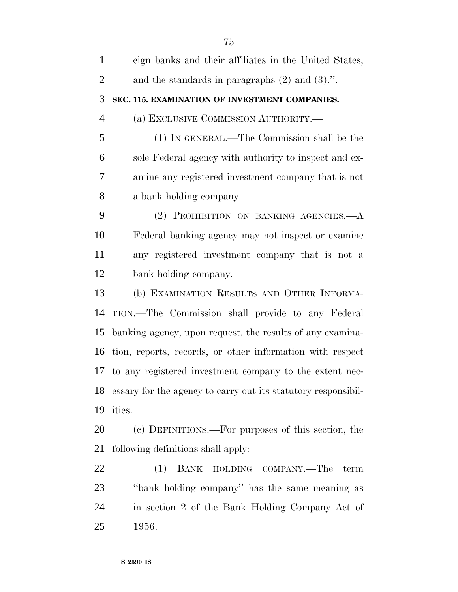| $\mathbf{1}$   | eign banks and their affiliates in the United States,            |
|----------------|------------------------------------------------------------------|
| $\overline{2}$ | and the standards in paragraphs $(2)$ and $(3)$ .".              |
| 3              | SEC. 115. EXAMINATION OF INVESTMENT COMPANIES.                   |
| $\overline{4}$ | (a) EXCLUSIVE COMMISSION AUTHORITY.                              |
| 5              | (1) IN GENERAL.—The Commission shall be the                      |
| 6              | sole Federal agency with authority to inspect and ex-            |
| 7              | amine any registered investment company that is not              |
| 8              | a bank holding company.                                          |
| 9              | (2) PROHIBITION ON BANKING AGENCIES.- A                          |
| 10             | Federal banking agency may not inspect or examine                |
| 11             | any registered investment company that is not a                  |
| 12             | bank holding company.                                            |
| 13             | (b) EXAMINATION RESULTS AND OTHER INFORMA-                       |
| 14             | TION.—The Commission shall provide to any Federal                |
| 15             | banking agency, upon request, the results of any examina-        |
|                | 16 tion, reports, records, or other information with respect     |
|                | 17 to any registered investment company to the extent nec-       |
|                | 18 essary for the agency to carry out its statutory responsibil- |
| 19             | ities.                                                           |
| 20             | (c) DEFINITIONS.—For purposes of this section, the               |
| 21             | following definitions shall apply:                               |
| 22             | BANK HOLDING COMPANY.—The term<br>(1)                            |
| 23             | "bank holding company" has the same meaning as                   |
| 24             | in section 2 of the Bank Holding Company Act of                  |
| 25             | 1956.                                                            |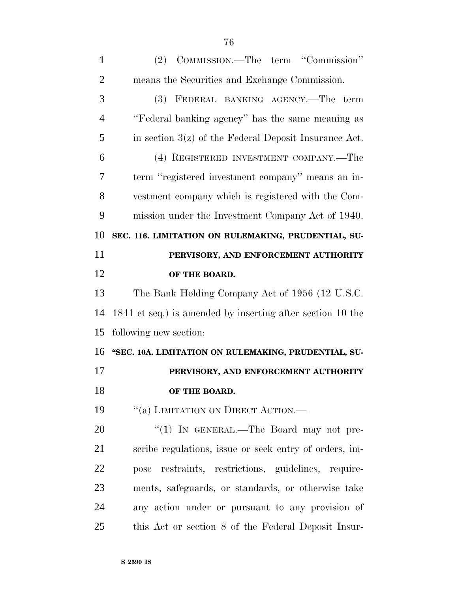| (2) COMMISSION.—The term "Commission"                      |
|------------------------------------------------------------|
| means the Securities and Exchange Commission.              |
| (3) FEDERAL BANKING AGENCY.—The term                       |
| "Federal banking agency" has the same meaning as           |
| in section $3(z)$ of the Federal Deposit Insurance Act.    |
| (4) REGISTERED INVESTMENT COMPANY.—The                     |
| term "registered investment company" means an in-          |
| vestment company which is registered with the Com-         |
| mission under the Investment Company Act of 1940.          |
| SEC. 116. LIMITATION ON RULEMAKING, PRUDENTIAL, SU-        |
| PERVISORY, AND ENFORCEMENT AUTHORITY                       |
| OF THE BOARD.                                              |
| The Bank Holding Company Act of 1956 (12 U.S.C.            |
|                                                            |
| 1841 et seq.) is amended by inserting after section 10 the |
| following new section:                                     |
| "SEC. 10A. LIMITATION ON RULEMAKING, PRUDENTIAL, SU-       |
| PERVISORY, AND ENFORCEMENT AUTHORITY                       |
| OF THE BOARD.                                              |
| "(a) LIMITATION ON DIRECT ACTION.-                         |
| "(1) IN GENERAL.—The Board may not pre-                    |
| scribe regulations, issue or seek entry of orders, im-     |
| restraints, restrictions, guidelines, require-<br>pose     |
| ments, safeguards, or standards, or otherwise take         |
|                                                            |

this Act or section 8 of the Federal Deposit Insur-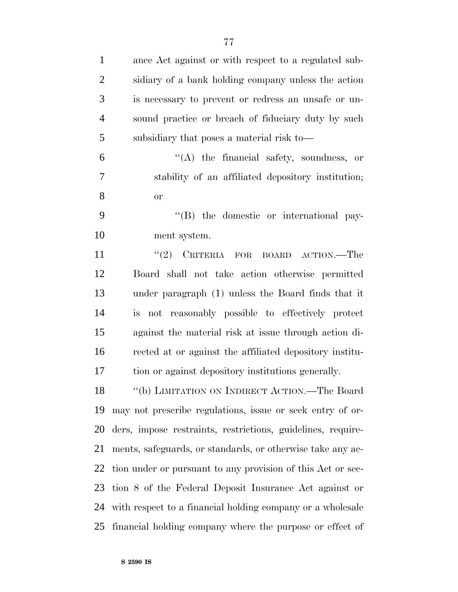| $\mathbf{1}$   | ance Act against or with respect to a regulated sub-        |
|----------------|-------------------------------------------------------------|
| $\overline{2}$ | sidiary of a bank holding company unless the action         |
| 3              | is necessary to prevent or redress an unsafe or un-         |
| $\overline{4}$ | sound practice or breach of fiduciary duty by such          |
| 5              | subsidiary that poses a material risk to-                   |
| 6              | $\lq\lq$ the financial safety, soundness, or                |
| 7              | stability of an affiliated depository institution;          |
| 8              | <b>or</b>                                                   |
| 9              | "(B) the domestic or international pay-                     |
| 10             | ment system.                                                |
| 11             | "(2) CRITERIA FOR BOARD ACTION.—The                         |
| 12             | Board shall not take action otherwise permitted             |
| 13             | under paragraph (1) unless the Board finds that it          |
| 14             | is not reasonably possible to effectively protect           |
| 15             | against the material risk at issue through action di-       |
| 16             | rected at or against the affiliated depository institu-     |
| 17             | tion or against depository institutions generally.          |
| 18             | "(b) LIMITATION ON INDIRECT ACTION.—The Board               |
| 19             | may not prescribe regulations, issue or seek entry of or-   |
| 20             | ders, impose restraints, restrictions, guidelines, require- |
| 21             | ments, safeguards, or standards, or otherwise take any ac-  |
| 22             | tion under or pursuant to any provision of this Act or sec- |
| 23             | tion 8 of the Federal Deposit Insurance Act against or      |
| 24             | with respect to a financial holding company or a wholesale  |
| 25             | financial holding company where the purpose or effect of    |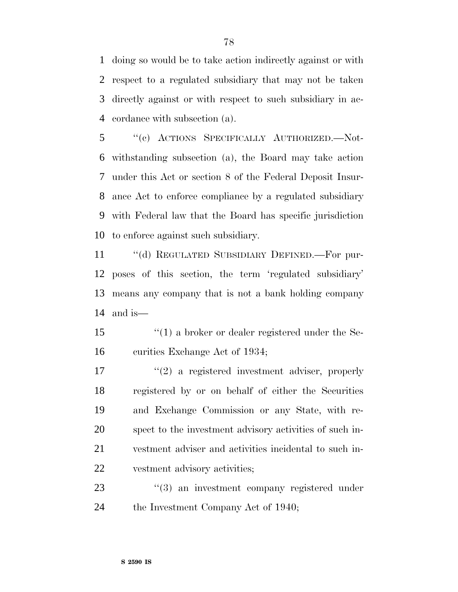doing so would be to take action indirectly against or with respect to a regulated subsidiary that may not be taken directly against or with respect to such subsidiary in ac-cordance with subsection (a).

 ''(c) ACTIONS SPECIFICALLY AUTHORIZED.—Not- withstanding subsection (a), the Board may take action under this Act or section 8 of the Federal Deposit Insur- ance Act to enforce compliance by a regulated subsidiary with Federal law that the Board has specific jurisdiction to enforce against such subsidiary.

 ''(d) REGULATED SUBSIDIARY DEFINED.—For pur- poses of this section, the term 'regulated subsidiary' means any company that is not a bank holding company and is—

 ''(1) a broker or dealer registered under the Se-curities Exchange Act of 1934;

 $\frac{u(2)}{2}$  a registered investment adviser, properly registered by or on behalf of either the Securities and Exchange Commission or any State, with re- spect to the investment advisory activities of such in- vestment adviser and activities incidental to such in-vestment advisory activities;

23 "(3) an investment company registered under 24 the Investment Company Act of 1940;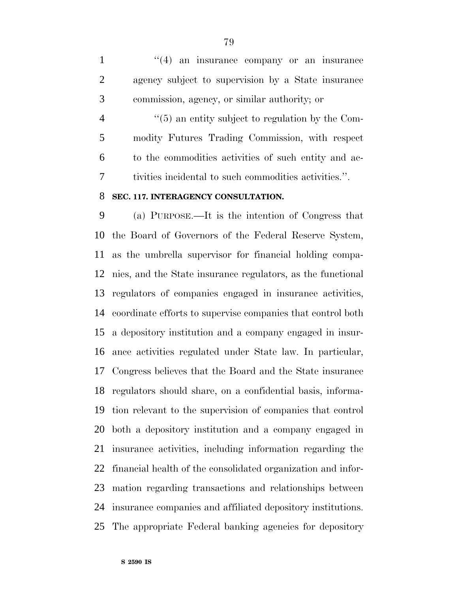1 ''(4) an insurance company or an insurance agency subject to supervision by a State insurance commission, agency, or similar authority; or

 $(5)$  an entity subject to regulation by the Com- modity Futures Trading Commission, with respect to the commodities activities of such entity and ac-tivities incidental to such commodities activities.''.

#### **SEC. 117. INTERAGENCY CONSULTATION.**

 (a) PURPOSE.—It is the intention of Congress that the Board of Governors of the Federal Reserve System, as the umbrella supervisor for financial holding compa- nies, and the State insurance regulators, as the functional regulators of companies engaged in insurance activities, coordinate efforts to supervise companies that control both a depository institution and a company engaged in insur- ance activities regulated under State law. In particular, Congress believes that the Board and the State insurance regulators should share, on a confidential basis, informa- tion relevant to the supervision of companies that control both a depository institution and a company engaged in insurance activities, including information regarding the financial health of the consolidated organization and infor- mation regarding transactions and relationships between insurance companies and affiliated depository institutions. The appropriate Federal banking agencies for depository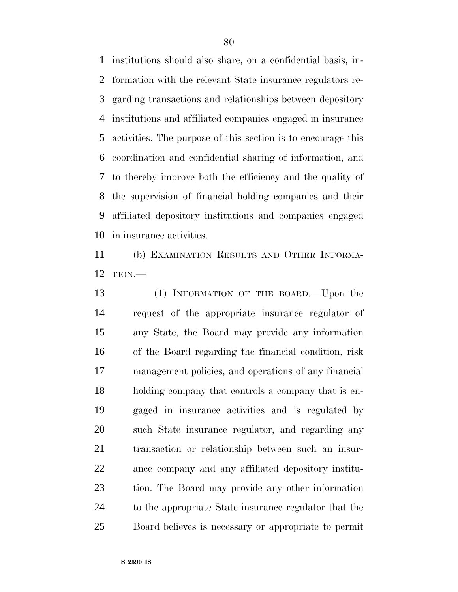institutions should also share, on a confidential basis, in- formation with the relevant State insurance regulators re- garding transactions and relationships between depository institutions and affiliated companies engaged in insurance activities. The purpose of this section is to encourage this coordination and confidential sharing of information, and to thereby improve both the efficiency and the quality of the supervision of financial holding companies and their affiliated depository institutions and companies engaged in insurance activities.

 (b) EXAMINATION RESULTS AND OTHER INFORMA-TION.—

 (1) INFORMATION OF THE BOARD.—Upon the request of the appropriate insurance regulator of any State, the Board may provide any information of the Board regarding the financial condition, risk management policies, and operations of any financial holding company that controls a company that is en- gaged in insurance activities and is regulated by such State insurance regulator, and regarding any transaction or relationship between such an insur- ance company and any affiliated depository institu- tion. The Board may provide any other information to the appropriate State insurance regulator that the Board believes is necessary or appropriate to permit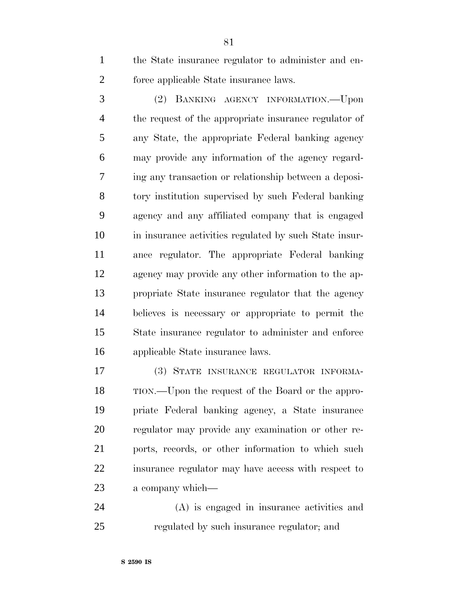the State insurance regulator to administer and en-force applicable State insurance laws.

 (2) BANKING AGENCY INFORMATION.—Upon the request of the appropriate insurance regulator of any State, the appropriate Federal banking agency may provide any information of the agency regard- ing any transaction or relationship between a deposi- tory institution supervised by such Federal banking agency and any affiliated company that is engaged in insurance activities regulated by such State insur- ance regulator. The appropriate Federal banking agency may provide any other information to the ap- propriate State insurance regulator that the agency believes is necessary or appropriate to permit the State insurance regulator to administer and enforce applicable State insurance laws.

 (3) STATE INSURANCE REGULATOR INFORMA- TION.—Upon the request of the Board or the appro- priate Federal banking agency, a State insurance regulator may provide any examination or other re- ports, records, or other information to which such insurance regulator may have access with respect to a company which—

 (A) is engaged in insurance activities and regulated by such insurance regulator; and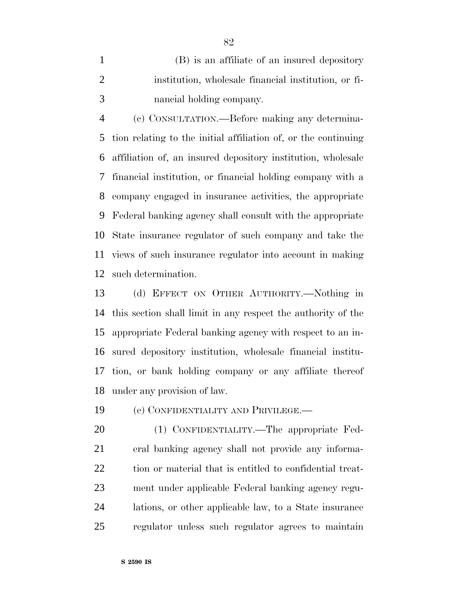(B) is an affiliate of an insured depository institution, wholesale financial institution, or fi-nancial holding company.

 (c) CONSULTATION.—Before making any determina- tion relating to the initial affiliation of, or the continuing affiliation of, an insured depository institution, wholesale financial institution, or financial holding company with a company engaged in insurance activities, the appropriate Federal banking agency shall consult with the appropriate State insurance regulator of such company and take the views of such insurance regulator into account in making such determination.

 (d) EFFECT ON OTHER AUTHORITY.—Nothing in this section shall limit in any respect the authority of the appropriate Federal banking agency with respect to an in- sured depository institution, wholesale financial institu- tion, or bank holding company or any affiliate thereof under any provision of law.

(e) CONFIDENTIALITY AND PRIVILEGE.—

 (1) CONFIDENTIALITY.—The appropriate Fed- eral banking agency shall not provide any informa- tion or material that is entitled to confidential treat- ment under applicable Federal banking agency regu- lations, or other applicable law, to a State insurance regulator unless such regulator agrees to maintain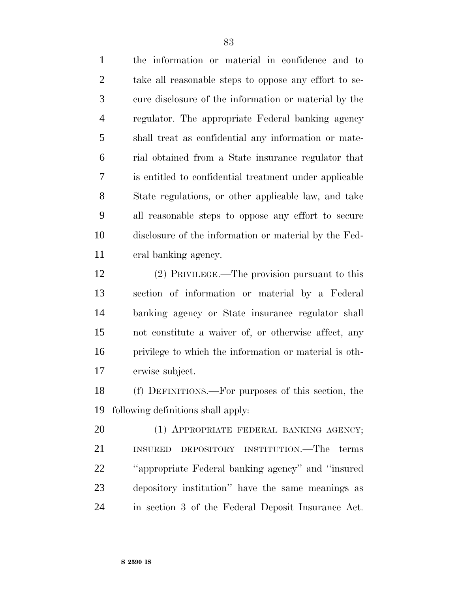the information or material in confidence and to take all reasonable steps to oppose any effort to se- cure disclosure of the information or material by the regulator. The appropriate Federal banking agency shall treat as confidential any information or mate- rial obtained from a State insurance regulator that is entitled to confidential treatment under applicable State regulations, or other applicable law, and take all reasonable steps to oppose any effort to secure disclosure of the information or material by the Fed-eral banking agency.

 (2) PRIVILEGE.—The provision pursuant to this section of information or material by a Federal banking agency or State insurance regulator shall not constitute a waiver of, or otherwise affect, any privilege to which the information or material is oth-erwise subject.

 (f) DEFINITIONS.—For purposes of this section, the following definitions shall apply:

20 (1) APPROPRIATE FEDERAL BANKING AGENCY; INSURED DEPOSITORY INSTITUTION.—The terms ''appropriate Federal banking agency'' and ''insured depository institution'' have the same meanings as in section 3 of the Federal Deposit Insurance Act.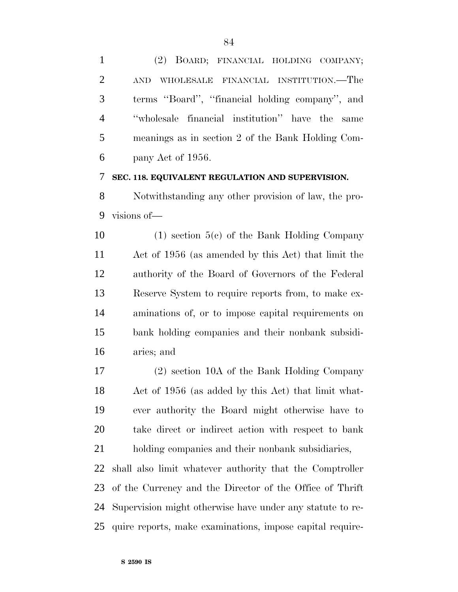(2) BOARD; FINANCIAL HOLDING COMPANY; AND WHOLESALE FINANCIAL INSTITUTION.—The terms ''Board'', ''financial holding company'', and ''wholesale financial institution'' have the same meanings as in section 2 of the Bank Holding Com-pany Act of 1956.

#### **SEC. 118. EQUIVALENT REGULATION AND SUPERVISION.**

 Notwithstanding any other provision of law, the pro-visions of—

 (1) section 5(c) of the Bank Holding Company Act of 1956 (as amended by this Act) that limit the authority of the Board of Governors of the Federal Reserve System to require reports from, to make ex- aminations of, or to impose capital requirements on bank holding companies and their nonbank subsidi-aries; and

 (2) section 10A of the Bank Holding Company Act of 1956 (as added by this Act) that limit what- ever authority the Board might otherwise have to take direct or indirect action with respect to bank holding companies and their nonbank subsidiaries, shall also limit whatever authority that the Comptroller of the Currency and the Director of the Office of Thrift Supervision might otherwise have under any statute to re-

quire reports, make examinations, impose capital require-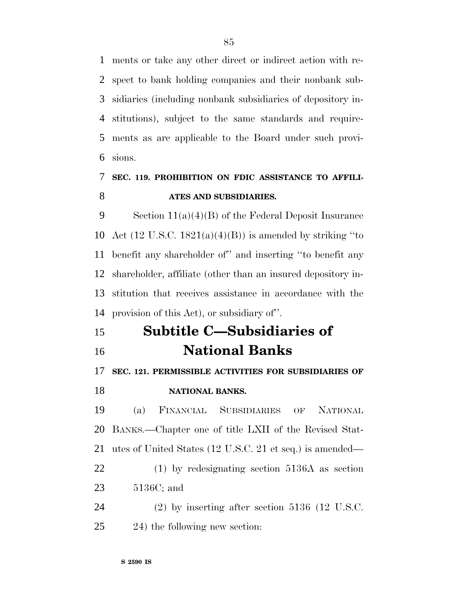ments or take any other direct or indirect action with re- spect to bank holding companies and their nonbank sub- sidiaries (including nonbank subsidiaries of depository in- stitutions), subject to the same standards and require- ments as are applicable to the Board under such provi-sions.

## **SEC. 119. PROHIBITION ON FDIC ASSISTANCE TO AFFILI-ATES AND SUBSIDIARIES.**

 Section 11(a)(4)(B) of the Federal Deposit Insurance 10 Act  $(12 \text{ U.S.C. } 1821(a)(4)(B))$  is amended by striking "to benefit any shareholder of'' and inserting ''to benefit any shareholder, affiliate (other than an insured depository in- stitution that receives assistance in accordance with the provision of this Act), or subsidiary of''.

## **Subtitle C—Subsidiaries of National Banks**

### **SEC. 121. PERMISSIBLE ACTIVITIES FOR SUBSIDIARIES OF**

### **NATIONAL BANKS.**

 (a) FINANCIAL SUBSIDIARIES OF NATIONAL BANKS.—Chapter one of title LXII of the Revised Stat- utes of United States (12 U.S.C. 21 et seq.) is amended— (1) by redesignating section 5136A as section 5136C; and (2) by inserting after section 5136 (12 U.S.C.

24) the following new section: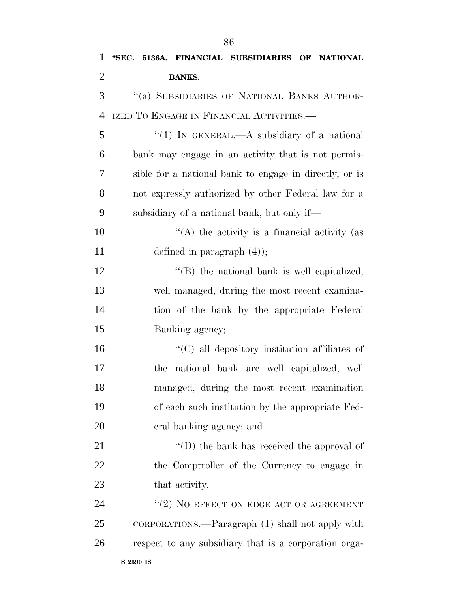| $\mathbf{1}$   | "SEC. 5136A. FINANCIAL SUBSIDIARIES OF NATIONAL        |
|----------------|--------------------------------------------------------|
| $\overline{2}$ | <b>BANKS.</b>                                          |
| 3              | "(a) SUBSIDIARIES OF NATIONAL BANKS AUTHOR-            |
| $\overline{4}$ | IZED TO ENGAGE IN FINANCIAL ACTIVITIES.—               |
| 5              | "(1) IN GENERAL.—A subsidiary of a national            |
| 6              | bank may engage in an activity that is not permis-     |
| 7              | sible for a national bank to engage in directly, or is |
| 8              | not expressly authorized by other Federal law for a    |
| 9              | subsidiary of a national bank, but only if—            |
| 10             | "(A) the activity is a financial activity (as          |
| 11             | defined in paragraph $(4)$ );                          |
| 12             | $\lq\lq$ the national bank is well capitalized,        |
| 13             | well managed, during the most recent examina-          |
| 14             | tion of the bank by the appropriate Federal            |
| 15             | Banking agency;                                        |
| 16             | $\cdot$ (C) all depository institution affiliates of   |
| 17             | national bank are well capitalized, well<br>the        |
| 18             | managed, during the most recent examination            |
| 19             | of each such institution by the appropriate Fed-       |
| 20             | eral banking agency; and                               |
| 21             | "(D) the bank has received the approval of             |
| 22             | the Comptroller of the Currency to engage in           |
| 23             | that activity.                                         |
| 24             | $"(2)$ NO EFFECT ON EDGE ACT OR AGREEMENT              |
| 25             | CORPORATIONS.—Paragraph (1) shall not apply with       |
| 26             | respect to any subsidiary that is a corporation orga-  |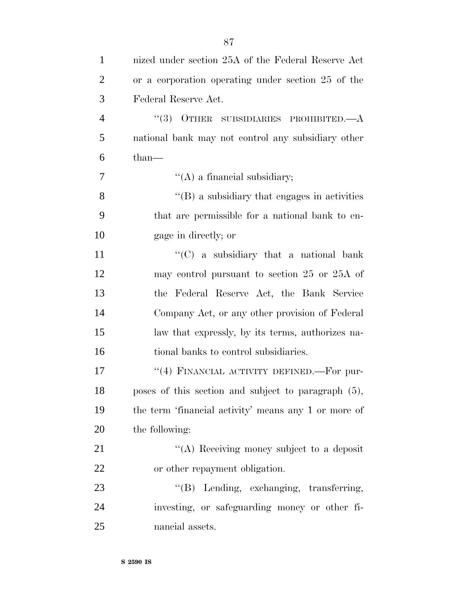| $\mathbf{1}$   | nized under section 25A of the Federal Reserve Act   |
|----------------|------------------------------------------------------|
| $\overline{2}$ | or a corporation operating under section 25 of the   |
| 3              | Federal Reserve Act.                                 |
| $\overline{4}$ | $``(3)$ OTHER SUBSIDIARIES PROHIBITED.— $A$          |
| 5              | national bank may not control any subsidiary other   |
| 6              | than-                                                |
| 7              | $\lq\lq$ (A) a financial subsidiary;                 |
| 8              | $\lq\lq (B)$ a subsidiary that engages in activities |
| 9              | that are permissible for a national bank to en-      |
| 10             | gage in directly; or                                 |
| 11             | " $(C)$ a subsidiary that a national bank            |
| 12             | may control pursuant to section 25 or 25A of         |
| 13             | the Federal Reserve Act, the Bank Service            |
| 14             | Company Act, or any other provision of Federal       |
| 15             | law that expressly, by its terms, authorizes na-     |
| 16             | tional banks to control subsidiaries.                |
| 17             | "(4) FINANCIAL ACTIVITY DEFINED.—For pur-            |
| 18             | poses of this section and subject to paragraph (5),  |
| 19             | the term 'financial activity' means any 1 or more of |
| 20             | the following:                                       |
| 21             | "(A) Receiving money subject to a deposit            |
| 22             | or other repayment obligation.                       |
| 23             | "(B) Lending, exchanging, transferring,              |
| 24             | investing, or safeguarding money or other fi-        |
| 25             | nancial assets.                                      |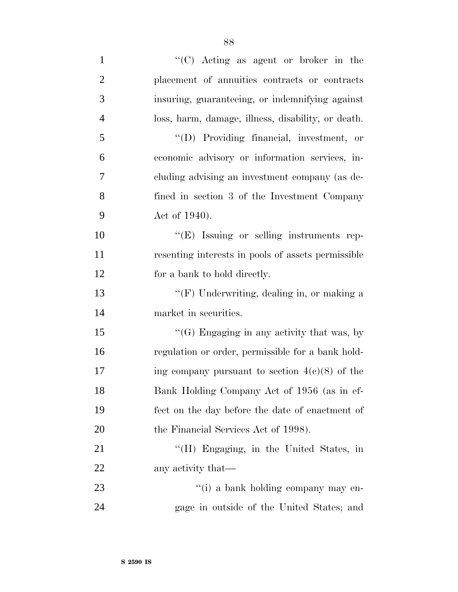| $\mathbf{1}$   | "(C) Acting as agent or broker in the              |
|----------------|----------------------------------------------------|
| $\overline{2}$ | placement of annuities contracts or contracts      |
| 3              | insuring, guaranteeing, or indemnifying against    |
| $\overline{4}$ | loss, harm, damage, illness, disability, or death. |
| 5              | "(D) Providing financial, investment, or           |
| 6              | economic advisory or information services, in-     |
| 7              | cluding advising an investment company (as de-     |
| 8              | fined in section 3 of the Investment Company       |
| 9              | Act of 1940).                                      |
| 10             | "(E) Issuing or selling instruments rep-           |
| 11             | resenting interests in pools of assets permissible |
| 12             | for a bank to hold directly.                       |
| 13             | "(F) Underwriting, dealing in, or making a         |
| 14             | market in securities.                              |
| 15             | "(G) Engaging in any activity that was, by         |
| 16             | regulation or order, permissible for a bank hold-  |
| 17             | ing company pursuant to section $4(c)(8)$ of the   |
| 18             | Bank Holding Company Act of 1956 (as in ef-        |
| 19             | fect on the day before the date of enactment of    |
| 20             | the Financial Services Act of 1998).               |
| 21             | "(H) Engaging, in the United States, in            |
| 22             | any activity that—                                 |
| 23             | "(i) a bank holding company may en-                |
| 24             | gage in outside of the United States; and          |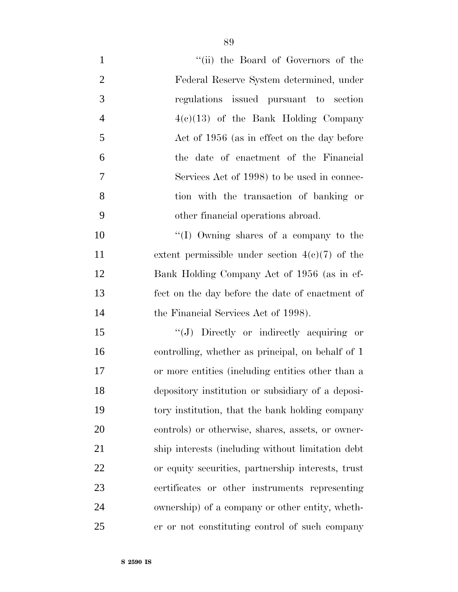| $\mathbf{1}$   | "(ii) the Board of Governors of the                |
|----------------|----------------------------------------------------|
| $\overline{2}$ | Federal Reserve System determined, under           |
| 3              | regulations issued pursuant to section             |
| $\overline{4}$ | $4(e)(13)$ of the Bank Holding Company             |
| 5              | Act of 1956 (as in effect on the day before        |
| 6              | the date of enactment of the Financial             |
| 7              | Services Act of 1998) to be used in connec-        |
| 8              | tion with the transaction of banking or            |
| 9              | other financial operations abroad.                 |
| 10             | "(I) Owning shares of a company to the             |
| 11             | extent permissible under section $4(e)(7)$ of the  |
| 12             | Bank Holding Company Act of 1956 (as in ef-        |
| 13             | fect on the day before the date of enactment of    |
| 14             | the Financial Services Act of 1998).               |
| 15             | "(J) Directly or indirectly acquiring or           |
| 16             | controlling, whether as principal, on behalf of 1  |
| 17             | or more entities (including entities other than a  |
| 18             | depository institution or subsidiary of a deposi-  |
| 19             | tory institution, that the bank holding company    |
| 20             | controls) or otherwise, shares, assets, or owner-  |
| 21             | ship interests (including without limitation debt  |
| 22             | or equity securities, partnership interests, trust |
| 23             | certificates or other instruments representing     |
| 24             | ownership) of a company or other entity, wheth-    |
| 25             | er or not constituting control of such company     |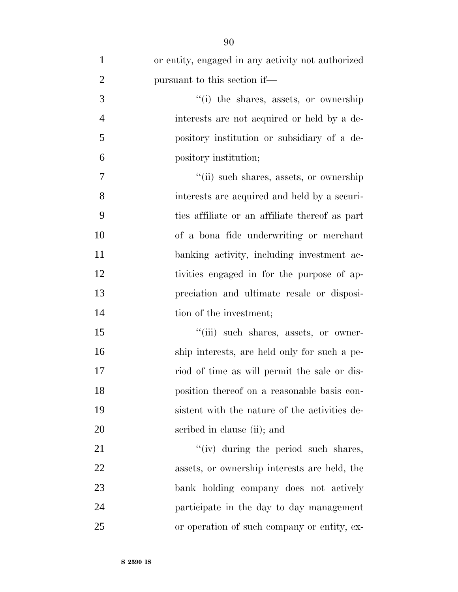| $\mathbf{1}$   | or entity, engaged in any activity not authorized |
|----------------|---------------------------------------------------|
| $\overline{2}$ | pursuant to this section if—                      |
| 3              | "(i) the shares, assets, or ownership             |
| $\overline{4}$ | interests are not acquired or held by a de-       |
| 5              | pository institution or subsidiary of a de-       |
| 6              | pository institution;                             |
| 7              | "(ii) such shares, assets, or ownership           |
| 8              | interests are acquired and held by a securi-      |
| 9              | ties affiliate or an affiliate thereof as part    |
| 10             | of a bona fide underwriting or merchant           |
| 11             | banking activity, including investment ac-        |
| 12             | tivities engaged in for the purpose of ap-        |
| 13             | preciation and ultimate resale or disposi-        |
| 14             | tion of the investment;                           |
| 15             | "(iii) such shares, assets, or owner-             |
| 16             | ship interests, are held only for such a pe-      |
| 17             | riod of time as will permit the sale or dis-      |
| 18             | position thereof on a reasonable basis con-       |
| 19             | sistent with the nature of the activities de-     |
| 20             | scribed in clause (ii); and                       |
| 21             | "(iv) during the period such shares,              |
| 22             | assets, or ownership interests are held, the      |
| 23             | bank holding company does not actively            |
| 24             | participate in the day to day management          |
| 25             | or operation of such company or entity, ex-       |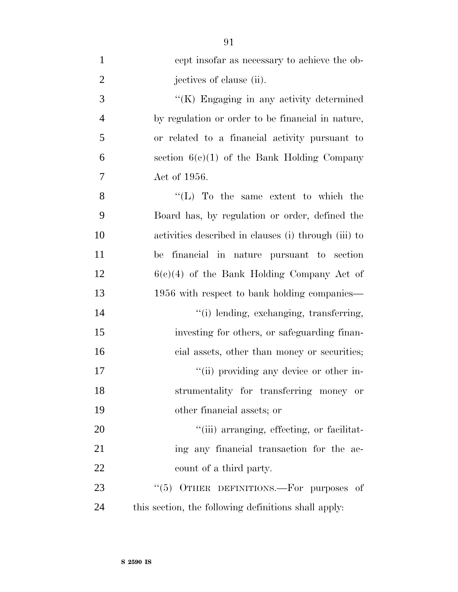| $\mathbf{1}$   | cept insofar as necessary to achieve the ob-         |
|----------------|------------------------------------------------------|
| $\overline{2}$ | jectives of clause (ii).                             |
| 3              | "(K) Engaging in any activity determined             |
| $\overline{4}$ | by regulation or order to be financial in nature,    |
| 5              | or related to a financial activity pursuant to       |
| 6              | section $6(c)(1)$ of the Bank Holding Company        |
| 7              | Act of 1956.                                         |
| 8              | "(L) To the same extent to which the                 |
| 9              | Board has, by regulation or order, defined the       |
| 10             | activities described in clauses (i) through (iii) to |
| 11             | be financial in nature pursuant to section           |
| 12             | $6(c)(4)$ of the Bank Holding Company Act of         |
| 13             | 1956 with respect to bank holding companies—         |
| 14             | "(i) lending, exchanging, transferring,              |
| 15             | investing for others, or safeguarding finan-         |
| 16             | cial assets, other than money or securities;         |
| 17             | "(ii) providing any device or other in-              |
| 18             | strumentality for transferring money or              |
| 19             | other financial assets; or                           |
| 20             | "(iii) arranging, effecting, or facilitat-           |
| 21             | ing any financial transaction for the ac-            |
| 22             | count of a third party.                              |
| 23             | OTHER DEFINITIONS.—For purposes of<br>(5)            |
| 24             | this section, the following definitions shall apply: |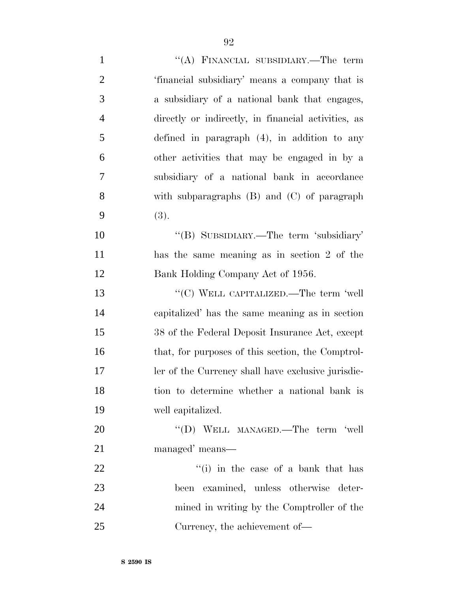| $\mathbf{1}$   | "(A) FINANCIAL SUBSIDIARY.—The term                 |
|----------------|-----------------------------------------------------|
| $\overline{2}$ | 'financial subsidiary' means a company that is      |
| 3              | a subsidiary of a national bank that engages,       |
| $\overline{4}$ | directly or indirectly, in financial activities, as |
| $\mathfrak{S}$ | defined in paragraph $(4)$ , in addition to any     |
| 6              | other activities that may be engaged in by a        |
| $\overline{7}$ | subsidiary of a national bank in accordance         |
| 8              | with subparagraphs $(B)$ and $(C)$ of paragraph     |
| 9              | (3).                                                |
| 10             | "(B) SUBSIDIARY.—The term 'subsidiary'              |
| 11             | has the same meaning as in section 2 of the         |
| 12             | Bank Holding Company Act of 1956.                   |
| 13             | "(C) WELL CAPITALIZED.—The term 'well               |
| 14             | capitalized' has the same meaning as in section     |
| 15             | 38 of the Federal Deposit Insurance Act, except     |
| 16             | that, for purposes of this section, the Comptrol-   |
| 17             | ler of the Currency shall have exclusive jurisdic-  |
| 18             | tion to determine whether a national bank is        |
| 19             | well capitalized.                                   |
| 20             | "(D) WELL MANAGED.—The term 'well                   |
| 21             | managed' means—                                     |
| 22             | "(i) in the case of a bank that has                 |
| 23             | examined, unless otherwise deter-<br>been           |
| 24             | mined in writing by the Comptroller of the          |
| 25             | Currency, the achievement of—                       |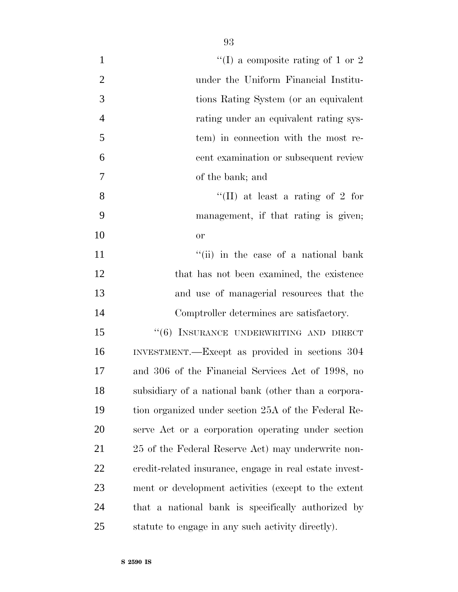| $\mathbf{1}$   | "(I) a composite rating of 1 or 2                       |
|----------------|---------------------------------------------------------|
| $\overline{2}$ | under the Uniform Financial Institu-                    |
| 3              | tions Rating System (or an equivalent                   |
| $\overline{4}$ | rating under an equivalent rating sys-                  |
| 5              | tem) in connection with the most re-                    |
| 6              | cent examination or subsequent review                   |
| $\tau$         | of the bank; and                                        |
| 8              | "(II) at least a rating of 2 for                        |
| 9              | management, if that rating is given;                    |
| 10             | or                                                      |
| 11             | "(ii) in the case of a national bank                    |
| 12             | that has not been examined, the existence               |
| 13             | and use of managerial resources that the                |
| 14             | Comptroller determines are satisfactory.                |
| 15             | "(6) INSURANCE UNDERWRITING AND DIRECT                  |
| 16             | INVESTMENT.—Except as provided in sections 304          |
| 17             | and 306 of the Financial Services Act of 1998, no       |
| 18             | subsidiary of a national bank (other than a corpora-    |
| 19             | tion organized under section 25A of the Federal Re-     |
| 20             | serve Act or a corporation operating under section      |
| 21             | 25 of the Federal Reserve Act) may underwrite non-      |
| 22             | credit-related insurance, engage in real estate invest- |
| 23             | ment or development activities (except to the extent    |
| 24             | that a national bank is specifically authorized by      |
| 25             | statute to engage in any such activity directly).       |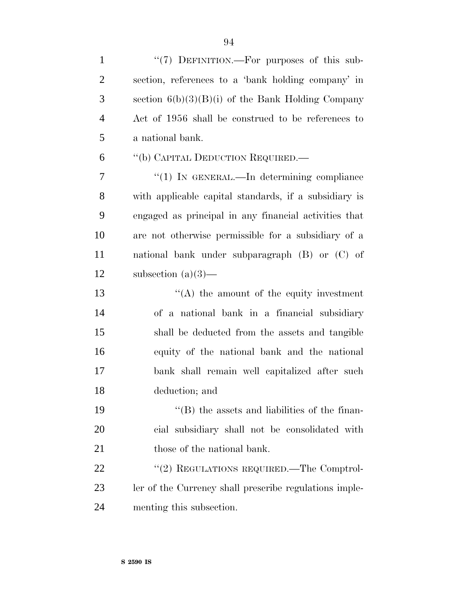| $\mathbf{1}$   | "(7) DEFINITION.—For purposes of this sub-             |
|----------------|--------------------------------------------------------|
| $\overline{2}$ | section, references to a 'bank holding company' in     |
| 3              | section $6(b)(3)(B)(i)$ of the Bank Holding Company    |
| $\overline{4}$ | Act of 1956 shall be construed to be references to     |
| 5              | a national bank.                                       |
| 6              | "(b) CAPITAL DEDUCTION REQUIRED.—                      |
| 7              | " $(1)$ In GENERAL.—In determining compliance          |
| 8              | with applicable capital standards, if a subsidiary is  |
| 9              | engaged as principal in any financial activities that  |
| 10             | are not otherwise permissible for a subsidiary of a    |
| 11             | national bank under subparagraph $(B)$ or $(C)$ of     |
| 12             | subsection $(a)(3)$ —                                  |
| 13             | $\lq\lq$ the amount of the equity investment           |
| 14             | of a national bank in a financial subsidiary           |
| 15             | shall be deducted from the assets and tangible         |
| 16             | equity of the national bank and the national           |
| 17             | bank shall remain well capitalized after such          |
| 18             | deduction; and                                         |
| 19             | $\lq\lq$ (B) the assets and liabilities of the finan-  |
| 20             | cial subsidiary shall not be consolidated with         |
| 21             | those of the national bank.                            |
| 22             | "(2) REGULATIONS REQUIRED.—The Comptrol-               |
| 23             | ler of the Currency shall prescribe regulations imple- |
| 24             | menting this subsection.                               |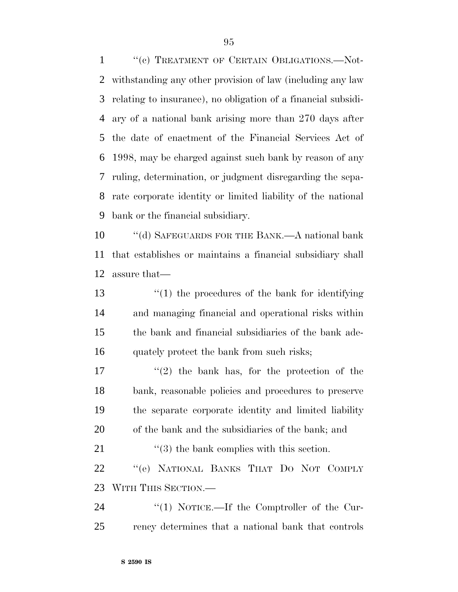1 "(c) TREATMENT OF CERTAIN OBLIGATIONS.—Not- withstanding any other provision of law (including any law relating to insurance), no obligation of a financial subsidi- ary of a national bank arising more than 270 days after the date of enactment of the Financial Services Act of 1998, may be charged against such bank by reason of any ruling, determination, or judgment disregarding the sepa- rate corporate identity or limited liability of the national bank or the financial subsidiary.

 ''(d) SAFEGUARDS FOR THE BANK.—A national bank that establishes or maintains a financial subsidiary shall assure that—

 ''(1) the procedures of the bank for identifying and managing financial and operational risks within the bank and financial subsidiaries of the bank ade-16 quately protect the bank from such risks;

 $(2)$  the bank has, for the protection of the bank, reasonable policies and procedures to preserve the separate corporate identity and limited liability of the bank and the subsidiaries of the bank; and

21 ''(3) the bank complies with this section. ''(e) NATIONAL BANKS THAT DO NOT COMPLY WITH THIS SECTION.—

24 "(1) NOTICE.—If the Comptroller of the Cur-rency determines that a national bank that controls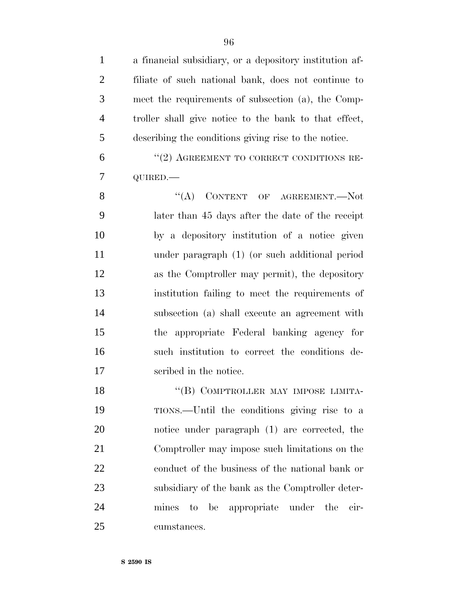| $\mathbf{1}$   | a financial subsidiary, or a depository institution af- |
|----------------|---------------------------------------------------------|
| 2              | filiate of such national bank, does not continue to     |
| 3              | meet the requirements of subsection (a), the Comp-      |
| $\overline{4}$ | troller shall give notice to the bank to that effect,   |
| 5              | describing the conditions giving rise to the notice.    |
| 6              | "(2) AGREEMENT TO CORRECT CONDITIONS RE-                |
| $\tau$         | QUIRED.-                                                |
| 8              | $\lq\lq$ CONTENT OF AGREEMENT. Not                      |
| 9              | later than 45 days after the date of the receipt        |
| $\overline{0}$ | by a depository institution of a notice given           |

 by a depository institution of a notice given under paragraph (1) (or such additional period as the Comptroller may permit), the depository institution failing to meet the requirements of subsection (a) shall execute an agreement with the appropriate Federal banking agency for such institution to correct the conditions de-scribed in the notice.

18 "(B) COMPTROLLER MAY IMPOSE LIMITA- TIONS.—Until the conditions giving rise to a notice under paragraph (1) are corrected, the Comptroller may impose such limitations on the conduct of the business of the national bank or subsidiary of the bank as the Comptroller deter- mines to be appropriate under the cir-cumstances.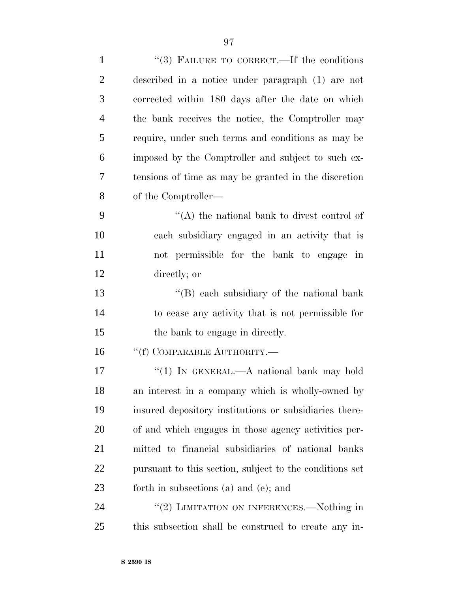| $\mathbf{1}$   | "(3) FAILURE TO CORRECT.—If the conditions              |
|----------------|---------------------------------------------------------|
| $\overline{2}$ | described in a notice under paragraph (1) are not       |
| 3              | corrected within 180 days after the date on which       |
| $\overline{4}$ | the bank receives the notice, the Comptroller may       |
| 5              | require, under such terms and conditions as may be      |
| 6              | imposed by the Comptroller and subject to such ex-      |
| 7              | tensions of time as may be granted in the discretion    |
| 8              | of the Comptroller—                                     |
| 9              | "(A) the national bank to divest control of             |
| 10             | each subsidiary engaged in an activity that is          |
| 11             | not permissible for the bank to engage in               |
| 12             | directly; or                                            |
| 13             | "(B) each subsidiary of the national bank               |
| 14             | to cease any activity that is not permissible for       |
| 15             | the bank to engage in directly.                         |
| 16             | "(f) COMPARABLE AUTHORITY.—                             |
| 17             | "(1) IN GENERAL.—A national bank may hold               |
| 18             | an interest in a company which is wholly-owned by       |
| 19             | insured depository institutions or subsidiaries there-  |
| 20             | of and which engages in those agency activities per-    |
| 21             | mitted to financial subsidiaries of national banks      |
| 22             | pursuant to this section, subject to the conditions set |
| 23             | forth in subsections (a) and (e); and                   |
| 24             | "(2) LIMITATION ON INFERENCES.—Nothing in               |
| 25             | this subsection shall be construed to create any in-    |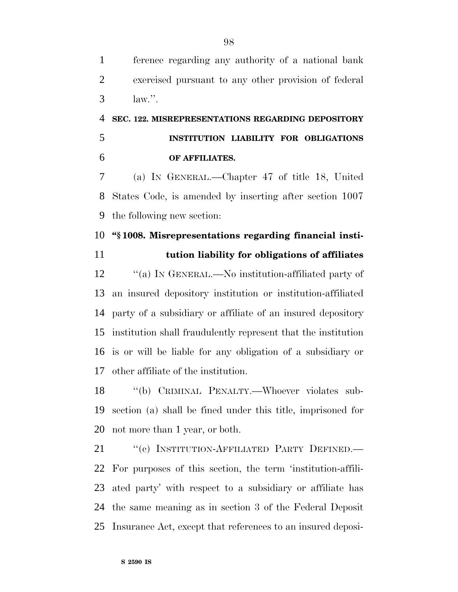ference regarding any authority of a national bank exercised pursuant to any other provision of federal law.''.

# **SEC. 122. MISREPRESENTATIONS REGARDING DEPOSITORY INSTITUTION LIABILITY FOR OBLIGATIONS OF AFFILIATES.**

 (a) IN GENERAL.—Chapter 47 of title 18, United States Code, is amended by inserting after section 1007 the following new section:

### **''§ 1008. Misrepresentations regarding financial insti-**

**tution liability for obligations of affiliates**

 ''(a) IN GENERAL.—No institution-affiliated party of an insured depository institution or institution-affiliated party of a subsidiary or affiliate of an insured depository institution shall fraudulently represent that the institution is or will be liable for any obligation of a subsidiary or other affiliate of the institution.

 ''(b) CRIMINAL PENALTY.—Whoever violates sub- section (a) shall be fined under this title, imprisoned for not more than 1 year, or both.

21 "(c) INSTITUTION-AFFILIATED PARTY DEFINED.— For purposes of this section, the term 'institution-affili- ated party' with respect to a subsidiary or affiliate has the same meaning as in section 3 of the Federal Deposit Insurance Act, except that references to an insured deposi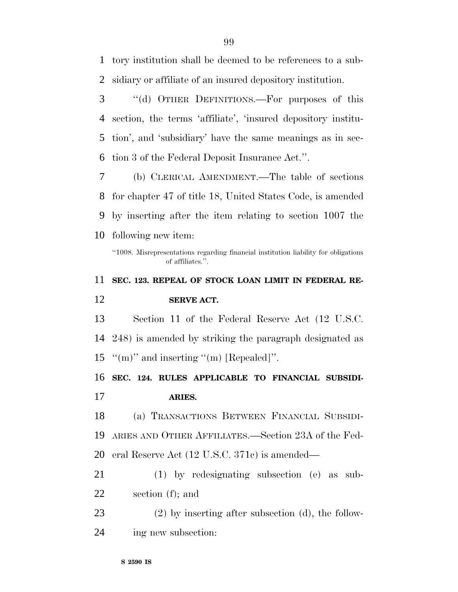tory institution shall be deemed to be references to a sub-sidiary or affiliate of an insured depository institution.

 ''(d) OTHER DEFINITIONS.—For purposes of this section, the terms 'affiliate', 'insured depository institu- tion', and 'subsidiary' have the same meanings as in sec-tion 3 of the Federal Deposit Insurance Act.''.

 (b) CLERICAL AMENDMENT.—The table of sections for chapter 47 of title 18, United States Code, is amended by inserting after the item relating to section 1007 the following new item:

# **SEC. 123. REPEAL OF STOCK LOAN LIMIT IN FEDERAL RE-SERVE ACT.**

Section 11 of the Federal Reserve Act (12 U.S.C.

248) is amended by striking the paragraph designated as

15  $\lq\lq$  (m)" and inserting "(m) [Repealed]".

 **SEC. 124. RULES APPLICABLE TO FINANCIAL SUBSIDI-ARIES.**

(a) TRANSACTIONS BETWEEN FINANCIAL SUBSIDI-

ARIES AND OTHER AFFILIATES.—Section 23A of the Fed-

eral Reserve Act (12 U.S.C. 371c) is amended—

 (1) by redesignating subsection (e) as sub-section (f); and

 (2) by inserting after subsection (d), the follow-ing new subsection:

<sup>&#</sup>x27;'1008. Misrepresentations regarding financial institution liability for obligations of affiliates.''.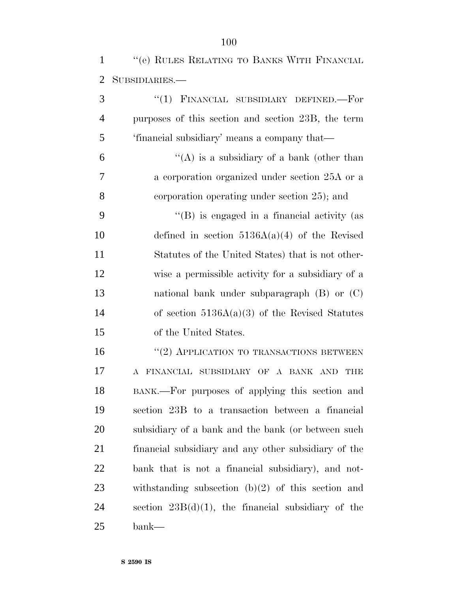| "(e) RULES RELATING TO BANKS WITH FINANCIAL |  |  |
|---------------------------------------------|--|--|
| 2 SUBSIDIARIES.—                            |  |  |

| 3              | "(1) FINANCIAL SUBSIDIARY DEFINED.-For                |
|----------------|-------------------------------------------------------|
| $\overline{4}$ | purposes of this section and section 23B, the term    |
| 5              | 'financial subsidiary' means a company that—          |
| 6              | "(A) is a subsidiary of a bank (other than            |
| 7              | a corporation organized under section 25A or a        |
| 8              | corporation operating under section 25); and          |
| 9              | $\lq\lq$ is engaged in a financial activity (as       |
| 10             | defined in section $5136A(a)(4)$ of the Revised       |
| 11             | Statutes of the United States) that is not other-     |
| 12             | wise a permissible activity for a subsidiary of a     |
| 13             | national bank under subparagraph $(B)$ or $(C)$       |
| 14             | of section $5136A(a)(3)$ of the Revised Statutes      |
| 15             | of the United States.                                 |
| 16             | "(2) APPLICATION TO TRANSACTIONS BETWEEN              |
| 17             | FINANCIAL SUBSIDIARY OF A BANK AND THE<br>$\bf{A}$    |
| 18             | BANK.—For purposes of applying this section and       |
| 19             | section 23B to a transaction between a financial      |
| 20             | subsidiary of a bank and the bank (or between such    |
| 21             | financial subsidiary and any other subsidiary of the  |
| 22             | bank that is not a financial subsidiary), and not-    |
| 23             | withstanding subsection $(b)(2)$ of this section and  |
| 24             | section $23B(d)(1)$ , the financial subsidiary of the |
| 25             | bank—                                                 |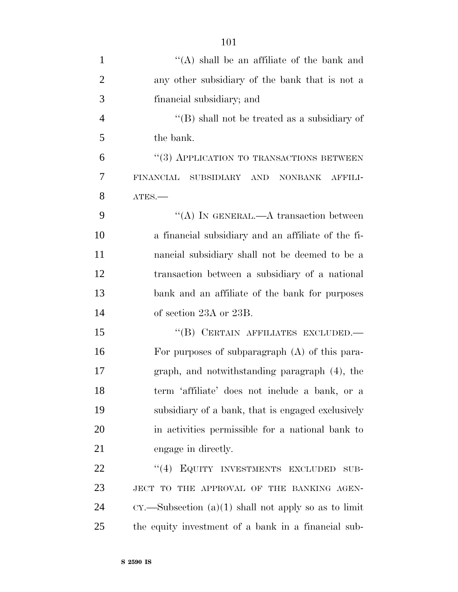| $\mathbf{1}$   | "(A) shall be an affiliate of the bank and               |
|----------------|----------------------------------------------------------|
| $\overline{2}$ | any other subsidiary of the bank that is not a           |
| 3              | financial subsidiary; and                                |
| $\overline{4}$ | $\lq\lq$ shall not be treated as a subsidiary of         |
| 5              | the bank.                                                |
| 6              | "(3) APPLICATION TO TRANSACTIONS BETWEEN                 |
| 7              | <b>FINANCIAL</b><br>NONBANK AFFILI-<br>SUBSIDIARY<br>AND |
| 8              | ATES.                                                    |
| 9              | "(A) IN GENERAL.—A transaction between                   |
| 10             | a financial subsidiary and an affiliate of the fi-       |
| 11             | nancial subsidiary shall not be deemed to be a           |
| 12             | transaction between a subsidiary of a national           |
| 13             | bank and an affiliate of the bank for purposes           |
| 14             | of section 23A or 23B.                                   |
| 15             | "(B) CERTAIN AFFILIATES EXCLUDED.—                       |
| 16             | For purposes of subparagraph (A) of this para-           |
| 17             | graph, and notwithstanding paragraph (4), the            |
| 18             | term 'affiliate' does not include a bank, or a           |
| 19             | subsidiary of a bank, that is engaged exclusively        |
| 20             | in activities permissible for a national bank to         |
| 21             | engage in directly.                                      |
| 22             | (4)<br>EQUITY INVESTMENTS EXCLUDED<br>SUB-               |
| 23             | JECT TO THE APPROVAL OF THE BANKING AGEN-                |
| 24             | $CY.$ Subsection (a)(1) shall not apply so as to limit   |
| 25             | the equity investment of a bank in a financial sub-      |
|                |                                                          |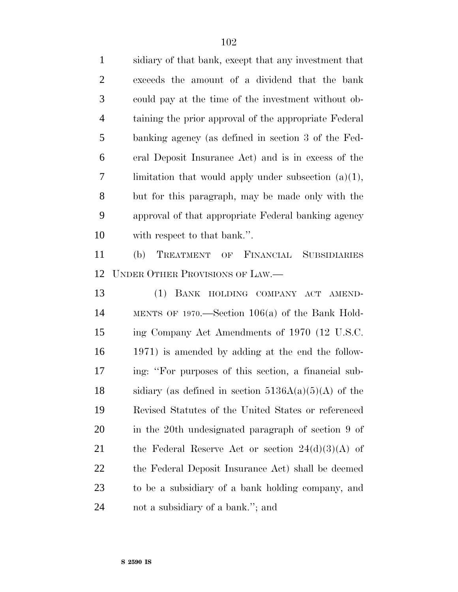sidiary of that bank, except that any investment that exceeds the amount of a dividend that the bank could pay at the time of the investment without ob- taining the prior approval of the appropriate Federal banking agency (as defined in section 3 of the Fed- eral Deposit Insurance Act) and is in excess of the limitation that would apply under subsection (a)(1), but for this paragraph, may be made only with the approval of that appropriate Federal banking agency with respect to that bank.''. (b) TREATMENT OF FINANCIAL SUBSIDIARIES UNDER OTHER PROVISIONS OF LAW.— (1) BANK HOLDING COMPANY ACT AMEND- MENTS OF 1970.—Section 106(a) of the Bank Hold- ing Company Act Amendments of 1970 (12 U.S.C. 1971) is amended by adding at the end the follow- ing: ''For purposes of this section, a financial sub-18 sidiary (as defined in section  $5136A(a)(5)(A)$  of the Revised Statutes of the United States or referenced in the 20th undesignated paragraph of section 9 of 21 the Federal Reserve Act or section  $24(d)(3)(A)$  of the Federal Deposit Insurance Act) shall be deemed to be a subsidiary of a bank holding company, and not a subsidiary of a bank.''; and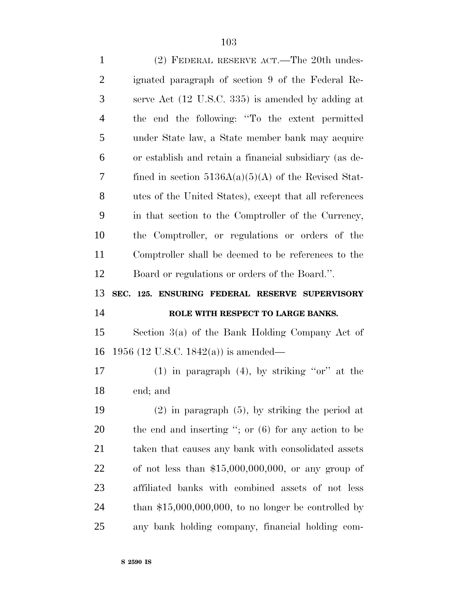| $\mathbf{1}$   | (2) FEDERAL RESERVE ACT.—The 20th undes-               |
|----------------|--------------------------------------------------------|
| $\overline{2}$ | ignated paragraph of section 9 of the Federal Re-      |
| 3              | serve Act (12 U.S.C. 335) is amended by adding at      |
| $\overline{4}$ | the end the following: "To the extent permitted        |
| 5              | under State law, a State member bank may acquire       |
| 6              | or establish and retain a financial subsidiary (as de- |
| 7              | fined in section $5136A(a)(5)(A)$ of the Revised Stat- |
| 8              | utes of the United States), except that all references |
| 9              | in that section to the Comptroller of the Currency,    |
| 10             | the Comptroller, or regulations or orders of the       |
| 11             | Comptroller shall be deemed to be references to the    |
| 12             | Board or regulations or orders of the Board.".         |
|                |                                                        |
| 13             | SEC. 125. ENSURING FEDERAL RESERVE SUPERVISORY         |
| 14             | ROLE WITH RESPECT TO LARGE BANKS.                      |
| 15             | Section $3(a)$ of the Bank Holding Company Act of      |
| 16             | 1956 (12 U.S.C. 1842(a)) is amended—                   |
| 17             | $(1)$ in paragraph $(4)$ , by striking "or" at the     |
| 18             | end; and                                               |
| 19             | $(2)$ in paragraph $(5)$ , by striking the period at   |
| 20             | the end and inserting "; or $(6)$ for any action to be |
| 21             | taken that causes any bank with consolidated assets    |
| 22             | of not less than $$15,000,000,000$ , or any group of   |
| 23             | affiliated banks with combined assets of not less      |
| 24             | than $$15,000,000,000$ , to no longer be controlled by |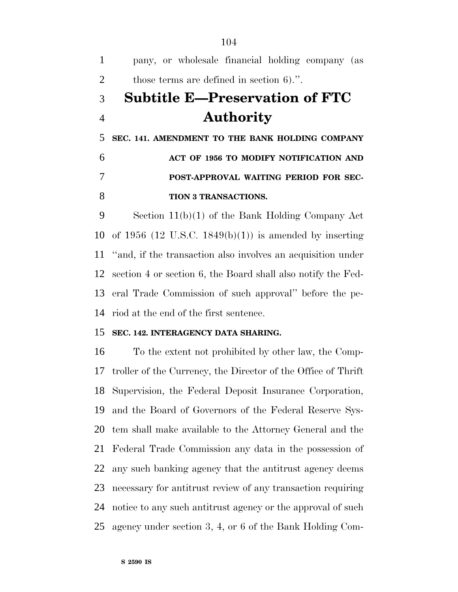pany, or wholesale financial holding company (as those terms are defined in section 6).''. **Subtitle E—Preservation of FTC Authority SEC. 141. AMENDMENT TO THE BANK HOLDING COMPANY ACT OF 1956 TO MODIFY NOTIFICATION AND POST-APPROVAL WAITING PERIOD FOR SEC- TION 3 TRANSACTIONS.** Section 11(b)(1) of the Bank Holding Company Act

 of 1956 (12 U.S.C. 1849(b)(1)) is amended by inserting ''and, if the transaction also involves an acquisition under section 4 or section 6, the Board shall also notify the Fed- eral Trade Commission of such approval'' before the pe-riod at the end of the first sentence.

### **SEC. 142. INTERAGENCY DATA SHARING.**

 To the extent not prohibited by other law, the Comp- troller of the Currency, the Director of the Office of Thrift Supervision, the Federal Deposit Insurance Corporation, and the Board of Governors of the Federal Reserve Sys- tem shall make available to the Attorney General and the Federal Trade Commission any data in the possession of any such banking agency that the antitrust agency deems necessary for antitrust review of any transaction requiring notice to any such antitrust agency or the approval of such agency under section 3, 4, or 6 of the Bank Holding Com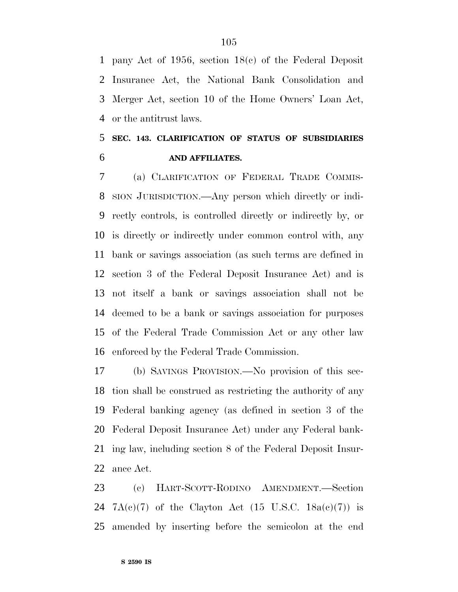pany Act of 1956, section 18(c) of the Federal Deposit Insurance Act, the National Bank Consolidation and Merger Act, section 10 of the Home Owners' Loan Act, or the antitrust laws.

### **SEC. 143. CLARIFICATION OF STATUS OF SUBSIDIARIES AND AFFILIATES.**

 (a) CLARIFICATION OF FEDERAL TRADE COMMIS- SION JURISDICTION.—Any person which directly or indi- rectly controls, is controlled directly or indirectly by, or is directly or indirectly under common control with, any bank or savings association (as such terms are defined in section 3 of the Federal Deposit Insurance Act) and is not itself a bank or savings association shall not be deemed to be a bank or savings association for purposes of the Federal Trade Commission Act or any other law enforced by the Federal Trade Commission.

 (b) SAVINGS PROVISION.—No provision of this sec- tion shall be construed as restricting the authority of any Federal banking agency (as defined in section 3 of the Federal Deposit Insurance Act) under any Federal bank- ing law, including section 8 of the Federal Deposit Insur-ance Act.

 (c) HART-SCOTT-RODINO AMENDMENT.—Section 24 7A(c)(7) of the Clayton Act (15 U.S.C.  $18a(c)(7)$ ) is amended by inserting before the semicolon at the end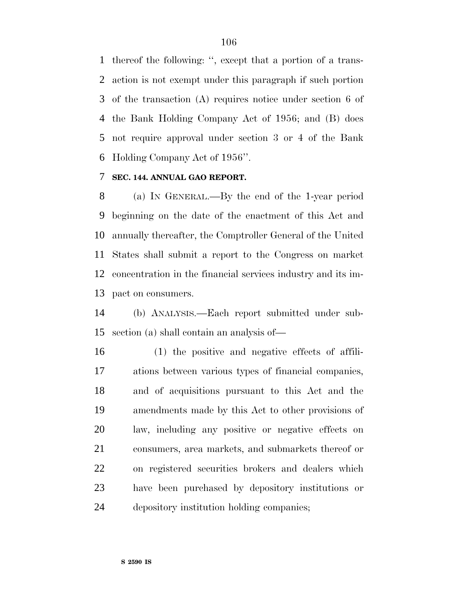thereof the following: '', except that a portion of a trans- action is not exempt under this paragraph if such portion of the transaction (A) requires notice under section 6 of the Bank Holding Company Act of 1956; and (B) does not require approval under section 3 or 4 of the Bank Holding Company Act of 1956''.

### **SEC. 144. ANNUAL GAO REPORT.**

 (a) IN GENERAL.—By the end of the 1-year period beginning on the date of the enactment of this Act and annually thereafter, the Comptroller General of the United States shall submit a report to the Congress on market concentration in the financial services industry and its im-pact on consumers.

 (b) ANALYSIS.—Each report submitted under sub-section (a) shall contain an analysis of—

 (1) the positive and negative effects of affili- ations between various types of financial companies, and of acquisitions pursuant to this Act and the amendments made by this Act to other provisions of law, including any positive or negative effects on consumers, area markets, and submarkets thereof or on registered securities brokers and dealers which have been purchased by depository institutions or depository institution holding companies;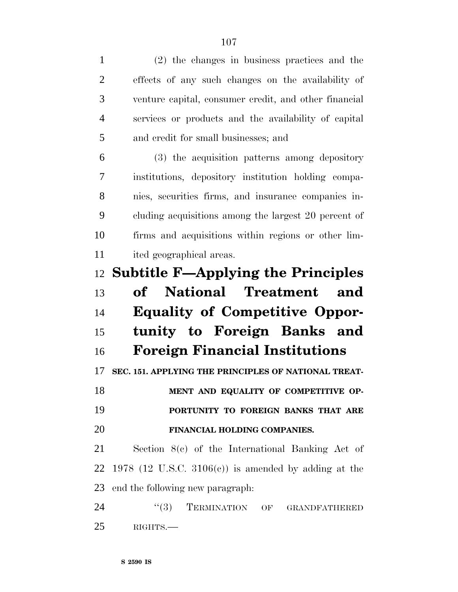| $\mathbf{1}$   | (2) the changes in business practices and the         |
|----------------|-------------------------------------------------------|
| $\overline{2}$ | effects of any such changes on the availability of    |
| 3              | venture capital, consumer credit, and other financial |
| $\overline{4}$ | services or products and the availability of capital  |
| 5              | and credit for small businesses; and                  |
| 6              | (3) the acquisition patterns among depository         |
| 7              | institutions, depository institution holding compa-   |
| 8              | nies, securities firms, and insurance companies in-   |
| 9              | cluding acquisitions among the largest 20 percent of  |
| 10             | firms and acquisitions within regions or other lim-   |
| 11             | ited geographical areas.                              |
| 12             | <b>Subtitle F—Applying the Principles</b>             |
|                |                                                       |
| 13             | of National Treatment<br>and                          |
| 14             | <b>Equality of Competitive Oppor-</b>                 |
| 15             | tunity to Foreign Banks and                           |
| 16             | <b>Foreign Financial Institutions</b>                 |
| 17             | SEC. 151. APPLYING THE PRINCIPLES OF NATIONAL TREAT-  |
| 18             | MENT AND EQUALITY OF COMPETITIVE OP-                  |
| 19             | PORTUNITY TO FOREIGN BANKS THAT ARE                   |
| 20             | FINANCIAL HOLDING COMPANIES.                          |
| 21             | Section $8(c)$ of the International Banking Act of    |
| 22             | 1978 (12 U.S.C. 3106(c)) is amended by adding at the  |
| 23             | end the following new paragraph.                      |
| 24             | TERMINATION OF GRANDFATHERED<br>``(3)                 |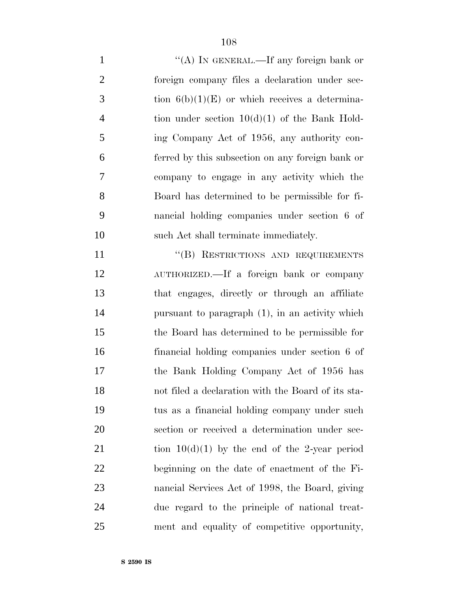| $\mathbf{1}$   | "(A) IN GENERAL.—If any foreign bank or            |
|----------------|----------------------------------------------------|
| $\overline{2}$ | foreign company files a declaration under sec-     |
| 3              | tion $6(b)(1)(E)$ or which receives a determina-   |
| $\overline{4}$ | tion under section $10(d)(1)$ of the Bank Hold-    |
| 5              | ing Company Act of 1956, any authority con-        |
| 6              | ferred by this subsection on any foreign bank or   |
| 7              | company to engage in any activity which the        |
| 8              | Board has determined to be permissible for fi-     |
| 9              | nancial holding companies under section 6 of       |
| 10             | such Act shall terminate immediately.              |
| 11             | "(B) RESTRICTIONS AND REQUIREMENTS                 |
| 12             | AUTHORIZED.—If a foreign bank or company           |
| 13             | that engages, directly or through an affiliate     |
| 14             | pursuant to paragraph (1), in an activity which    |
| 15             | the Board has determined to be permissible for     |
| 16             | financial holding companies under section 6 of     |
| 17             | the Bank Holding Company Act of 1956 has           |
| 18             | not filed a declaration with the Board of its sta- |
| 19             | tus as a financial holding company under such      |
| 20             | section or received a determination under sec-     |
| 21             | tion $10(d)(1)$ by the end of the 2-year period    |
| 22             | beginning on the date of enactment of the Fi-      |
| 23             | nancial Services Act of 1998, the Board, giving    |
| 24             | due regard to the principle of national treat-     |

ment and equality of competitive opportunity,

**S 2590 IS**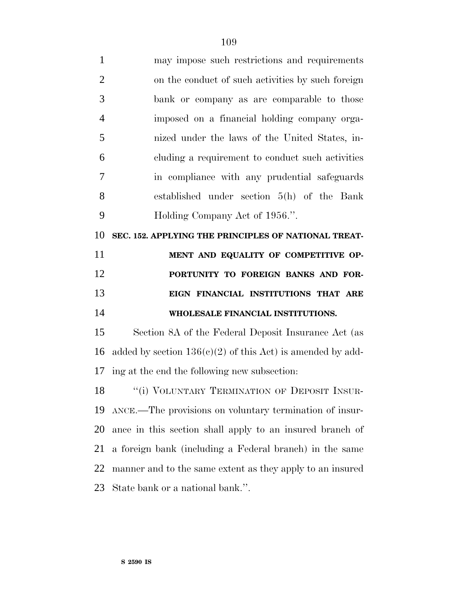| $\mathbf{1}$   | may impose such restrictions and requirements                |
|----------------|--------------------------------------------------------------|
| $\overline{2}$ | on the conduct of such activities by such foreign            |
| 3              | bank or company as are comparable to those                   |
| $\overline{4}$ | imposed on a financial holding company orga-                 |
| 5              | nized under the laws of the United States, in-               |
| 6              | cluding a requirement to conduct such activities             |
| 7              | in compliance with any prudential safeguards                 |
| 8              | established under section 5(h) of the Bank                   |
| 9              | Holding Company Act of 1956.".                               |
| 10             | SEC. 152. APPLYING THE PRINCIPLES OF NATIONAL TREAT-         |
| 11             | MENT AND EQUALITY OF COMPETITIVE OP-                         |
| 12             | PORTUNITY TO FOREIGN BANKS AND FOR-                          |
| 13             | EIGN FINANCIAL INSTITUTIONS THAT ARE                         |
| 14             | WHOLESALE FINANCIAL INSTITUTIONS.                            |
| 15             | Section 8A of the Federal Deposit Insurance Act (as          |
| 16             | added by section $136(c)(2)$ of this Act) is amended by add- |
| 17             | ing at the end the following new subsection:                 |
| 18             | "(i) VOLUNTARY TERMINATION OF DEPOSIT INSUR-                 |
|                | 19 ANCE.—The provisions on voluntary termination of insur-   |

 ance in this section shall apply to an insured branch of a foreign bank (including a Federal branch) in the same manner and to the same extent as they apply to an insured State bank or a national bank.''.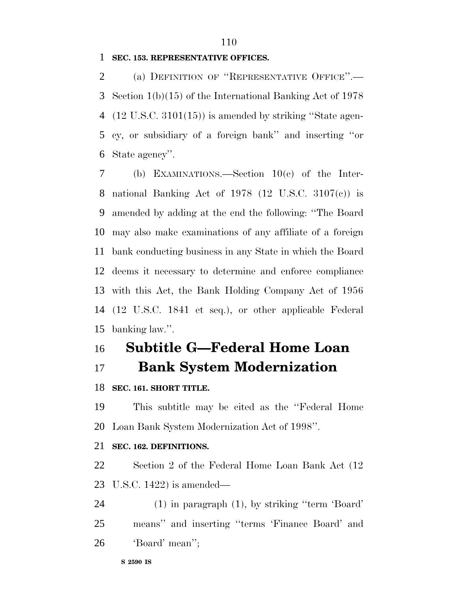## **SEC. 153. REPRESENTATIVE OFFICES.**

 (a) DEFINITION OF ''REPRESENTATIVE OFFICE''.— Section 1(b)(15) of the International Banking Act of 1978 (12 U.S.C. 3101(15)) is amended by striking ''State agen- cy, or subsidiary of a foreign bank'' and inserting ''or State agency''.

 (b) EXAMINATIONS.—Section 10(c) of the Inter- national Banking Act of 1978 (12 U.S.C. 3107(c)) is amended by adding at the end the following: ''The Board may also make examinations of any affiliate of a foreign bank conducting business in any State in which the Board deems it necessary to determine and enforce compliance with this Act, the Bank Holding Company Act of 1956 (12 U.S.C. 1841 et seq.), or other applicable Federal banking law.''.

# **Subtitle G—Federal Home Loan**

**Bank System Modernization**

**SEC. 161. SHORT TITLE.**

 This subtitle may be cited as the ''Federal Home Loan Bank System Modernization Act of 1998''.

#### **SEC. 162. DEFINITIONS.**

 Section 2 of the Federal Home Loan Bank Act (12 U.S.C. 1422) is amended—

 (1) in paragraph (1), by striking ''term 'Board' means'' and inserting ''terms 'Finance Board' and 'Board' mean'';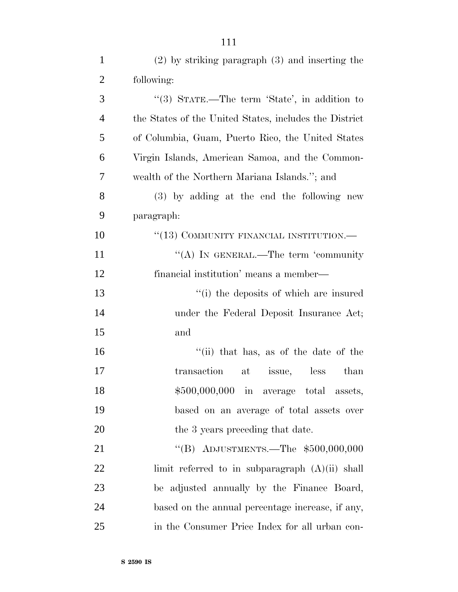| $\mathbf{1}$   | $(2)$ by striking paragraph $(3)$ and inserting the    |
|----------------|--------------------------------------------------------|
| $\overline{2}$ | following:                                             |
| 3              | "(3) STATE.—The term 'State', in addition to           |
| $\overline{4}$ | the States of the United States, includes the District |
| 5              | of Columbia, Guam, Puerto Rico, the United States      |
| 6              | Virgin Islands, American Samoa, and the Common-        |
| 7              | wealth of the Northern Mariana Islands."; and          |
| 8              | (3) by adding at the end the following new             |
| 9              | paragraph:                                             |
| 10             | " $(13)$ COMMUNITY FINANCIAL INSTITUTION.—             |
| 11             | "(A) IN GENERAL.—The term 'community                   |
| 12             | financial institution' means a member—                 |
| 13             | "(i) the deposits of which are insured                 |
| 14             | under the Federal Deposit Insurance Act;               |
| 15             | and                                                    |
| 16             | "(ii) that has, as of the date of the                  |
| 17             | transaction<br>at issue, less<br>than                  |
| 18             | \$500,000,000 in average total assets,                 |
| 19             | based on an average of total assets over               |
| 20             | the 3 years preceding that date.                       |
| 21             | "(B) ADJUSTMENTS.—The $$500,000,000$                   |
| 22             | limit referred to in subparagraph $(A)(ii)$ shall      |
| 23             | be adjusted annually by the Finance Board,             |
| 24             | based on the annual percentage increase, if any,       |
| 25             | in the Consumer Price Index for all urban con-         |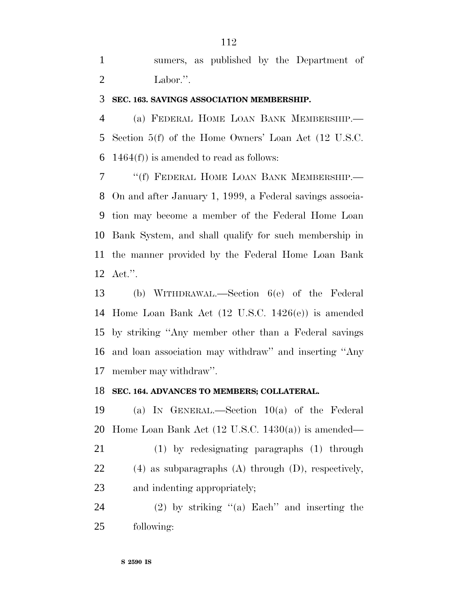sumers, as published by the Department of Labor.''.

#### **SEC. 163. SAVINGS ASSOCIATION MEMBERSHIP.**

 (a) FEDERAL HOME LOAN BANK MEMBERSHIP.— Section 5(f) of the Home Owners' Loan Act (12 U.S.C. 6 1464 $(f)$ ) is amended to read as follows:

 ''(f) FEDERAL HOME LOAN BANK MEMBERSHIP.— On and after January 1, 1999, a Federal savings associa- tion may become a member of the Federal Home Loan Bank System, and shall qualify for such membership in the manner provided by the Federal Home Loan Bank Act.''.

 (b) WITHDRAWAL.—Section 6(e) of the Federal Home Loan Bank Act (12 U.S.C. 1426(e)) is amended by striking ''Any member other than a Federal savings and loan association may withdraw'' and inserting ''Any member may withdraw''.

### **SEC. 164. ADVANCES TO MEMBERS; COLLATERAL.**

 (a) IN GENERAL.—Section 10(a) of the Federal 20 Home Loan Bank Act  $(12 \text{ U.S.C. } 1430(a))$  is amended—

 (1) by redesignating paragraphs (1) through (4) as subparagraphs (A) through (D), respectively, and indenting appropriately;

 (2) by striking ''(a) Each'' and inserting the following: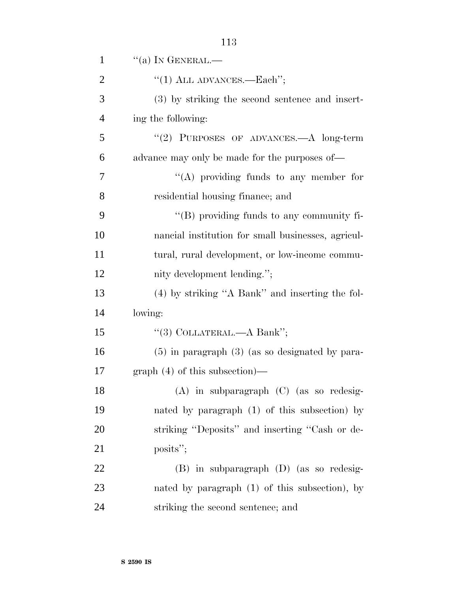| $\mathbf{1}$   | $\lq\lq$ (a) In GENERAL.—                           |
|----------------|-----------------------------------------------------|
| $\overline{2}$ | "(1) ALL ADVANCES.—Each";                           |
| 3              | (3) by striking the second sentence and insert-     |
| $\overline{4}$ | ing the following:                                  |
| 5              | $(2)$ PURPOSES OF ADVANCES.—A long-term             |
| 6              | advance may only be made for the purposes of—       |
| 7              | "(A) providing funds to any member for              |
| 8              | residential housing finance; and                    |
| 9              | "(B) providing funds to any community fi-           |
| 10             | nancial institution for small businesses, agricul-  |
| 11             | tural, rural development, or low-income commu-      |
| 12             | nity development lending.";                         |
| 13             | (4) by striking "A Bank" and inserting the fol-     |
| 14             | lowing:                                             |
| 15             | "(3) COLLATERAL.—A Bank";                           |
| 16             | $(5)$ in paragraph $(3)$ (as so designated by para- |
| 17             | $graph(4)$ of this subsection)—                     |
| 18             | (A) in subparagraph (C) (as so redesig-             |
| 19             | nated by paragraph $(1)$ of this subsection) by     |
| 20             | striking "Deposits" and inserting "Cash or de-      |
| 21             | posits";                                            |
| 22             | $(B)$ in subparagraph $(D)$ (as so redesig-         |
| 23             | nated by paragraph $(1)$ of this subsection), by    |
| 24             | striking the second sentence; and                   |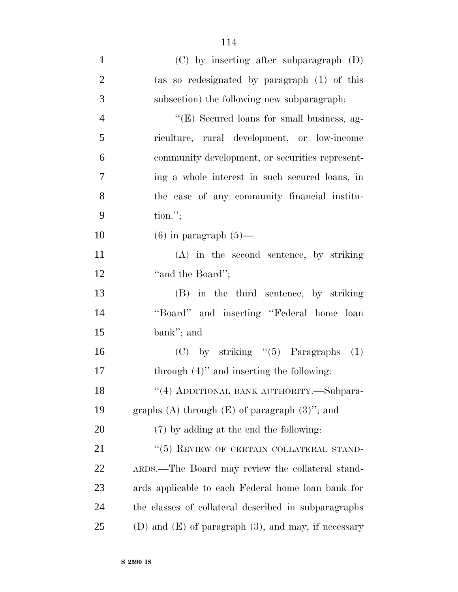| $\mathbf{1}$   | (C) by inserting after subparagraph (D)                  |
|----------------|----------------------------------------------------------|
| $\overline{2}$ | (as so redesignated by paragraph (1) of this             |
| 3              | subsection) the following new subparagraph.              |
| $\overline{4}$ | "(E) Secured loans for small business, ag-               |
| 5              | riculture, rural development, or low-income              |
| 6              | community development, or securities represent-          |
| 7              | ing a whole interest in such secured loans, in           |
| 8              | the case of any community financial institu-             |
| 9              | $\text{tion."};$                                         |
| 10             | $(6)$ in paragraph $(5)$ —                               |
| 11             | (A) in the second sentence, by striking                  |
| 12             | "and the Board";                                         |
| 13             | (B) in the third sentence, by striking                   |
| 14             | "Board" and inserting "Federal home loan                 |
| 15             | bank"; and                                               |
| 16             | $(C)$ by striking " $(5)$ Paragraphs<br>(1)              |
| 17             | through $(4)$ " and inserting the following:             |
| 18             | "(4) ADDITIONAL BANK AUTHORITY.—Subpara-                 |
| 19             | graphs (A) through $(E)$ of paragraph $(3)$ "; and       |
| 20             | (7) by adding at the end the following:                  |
| 21             | "(5) REVIEW OF CERTAIN COLLATERAL STAND-                 |
| 22             | ARDS.—The Board may review the collateral stand-         |
| 23             | ards applicable to each Federal home loan bank for       |
| 24             | the classes of collateral described in subparagraphs     |
| 25             | (D) and $(E)$ of paragraph $(3)$ , and may, if necessary |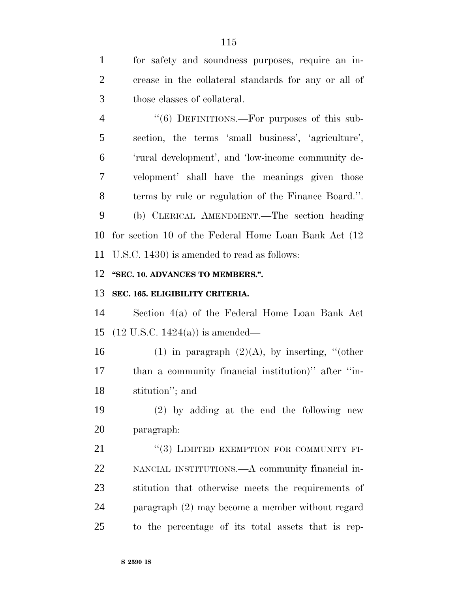for safety and soundness purposes, require an in- crease in the collateral standards for any or all of those classes of collateral.

4 "(6) DEFINITIONS.—For purposes of this sub- section, the terms 'small business', 'agriculture', 'rural development', and 'low-income community de- velopment' shall have the meanings given those terms by rule or regulation of the Finance Board.''. (b) CLERICAL AMENDMENT.—The section heading for section 10 of the Federal Home Loan Bank Act (12

U.S.C. 1430) is amended to read as follows:

## **''SEC. 10. ADVANCES TO MEMBERS.''.**

# **SEC. 165. ELIGIBILITY CRITERIA.**

 Section 4(a) of the Federal Home Loan Bank Act (12 U.S.C. 1424(a)) is amended—

16 (1) in paragraph  $(2)(A)$ , by inserting, "(other than a community financial institution)'' after ''in-stitution''; and

 (2) by adding at the end the following new paragraph:

21 "(3) LIMITED EXEMPTION FOR COMMUNITY FI- NANCIAL INSTITUTIONS.—A community financial in- stitution that otherwise meets the requirements of paragraph (2) may become a member without regard to the percentage of its total assets that is rep-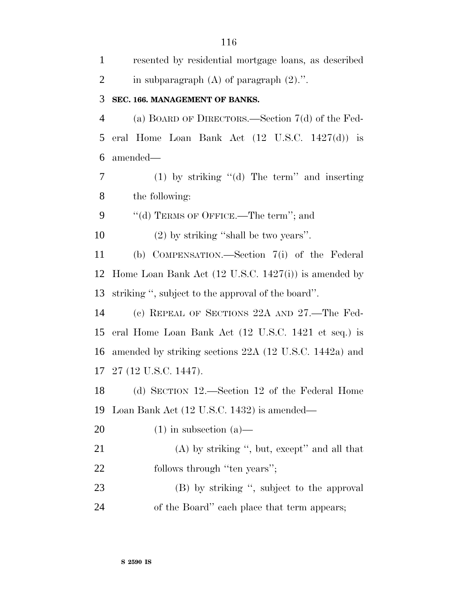| $\mathbf{1}$   | resented by residential mortgage loans, as described            |  |
|----------------|-----------------------------------------------------------------|--|
| $\overline{2}$ | in subparagraph $(A)$ of paragraph $(2)$ .".                    |  |
| 3              | SEC. 166. MANAGEMENT OF BANKS.                                  |  |
| 4              | (a) BOARD OF DIRECTORS.—Section $7(d)$ of the Fed-              |  |
| 5              | eral Home Loan Bank Act $(12 \text{ U.S.C. } 1427(d))$ is       |  |
| 6              | amended—                                                        |  |
| $\tau$         | $(1)$ by striking " $(d)$ The term" and inserting               |  |
| 8              | the following:                                                  |  |
| 9              | "(d) TERMS OF OFFICE.—The term"; and                            |  |
| 10             | $(2)$ by striking "shall be two years".                         |  |
| 11             | (b) COMPENSATION.—Section 7(i) of the Federal                   |  |
| 12             | Home Loan Bank Act $(12 \text{ U.S.C. } 1427(i))$ is amended by |  |
| 13             | striking", subject to the approval of the board".               |  |
| 14             | (c) REPEAL OF SECTIONS 22A AND 27.—The Fed-                     |  |
| 15             | eral Home Loan Bank Act (12 U.S.C. 1421 et seq.) is             |  |
| 16             | amended by striking sections 22A (12 U.S.C. 1442a) and          |  |
|                | 17 27 (12 U.S.C. 1447).                                         |  |
| 18             | (d) SECTION 12.—Section 12 of the Federal Home                  |  |
| 19             | Loan Bank Act (12 U.S.C. 1432) is amended—                      |  |
| <b>20</b>      | $(1)$ in subsection $(a)$ —                                     |  |
| 21             | $(A)$ by striking ", but, except" and all that                  |  |
| 22             | follows through "ten years";                                    |  |
| 23             | (B) by striking ", subject to the approval                      |  |
| 24             | of the Board" each place that term appears;                     |  |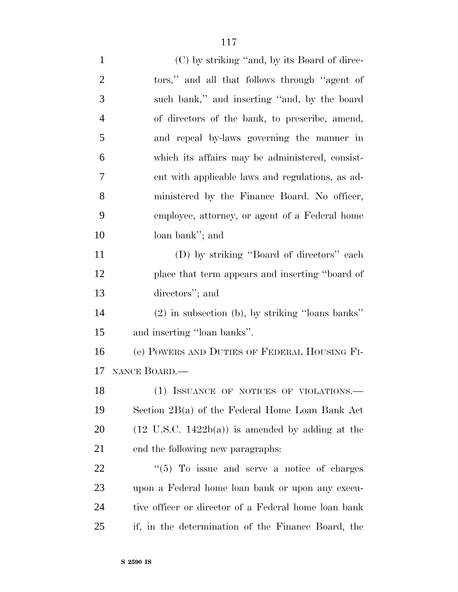| $\mathbf{1}$   | (C) by striking "and, by its Board of direc-                |
|----------------|-------------------------------------------------------------|
| $\overline{2}$ | tors," and all that follows through "agent of               |
| 3              | such bank," and inserting "and, by the board                |
| $\overline{4}$ | of directors of the bank, to prescribe, amend,              |
| 5              | and repeal by-laws governing the manner in                  |
| 6              | which its affairs may be administered, consist-             |
| 7              | ent with applicable laws and regulations, as ad-            |
| 8              | ministered by the Finance Board. No officer,                |
| 9              | employee, attorney, or agent of a Federal home              |
| 10             | loan bank"; and                                             |
| 11             | (D) by striking "Board of directors" each                   |
| 12             | place that term appears and inserting "board of             |
| 13             | directors"; and                                             |
| 14             | $(2)$ in subsection (b), by striking "loans banks"          |
| 15             | and inserting "loan banks".                                 |
| 16             | (e) POWERS AND DUTIES OF FEDERAL HOUSING FI-                |
| 17             | NANCE BOARD.                                                |
| 18             | (1) ISSUANCE OF NOTICES OF VIOLATIONS.-                     |
| 19             | Section 2B(a) of the Federal Home Loan Bank Act             |
| 20             | $(12 \text{ U.S.C. } 1422b(a))$ is amended by adding at the |
| 21             | end the following new paragraphs:                           |
| 22             | $\cdot\cdot$ (5) To issue and serve a notice of charges     |
| 23             | upon a Federal home loan bank or upon any execu-            |
| 24             | tive officer or director of a Federal home loan bank        |
| 25             | if, in the determination of the Finance Board, the          |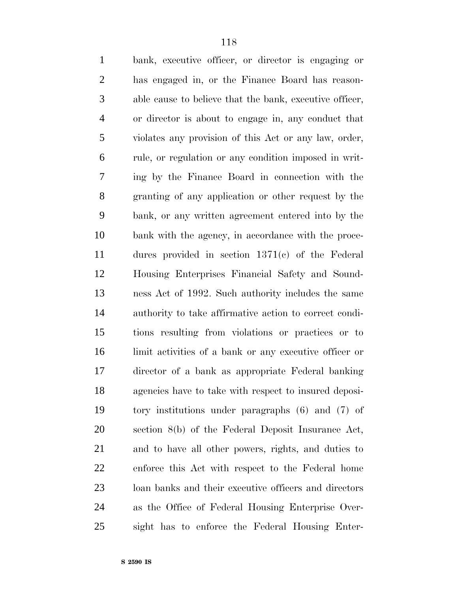| $\mathbf{1}$   | bank, executive officer, or director is engaging or     |
|----------------|---------------------------------------------------------|
| $\overline{2}$ | has engaged in, or the Finance Board has reason-        |
| 3              | able cause to believe that the bank, executive officer, |
| $\overline{4}$ | or director is about to engage in, any conduct that     |
| 5              | violates any provision of this Act or any law, order,   |
| 6              | rule, or regulation or any condition imposed in writ-   |
| 7              | ing by the Finance Board in connection with the         |
| 8              | granting of any application or other request by the     |
| 9              | bank, or any written agreement entered into by the      |
| 10             | bank with the agency, in accordance with the proce-     |
| 11             | dures provided in section $1371(c)$ of the Federal      |
| 12             | Housing Enterprises Financial Safety and Sound-         |
| 13             | ness Act of 1992. Such authority includes the same      |
| 14             | authority to take affirmative action to correct condi-  |
| 15             | tions resulting from violations or practices or to      |
| 16             | limit activities of a bank or any executive officer or  |
| 17             | director of a bank as appropriate Federal banking       |
| 18             | agencies have to take with respect to insured deposi-   |
| 19             | tory institutions under paragraphs $(6)$ and $(7)$ of   |
| 20             | section 8(b) of the Federal Deposit Insurance Act,      |
| 21             | and to have all other powers, rights, and duties to     |
| 22             | enforce this Act with respect to the Federal home       |
| 23             | loan banks and their executive officers and directors   |
| 24             | as the Office of Federal Housing Enterprise Over-       |
| 25             | sight has to enforce the Federal Housing Enter-         |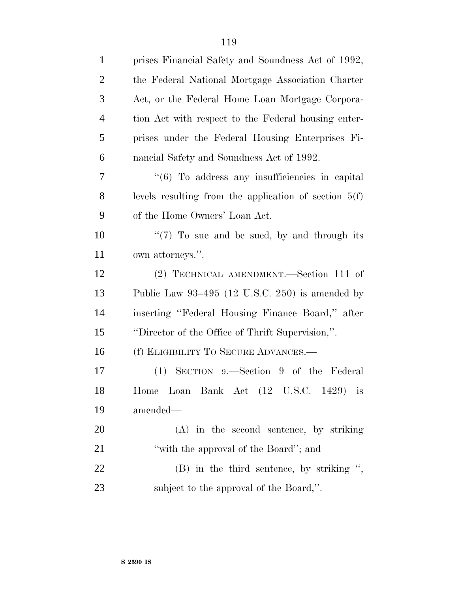| $\mathbf{1}$   | prises Financial Safety and Soundness Act of 1992,              |  |
|----------------|-----------------------------------------------------------------|--|
| $\overline{2}$ | the Federal National Mortgage Association Charter               |  |
| 3              | Act, or the Federal Home Loan Mortgage Corpora-                 |  |
| $\overline{4}$ | tion Act with respect to the Federal housing enter-             |  |
| 5              | prises under the Federal Housing Enterprises Fi-                |  |
| 6              | nancial Safety and Soundness Act of 1992.                       |  |
| 7              | $\cdot\cdot\cdot$ (6) To address any insufficiencies in capital |  |
| 8              | levels resulting from the application of section $5(f)$         |  |
| 9              | of the Home Owners' Loan Act.                                   |  |
| 10             | " $(7)$ To sue and be sued, by and through its                  |  |
| 11             | own attorneys.".                                                |  |
| 12             | (2) TECHNICAL AMENDMENT.—Section 111 of                         |  |
| 13             | Public Law $93-495$ (12 U.S.C. 250) is amended by               |  |
| 14             | inserting "Federal Housing Finance Board," after                |  |
| 15             | "Director of the Office of Thrift Supervision,".                |  |
| 16             | (f) ELIGIBILITY TO SECURE ADVANCES.—                            |  |
| 17             | (1) SECTION 9.—Section 9 of the Federal                         |  |
| 18             | Home Loan Bank Act (12 U.S.C. 1429) is                          |  |
| 19             | amended—                                                        |  |
| 20             | $(A)$ in the second sentence, by striking                       |  |
| 21             | "with the approval of the Board"; and                           |  |
| 22             | $(B)$ in the third sentence, by striking ",                     |  |
| 23             | subject to the approval of the Board,".                         |  |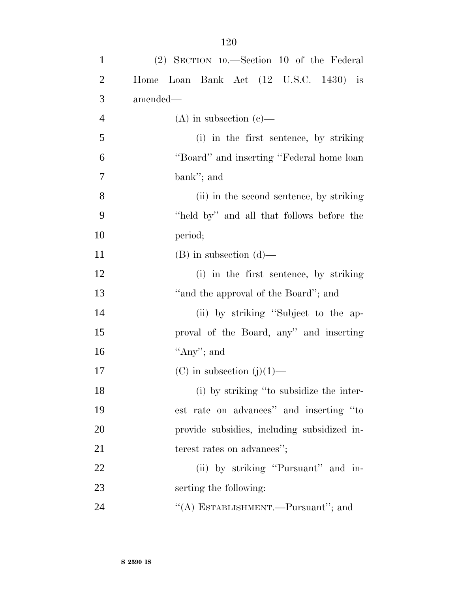| $\mathbf{1}$   | $(2)$ SECTION 10.—Section 10 of the Federal |
|----------------|---------------------------------------------|
| $\overline{2}$ | Home Loan Bank Act (12 U.S.C. 1430) is      |
| 3              | amended—                                    |
| $\overline{4}$ | $(A)$ in subsection $(e)$ —                 |
| 5              | (i) in the first sentence, by striking      |
| 6              | "Board" and inserting "Federal home loan    |
| $\overline{7}$ | bank"; and                                  |
| 8              | (ii) in the second sentence, by striking    |
| 9              | "held by" and all that follows before the   |
| 10             | period;                                     |
| 11             | $(B)$ in subsection $(d)$ —                 |
| 12             | (i) in the first sentence, by striking      |
| 13             | "and the approval of the Board"; and        |
| 14             | (ii) by striking "Subject to the ap-        |
| 15             | proval of the Board, any" and inserting     |
| 16             | "Any"; and                                  |
| 17             | (C) in subsection $(j)(1)$ —                |
| 18             | (i) by striking "to subsidize the inter-    |
| 19             | est rate on advances" and inserting "to     |
| 20             | provide subsidies, including subsidized in- |
| 21             | terest rates on advances";                  |
| 22             | (ii) by striking "Pursuant" and in-         |
| 23             | serting the following:                      |
| 24             | "(A) ESTABLISHMENT.—Pursuant"; and          |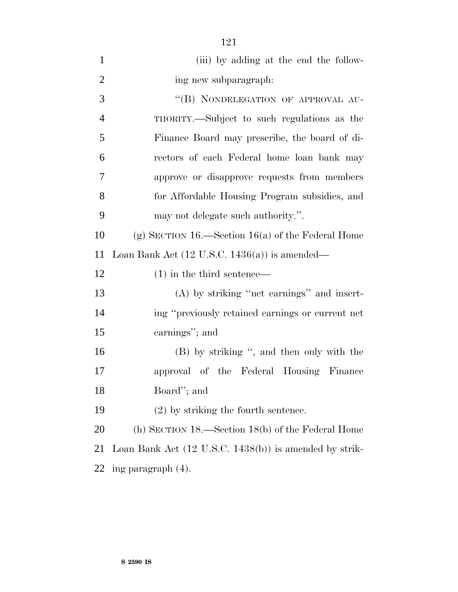| $\mathbf{1}$   | (iii) by adding at the end the follow-                            |  |
|----------------|-------------------------------------------------------------------|--|
| $\overline{2}$ | ing new subparagraph:                                             |  |
| 3              | "(B) NONDELEGATION OF APPROVAL AU-                                |  |
| $\overline{4}$ | THORITY.—Subject to such regulations as the                       |  |
| 5              | Finance Board may prescribe, the board of di-                     |  |
| 6              | rectors of each Federal home loan bank may                        |  |
| 7              | approve or disapprove requests from members                       |  |
| 8              | for Affordable Housing Program subsidies, and                     |  |
| 9              | may not delegate such authority.".                                |  |
| 10             | (g) SECTION 16.—Section 16(a) of the Federal Home                 |  |
| 11             | Loan Bank Act $(12 \text{ U.S.C. } 1436(a))$ is amended—          |  |
| 12             | $(1)$ in the third sentence—                                      |  |
| 13             | $(A)$ by striking "net earnings" and insert-                      |  |
| 14             | ing "previously retained earnings or current net                  |  |
| 15             | earnings"; and                                                    |  |
| 16             | (B) by striking ", and then only with the                         |  |
| 17             | approval of the Federal Housing Finance                           |  |
| 18             | Board"; and                                                       |  |
| 19             | $(2)$ by striking the fourth sentence.                            |  |
| 20             | (h) SECTION $18$ —Section $18(b)$ of the Federal Home             |  |
| 21             | Loan Bank Act $(12 \text{ U.S.C. } 1438(b))$ is amended by strik- |  |
| 22             | ing paragraph (4).                                                |  |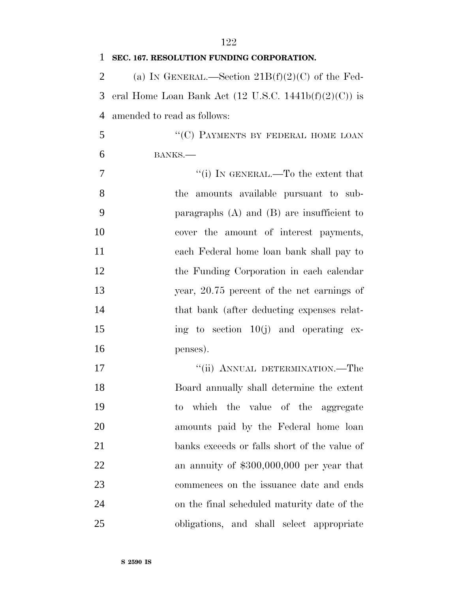| 1              | SEC. 167. RESOLUTION FUNDING CORPORATION.                               |
|----------------|-------------------------------------------------------------------------|
| $\overline{2}$ | (a) IN GENERAL.—Section $21B(f)(2)(C)$ of the Fed-                      |
| 3              | eral Home Loan Bank Act $(12 \text{ U.S.C. } 1441\text{b}(f)(2)(C))$ is |
| $\overline{4}$ | amended to read as follows:                                             |
| 5              | "(C) PAYMENTS BY FEDERAL HOME LOAN                                      |
| 6              | BANKS.                                                                  |
| $\overline{7}$ | "(i) IN GENERAL.—To the extent that                                     |
| 8              | the amounts available pursuant to sub-                                  |
| 9              | paragraphs $(A)$ and $(B)$ are insufficient to                          |
| 10             | cover the amount of interest payments,                                  |
| 11             | each Federal home loan bank shall pay to                                |
| 12             | the Funding Corporation in each calendar                                |
| 13             | year, 20.75 percent of the net earnings of                              |
| 14             | that bank (after deducting expenses relat-                              |
| 15             | ing to section $10(j)$ and operating ex-                                |
| 16             | penses).                                                                |
| 17             | "(ii) ANNUAL DETERMINATION.—The                                         |
| 18             | Board annually shall determine the extent                               |
| 19             | which the value of the aggregate<br>to                                  |
| 20             | amounts paid by the Federal home loan                                   |
| 21             | banks exceeds or falls short of the value of                            |
| 22             | an annuity of $$300,000,000$ per year that                              |
| 23             | commences on the issuance date and ends                                 |
| 24             | on the final scheduled maturity date of the                             |
| 25             | obligations, and shall select appropriate                               |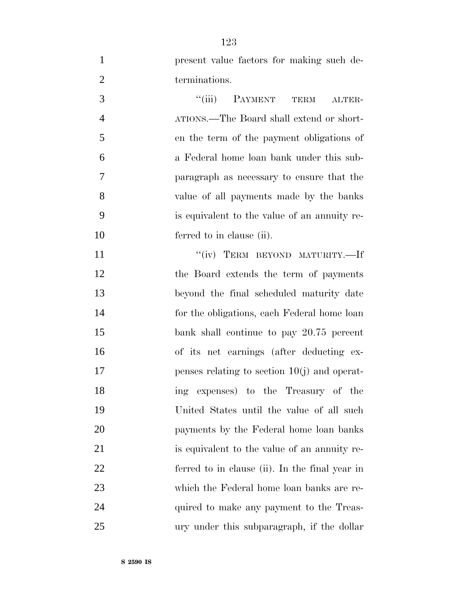| $\mathbf{1}$   | present value factors for making such de-      |
|----------------|------------------------------------------------|
| $\mathbf{2}$   | terminations.                                  |
| 3              | ``(iii)<br>PAYMENT<br>TERM<br>ALTER-           |
| $\overline{4}$ | ATIONS.—The Board shall extend or short-       |
| 5              | en the term of the payment obligations of      |
| 6              | a Federal home loan bank under this sub-       |
| 7              | paragraph as necessary to ensure that the      |
| 8              | value of all payments made by the banks        |
| 9              | is equivalent to the value of an annuity re-   |
| 10             | ferred to in clause (ii).                      |
| 11             | "(iv) TERM BEYOND MATURITY.—If                 |
| 12             | the Board extends the term of payments         |
| 13             | beyond the final scheduled maturity date       |
| 14             | for the obligations, each Federal home loan    |
| 15             | bank shall continue to pay 20.75 percent       |
| 16             | of its net earnings (after deducting ex-       |
| 17             | penses relating to section $10(j)$ and operat- |
| 18             | ing expenses) to the Treasury of the           |
| 19             | United States until the value of all such      |
| 20             | payments by the Federal home loan banks        |
| 21             | is equivalent to the value of an annuity re-   |
| 22             | ferred to in clause (ii). In the final year in |
| 23             | which the Federal home loan banks are re-      |
| 24             | quired to make any payment to the Treas-       |
| 25             | ury under this subparagraph, if the dollar     |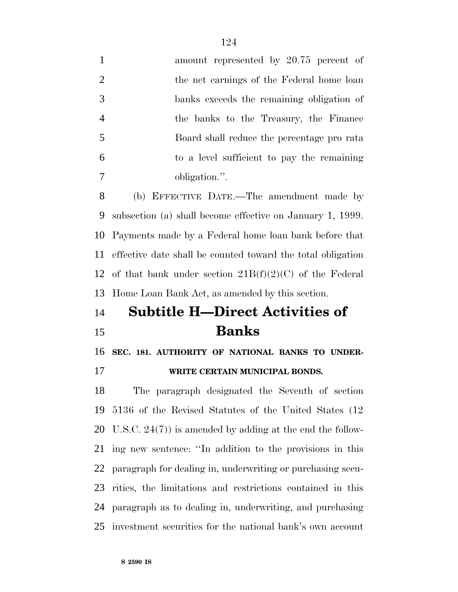| $\mathbf{1}$         | amount represented by 20.75 percent of                       |
|----------------------|--------------------------------------------------------------|
| $\overline{2}$       | the net earnings of the Federal home loan                    |
| 3                    | banks exceeds the remaining obligation of                    |
| $\overline{4}$       | the banks to the Treasury, the Finance                       |
| 5                    | Board shall reduce the percentage pro rata                   |
| 6                    | to a level sufficient to pay the remaining                   |
| 7                    | obligation.".                                                |
| 8                    | (b) EFFECTIVE DATE.—The amendment made by                    |
| 9                    | subsection (a) shall become effective on January 1, 1999.    |
| 10                   | Payments made by a Federal home loan bank before that        |
| 11                   | effective date shall be counted toward the total obligation  |
| 12                   | of that bank under section $21B(f)(2)(C)$ of the Federal     |
|                      |                                                              |
|                      | Home Loan Bank Act, as amended by this section.              |
|                      | <b>Subtitle H—Direct Activities of</b>                       |
|                      | <b>Banks</b>                                                 |
| 13<br>14<br>15<br>16 | SEC. 181. AUTHORITY OF NATIONAL BANKS TO UNDER-              |
|                      | WRITE CERTAIN MUNICIPAL BONDS.                               |
| 17<br>18             | The paragraph designated the Seventh of section              |
| 19                   | 5136 of the Revised Statutes of the United States (12)       |
| 20                   | U.S.C. $24(7)$ ) is amended by adding at the end the follow- |
| 21                   | ing new sentence: "In addition to the provisions in this     |
| 22                   | paragraph for dealing in, underwriting or purchasing secu-   |
| 23                   | rities, the limitations and restrictions contained in this   |
| 24                   | paragraph as to dealing in, underwriting, and purchasing     |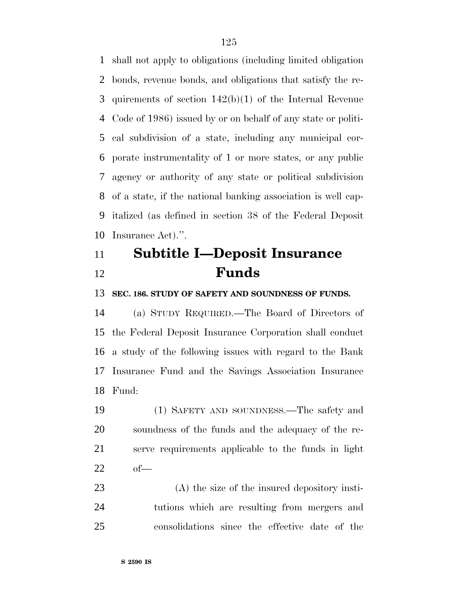shall not apply to obligations (including limited obligation bonds, revenue bonds, and obligations that satisfy the re- quirements of section 142(b)(1) of the Internal Revenue Code of 1986) issued by or on behalf of any state or politi- cal subdivision of a state, including any municipal cor- porate instrumentality of 1 or more states, or any public agency or authority of any state or political subdivision of a state, if the national banking association is well cap- italized (as defined in section 38 of the Federal Deposit Insurance Act).''.

# **Subtitle I—Deposit Insurance Funds**

**SEC. 186. STUDY OF SAFETY AND SOUNDNESS OF FUNDS.**

 (a) STUDY REQUIRED.—The Board of Directors of the Federal Deposit Insurance Corporation shall conduct a study of the following issues with regard to the Bank Insurance Fund and the Savings Association Insurance Fund:

 (1) SAFETY AND SOUNDNESS.—The safety and soundness of the funds and the adequacy of the re- serve requirements applicable to the funds in light of—

 (A) the size of the insured depository insti- tutions which are resulting from mergers and consolidations since the effective date of the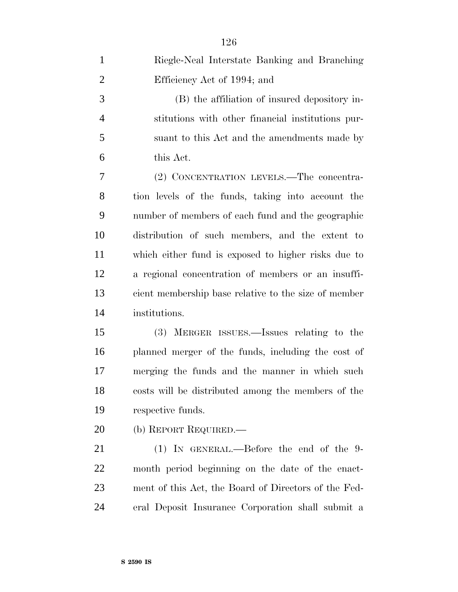| $\mathbf{1}$   | Riegle-Neal Interstate Banking and Branching         |
|----------------|------------------------------------------------------|
| $\overline{2}$ | Efficiency Act of 1994; and                          |
| 3              | (B) the affiliation of insured depository in-        |
| $\overline{4}$ | stitutions with other financial institutions pur-    |
| 5              | suant to this Act and the amendments made by         |
| 6              | this Act.                                            |
| 7              | (2) CONCENTRATION LEVELS.—The concentra-             |
| 8              | tion levels of the funds, taking into account the    |
| 9              | number of members of each fund and the geographic    |
| 10             | distribution of such members, and the extent to      |
| 11             | which either fund is exposed to higher risks due to  |
| 12             | a regional concentration of members or an insuffi-   |
| 13             | cient membership base relative to the size of member |
| 14             | institutions.                                        |
| 15             | (3) MERGER ISSUES.—Issues relating to the            |
| 16             | planned merger of the funds, including the cost of   |
| 17             | merging the funds and the manner in which such       |
| 18             | costs will be distributed among the members of the   |
| 19             | respective funds.                                    |
| 20             | (b) REPORT REQUIRED.—                                |
| 21             | $(1)$ IN GENERAL.—Before the end of the 9-           |
| <u>22</u>      | month period beginning on the date of the enact-     |
| 23             | ment of this Act, the Board of Directors of the Fed- |
| 24             | eral Deposit Insurance Corporation shall submit a    |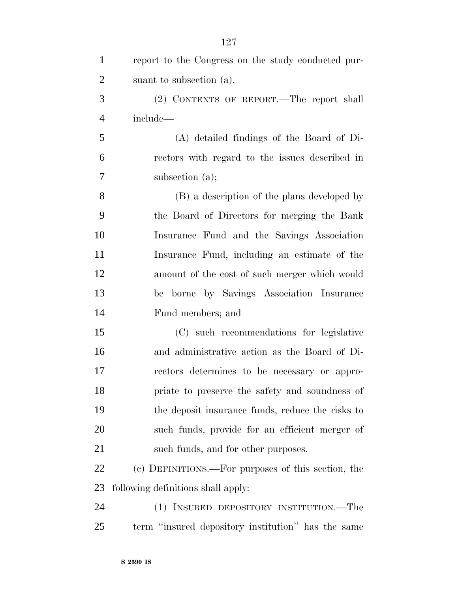| $\mathbf{1}$   | report to the Congress on the study conducted pur- |
|----------------|----------------------------------------------------|
| $\overline{2}$ | suant to subsection (a).                           |
| 3              | (2) CONTENTS OF REPORT.—The report shall           |
| $\overline{4}$ | include—                                           |
| 5              | (A) detailed findings of the Board of Di-          |
| 6              | rectors with regard to the issues described in     |
| 7              | subsection (a);                                    |
| 8              | (B) a description of the plans developed by        |
| 9              | the Board of Directors for merging the Bank        |
| 10             | Insurance Fund and the Savings Association         |
| 11             | Insurance Fund, including an estimate of the       |
| 12             | amount of the cost of such merger which would      |
| 13             | borne by Savings Association Insurance<br>be       |
| 14             | Fund members; and                                  |
| 15             | (C) such recommendations for legislative           |
| 16             | and administrative action as the Board of Di-      |
| 17             | rectors determines to be necessary or appro-       |
| 18             | priate to preserve the safety and soundness of     |
| 19             | the deposit insurance funds, reduce the risks to   |
| 20             | such funds, provide for an efficient merger of     |
| 21             | such funds, and for other purposes.                |
| 22             | (c) DEFINITIONS.—For purposes of this section, the |
| 23             | following definitions shall apply:                 |
| 24             | (1) INSURED DEPOSITORY INSTITUTION.—The            |
| 25             | term "insured depository institution" has the same |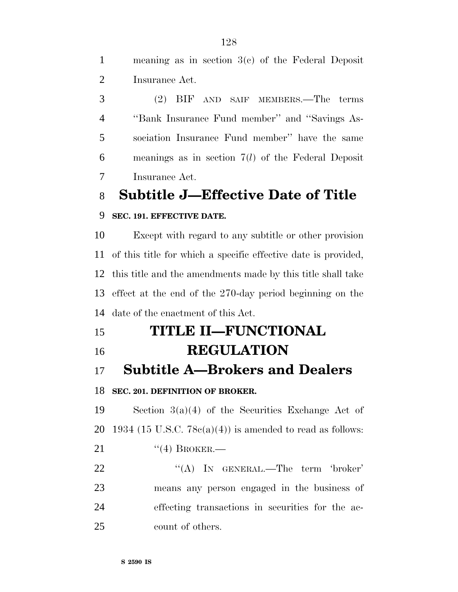meaning as in section 3(c) of the Federal Deposit Insurance Act.

 (2) BIF AND SAIF MEMBERS.—The terms ''Bank Insurance Fund member'' and ''Savings As- sociation Insurance Fund member'' have the same meanings as in section 7(*l*) of the Federal Deposit Insurance Act.

**Subtitle J—Effective Date of Title**

### **SEC. 191. EFFECTIVE DATE.**

 Except with regard to any subtitle or other provision of this title for which a specific effective date is provided, this title and the amendments made by this title shall take effect at the end of the 270-day period beginning on the date of the enactment of this Act.

 **TITLE II—FUNCTIONAL REGULATION**

**Subtitle A—Brokers and Dealers**

## **SEC. 201. DEFINITION OF BROKER.**

 Section 3(a)(4) of the Securities Exchange Act of 20 1934 (15 U.S.C.  $78c(a)(4)$ ) is amended to read as follows: 21 "(4) BROKER.—

22 "(A) IN GENERAL.—The term 'broker' means any person engaged in the business of effecting transactions in securities for the ac-count of others.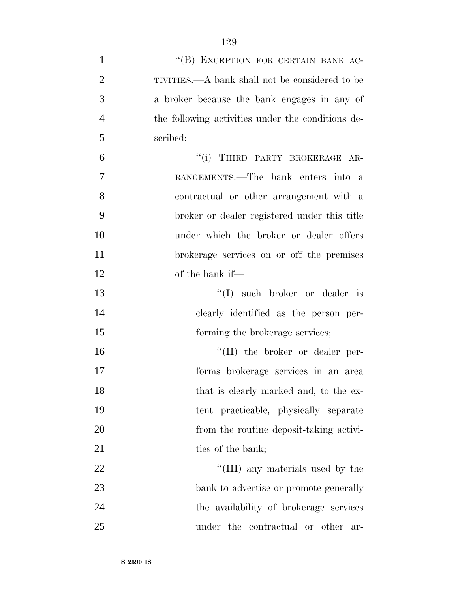| $\mathbf{1}$   | "(B) EXCEPTION FOR CERTAIN BANK AC-               |
|----------------|---------------------------------------------------|
| $\overline{2}$ | TIVITIES.—A bank shall not be considered to be    |
| 3              | a broker because the bank engages in any of       |
| $\overline{4}$ | the following activities under the conditions de- |
| 5              | scribed:                                          |
| 6              | "(i) THIRD PARTY BROKERAGE AR-                    |
| 7              | RANGEMENTS.—The bank enters into a                |
| 8              | contractual or other arrangement with a           |
| 9              | broker or dealer registered under this title      |
| 10             | under which the broker or dealer offers           |
| 11             | brokerage services on or off the premises         |
| 12             | of the bank if—                                   |
| 13             | $\lq\lq$ such broker or dealer is                 |
| 14             | clearly identified as the person per-             |
| 15             | forming the brokerage services;                   |
| 16             | "(II) the broker or dealer per-                   |
| 17             | forms brokerage services in an area               |
| 18             | that is clearly marked and, to the ex-            |
| 19             | tent practicable, physically separate             |
| 20             | from the routine deposit-taking activi-           |
| 21             | ties of the bank;                                 |
| 22             | "(III) any materials used by the                  |
| 23             | bank to advertise or promote generally            |
| 24             | the availability of brokerage services            |
| 25             | under the contractual or other ar-                |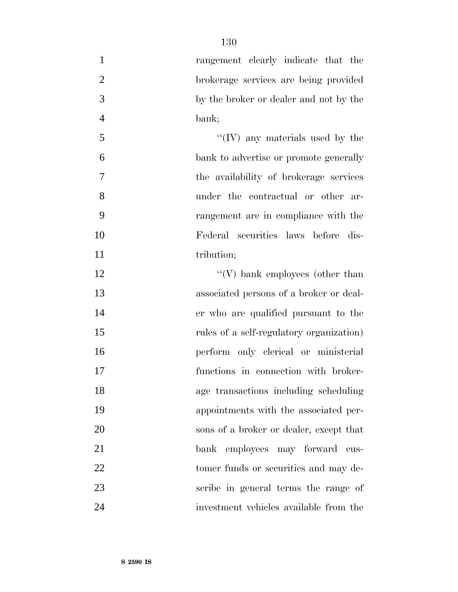| $\mathbf{1}$     | rangement clearly indicate that the      |
|------------------|------------------------------------------|
| $\overline{2}$   | brokerage services are being provided    |
| 3                | by the broker or dealer and not by the   |
| $\overline{4}$   | bank;                                    |
| $\mathfrak{S}$   | "(IV) any materials used by the          |
| 6                | bank to advertise or promote generally   |
| $\boldsymbol{7}$ | the availability of brokerage services   |
| 8                | under the contractual or other ar-       |
| 9                | rangement are in compliance with the     |
| 10               | Federal securities laws before dis-      |
| 11               | tribution;                               |
| 12               | $\lq\lq(V)$ bank employees (other than   |
| 13               | associated persons of a broker or deal-  |
| 14               | er who are qualified pursuant to the     |
| 15               | rules of a self-regulatory organization) |
| 16               | perform only clerical or ministerial     |
| 17               | functions in connection with broker-     |
| 18               | age transactions including scheduling    |
| 19               | appointments with the associated per-    |
| 20               | sons of a broker or dealer, except that  |
| 21               | bank employees may forward cus-          |
| 22               | tomer funds or securities and may de-    |
| 23               | scribe in general terms the range of     |
| 24               | investment vehicles available from the   |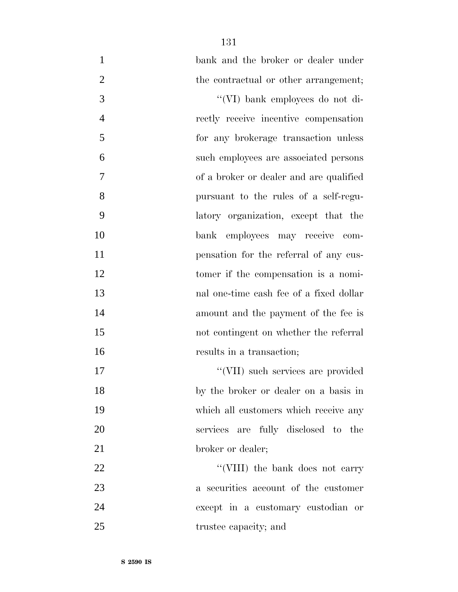| $\mathbf{1}$   | bank and the broker or dealer under     |
|----------------|-----------------------------------------|
| $\overline{2}$ | the contractual or other arrangement;   |
| 3              | "(VI) bank employees do not di-         |
| $\overline{4}$ | rectly receive incentive compensation   |
| 5              | for any brokerage transaction unless    |
| 6              | such employees are associated persons   |
| 7              | of a broker or dealer and are qualified |
| 8              | pursuant to the rules of a self-regu-   |
| 9              | latory organization, except that the    |
| 10             | bank employees may receive com-         |
| 11             | pensation for the referral of any cus-  |
| 12             | tomer if the compensation is a nomi-    |
| 13             | nal one-time cash fee of a fixed dollar |
| 14             | amount and the payment of the fee is    |
| 15             | not contingent on whether the referral  |
| 16             | results in a transaction;               |
| 17             | "(VII) such services are provided       |
| 18             | by the broker or dealer on a basis in   |
| 19             | which all customers which receive any   |
| 20             | services are fully disclosed to the     |
| 21             | broker or dealer;                       |
| 22             | "(VIII) the bank does not carry         |
| 23             | a securities account of the customer    |
| 24             | except in a customary custodian or      |
| 25             | trustee capacity; and                   |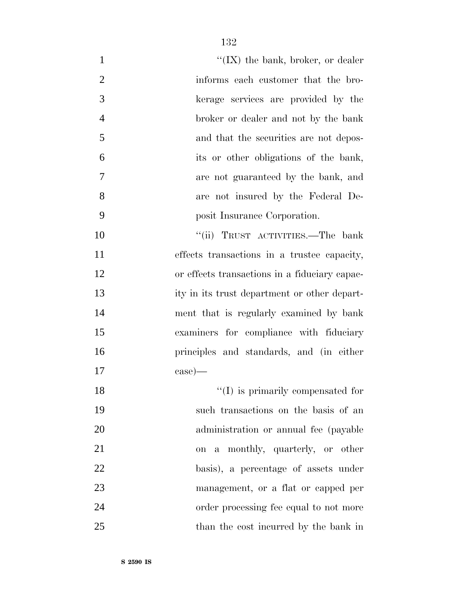| $\mathbf{1}$   | " $(IX)$ the bank, broker, or dealer          |
|----------------|-----------------------------------------------|
| $\overline{2}$ | informs each customer that the bro-           |
| 3              | kerage services are provided by the           |
| $\overline{4}$ | broker or dealer and not by the bank          |
| 5              | and that the securities are not depos-        |
| 6              | its or other obligations of the bank,         |
| 7              | are not guaranteed by the bank, and           |
| 8              | are not insured by the Federal De-            |
| 9              | posit Insurance Corporation.                  |
| 10             | "(ii) TRUST ACTIVITIES.—The bank              |
| 11             | effects transactions in a trustee capacity,   |
| 12             | or effects transactions in a fiduciary capac- |
| 13             | ity in its trust department or other depart-  |
| 14             | ment that is regularly examined by bank       |
| 15             | examiners for compliance with fiduciary       |
| 16             | principles and standards, and (in either      |
| 17             | $\cos$ )—                                     |
| 18             | $\lq\lq$ (I) is primarily compensated for     |
| 19             | such transactions on the basis of an          |
| 20             | administration or annual fee (payable         |
| 21             | on a monthly, quarterly, or other             |
| 22             | basis), a percentage of assets under          |
| 23             | management, or a flat or capped per           |
| 24             | order processing fee equal to not more        |
| 25             | than the cost incurred by the bank in         |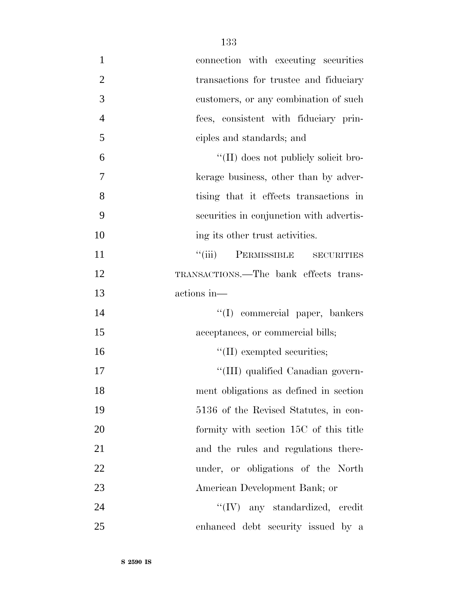| $\mathbf{1}$   | connection with executing securities        |
|----------------|---------------------------------------------|
| $\overline{2}$ | transactions for trustee and fiduciary      |
| 3              | customers, or any combination of such       |
| $\overline{4}$ | fees, consistent with fiduciary prin-       |
| 5              | ciples and standards; and                   |
| 6              | "(II) does not publicly solicit bro-        |
| $\tau$         | kerage business, other than by adver-       |
| 8              | tising that it effects transactions in      |
| 9              | securities in conjunction with advertis-    |
| 10             | ing its other trust activities.             |
| 11             | ``(iii)<br>PERMISSIBLE<br><b>SECURITIES</b> |
| 12             | TRANSACTIONS.—The bank effects trans-       |
| 13             | actions in—                                 |
| 14             | "(I) commercial paper, bankers              |
| 15             | acceptances, or commercial bills;           |
| 16             | $\lq\lq$ (II) exempted securities;          |
| 17             | "(III) qualified Canadian govern-           |
| 18             | ment obligations as defined in section      |
| 19             | 5136 of the Revised Statutes, in con-       |
| 20             | formity with section 15C of this title      |
| 21             | and the rules and regulations there-        |
| 22             | under, or obligations of the North          |
| 23             | American Development Bank; or               |
| 24             | "(IV) any standardized, credit              |
| 25             | enhanced debt security issued by a          |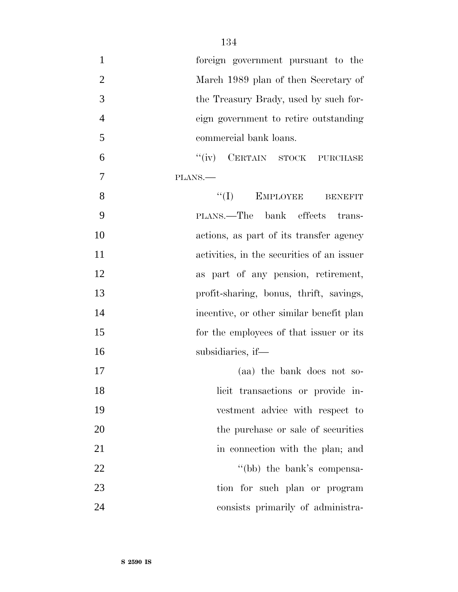| $\mathbf{1}$   | foreign government pursuant to the         |
|----------------|--------------------------------------------|
| $\overline{2}$ | March 1989 plan of then Secretary of       |
| $\mathfrak{Z}$ | the Treasury Brady, used by such for-      |
| $\overline{4}$ | eign government to retire outstanding      |
| 5              | commercial bank loans.                     |
| 6              | "(iv) CERTAIN STOCK PURCHASE               |
| 7              | PLANS.                                     |
| 8              | $\lq\lq (I)$ EMPLOYEE<br><b>BENEFIT</b>    |
| 9              | PLANS.—The bank effects trans-             |
| 10             | actions, as part of its transfer agency    |
| 11             | activities, in the securities of an issuer |
| 12             | as part of any pension, retirement,        |
| 13             | profit-sharing, bonus, thrift, savings,    |
| 14             | incentive, or other similar benefit plan   |
| 15             | for the employees of that issuer or its    |
| 16             | subsidiaries, if—                          |
| 17             | (aa) the bank does not so-                 |
| 18             | licit transactions or provide in-          |
| 19             | vestment advice with respect to            |
| 20             | the purchase or sale of securities         |
| 21             | in connection with the plan; and           |
| 22             | "(bb) the bank's compensa-                 |
| 23             | tion for such plan or program              |
| 24             | consists primarily of administra-          |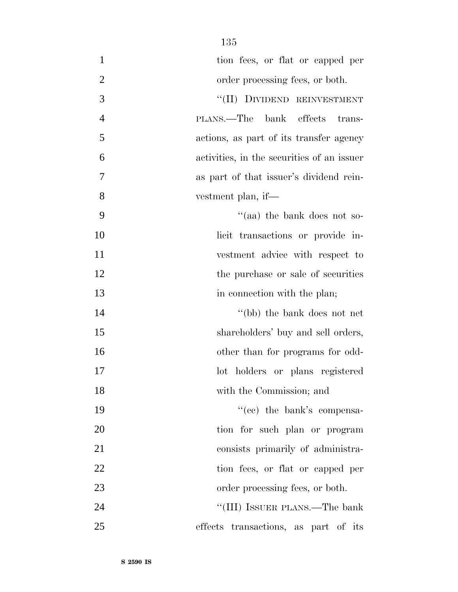| $\mathbf{1}$   | tion fees, or flat or capped per           |
|----------------|--------------------------------------------|
| $\overline{2}$ | order processing fees, or both.            |
| 3              | "(II) DIVIDEND REINVESTMENT                |
| $\overline{4}$ | PLANS.—The bank effects trans-             |
| 5              | actions, as part of its transfer agency    |
| 6              | activities, in the securities of an issuer |
| 7              | as part of that issuer's dividend rein-    |
| 8              | vestment plan, if—                         |
| 9              | "(aa) the bank does not so-                |
| 10             | licit transactions or provide in-          |
| 11             | vestment advice with respect to            |
| 12             | the purchase or sale of securities         |
| 13             | in connection with the plan;               |
| 14             | "(bb) the bank does not net                |
| 15             | shareholders' buy and sell orders,         |
| 16             | other than for programs for odd-           |
| 17             | lot holders or plans registered            |
| 18             | with the Commission; and                   |
| 19             | "(cc) the bank's compensa-                 |
| 20             | tion for such plan or program              |
| 21             | consists primarily of administra-          |
| 22             | tion fees, or flat or capped per           |
| 23             | order processing fees, or both.            |
| 24             | "(III) ISSUER PLANS.—The bank              |
| 25             | effects transactions, as part of its       |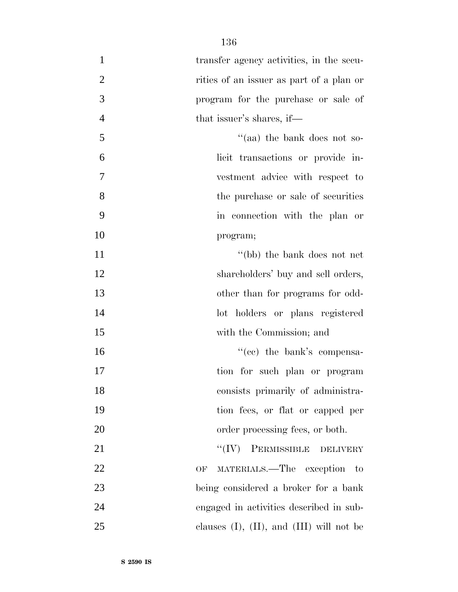| $\mathbf{1}$   | transfer agency activities, in the secu-         |
|----------------|--------------------------------------------------|
| $\overline{2}$ | rities of an issuer as part of a plan or         |
| 3              | program for the purchase or sale of              |
| $\overline{4}$ | that issuer's shares, if—                        |
| 5              | "(aa) the bank does not so-                      |
| 6              | licit transactions or provide in-                |
| 7              | vestment advice with respect to                  |
| 8              | the purchase or sale of securities               |
| 9              | in connection with the plan or                   |
| 10             | program;                                         |
| 11             | "(bb) the bank does not net                      |
| 12             | shareholders' buy and sell orders,               |
| 13             | other than for programs for odd-                 |
| 14             | lot holders or plans registered                  |
| 15             | with the Commission; and                         |
| 16             | "(cc) the bank's compensa-                       |
| 17             | tion for such plan or program                    |
| 18             | consists primarily of administra-                |
| 19             | tion fees, or flat or capped per                 |
| 20             | order processing fees, or both.                  |
| 21             | "(IV) PERMISSIBLE DELIVERY                       |
| 22             | MATERIALS.—The exception to<br>OF                |
| 23             | being considered a broker for a bank             |
| 24             | engaged in activities described in sub-          |
| 25             | clauses $(I)$ , $(II)$ , and $(III)$ will not be |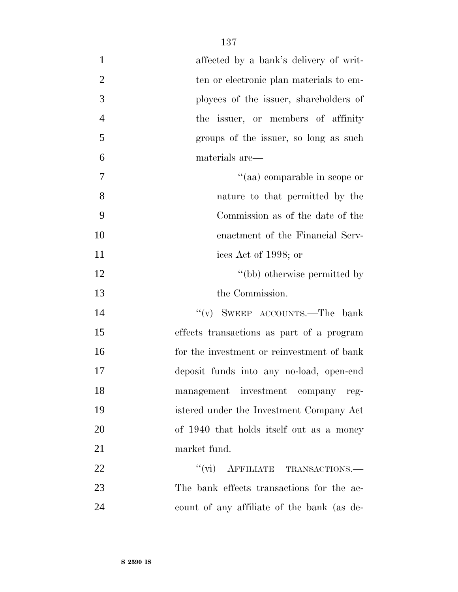| $\mathbf{1}$   | affected by a bank's delivery of writ-     |
|----------------|--------------------------------------------|
| $\overline{2}$ | ten or electronic plan materials to em-    |
| 3              | ployees of the issuer, shareholders of     |
| $\overline{4}$ | the issuer, or members of affinity         |
| 5              | groups of the issuer, so long as such      |
| 6              | materials are—                             |
| 7              | "(aa) comparable in scope or               |
| 8              | nature to that permitted by the            |
| 9              | Commission as of the date of the           |
| 10             | enactment of the Financial Serv-           |
| 11             | ices Act of 1998; or                       |
| 12             | "(bb) otherwise permitted by               |
| 13             | the Commission.                            |
| 14             | "(v) SWEEP ACCOUNTS.—The bank              |
| 15             | effects transactions as part of a program  |
| 16             | for the investment or reinvestment of bank |
| 17             | deposit funds into any no-load, open-end   |
| 18             | management investment company reg-         |
| 19             | istered under the Investment Company Act   |
| 20             | of 1940 that holds itself out as a money   |
| 21             | market fund.                               |
|                |                                            |
| 22             | "(vi) AFFILIATE TRANSACTIONS.—             |
| 23             | The bank effects transactions for the ac-  |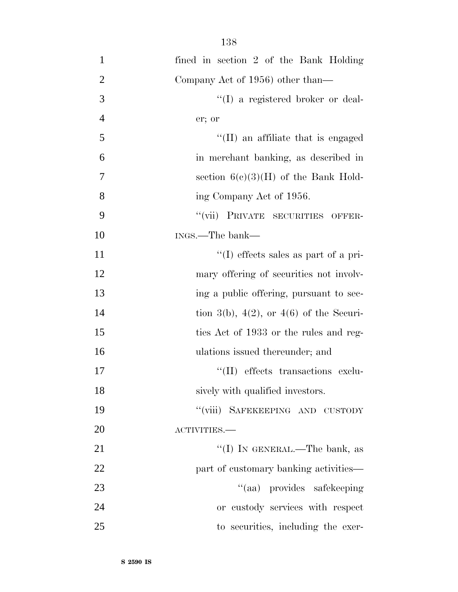| 138 |  |
|-----|--|
|     |  |

| $\mathbf{1}$   | fined in section 2 of the Bank Holding       |
|----------------|----------------------------------------------|
| $\overline{2}$ | Company Act of 1956) other than—             |
| 3              | "(I) a registered broker or deal-            |
| $\overline{4}$ | er; or                                       |
| 5              | $\lq$ (II) an affiliate that is engaged      |
| 6              | in merchant banking, as described in         |
| 7              | section $6(c)(3)(H)$ of the Bank Hold-       |
| 8              | ing Company Act of 1956.                     |
| 9              | "(vii) PRIVATE SECURITIES OFFER-             |
| 10             | INGS.—The bank—                              |
| 11             | $\lq\lq$ (I) effects sales as part of a pri- |
| 12             | mary offering of securities not involv-      |
| 13             | ing a public offering, pursuant to sec-      |
| 14             | tion 3(b), 4(2), or 4(6) of the Securi-      |
| 15             | ties Act of 1933 or the rules and reg-       |
| 16             | ulations issued thereunder; and              |
| 17             | "(II) effects transactions exclu-            |
| 18             | sively with qualified investors.             |
| 19             | "(viii) SAFEKEEPING AND CUSTODY              |
| 20             | ACTIVITIES.-                                 |
| 21             | "(I) IN GENERAL.—The bank, as                |
| 22             | part of customary banking activities-        |
| 23             | "(aa) provides safekeeping                   |
| 24             | or custody services with respect             |
| 25             | to securities, including the exer-           |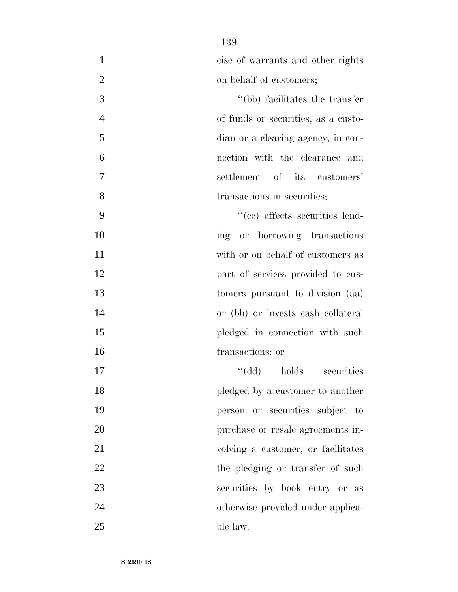cise of warrants and other rights 2 on behalf of customers;

 ''(bb) facilitates the transfer of funds or securities, as a custo- dian or a clearing agency, in con- nection with the clearance and settlement of its customers' 8 transactions in securities;

 $((ce)$  effects securities lend-10 ing or borrowing transactions with or on behalf of customers as **part of services provided to cus-** tomers pursuant to division (aa) or (bb) or invests cash collateral 15 pledged in connection with such transactions; or

17 ''(dd) holds securities **pledged** by a customer to another person or securities subject to purchase or resale agreements in-21 volving a customer, or facilitates 22 the pledging or transfer of such securities by book entry or as otherwise provided under applica-ble law.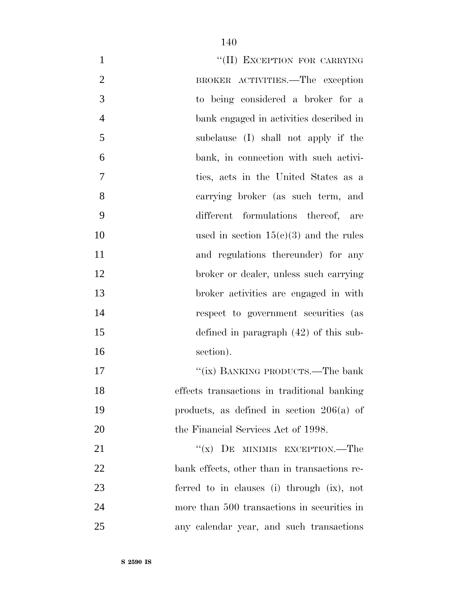| $\mathbf{1}$   | "(II) EXCEPTION FOR CARRYING                 |
|----------------|----------------------------------------------|
| $\overline{2}$ | BROKER ACTIVITIES.—The exception             |
| 3              | to being considered a broker for a           |
| $\overline{4}$ | bank engaged in activities described in      |
| 5              | subclause (I) shall not apply if the         |
| 6              | bank, in connection with such activi-        |
| 7              | ties, acts in the United States as a         |
| 8              | carrying broker (as such term, and           |
| 9              | different formulations thereof, are          |
| 10             | used in section $15(c)(3)$ and the rules     |
| 11             | and regulations thereunder) for any          |
| 12             | broker or dealer, unless such carrying       |
| 13             | broker activities are engaged in with        |
| 14             | respect to government securities (as         |
| 15             | defined in paragraph $(42)$ of this sub-     |
| 16             | section).                                    |
| 17             | "(ix) BANKING PRODUCTS.—The bank             |
| 18             | effects transactions in traditional banking  |
| 19             | products, as defined in section $206(a)$ of  |
| 20             | the Financial Services Act of 1998.          |
| 21             | "(x) DE MINIMIS EXCEPTION.—The               |
| 22             | bank effects, other than in transactions re- |
| 23             | ferred to in clauses (i) through (ix), not   |
| 24             | more than 500 transactions in securities in  |
| 25             | any calendar year, and such transactions     |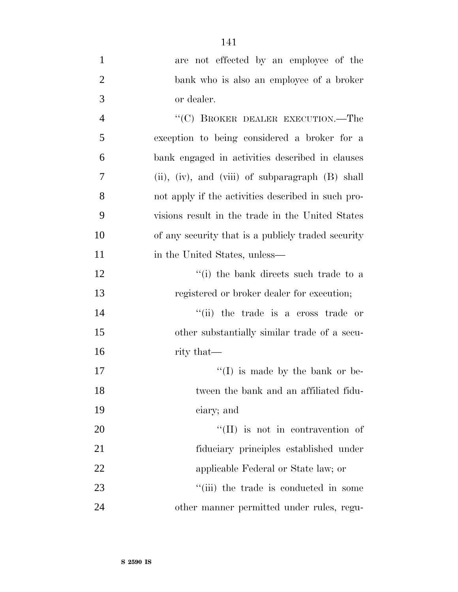| $\mathbf{1}$   | are not effected by an employee of the             |
|----------------|----------------------------------------------------|
| $\overline{2}$ | bank who is also an employee of a broker           |
| 3              | or dealer.                                         |
| $\overline{4}$ | "(C) BROKER DEALER EXECUTION.—The                  |
| 5              | exception to being considered a broker for a       |
| 6              | bank engaged in activities described in clauses    |
| 7              | (ii), (iv), and (viii) of subparagraph (B) shall   |
| 8              | not apply if the activities described in such pro- |
| 9              | visions result in the trade in the United States   |
| 10             | of any security that is a publicly traded security |
| 11             | in the United States, unless—                      |
| 12             | "(i) the bank directs such trade to a              |
| 13             | registered or broker dealer for execution;         |
| 14             | "(ii) the trade is a cross trade or                |
| 15             | other substantially similar trade of a secu-       |
| 16             | rity that—                                         |
| 17             | $\lq (I)$ is made by the bank or be-               |
| 18             | tween the bank and an affiliated fidu-             |
| 19             | ciary; and                                         |
| 20             | "(II) is not in contravention of                   |
| 21             | fiduciary principles established under             |
| 22             | applicable Federal or State law; or                |
| 23             | "(iii) the trade is conducted in some              |
| 24             | other manner permitted under rules, regu-          |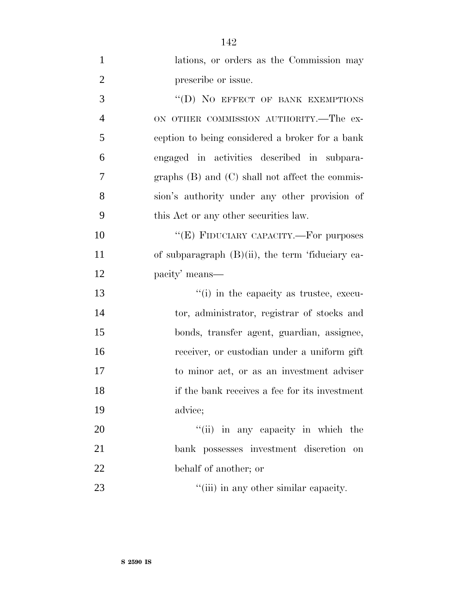| $\mathbf{1}$   | lations, or orders as the Commission may            |
|----------------|-----------------------------------------------------|
| $\overline{2}$ | prescribe or issue.                                 |
| 3              | "(D) NO EFFECT OF BANK EXEMPTIONS                   |
| $\overline{4}$ | ON OTHER COMMISSION AUTHORITY.—The ex-              |
| 5              | ception to being considered a broker for a bank     |
| 6              | engaged in activities described in subpara-         |
| $\overline{7}$ | graphs $(B)$ and $(C)$ shall not affect the commis- |
| 8              | sion's authority under any other provision of       |
| 9              | this Act or any other securities law.               |
| 10             | "(E) FIDUCIARY CAPACITY.—For purposes               |
| 11             | of subparagraph $(B)(ii)$ , the term 'fiduciary ca- |
| 12             | pacity' means—                                      |
| 13             | "(i) in the capacity as trustee, execu-             |
| 14             | tor, administrator, registrar of stocks and         |
| 15             | bonds, transfer agent, guardian, assignee,          |
| 16             | receiver, or custodian under a uniform gift         |
| 17             | to minor act, or as an investment adviser           |
| 18             | if the bank receives a fee for its investment       |
| 19             | advice;                                             |
| 20             | "(ii) in any capacity in which the                  |
| 21             | bank possesses investment discretion<br>on          |
| 22             | behalf of another; or                               |
|                |                                                     |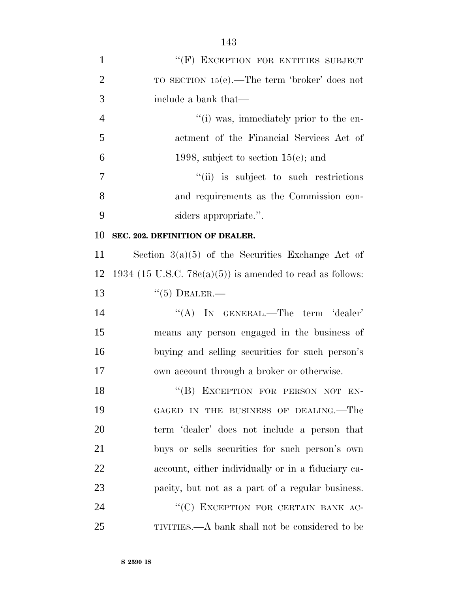| $\mathbf{1}$   | "(F) EXCEPTION FOR ENTITIES SUBJECT                           |
|----------------|---------------------------------------------------------------|
| $\overline{2}$ | TO SECTION $15(e)$ . The term 'broker' does not               |
| 3              | include a bank that—                                          |
| $\overline{4}$ | "(i) was, immediately prior to the en-                        |
| 5              | actment of the Financial Services Act of                      |
| 6              | 1998, subject to section $15(e)$ ; and                        |
| 7              | "(ii) is subject to such restrictions                         |
| 8              | and requirements as the Commission con-                       |
| 9              | siders appropriate.".                                         |
| 10             | SEC. 202. DEFINITION OF DEALER.                               |
| 11             | Section $3(a)(5)$ of the Securities Exchange Act of           |
| 12             | 1934 (15 U.S.C. 78 $c(a)(5)$ ) is amended to read as follows: |
| 13             | $``(5)$ DEALER.—                                              |
| 14             | "(A) IN GENERAL.—The term 'dealer'                            |
| 15             | means any person engaged in the business of                   |
| 16             | buying and selling securities for such person's               |
| 17             | own account through a broker or otherwise.                    |
| 18             | "(B) EXCEPTION FOR PERSON NOT EN-                             |
| 19             | GAGED IN THE BUSINESS OF DEALING. The                         |
| 20             | term 'dealer' does not include a person that                  |
| 21             | buys or sells securities for such person's own                |
| 22             | account, either individually or in a fiduciary ca-            |
| 23             | pacity, but not as a part of a regular business.              |
| 24             | "(C) EXCEPTION FOR CERTAIN BANK AC-                           |
| 25             | TIVITIES.—A bank shall not be considered to be                |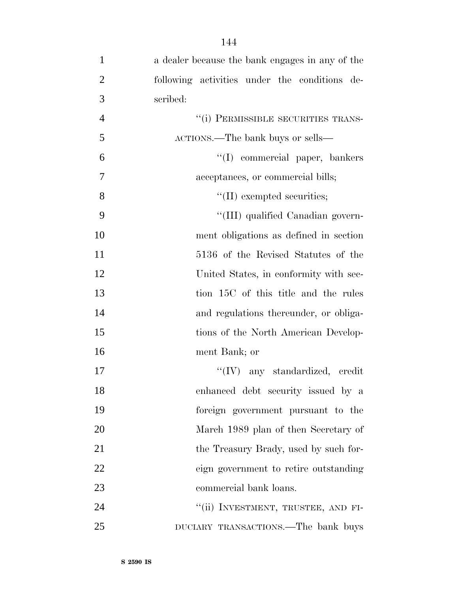| $\mathbf{1}$   | a dealer because the bank engages in any of the |
|----------------|-------------------------------------------------|
| $\overline{2}$ | following activities under the conditions de-   |
| 3              | scribed:                                        |
| $\overline{4}$ | "(i) PERMISSIBLE SECURITIES TRANS-              |
| 5              | ACTIONS.—The bank buys or sells—                |
| 6              | "(I) commercial paper, bankers                  |
| 7              | acceptances, or commercial bills;               |
| 8              | $\lq\lq$ (II) exempted securities;              |
| 9              | "(III) qualified Canadian govern-               |
| 10             | ment obligations as defined in section          |
| 11             | 5136 of the Revised Statutes of the             |
| 12             | United States, in conformity with sec-          |
| 13             | tion 15C of this title and the rules            |
| 14             | and regulations thereunder, or obliga-          |
| 15             | tions of the North American Develop-            |
| 16             | ment Bank; or                                   |
| 17             | $\lq\lq (IV)$ any standardized, credit          |
| 18             | enhanced debt security issued by a              |
| 19             | foreign government pursuant to the              |
| 20             | March 1989 plan of then Secretary of            |
| 21             | the Treasury Brady, used by such for-           |
| 22             | eign government to retire outstanding           |
| 23             | commercial bank loans.                          |
| 24             | "(ii) INVESTMENT, TRUSTEE, AND FI-              |
| 25             | DUCIARY TRANSACTIONS.—The bank buys             |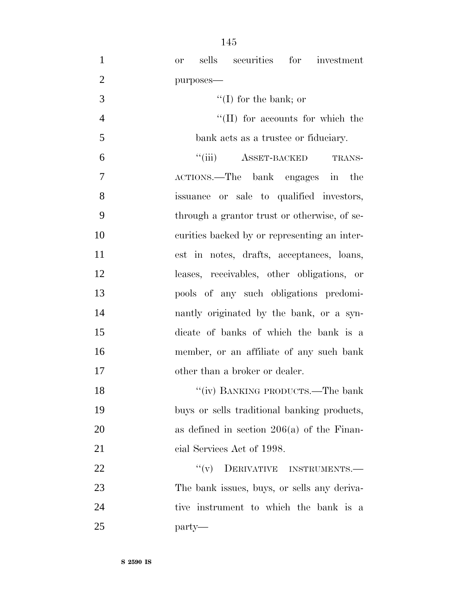| $\mathbf{1}$   | sells securities for investment<br><b>or</b> |
|----------------|----------------------------------------------|
| $\overline{2}$ | purposes-                                    |
| 3              | $\lq\lq$ (I) for the bank; or                |
| $\overline{4}$ | $\lq\lq$ (II) for accounts for which the     |
| 5              | bank acts as a trustee or fiduciary.         |
| 6              | $``$ (iii)<br><b>ASSET-BACKED</b><br>TRANS-  |
| 7              | ACTIONS.—The bank engages in the             |
| 8              | issuance or sale to qualified investors,     |
| 9              | through a grantor trust or otherwise, of se- |
| 10             | curities backed by or representing an inter- |
| 11             | est in notes, drafts, acceptances, loans,    |
| 12             | leases, receivables, other obligations, or   |
| 13             | pools of any such obligations predomi-       |
| 14             | nantly originated by the bank, or a syn-     |
| 15             | dicate of banks of which the bank is a       |
| 16             | member, or an affiliate of any such bank     |
| 17             | other than a broker or dealer.               |
| 18             | "(iv) BANKING PRODUCTS.—The bank             |
| 19             | buys or sells traditional banking products,  |
| 20             | as defined in section $206(a)$ of the Finan- |
| 21             | cial Services Act of 1998.                   |
| 22             | ``(v)<br>DERIVATIVE INSTRUMENTS.             |
| 23             | The bank issues, buys, or sells any deriva-  |
| 24             | tive instrument to which the bank is a       |
| 25             | party—                                       |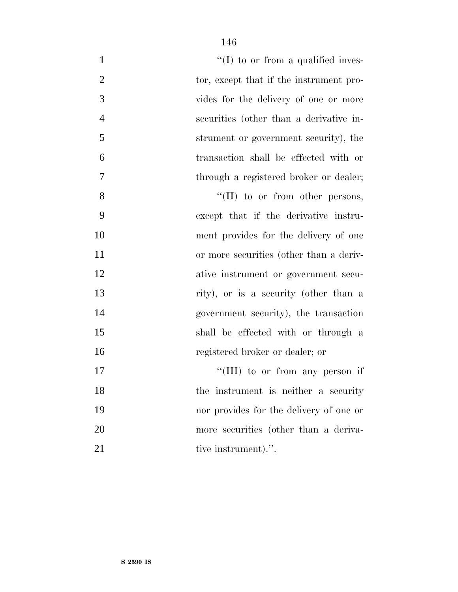| $\mathbf{1}$   | $\lq\lq$ (I) to or from a qualified inves- |
|----------------|--------------------------------------------|
| $\overline{2}$ | tor, except that if the instrument pro-    |
| 3              | vides for the delivery of one or more      |
| $\overline{4}$ | securities (other than a derivative in-    |
| 5              | strument or government security), the      |
| 6              | transaction shall be effected with or      |
| $\tau$         | through a registered broker or dealer;     |
| 8              | $\lq\lq$ (II) to or from other persons,    |
| 9              | except that if the derivative instru-      |
| 10             | ment provides for the delivery of one      |
| 11             | or more securities (other than a deriv-    |
| 12             | ative instrument or government secu-       |
| 13             | rity), or is a security (other than a      |
| 14             | government security), the transaction      |
| 15             | shall be effected with or through a        |
| 16             | registered broker or dealer; or            |
| 17             | "(III) to or from any person if            |
| 18             | the instrument is neither a security       |
| 19             | nor provides for the delivery of one or    |
| 20             | more securities (other than a deriva-      |
| 21             | tive instrument).".                        |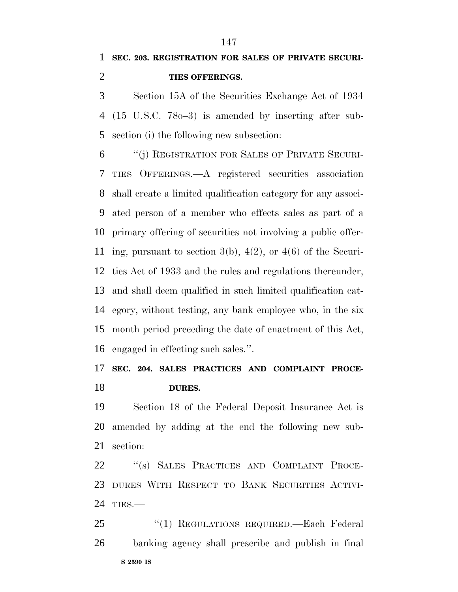Section 15A of the Securities Exchange Act of 1934 (15 U.S.C. 78o–3) is amended by inserting after sub-section (i) the following new subsection:

 ''(j) REGISTRATION FOR SALES OF PRIVATE SECURI- TIES OFFERINGS.—A registered securities association shall create a limited qualification category for any associ- ated person of a member who effects sales as part of a primary offering of securities not involving a public offer- ing, pursuant to section 3(b), 4(2), or 4(6) of the Securi- ties Act of 1933 and the rules and regulations thereunder, and shall deem qualified in such limited qualification cat- egory, without testing, any bank employee who, in the six month period preceding the date of enactment of this Act, engaged in effecting such sales.''.

## **SEC. 204. SALES PRACTICES AND COMPLAINT PROCE-DURES.**

 Section 18 of the Federal Deposit Insurance Act is amended by adding at the end the following new sub-section:

 ''(s) SALES PRACTICES AND COMPLAINT PROCE- DURES WITH RESPECT TO BANK SECURITIES ACTIVI-TIES.—

**S 2590 IS** ''(1) REGULATIONS REQUIRED.—Each Federal banking agency shall prescribe and publish in final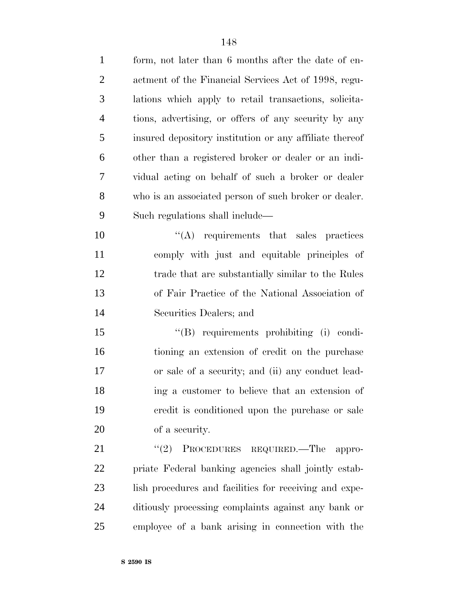| $\mathbf{1}$   | form, not later than 6 months after the date of en-     |
|----------------|---------------------------------------------------------|
| $\overline{2}$ | actment of the Financial Services Act of 1998, regu-    |
| 3              | lations which apply to retail transactions, solicita-   |
| $\overline{4}$ | tions, advertising, or offers of any security by any    |
| 5              | insured depository institution or any affiliate thereof |
| 6              | other than a registered broker or dealer or an indi-    |
| 7              | vidual acting on behalf of such a broker or dealer      |
| 8              | who is an associated person of such broker or dealer.   |
| 9              | Such regulations shall include—                         |
| 10             | $\lq\lq$ requirements that sales practices              |
| 11             | comply with just and equitable principles of            |
| 12             | trade that are substantially similar to the Rules       |
| 13             | of Fair Practice of the National Association of         |
| 14             | Securities Dealers; and                                 |
| 15             | $\lq\lq (B)$ requirements prohibiting (i) condi-        |
| 16             | tioning an extension of credit on the purchase          |
| 17             | or sale of a security; and (ii) any conduct lead-       |
| 18             | ing a customer to believe that an extension of          |
| 19             | eredit is conditioned upon the purchase or sale         |
| 20             | of a security.                                          |
| 21             | (2)<br>PROCEDURES REQUIRED.—The appro-                  |
| 22             | priate Federal banking agencies shall jointly estab-    |
| 23             | lish procedures and facilities for receiving and expe-  |
| 24             | ditiously processing complaints against any bank or     |
| 25             | employee of a bank arising in connection with the       |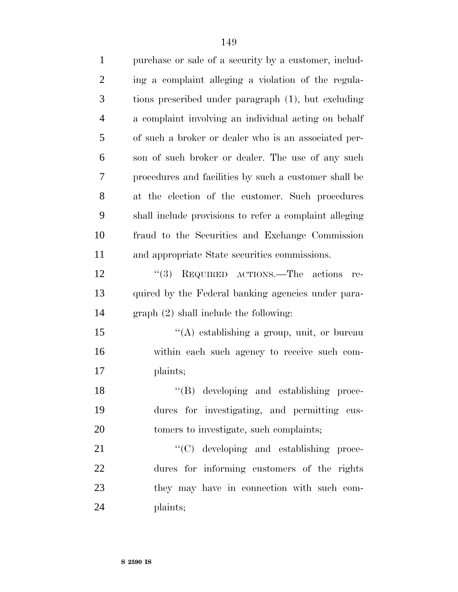| $\mathbf{1}$   | purchase or sale of a security by a customer, includ-  |
|----------------|--------------------------------------------------------|
| $\overline{2}$ | ing a complaint alleging a violation of the regula-    |
| 3              | tions prescribed under paragraph (1), but excluding    |
| $\overline{4}$ | a complaint involving an individual acting on behalf   |
| 5              | of such a broker or dealer who is an associated per-   |
| 6              | son of such broker or dealer. The use of any such      |
| 7              | procedures and facilities by such a customer shall be  |
| 8              | at the election of the customer. Such procedures       |
| 9              | shall include provisions to refer a complaint alleging |
| 10             | fraud to the Securities and Exchange Commission        |
| 11             | and appropriate State securities commissions.          |
| 12             | "(3) REQUIRED ACTIONS.—The actions<br>re-              |
| 13             | quired by the Federal banking agencies under para-     |
| 14             | $graph (2) shall include the following:$               |
| 15             | "(A) establishing a group, unit, or bureau             |
| 16             | within each such agency to receive such com-           |
| 17             | plaints;                                               |
| 18             | $\lq\lq (B)$ developing and establishing proce-        |
| 19             | dures for investigating, and permitting cus-           |
| 20             | tomers to investigate, such complaints;                |
| 21             | "(C) developing and establishing proce-                |
| 22             | dures for informing customers of the rights            |
| 23             | they may have in connection with such com-             |
| 24             | plaints;                                               |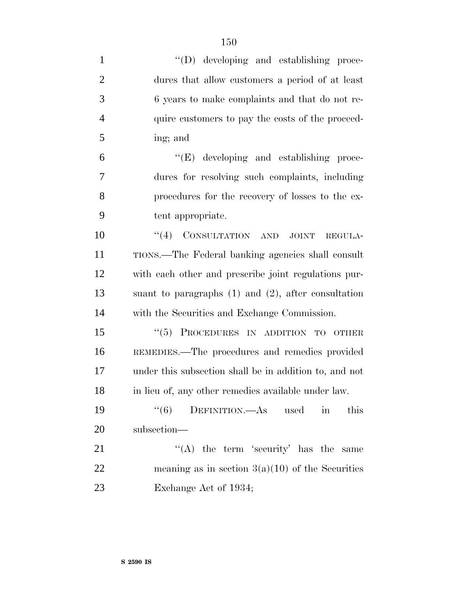| $\mathbf{1}$   | "(D) developing and establishing proce-                   |
|----------------|-----------------------------------------------------------|
| $\overline{2}$ | dures that allow customers a period of at least           |
| 3              | 6 years to make complaints and that do not re-            |
| $\overline{4}$ | quire customers to pay the costs of the proceed-          |
| 5              | ing; and                                                  |
| 6              | "(E) developing and establishing proce-                   |
| $\overline{7}$ | dures for resolving such complaints, including            |
| 8              | procedures for the recovery of losses to the ex-          |
| 9              | tent appropriate.                                         |
| 10             | "(4) CONSULTATION AND<br><b>JOINT</b><br>REGULA-          |
| 11             | TIONS.—The Federal banking agencies shall consult         |
| 12             | with each other and prescribe joint regulations pur-      |
| 13             | suant to paragraphs $(1)$ and $(2)$ , after consultation  |
| 14             | with the Securities and Exchange Commission.              |
| 15             | "(5) PROCEDURES IN ADDITION TO OTHER                      |
| 16             | REMEDIES.—The procedures and remedies provided            |
| 17             | under this subsection shall be in addition to, and not    |
| 18             | in lieu of, any other remedies available under law.       |
| 19             | DEFINITION.—As used<br>(6)<br>this<br>$\operatorname{in}$ |
| 20             | subsection—                                               |
| 21             | "(A) the term 'security' has the same                     |
| 22             | meaning as in section $3(a)(10)$ of the Securities        |
| 23             | Exchange Act of 1934;                                     |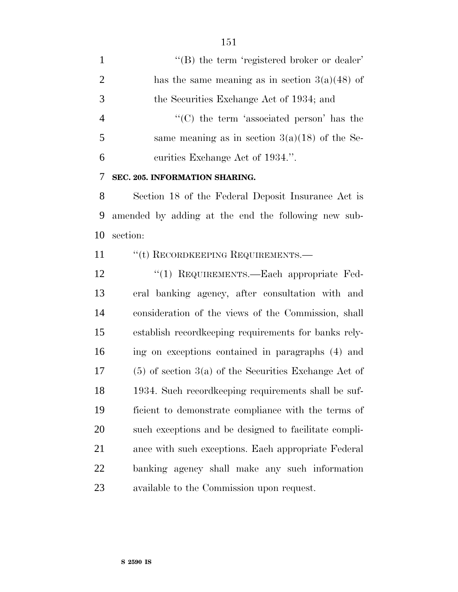1 ''(B) the term 'registered broker or dealer' 2 has the same meaning as in section  $3(a)(48)$  of the Securities Exchange Act of 1934; and 4 ''(C) the term 'associated person' has the 5 same meaning as in section  $3(a)(18)$  of the Se-curities Exchange Act of 1934.''.

**SEC. 205. INFORMATION SHARING.**

 Section 18 of the Federal Deposit Insurance Act is amended by adding at the end the following new sub-section:

11 " "(t) RECORDKEEPING REQUIREMENTS.—

12 "(1) REQUIREMENTS.—Each appropriate Fed- eral banking agency, after consultation with and consideration of the views of the Commission, shall establish recordkeeping requirements for banks rely- ing on exceptions contained in paragraphs (4) and (5) of section 3(a) of the Securities Exchange Act of 1934. Such recordkeeping requirements shall be suf- ficient to demonstrate compliance with the terms of such exceptions and be designed to facilitate compli- ance with such exceptions. Each appropriate Federal banking agency shall make any such information available to the Commission upon request.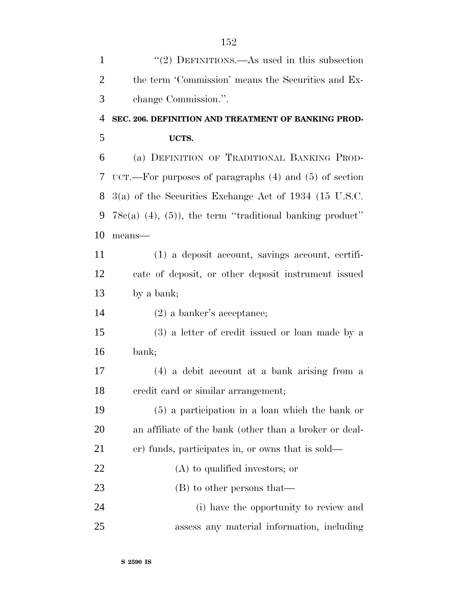| $\mathbf{1}$   | "(2) DEFINITIONS.—As used in this subsection                     |
|----------------|------------------------------------------------------------------|
| $\overline{2}$ | the term 'Commission' means the Securities and Ex-               |
| 3              | change Commission.".                                             |
| 4              | SEC. 206. DEFINITION AND TREATMENT OF BANKING PROD-              |
| 5              | UCTS.                                                            |
| 6              | (a) DEFINITION OF TRADITIONAL BANKING PROD-                      |
| 7              | $\text{UCT.}$ —For purposes of paragraphs (4) and (5) of section |
| 8              | $3(a)$ of the Securities Exchange Act of 1934 (15 U.S.C.         |
| 9              | $78c(a)$ (4), (5)), the term "traditional banking product"       |
| 10             | means-                                                           |
| 11             | (1) a deposit account, savings account, certifi-                 |
| 12             | cate of deposit, or other deposit instrument issued              |
| 13             | by a bank;                                                       |
| 14             | $(2)$ a banker's acceptance;                                     |
| 15             | (3) a letter of credit issued or loan made by a                  |
| 16             | bank;                                                            |
| 17             | (4) a debit account at a bank arising from a                     |
| 18             | credit card or similar arrangement;                              |
| 19             | $(5)$ a participation in a loan which the bank or                |
| 20             | an affiliate of the bank (other than a broker or deal-           |
| 21             | er) funds, participates in, or owns that is sold—                |
| 22             | $(A)$ to qualified investors; or                                 |
| 23             | (B) to other persons that—                                       |
| 24             | (i) have the opportunity to review and                           |
| 25             | assess any material information, including                       |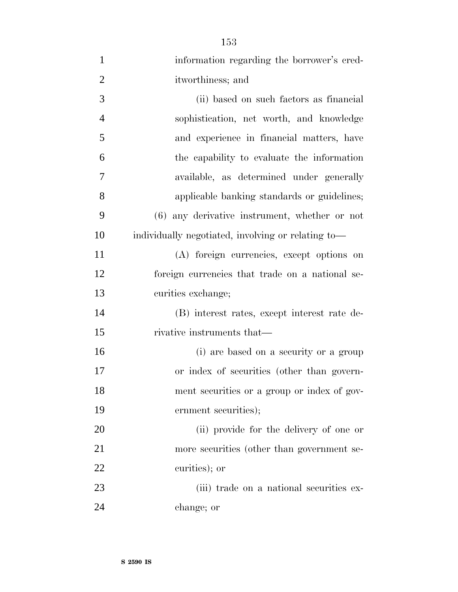| $\mathbf{1}$   | information regarding the borrower's cred-         |
|----------------|----------------------------------------------------|
| $\overline{2}$ | itworthiness; and                                  |
| 3              | (ii) based on such factors as financial            |
| $\overline{4}$ | sophistication, net worth, and knowledge           |
| 5              | and experience in financial matters, have          |
| 6              | the capability to evaluate the information         |
| 7              | available, as determined under generally           |
| 8              | applicable banking standards or guidelines;        |
| 9              | (6) any derivative instrument, whether or not      |
| 10             | individually negotiated, involving or relating to- |
| 11             | (A) foreign currencies, except options on          |
| 12             | foreign currencies that trade on a national se-    |
| 13             | curities exchange;                                 |
| 14             | (B) interest rates, except interest rate de-       |
| 15             | rivative instruments that—                         |
| 16             | (i) are based on a security or a group             |
| 17             | or index of securities (other than govern-         |
| 18             | ment securities or a group or index of gov-        |
| 19             | ernment securities);                               |
| 20             | (ii) provide for the delivery of one or            |
| 21             | more securities (other than government se-         |
| 22             | curities); or                                      |
| 23             | (iii) trade on a national securities ex-           |
| 24             | change; or                                         |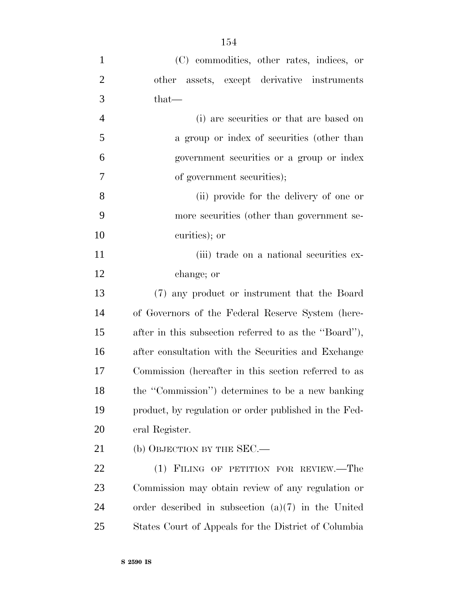| $\mathbf{1}$   | (C) commodities, other rates, indices, or             |
|----------------|-------------------------------------------------------|
| $\overline{2}$ | other assets, except derivative instruments           |
| 3              | $that-$                                               |
| $\overline{4}$ | (i) are securities or that are based on               |
| 5              | a group or index of securities (other than            |
| 6              | government securities or a group or index             |
| 7              | of government securities);                            |
| 8              | (ii) provide for the delivery of one or               |
| 9              | more securities (other than government se-            |
| 10             | curities); or                                         |
| 11             | (iii) trade on a national securities ex-              |
| 12             | change; or                                            |
| 13             | (7) any product or instrument that the Board          |
| 14             | of Governors of the Federal Reserve System (here-     |
| 15             | after in this subsection referred to as the "Board"), |
| 16             | after consultation with the Securities and Exchange   |
| 17             | Commission (hereafter in this section referred to as  |
| 18             | the "Commission") determines to be a new banking      |
| 19             | product, by regulation or order published in the Fed- |
| 20             | eral Register.                                        |
| 21             | (b) OBJECTION BY THE $SEC. -$                         |

 (1) FILING OF PETITION FOR REVIEW.—The Commission may obtain review of any regulation or order described in subsection (a)(7) in the United States Court of Appeals for the District of Columbia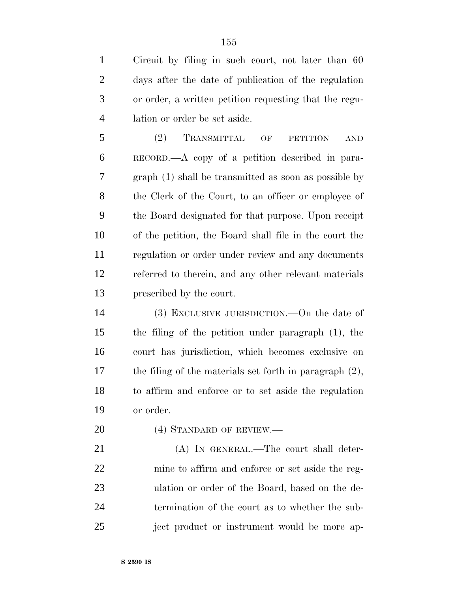Circuit by filing in such court, not later than 60 days after the date of publication of the regulation or order, a written petition requesting that the regu-lation or order be set aside.

 (2) TRANSMITTAL OF PETITION AND RECORD.—A copy of a petition described in para- graph (1) shall be transmitted as soon as possible by the Clerk of the Court, to an officer or employee of the Board designated for that purpose. Upon receipt of the petition, the Board shall file in the court the regulation or order under review and any documents referred to therein, and any other relevant materials prescribed by the court.

 (3) EXCLUSIVE JURISDICTION.—On the date of the filing of the petition under paragraph (1), the court has jurisdiction, which becomes exclusive on the filing of the materials set forth in paragraph (2), to affirm and enforce or to set aside the regulation or order.

20 (4) STANDARD OF REVIEW.—

21 (A) IN GENERAL.—The court shall deter- mine to affirm and enforce or set aside the reg- ulation or order of the Board, based on the de- termination of the court as to whether the sub-ject product or instrument would be more ap-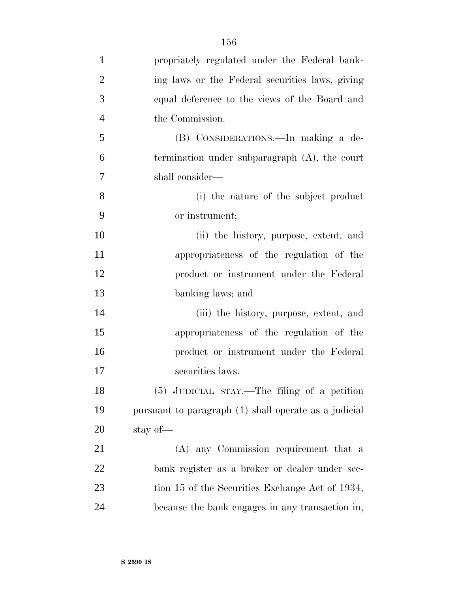| $\mathbf{1}$   | propriately regulated under the Federal bank-         |
|----------------|-------------------------------------------------------|
| $\overline{2}$ | ing laws or the Federal securities laws, giving       |
| 3              | equal deference to the views of the Board and         |
| $\overline{4}$ | the Commission.                                       |
| 5              | (B) CONSIDERATIONS.—In making a de-                   |
| 6              | termination under subparagraph $(A)$ , the court      |
| 7              | shall consider—                                       |
| 8              | (i) the nature of the subject product                 |
| 9              | or instrument;                                        |
| 10             | (ii) the history, purpose, extent, and                |
| 11             | appropriateness of the regulation of the              |
| 12             | product or instrument under the Federal               |
| 13             | banking laws; and                                     |
| 14             | (iii) the history, purpose, extent, and               |
| 15             | appropriateness of the regulation of the              |
| 16             | product or instrument under the Federal               |
| 17             | securities laws.                                      |
| 18             | (5) JUDICIAL STAY.—The filing of a petition           |
| 19             | pursuant to paragraph (1) shall operate as a judicial |
| 20             | stay of—                                              |
| 21             | (A) any Commission requirement that a                 |
| 22             | bank register as a broker or dealer under sec-        |
| 23             | tion 15 of the Securities Exchange Act of 1934,       |
| 24             | because the bank engages in any transaction in,       |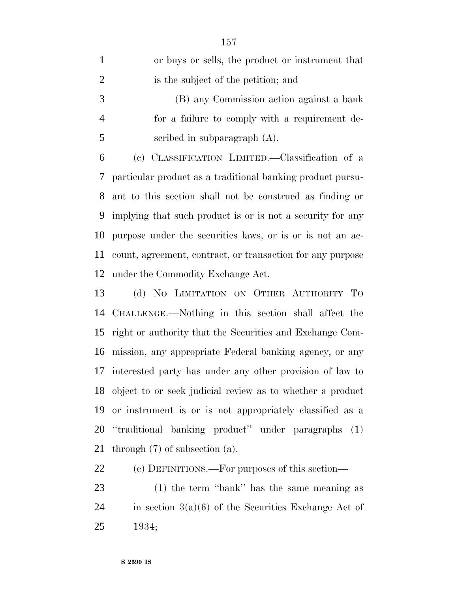| $\mathbf{1}$   | or buys or sells, the product or instrument that           |
|----------------|------------------------------------------------------------|
| $\overline{2}$ | is the subject of the petition; and                        |
| 3              | (B) any Commission action against a bank                   |
| $\overline{4}$ | for a failure to comply with a requirement de-             |
| 5              | scribed in subparagraph (A).                               |
| 6              | (c) CLASSIFICATION LIMITED. - Classification of a          |
| 7              | particular product as a traditional banking product pursu- |
| 8              | ant to this section shall not be construed as finding or   |
| 9              | implying that such product is or is not a security for any |
| 10             | purpose under the securities laws, or is or is not an ac-  |
| 11             | count, agreement, contract, or transaction for any purpose |
| 12             | under the Commodity Exchange Act.                          |
| 13             | (d) NO LIMITATION ON OTHER AUTHORITY TO                    |
| 14             | CHALLENGE.—Nothing in this section shall affect the        |
| 15             | right or authority that the Securities and Exchange Com-   |
| 16             | mission, any appropriate Federal banking agency, or any    |
| 17             | interested party has under any other provision of law to   |
| 18             | object to or seek judicial review as to whether a product  |
| 19             | or instrument is or is not appropriately classified as a   |
| 20             | "traditional banking product" under paragraphs (1)         |
| 21             | through $(7)$ of subsection $(a)$ .                        |
| 22             | (e) DEFINITIONS.—For purposes of this section—             |

 (1) the term ''bank'' has the same meaning as 24 in section  $3(a)(6)$  of the Securities Exchange Act of 1934;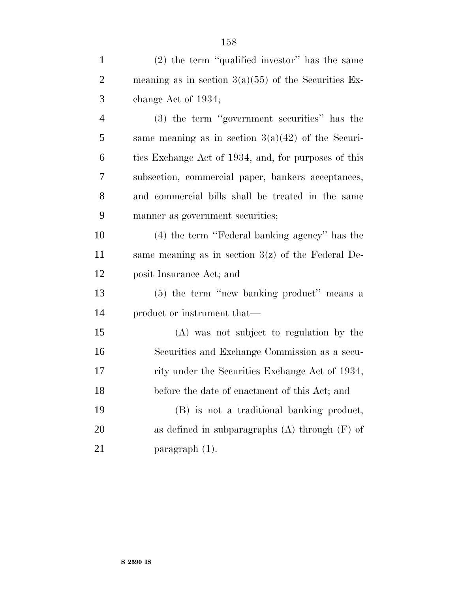| $\mathbf{1}$   | $(2)$ the term "qualified investor" has the same       |
|----------------|--------------------------------------------------------|
| $\overline{2}$ | meaning as in section $3(a)(55)$ of the Securities Ex- |
| 3              | change Act of 1934;                                    |
| $\overline{4}$ | (3) the term "government securities" has the           |
| 5              | same meaning as in section $3(a)(42)$ of the Securi-   |
| 6              | ties Exchange Act of 1934, and, for purposes of this   |
| 7              | subsection, commercial paper, bankers acceptances,     |
| 8              | and commercial bills shall be treated in the same      |
| 9              | manner as government securities;                       |
| 10             | (4) the term "Federal banking agency" has the          |
| 11             | same meaning as in section $3(z)$ of the Federal De-   |
| 12             | posit Insurance Act; and                               |
| 13             | (5) the term "new banking product" means a             |
| 14             | product or instrument that—                            |
| 15             | (A) was not subject to regulation by the               |
| 16             | Securities and Exchange Commission as a secu-          |
| 17             | rity under the Securities Exchange Act of 1934,        |
| 18             | before the date of enactment of this Act; and          |
| 19             | (B) is not a traditional banking product,              |
| 20             | as defined in subparagraphs $(A)$ through $(F)$ of     |
| 21             | paragraph $(1)$ .                                      |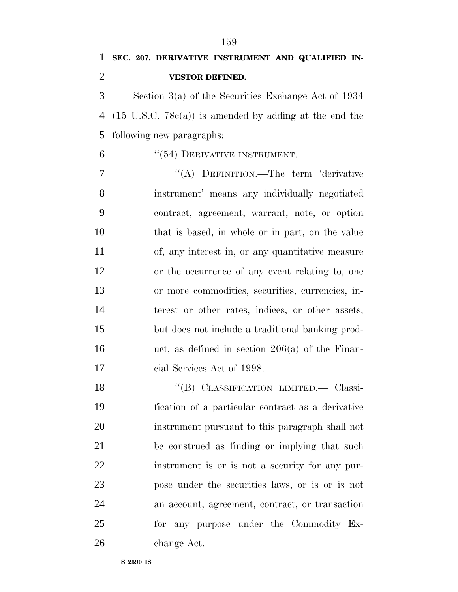Section 3(a) of the Securities Exchange Act of 1934 (15 U.S.C. 78c(a)) is amended by adding at the end the following new paragraphs:

6 "(54) DERIVATIVE INSTRUMENT.

7 "(A) DEFINITION.—The term 'derivative instrument' means any individually negotiated contract, agreement, warrant, note, or option that is based, in whole or in part, on the value of, any interest in, or any quantitative measure or the occurrence of any event relating to, one or more commodities, securities, currencies, in- terest or other rates, indices, or other assets, but does not include a traditional banking prod- uct, as defined in section 206(a) of the Finan-cial Services Act of 1998.

 ''(B) CLASSIFICATION LIMITED.— Classi- fication of a particular contract as a derivative instrument pursuant to this paragraph shall not be construed as finding or implying that such instrument is or is not a security for any pur- pose under the securities laws, or is or is not an account, agreement, contract, or transaction for any purpose under the Commodity Ex-change Act.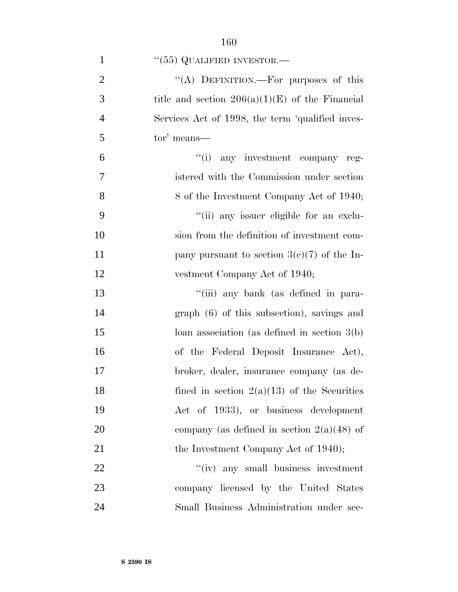| $\mathbf{1}$   | $``(55)$ QUALIFIED INVESTOR.—                     |
|----------------|---------------------------------------------------|
| $\overline{2}$ | "(A) DEFINITION.—For purposes of this             |
| 3              | title and section $206(a)(1)(E)$ of the Financial |
| $\overline{4}$ | Services Act of 1998, the term 'qualified inves-  |
| 5              | tor' means—                                       |
| 6              | $f'(i)$ any investment company reg-               |
| $\overline{7}$ | istered with the Commission under section         |
| 8              | 8 of the Investment Company Act of 1940;          |
| 9              | "(ii) any issuer eligible for an exclu-           |
| 10             | sion from the definition of investment com-       |
| 11             | pany pursuant to section $3(e)(7)$ of the In-     |
| 12             | vestment Company Act of 1940;                     |
| 13             | "(iii) any bank (as defined in para-              |
| 14             | $graph (6)$ of this subsection), savings and      |
| 15             | loan association (as defined in section $3(b)$ )  |
| 16             | of the Federal Deposit Insurance Act),            |
| 17             | broker, dealer, insurance company (as de-         |
| 18             | fined in section $2(a)(13)$ of the Securities     |
| 19             | Act of 1933), or business development             |
| 20             | company (as defined in section $2(a)(48)$ of      |
| 21             | the Investment Company Act of 1940);              |
| 22             | "(iv) any small business investment               |
| 23             | company licensed by the United States             |
| 24             | Small Business Administration under sec-          |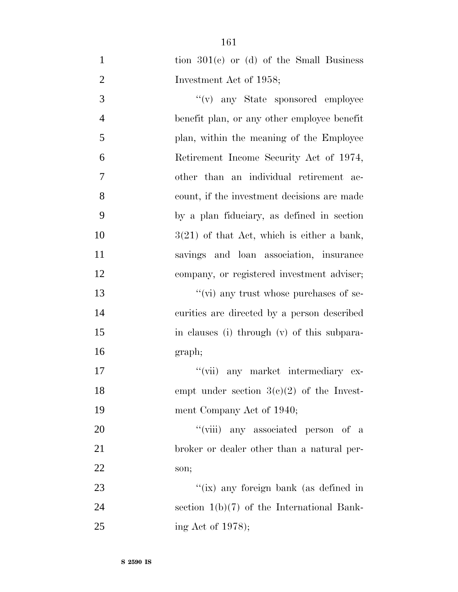| $\mathbf{1}$   | tion $301(e)$ or (d) of the Small Business   |
|----------------|----------------------------------------------|
| $\mathbf{2}$   | Investment Act of 1958;                      |
| 3              | $f'(v)$ any State sponsored employee         |
| $\overline{4}$ | benefit plan, or any other employee benefit  |
| $\mathfrak{S}$ | plan, within the meaning of the Employee     |
| 6              | Retirement Income Security Act of 1974,      |
| 7              | other than an individual retirement ac-      |
| 8              | count, if the investment decisions are made  |
| 9              | by a plan fiduciary, as defined in section   |
| 10             | $3(21)$ of that Act, which is either a bank, |
| 11             | savings and loan association, insurance      |
| 12             | company, or registered investment adviser;   |
| 13             | "(vi) any trust whose purchases of se-       |
| 14             | curities are directed by a person described  |
| 15             | in clauses (i) through (v) of this subpara-  |
| 16             | graph;                                       |
| 17             | "(vii) any market intermediary ex-           |
| 18             | empt under section $3(c)(2)$ of the Invest-  |
| 19             | ment Company Act of 1940;                    |
| 20             | "(viii) any associated person of a           |
| 21             | broker or dealer other than a natural per-   |
| 22             | son;                                         |
| 23             | "(ix) any foreign bank (as defined in        |
| 24             | section $1(b)(7)$ of the International Bank- |
| 25             | ing Act of 1978);                            |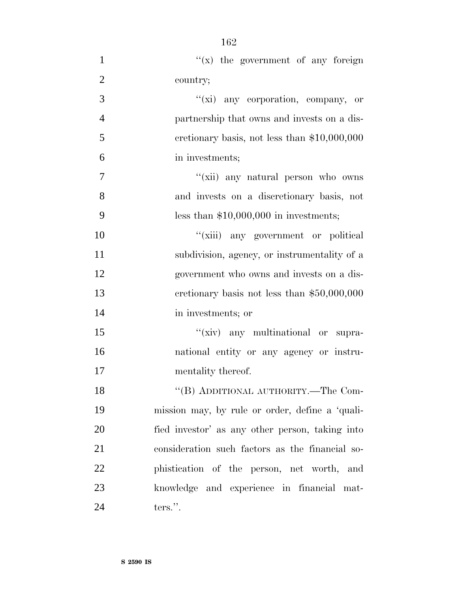$''(x)$  the government of any foreign country;  $''(\vec{x})$  any corporation, company, or partnership that owns and invests on a dis- cretionary basis, not less than \$10,000,000 in investments; ''(xii) any natural person who owns and invests on a discretionary basis, not less than \$10,000,000 in investments;  $''(\n$ iii) any government or political subdivision, agency, or instrumentality of a government who owns and invests on a dis- cretionary basis not less than \$50,000,000 in investments; or 15 "(xiv) any multinational or supra- national entity or any agency or instru-17 mentality thereof. 18 "(B) ADDITIONAL AUTHORITY.—The Com- mission may, by rule or order, define a 'quali- fied investor' as any other person, taking into consideration such factors as the financial so- phistication of the person, net worth, and knowledge and experience in financial mat-ters.''.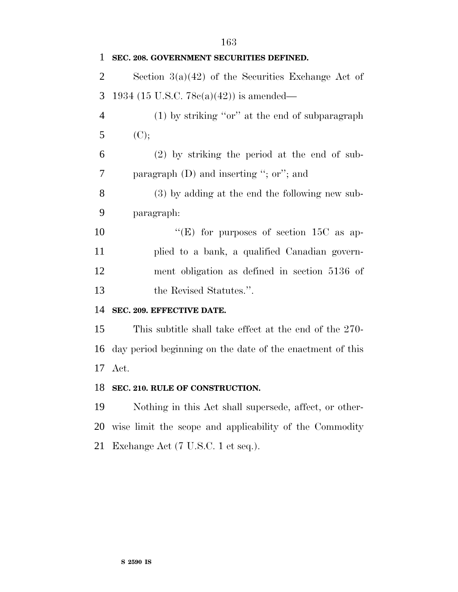**SEC. 208. GOVERNMENT SECURITIES DEFINED.** 2 Section  $3(a)(42)$  of the Securities Exchange Act of 1934 (15 U.S.C. 78c(a)(42)) is amended— (1) by striking ''or'' at the end of subparagraph 5 (C); (2) by striking the period at the end of sub- paragraph (D) and inserting ''; or''; and (3) by adding at the end the following new sub- paragraph:  $"({\rm E})$  for purposes of section 15C as ap- plied to a bank, a qualified Canadian govern- ment obligation as defined in section 5136 of 13 the Revised Statutes.". **SEC. 209. EFFECTIVE DATE.** This subtitle shall take effect at the end of the 270- day period beginning on the date of the enactment of this Act. **SEC. 210. RULE OF CONSTRUCTION.** Nothing in this Act shall supersede, affect, or other- wise limit the scope and applicability of the Commodity Exchange Act (7 U.S.C. 1 et seq.).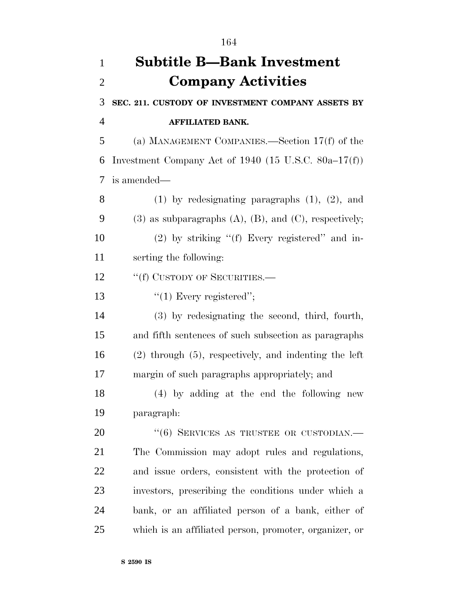| $\mathbf{1}$   | <b>Subtitle B—Bank Investment</b>                                |
|----------------|------------------------------------------------------------------|
| $\overline{2}$ | <b>Company Activities</b>                                        |
| 3              | SEC. 211. CUSTODY OF INVESTMENT COMPANY ASSETS BY                |
| $\overline{4}$ | <b>AFFILIATED BANK.</b>                                          |
| 5              | (a) MANAGEMENT COMPANIES.—Section $17(f)$ of the                 |
| 6              | Investment Company Act of 1940 (15 U.S.C. $80a-17(f)$ )          |
| 7              | is amended—                                                      |
| 8              | $(1)$ by redesignating paragraphs $(1)$ , $(2)$ , and            |
| 9              | $(3)$ as subparagraphs $(A)$ , $(B)$ , and $(C)$ , respectively; |
| 10             | $(2)$ by striking "(f) Every registered" and in-                 |
| 11             | serting the following:                                           |
| 12             | "(f) CUSTODY OF SECURITIES.—                                     |
| 13             | $"(1)$ Every registered";                                        |
| 14             | (3) by redesignating the second, third, fourth,                  |
| 15             | and fifth sentences of such subsection as paragraphs             |
| 16             | $(2)$ through $(5)$ , respectively, and indenting the left       |
| 17             | margin of such paragraphs appropriately; and                     |
| 18             | $(4)$ by adding at the end the following new                     |
| 19             | paragraph:                                                       |
| 20             | $``(6)$ SERVICES AS TRUSTEE OR CUSTODIAN.—                       |
| 21             | The Commission may adopt rules and regulations,                  |
| 22             | and issue orders, consistent with the protection of              |
| 23             | investors, prescribing the conditions under which a              |
| 24             | bank, or an affiliated person of a bank, either of               |
| 25             | which is an affiliated person, promoter, organizer, or           |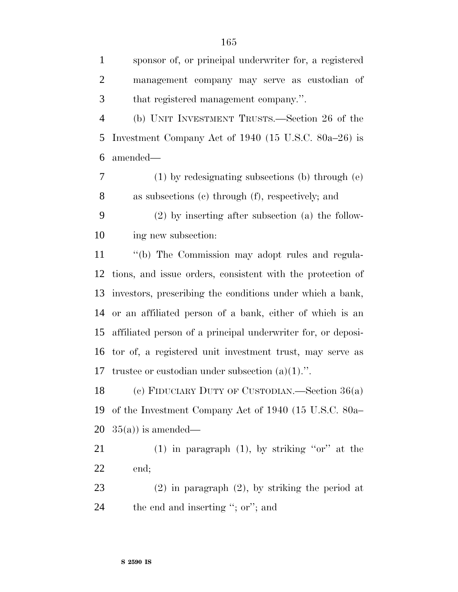| $\mathbf{1}$   | sponsor of, or principal underwriter for, a registered       |
|----------------|--------------------------------------------------------------|
| $\overline{2}$ | management company may serve as custodian of                 |
| 3              | that registered management company.".                        |
| $\overline{4}$ | (b) UNIT INVESTMENT TRUSTS.—Section 26 of the                |
| 5              | Investment Company Act of 1940 (15 U.S.C. 80a–26) is         |
| 6              | amended-                                                     |
| 7              | $(1)$ by redesignating subsections (b) through $(e)$         |
| 8              | as subsections (c) through (f), respectively; and            |
| 9              | $(2)$ by inserting after subsection (a) the follow-          |
| 10             | ing new subsection:                                          |
| 11             | "(b) The Commission may adopt rules and regula-              |
| 12             | tions, and issue orders, consistent with the protection of   |
| 13             | investors, prescribing the conditions under which a bank,    |
| 14             | or an affiliated person of a bank, either of which is an     |
| 15             | affiliated person of a principal underwriter for, or deposi- |
| 16             | tor of, a registered unit investment trust, may serve as     |
| 17             | trustee or custodian under subsection $(a)(1)$ .".           |
| 18             | (c) FIDUCIARY DUTY OF CUSTODIAN.—Section $36(a)$             |
| 19             | of the Investment Company Act of 1940 (15 U.S.C. 80a–        |
| 20             | $35(a)$ ) is amended—                                        |
| 21             | $(1)$ in paragraph $(1)$ , by striking "or" at the           |
| 22             | end;                                                         |
| 23             | $(2)$ in paragraph $(2)$ , by striking the period at         |

24 the end and inserting "; or"; and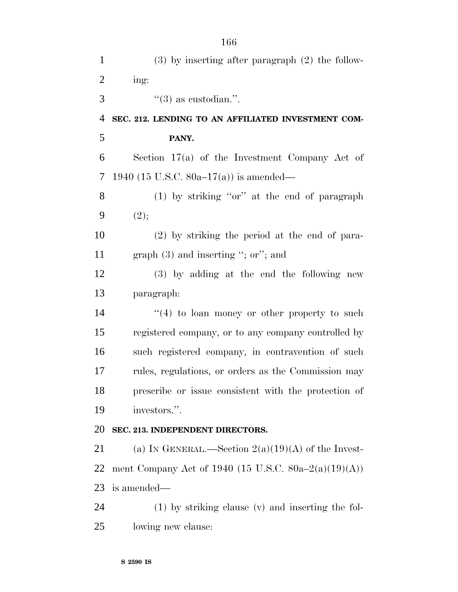| $\mathbf{1}$   | $(3)$ by inserting after paragraph $(2)$ the follow-  |
|----------------|-------------------------------------------------------|
| $\overline{2}$ | ing:                                                  |
| 3              | $\mathfrak{g}(3)$ as custodian.".                     |
| $\overline{4}$ | SEC. 212. LENDING TO AN AFFILIATED INVESTMENT COM-    |
| 5              | PANY.                                                 |
| 6              | Section $17(a)$ of the Investment Company Act of      |
| 7              | 1940 (15 U.S.C. 80a–17(a)) is amended—                |
| 8              | $(1)$ by striking "or" at the end of paragraph        |
| 9              | (2);                                                  |
| 10             | $(2)$ by striking the period at the end of para-      |
| 11             | graph $(3)$ and inserting "; or"; and                 |
| 12             | (3) by adding at the end the following new            |
| 13             | paragraph:                                            |
| 14             | $(4)$ to loan money or other property to such         |
| 15             | registered company, or to any company controlled by   |
| 16             | such registered company, in contravention of such     |
| 17             | rules, regulations, or orders as the Commission may   |
| 18             | prescribe or issue consistent with the protection of  |
| 19             | investors.".                                          |
| 20             | SEC. 213. INDEPENDENT DIRECTORS.                      |
| 21             | (a) IN GENERAL.—Section $2(a)(19)(A)$ of the Invest-  |
| 22             | ment Company Act of 1940 (15 U.S.C. 80a–2(a)(19)(A))  |
| 23             | is amended—                                           |
| 24             | $(1)$ by striking clause $(v)$ and inserting the fol- |
| 25             | lowing new clause:                                    |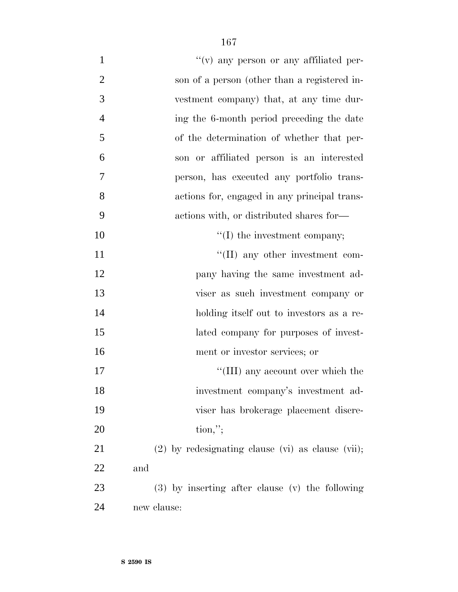| $\mathbf{1}$   | $f'(v)$ any person or any affiliated per-           |
|----------------|-----------------------------------------------------|
| $\overline{2}$ | son of a person (other than a registered in-        |
| 3              | vestment company) that, at any time dur-            |
| $\overline{4}$ | ing the 6-month period preceding the date           |
| 5              | of the determination of whether that per-           |
| 6              | son or affiliated person is an interested           |
| 7              | person, has executed any portfolio trans-           |
| 8              | actions for, engaged in any principal trans-        |
| 9              | actions with, or distributed shares for—            |
| 10             | $\lq\lq$ (I) the investment company;                |
| 11             | $\lq\lq$ (II) any other investment com-             |
| 12             | pany having the same investment ad-                 |
| 13             | viser as such investment company or                 |
| 14             | holding itself out to investors as a re-            |
| 15             | lated company for purposes of invest-               |
| 16             | ment or investor services; or                       |
| 17             | "(III) any account over which the                   |
| 18             | investment company's investment ad-                 |
| 19             | viser has brokerage placement discre-               |
| 20             | $\text{tion,"};$                                    |
| 21             | $(2)$ by redesignating clause (vi) as clause (vii); |
| 22             | and                                                 |
| 23             | (3) by inserting after clause (v) the following     |
| 24             | new clause:                                         |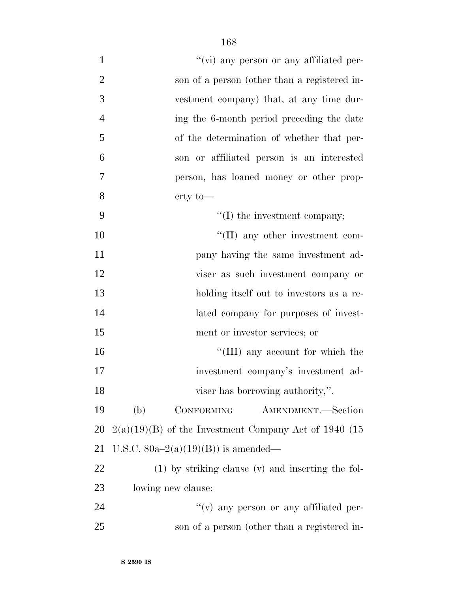| $\mathbf{1}$   | "(vi) any person or any affiliated per-                 |
|----------------|---------------------------------------------------------|
| $\overline{2}$ | son of a person (other than a registered in-            |
| 3              | vestment company) that, at any time dur-                |
| $\overline{4}$ | ing the 6-month period preceding the date               |
| 5              | of the determination of whether that per-               |
| 6              | son or affiliated person is an interested               |
| 7              | person, has loaned money or other prop-                 |
| 8              | $erty$ to —                                             |
| 9              | $\lq\lq$ (I) the investment company;                    |
| 10             | $\lq\lq$ (II) any other investment com-                 |
| 11             | pany having the same investment ad-                     |
| 12             | viser as such investment company or                     |
| 13             | holding itself out to investors as a re-                |
| 14             | lated company for purposes of invest-                   |
| 15             | ment or investor services; or                           |
| 16             | "(III) any account for which the                        |
| 17             | investment company's investment ad-                     |
| 18             | viser has borrowing authority,".                        |
| 19             | (b)<br>CONFORMING<br>AMENDMENT.-Section                 |
| 20             | $2(a)(19)(B)$ of the Investment Company Act of 1940 (15 |
| 21             | U.S.C. $80a-2(a)(19)(B)$ is amended—                    |
| 22             | $(1)$ by striking clause $(v)$ and inserting the fol-   |
| 23             | lowing new clause:                                      |
| 24             | $f'(v)$ any person or any affiliated per-               |
| 25             | son of a person (other than a registered in-            |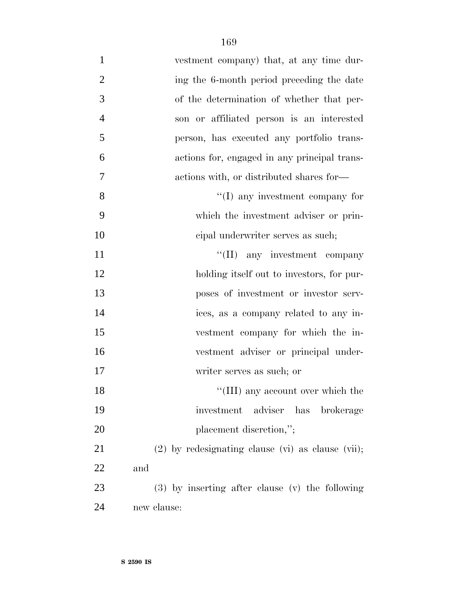| $\mathbf{1}$   | vestment company) that, at any time dur-            |
|----------------|-----------------------------------------------------|
| $\overline{2}$ | ing the 6-month period preceding the date           |
| 3              | of the determination of whether that per-           |
| $\overline{4}$ | son or affiliated person is an interested           |
| 5              | person, has executed any portfolio trans-           |
| 6              | actions for, engaged in any principal trans-        |
| $\tau$         | actions with, or distributed shares for—            |
| 8              | $\lq\lq$ (I) any investment company for             |
| 9              | which the investment adviser or prin-               |
| 10             | cipal underwriter serves as such;                   |
| 11             | "(II) any investment company                        |
| 12             | holding itself out to investors, for pur-           |
| 13             | poses of investment or investor serv-               |
| 14             | ices, as a company related to any in-               |
| 15             | vestment company for which the in-                  |
| 16             | vestment adviser or principal under-                |
| 17             | writer serves as such; or                           |
| 18             | "(III) any account over which the                   |
| 19             | adviser has brokerage<br>investment                 |
| 20             | placement discretion,";                             |
| 21             | $(2)$ by redesignating clause (vi) as clause (vii); |
| 22             | and                                                 |
| 23             | (3) by inserting after clause (v) the following     |
| 24             | new clause:                                         |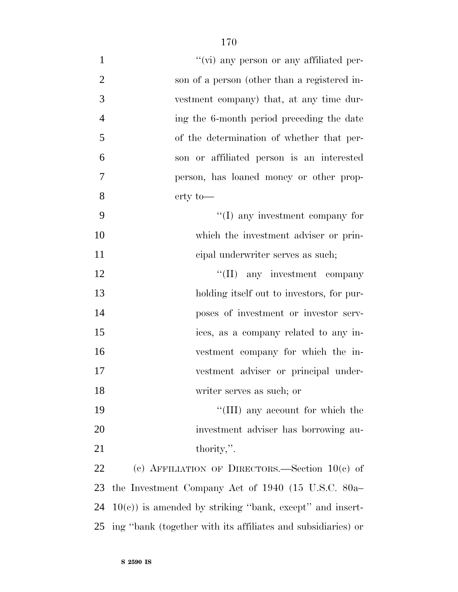| $\mathbf{1}$   | $\lq\lq$ (vi) any person or any affiliated per-              |
|----------------|--------------------------------------------------------------|
| $\overline{2}$ | son of a person (other than a registered in-                 |
| 3              | vestment company) that, at any time dur-                     |
| $\overline{4}$ | ing the 6-month period preceding the date                    |
| 5              | of the determination of whether that per-                    |
| 6              | son or affiliated person is an interested                    |
| 7              | person, has loaned money or other prop-                      |
| 8              | $erty$ to —                                                  |
| 9              | $\lq\lq$ (I) any investment company for                      |
| 10             | which the investment adviser or prin-                        |
| 11             | cipal underwriter serves as such;                            |
| 12             | "(II) any investment company                                 |
| 13             | holding itself out to investors, for pur-                    |
| 14             | poses of investment or investor serv-                        |
| 15             | ices, as a company related to any in-                        |
| 16             | vestment company for which the in-                           |
| 17             | vestment adviser or principal under-                         |
| 18             | writer serves as such; or                                    |
| 19             | $\lq\lq$ (III) any account for which the                     |
| 20             | investment adviser has borrowing au-                         |
| 21             | thority,".                                                   |
| 22             | (c) AFFILIATION OF DIRECTORS.—Section $10(c)$ of             |
| 23             | the Investment Company Act of 1940 (15 U.S.C. 80a–           |
| 24             | $10(c)$ ) is amended by striking "bank, except" and insert-  |
| 25             | ing "bank (together with its affiliates and subsidiaries) or |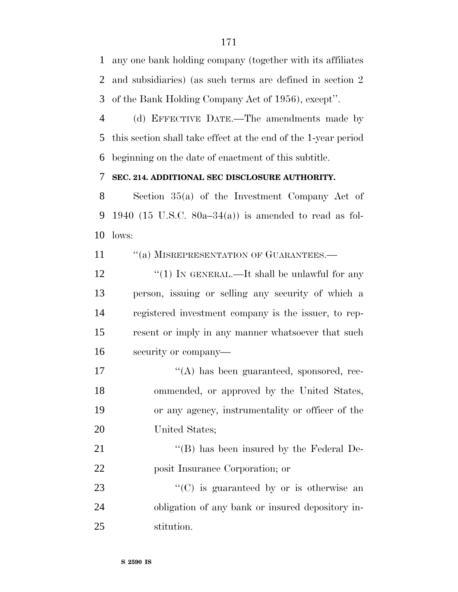any one bank holding company (together with its affiliates and subsidiaries) (as such terms are defined in section 2 of the Bank Holding Company Act of 1956), except''.

 (d) EFFECTIVE DATE.—The amendments made by this section shall take effect at the end of the 1-year period beginning on the date of enactment of this subtitle.

#### **SEC. 214. ADDITIONAL SEC DISCLOSURE AUTHORITY.**

 Section 35(a) of the Investment Company Act of 9 1940 (15 U.S.C.  $80a-34(a)$ ) is amended to read as fol-lows:

11 "(a) MISREPRESENTATION OF GUARANTEES.—

12 "(1) IN GENERAL.—It shall be unlawful for any person, issuing or selling any security of which a registered investment company is the issuer, to rep- resent or imply in any manner whatsoever that such security or company—

 $\langle (A)$  has been guaranteed, sponsored, rec- ommended, or approved by the United States, or any agency, instrumentality or officer of the United States;

21 "'(B) has been insured by the Federal De-posit Insurance Corporation; or

23  $\cdot$  (C) is guaranteed by or is otherwise an obligation of any bank or insured depository in-stitution.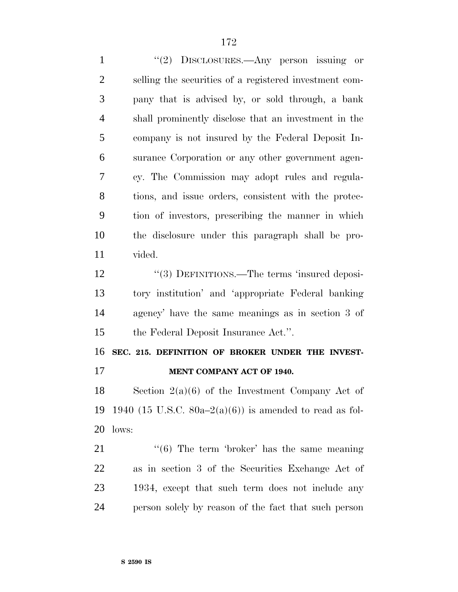1 "(2) DISCLOSURES.—Any person issuing or selling the securities of a registered investment com- pany that is advised by, or sold through, a bank shall prominently disclose that an investment in the company is not insured by the Federal Deposit In- surance Corporation or any other government agen- cy. The Commission may adopt rules and regula- tions, and issue orders, consistent with the protec- tion of investors, prescribing the manner in which the disclosure under this paragraph shall be pro- vided. 12 "(3) DEFINITIONS.—The terms 'insured deposi- tory institution' and 'appropriate Federal banking agency' have the same meanings as in section 3 of the Federal Deposit Insurance Act.''. **SEC. 215. DEFINITION OF BROKER UNDER THE INVEST-MENT COMPANY ACT OF 1940.**

 Section 2(a)(6) of the Investment Company Act of 19 1940 (15 U.S.C.  $80a-2(a)(6)$ ) is amended to read as fol-lows:

 ''(6) The term 'broker' has the same meaning as in section 3 of the Securities Exchange Act of 1934, except that such term does not include any person solely by reason of the fact that such person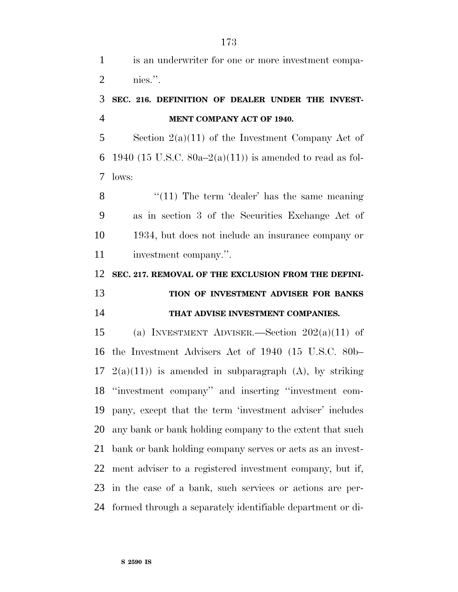is an underwriter for one or more investment compa-nies.''.

### **SEC. 216. DEFINITION OF DEALER UNDER THE INVEST-MENT COMPANY ACT OF 1940.**

5 Section  $2(a)(11)$  of the Investment Company Act of 6 1940 (15 U.S.C.  $80a-2(a)(11)$ ) is amended to read as fol-lows:

 $\frac{1}{2}$  (11) The term 'dealer' has the same meaning as in section 3 of the Securities Exchange Act of 1934, but does not include an insurance company or investment company.''.

 **SEC. 217. REMOVAL OF THE EXCLUSION FROM THE DEFINI-TION OF INVESTMENT ADVISER FOR BANKS**

### **THAT ADVISE INVESTMENT COMPANIES.**

15 (a) INVESTMENT ADVISER.—Section  $202(a)(11)$  of the Investment Advisers Act of 1940 (15 U.S.C. 80b–  $2(a)(11)$  is amended in subparagraph (A), by striking ''investment company'' and inserting ''investment com- pany, except that the term 'investment adviser' includes any bank or bank holding company to the extent that such bank or bank holding company serves or acts as an invest- ment adviser to a registered investment company, but if, in the case of a bank, such services or actions are per-formed through a separately identifiable department or di-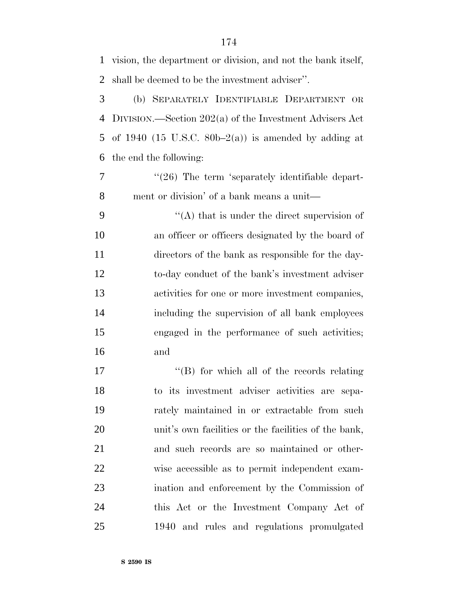vision, the department or division, and not the bank itself, shall be deemed to be the investment adviser''. (b) SEPARATELY IDENTIFIABLE DEPARTMENT OR DIVISION.—Section 202(a) of the Investment Advisers Act 5 of 1940 (15 U.S.C. 80b–2(a)) is amended by adding at the end the following: 7 "(26) The term 'separately identifiable depart- ment or division' of a bank means a unit—  $\langle (A)$  that is under the direct supervision of an officer or officers designated by the board of directors of the bank as responsible for the day- to-day conduct of the bank's investment adviser activities for one or more investment companies, including the supervision of all bank employees engaged in the performance of such activities; and  $\langle$  (B) for which all of the records relating to its investment adviser activities are sepa- rately maintained in or extractable from such 20 unit's own facilities or the facilities of the bank, and such records are so maintained or other- wise accessible as to permit independent exam- ination and enforcement by the Commission of this Act or the Investment Company Act of

1940 and rules and regulations promulgated

**S 2590 IS**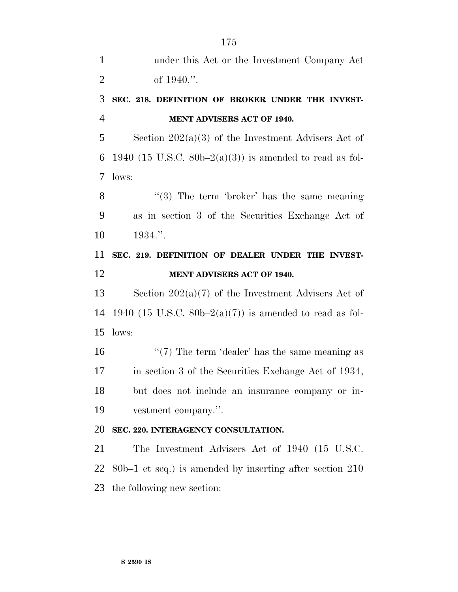| $\mathbf{1}$   | under this Act or the Investment Company Act               |
|----------------|------------------------------------------------------------|
| $\overline{2}$ | of $1940$ .".                                              |
| 3              | SEC. 218. DEFINITION OF BROKER UNDER THE INVEST-           |
| $\overline{4}$ | MENT ADVISERS ACT OF 1940.                                 |
| 5              | Section $202(a)(3)$ of the Investment Advisers Act of      |
| 6              | 1940 (15 U.S.C. 80b–2(a)(3)) is amended to read as fol-    |
| 7              | lows:                                                      |
| 8              | $\lq(3)$ The term 'broker' has the same meaning            |
| 9              | as in section 3 of the Securities Exchange Act of          |
| 10             | 1934."                                                     |
| 11             | SEC. 219. DEFINITION OF DEALER UNDER THE INVEST-           |
| 12             | MENT ADVISERS ACT OF 1940.                                 |
| 13             | Section $202(a)(7)$ of the Investment Advisers Act of      |
| 14             | 1940 (15 U.S.C. 80b–2(a)(7)) is amended to read as fol-    |
| 15             | lows:                                                      |
| 16             | " $(7)$ The term 'dealer' has the same meaning as          |
| 17             | in section 3 of the Securities Exchange Act of 1934,       |
| 18             | but does not include an insurance company or in-           |
| 19             | vestment company.".                                        |
| 20             | SEC. 220. INTERAGENCY CONSULTATION.                        |
| 21             | The Investment Advisers Act of 1940 (15 U.S.C.             |
| 22             | $80b-1$ et seq.) is amended by inserting after section 210 |
| 23             | the following new section:                                 |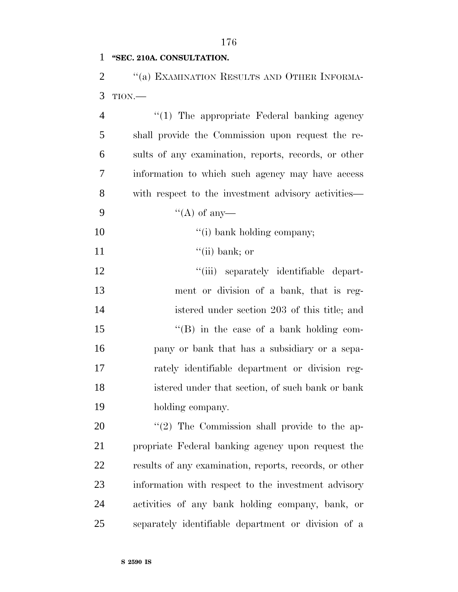#### **''SEC. 210A. CONSULTATION.**

2 "(a) EXAMINATION RESULTS AND OTHER INFORMA-TION.—

4 "(1) The appropriate Federal banking agency shall provide the Commission upon request the re- sults of any examination, reports, records, or other information to which such agency may have access with respect to the investment advisory activities—  $"({\rm A})$  of any  $"$ (i) bank holding company;  $\text{``(ii) bank; or}$  $\frac{1}{\sin}$  separately identifiable depart- ment or division of a bank, that is reg- istered under section 203 of this title; and 15 "(B) in the case of a bank holding com- pany or bank that has a subsidiary or a sepa- rately identifiable department or division reg- istered under that section, of such bank or bank holding company.  $\frac{1}{2}$  The Commission shall provide to the ap- propriate Federal banking agency upon request the results of any examination, reports, records, or other

 information with respect to the investment advisory activities of any bank holding company, bank, or separately identifiable department or division of a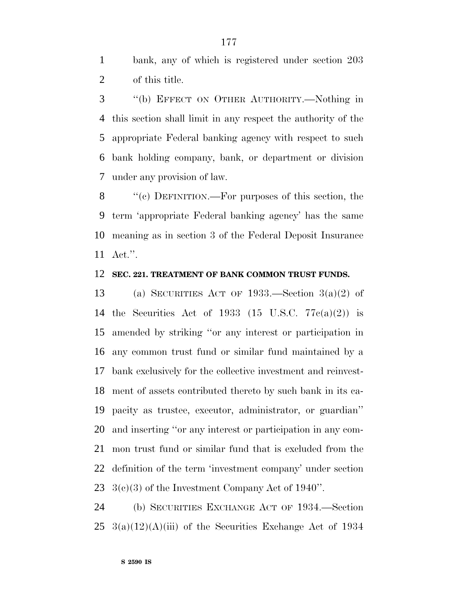bank, any of which is registered under section 203 of this title.

 ''(b) EFFECT ON OTHER AUTHORITY.—Nothing in this section shall limit in any respect the authority of the appropriate Federal banking agency with respect to such bank holding company, bank, or department or division under any provision of law.

 ''(c) DEFINITION.—For purposes of this section, the term 'appropriate Federal banking agency' has the same meaning as in section 3 of the Federal Deposit Insurance Act.''.

#### **SEC. 221. TREATMENT OF BANK COMMON TRUST FUNDS.**

 (a) SECURITIES ACT OF 1933.—Section 3(a)(2) of the Securities Act of 1933 (15 U.S.C. 77c(a)(2)) is amended by striking ''or any interest or participation in any common trust fund or similar fund maintained by a bank exclusively for the collective investment and reinvest- ment of assets contributed thereto by such bank in its ca- pacity as trustee, executor, administrator, or guardian'' and inserting ''or any interest or participation in any com- mon trust fund or similar fund that is excluded from the definition of the term 'investment company' under section  $3(e)(3)$  of the Investment Company Act of 1940".

 (b) SECURITIES EXCHANGE ACT OF 1934.—Section 25  $3(a)(12)(A)(iii)$  of the Securities Exchange Act of 1934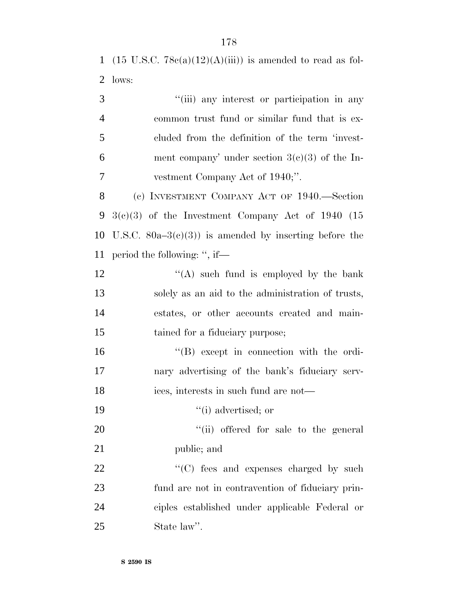1 (15 U.S.C.  $78e(a)(12)(A(iii))$  is amended to read as fol-2 lows:

3 ''(iii) any interest or participation in any 4 common trust fund or similar fund that is ex-5 cluded from the definition of the term 'invest-6 ment company' under section  $3(c)(3)$  of the In-7 vestment Company Act of 1940;''.

 (c) INVESTMENT COMPANY ACT OF 1940.—Section  $3(c)(3)$  of the Investment Company Act of 1940 (15 10 U.S.C.  $80a-3(c)(3)$  is amended by inserting before the period the following: '', if—

 $\langle (A) \rangle$  such fund is employed by the bank solely as an aid to the administration of trusts, estates, or other accounts created and main-15 tained for a fiduciary purpose;

16 ''(B) except in connection with the ordi-17 nary advertising of the bank's fiduciary serv-18 ices, interests in such fund are not—

19  $\frac{1}{2}$  advertised; or

20  $\frac{1}{20}$  (ii) offered for sale to the general 21 public; and

 $\cdot$  (C) fees and expenses charged by such fund are not in contravention of fiduciary prin- ciples established under applicable Federal or State law''.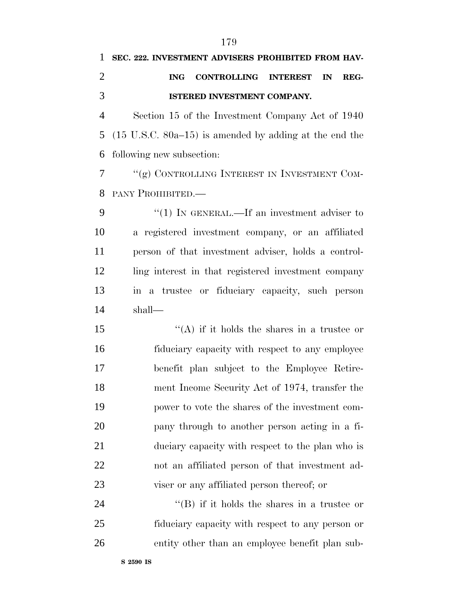#### **SEC. 222. INVESTMENT ADVISERS PROHIBITED FROM HAV-**

# **ING CONTROLLING INTEREST IN REG-ISTERED INVESTMENT COMPANY.**

 Section 15 of the Investment Company Act of 1940 (15 U.S.C. 80a–15) is amended by adding at the end the following new subsection:

 ''(g) CONTROLLING INTEREST IN INVESTMENT COM-PANY PROHIBITED.—

9 "(1) In GENERAL.—If an investment adviser to a registered investment company, or an affiliated person of that investment adviser, holds a control- ling interest in that registered investment company in a trustee or fiduciary capacity, such person shall—

 $\langle (A)$  if it holds the shares in a trustee or fiduciary capacity with respect to any employee benefit plan subject to the Employee Retire- ment Income Security Act of 1974, transfer the power to vote the shares of the investment com- pany through to another person acting in a fi- duciary capacity with respect to the plan who is not an affiliated person of that investment ad-viser or any affiliated person thereof; or

24 ''(B) if it holds the shares in a trustee or fiduciary capacity with respect to any person or entity other than an employee benefit plan sub-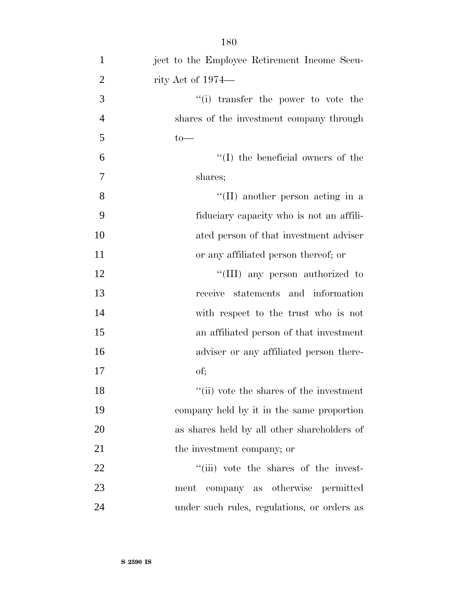| $\mathbf{1}$   | ject to the Employee Retirement Income Secu- |
|----------------|----------------------------------------------|
| $\overline{2}$ | rity Act of 1974—                            |
| 3              | "(i) transfer the power to vote the          |
| $\overline{4}$ | shares of the investment company through     |
| 5              | $to-$                                        |
| 6              | $\lq\lq$ the beneficial owners of the        |
| 7              | shares;                                      |
| 8              | "(II) another person acting in a             |
| 9              | fiduciary capacity who is not an affili-     |
| 10             | ated person of that investment adviser       |
| 11             | or any affiliated person thereof; or         |
| 12             | "(III) any person authorized to              |
| 13             | receive statements and information           |
| 14             | with respect to the trust who is not         |
| 15             | an affiliated person of that investment      |
| 16             | adviser or any affiliated person there-      |
| 17             | of;                                          |
| 18             | "(ii) vote the shares of the investment      |
| 19             | company held by it in the same proportion    |
| 20             | as shares held by all other shareholders of  |
| 21             | the investment company; or                   |
| 22             | "(iii) vote the shares of the invest-        |
| 23             | ment company as otherwise permitted          |
| 24             | under such rules, regulations, or orders as  |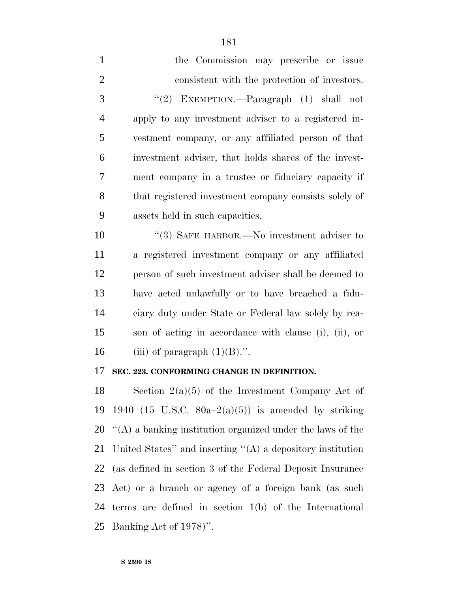| $\mathbf{1}$   | the Commission may prescribe or issue                  |
|----------------|--------------------------------------------------------|
| $\overline{2}$ | consistent with the protection of investors.           |
| 3              | "(2) EXEMPTION.—Paragraph $(1)$ shall not              |
| $\overline{4}$ | apply to any investment adviser to a registered in-    |
| 5              | vestment company, or any affiliated person of that     |
| 6              | investment adviser, that holds shares of the invest-   |
| $\tau$         | ment company in a trustee or fiduciary capacity if     |
| $8\,$          | that registered investment company consists solely of  |
| 9              | assets held in such capacities.                        |
| 10             | $\cdot\cdot$ (3) SAFE HARBOR.—No investment adviser to |
| 11             | a registered investment company or any affiliated      |
| 12             | person of such investment adviser shall be deemed to   |
| 13             | have acted unlawfully or to have breached a fidu-      |
| 14             | ciary duty under State or Federal law solely by rea-   |
| 15             | son of acting in accordance with clause (i), (ii), or  |
| 16             | (iii) of paragraph $(1)(B)$ .".                        |
| 17             | SEC. 223. CONFORMING CHANGE IN DEFINITION.             |
| 18             | Section $2(a)(5)$ of the Investment Company Act of     |
| 19             | 1940 (15 U.S.C. 80a–2(a)(5)) is amended by striking    |

 $\lq$ (A) a banking institution organized under the laws of the United States'' and inserting ''(A) a depository institution (as defined in section 3 of the Federal Deposit Insurance Act) or a branch or agency of a foreign bank (as such terms are defined in section 1(b) of the International Banking Act of 1978)''.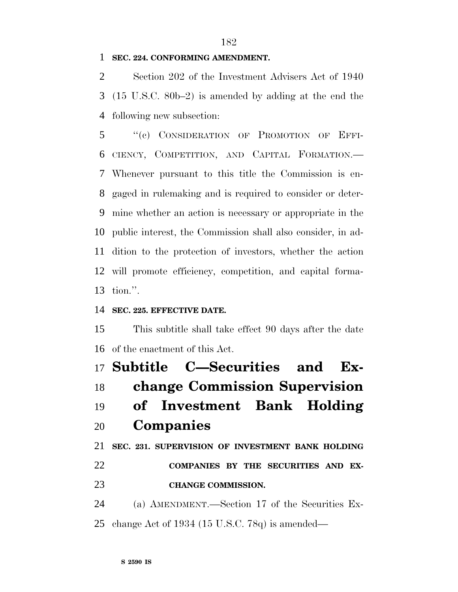#### **SEC. 224. CONFORMING AMENDMENT.**

 Section 202 of the Investment Advisers Act of 1940 (15 U.S.C. 80b–2) is amended by adding at the end the following new subsection:

 ''(c) CONSIDERATION OF PROMOTION OF EFFI- CIENCY, COMPETITION, AND CAPITAL FORMATION.— Whenever pursuant to this title the Commission is en- gaged in rulemaking and is required to consider or deter- mine whether an action is necessary or appropriate in the public interest, the Commission shall also consider, in ad- dition to the protection of investors, whether the action will promote efficiency, competition, and capital forma-tion.''.

#### **SEC. 225. EFFECTIVE DATE.**

 This subtitle shall take effect 90 days after the date of the enactment of this Act.

 **Subtitle C—Securities and Ex- change Commission Supervision of Investment Bank Holding Companies SEC. 231. SUPERVISION OF INVESTMENT BANK HOLDING COMPANIES BY THE SECURITIES AND EX-CHANGE COMMISSION.**

 (a) AMENDMENT.—Section 17 of the Securities Ex-change Act of 1934 (15 U.S.C. 78q) is amended—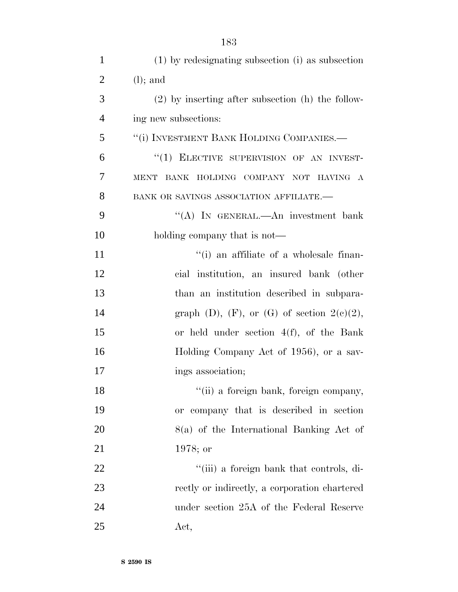| $\mathbf{1}$   | (1) by redesignating subsection (i) as subsection     |
|----------------|-------------------------------------------------------|
| $\overline{2}$ | $(l)$ ; and                                           |
| 3              | $(2)$ by inserting after subsection $(h)$ the follow- |
| $\overline{4}$ | ing new subsections:                                  |
| 5              | "(i) INVESTMENT BANK HOLDING COMPANIES.-              |
| 6              | "(1) ELECTIVE SUPERVISION OF AN INVEST-               |
| $\overline{7}$ | MENT BANK HOLDING COMPANY NOT HAVING A                |
| 8              | BANK OR SAVINGS ASSOCIATION AFFILIATE.-               |
| 9              | "(A) IN GENERAL.—An investment bank                   |
| 10             | holding company that is not—                          |
| 11             | "(i) an affiliate of a wholesale finan-               |
| 12             | cial institution, an insured bank (other              |
| 13             | than an institution described in subpara-             |
| 14             | graph (D), (F), or (G) of section $2(e)(2)$ ,         |
| 15             | or held under section $4(f)$ , of the Bank            |
| 16             | Holding Company Act of 1956), or a sav-               |
| 17             | ings association;                                     |
| 18             | "(ii) a foreign bank, foreign company,                |
| 19             | or company that is described in section               |
| 20             | $8(a)$ of the International Banking Act of            |
| 21             | $1978;$ or                                            |
| 22             | "(iii) a foreign bank that controls, di-              |
| 23             | rectly or indirectly, a corporation chartered         |
| 24             | under section 25A of the Federal Reserve              |
| 25             | Act,                                                  |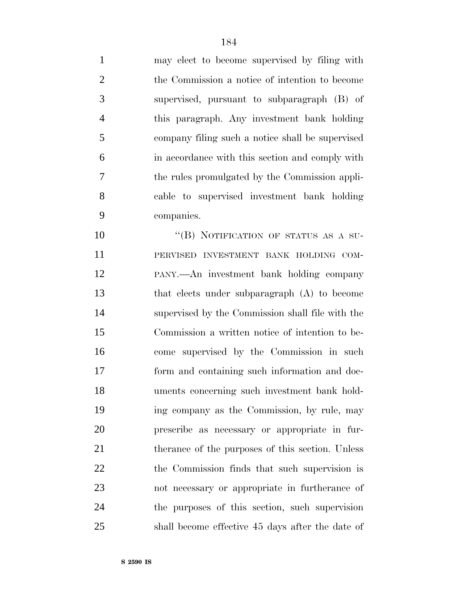may elect to become supervised by filing with the Commission a notice of intention to become supervised, pursuant to subparagraph (B) of this paragraph. Any investment bank holding company filing such a notice shall be supervised in accordance with this section and comply with the rules promulgated by the Commission appli- cable to supervised investment bank holding companies. 10 "(B) NOTIFICATION OF STATUS AS A SU-

 PERVISED INVESTMENT BANK HOLDING COM- PANY.—An investment bank holding company that elects under subparagraph (A) to become supervised by the Commission shall file with the Commission a written notice of intention to be- come supervised by the Commission in such form and containing such information and doc- uments concerning such investment bank hold- ing company as the Commission, by rule, may prescribe as necessary or appropriate in fur-21 therance of the purposes of this section. Unless the Commission finds that such supervision is not necessary or appropriate in furtherance of the purposes of this section, such supervision shall become effective 45 days after the date of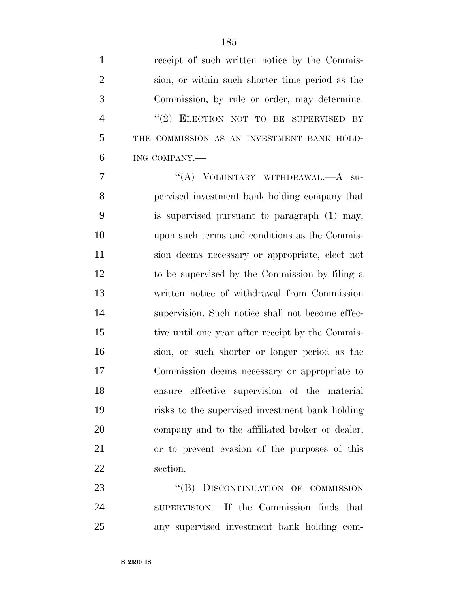| $\mathbf{1}$   | receipt of such written notice by the Commis-    |
|----------------|--------------------------------------------------|
| $\overline{2}$ | sion, or within such shorter time period as the  |
| 3              | Commission, by rule or order, may determine.     |
| $\overline{4}$ | "(2) ELECTION NOT TO BE SUPERVISED BY            |
| 5              | THE COMMISSION AS AN INVESTMENT BANK HOLD-       |
| 6              | ING COMPANY.-                                    |
| 7              | "(A) VOLUNTARY WITHDRAWAL.—A su-                 |
| 8              | pervised investment bank holding company that    |
| 9              | is supervised pursuant to paragraph (1) may,     |
| 10             | upon such terms and conditions as the Commis-    |
| 11             | sion deems necessary or appropriate, elect not   |
| 12             | to be supervised by the Commission by filing a   |
| 13             | written notice of withdrawal from Commission     |
| 14             | supervision. Such notice shall not become effec- |
| 15             | tive until one year after receipt by the Commis- |
| 16             | sion, or such shorter or longer period as the    |
| 17             | Commission deems necessary or appropriate to     |
| 18             | ensure effective supervision of the material     |
| 19             | risks to the supervised investment bank holding  |
| 20             | company and to the affiliated broker or dealer,  |
| 21             | or to prevent evasion of the purposes of this    |
| 22             | section.                                         |
| 23             | "(B) DISCONTINUATION OF COMMISSION               |
|                |                                                  |

 SUPERVISION.—If the Commission finds that any supervised investment bank holding com-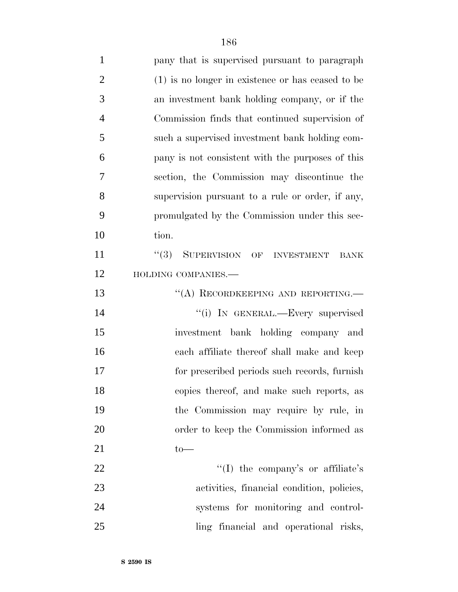| $\mathbf{1}$   | pany that is supervised pursuant to paragraph       |
|----------------|-----------------------------------------------------|
| $\overline{2}$ | $(1)$ is no longer in existence or has ceased to be |
| 3              | an investment bank holding company, or if the       |
| $\overline{4}$ | Commission finds that continued supervision of      |
| 5              | such a supervised investment bank holding com-      |
| 6              | pany is not consistent with the purposes of this    |
| 7              | section, the Commission may discontinue the         |
| 8              | supervision pursuant to a rule or order, if any,    |
| 9              | promulgated by the Commission under this sec-       |
| 10             | tion.                                               |
| 11             | SUPERVISION OF INVESTMENT<br>(3)<br><b>BANK</b>     |
| 12             | HOLDING COMPANIES.-                                 |
| 13             | "(A) RECORDKEEPING AND REPORTING.—                  |
| 14             | "(i) IN GENERAL.—Every supervised                   |
| 15             | investment bank holding company and                 |
| 16             | each affiliate thereof shall make and keep          |
| 17             | for prescribed periods such records, furnish        |
| 18             | copies thereof, and make such reports, as           |
| 19             | the Commission may require by rule, in              |
| 20             | order to keep the Commission informed as            |
| 21             | $to-$                                               |
| 22             | "(I) the company's or affiliate's                   |
| 23             | activities, financial condition, policies,          |
| 24             | systems for monitoring and control-                 |
| 25             | ling financial and operational risks,               |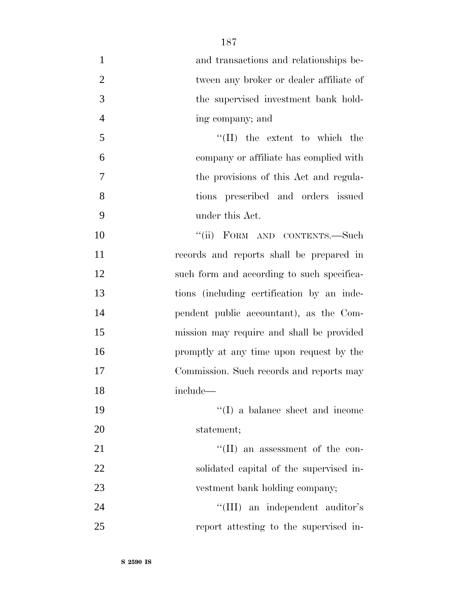| $\mathbf{1}$   | and transactions and relationships be-     |
|----------------|--------------------------------------------|
| $\overline{2}$ | tween any broker or dealer affiliate of    |
| 3              | the supervised investment bank hold-       |
| $\overline{4}$ | ing company; and                           |
| 5              | $\lq\lq$ (II) the extent to which the      |
| 6              | company or affiliate has complied with     |
| $\overline{7}$ | the provisions of this Act and regula-     |
| 8              | tions prescribed and orders issued         |
| 9              | under this Act.                            |
| 10             | "(ii) FORM AND CONTENTS.—Such              |
| 11             | records and reports shall be prepared in   |
| 12             | such form and according to such specifica- |
| 13             | tions (including certification by an inde- |
| 14             | pendent public accountant), as the Com-    |
| 15             | mission may require and shall be provided  |
| 16             | promptly at any time upon request by the   |
| 17             | Commission. Such records and reports may   |
| 18             | include-                                   |
| 19             | $\lq\lq$ (I) a balance sheet and income    |
| 20             | statement;                                 |
| 21             | $\lq\lq$ (II) an assessment of the con-    |
| 22             | solidated capital of the supervised in-    |
| 23             | vestment bank holding company;             |
| 24             | "(III) an independent auditor's            |
| 25             | report attesting to the supervised in-     |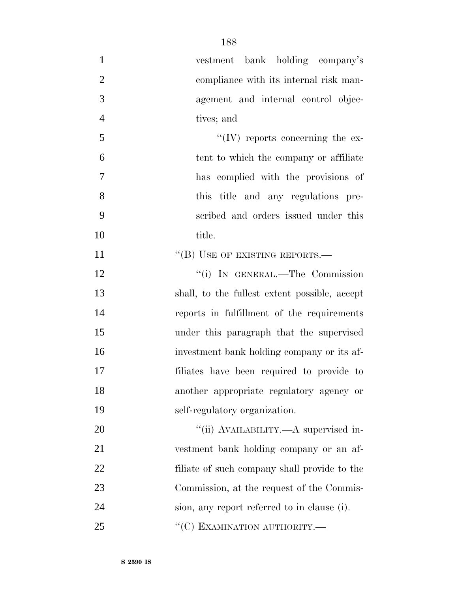| $\mathbf{1}$   | vestment bank holding company's               |
|----------------|-----------------------------------------------|
| $\overline{2}$ | compliance with its internal risk man-        |
| 3              | agement and internal control objec-           |
| $\overline{4}$ | tives; and                                    |
| 5              | $\lq\lq (IV)$ reports concerning the ex-      |
| 6              | tent to which the company or affiliate        |
| $\tau$         | has complied with the provisions of           |
| 8              | this title and any regulations pre-           |
| 9              | scribed and orders issued under this          |
| 10             | title.                                        |
| 11             | "(B) USE OF EXISTING REPORTS.-                |
| 12             | "(i) IN GENERAL.—The Commission               |
| 13             | shall, to the fullest extent possible, accept |
| 14             | reports in fulfillment of the requirements    |
| 15             | under this paragraph that the supervised      |
| 16             | investment bank holding company or its af-    |
| 17             | filiates have been required to provide to     |
| 18             | another appropriate regulatory agency or      |
| 19             | self-regulatory organization.                 |
| 20             | "(ii) AVAILABILITY.—A supervised in-          |
| 21             | vestment bank holding company or an af-       |
| 22             | filiate of such company shall provide to the  |
| 23             | Commission, at the request of the Commis-     |
| 24             | sion, any report referred to in clause (i).   |
| 25             | "(C) EXAMINATION AUTHORITY.-                  |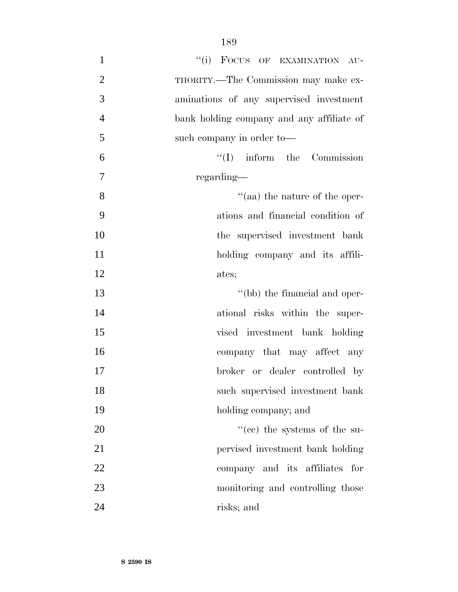| $\mathbf{1}$   | "(i) FOCUS OF EXAMINATION AU-             |
|----------------|-------------------------------------------|
| $\overline{2}$ | THORITY.—The Commission may make ex-      |
| 3              | aminations of any supervised investment   |
| $\overline{4}$ | bank holding company and any affiliate of |
| 5              | such company in order to-                 |
| 6              | $\lq\lq$ (I) inform the Commission        |
| $\overline{7}$ | regarding—                                |
| 8              | $\cdot$ (aa) the nature of the oper-      |
| 9              | ations and financial condition of         |
| 10             | the supervised investment bank            |
| 11             | holding company and its affili-           |
| 12             | ates;                                     |
| 13             | "(bb) the financial and oper-             |
| 14             | ational risks within the super-           |
| 15             | vised investment bank holding             |
| 16             | company that may affect any               |
| 17             | broker or dealer controlled by            |
| 18             | such supervised investment bank           |
| 19             | holding company; and                      |
| 20             | $f''(ce)$ the systems of the su-          |
| 21             | pervised investment bank holding          |
| 22             | company and its affiliates for            |
| 23             | monitoring and controlling those          |
| 24             | risks; and                                |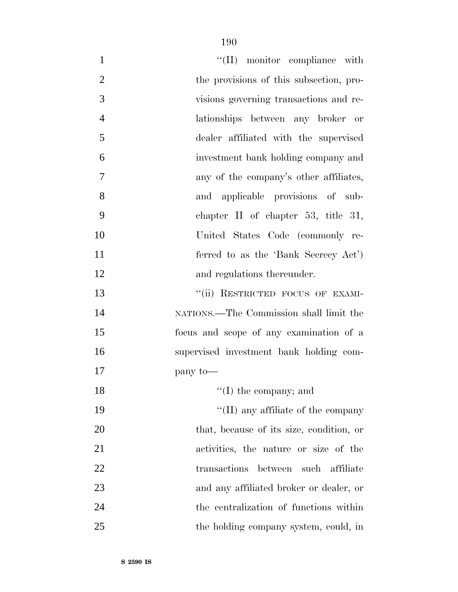| $\mathbf{1}$   | $``(II)$ monitor compliance with           |
|----------------|--------------------------------------------|
| $\overline{2}$ | the provisions of this subsection, pro-    |
| 3              | visions governing transactions and re-     |
| $\overline{4}$ | lationships between any broker or          |
| 5              | dealer affiliated with the supervised      |
| 6              | investment bank holding company and        |
| 7              | any of the company's other affiliates,     |
| 8              | and applicable provisions of sub-          |
| 9              | chapter II of chapter 53, title 31,        |
| 10             | United States Code (commonly re-           |
| 11             | ferred to as the 'Bank Secrecy Act')       |
| 12             | and regulations thereunder.                |
| 13             | "(ii) RESTRICTED FOCUS OF EXAMI-           |
| 14             | NATIONS.—The Commission shall limit the    |
| 15             | focus and scope of any examination of a    |
| 16             | supervised investment bank holding com-    |
| 17             | pany to-                                   |
| 18             | $\lq\lq$ (I) the company; and              |
| 19             | $\lq\lq$ (II) any affiliate of the company |
| 20             | that, because of its size, condition, or   |
| 21             | activities, the nature or size of the      |
| 22             | transactions between such affiliate        |
| 23             | and any affiliated broker or dealer, or    |
| 24             | the centralization of functions within     |
| 25             | the holding company system, could, in      |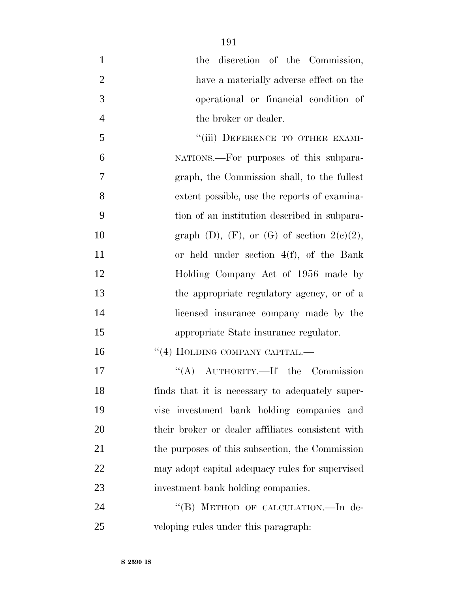1 the discretion of the Commission, have a materially adverse effect on the operational or financial condition of 4 the broker or dealer. 5 "(iii) DEFERENCE TO OTHER EXAMI- NATIONS.—For purposes of this subpara- graph, the Commission shall, to the fullest extent possible, use the reports of examina- tion of an institution described in subpara-10 graph (D),  $(F)$ , or  $(G)$  of section  $2(c)(2)$ , or held under section 4(f), of the Bank 12 Holding Company Act of 1956 made by the appropriate regulatory agency, or of a licensed insurance company made by the appropriate State insurance regulator. 16 "(4) HOLDING COMPANY CAPITAL.— 17 "(A) AUTHORITY.—If the Commission finds that it is necessary to adequately super-vise investment bank holding companies and

their broker or dealer affiliates consistent with

21 the purposes of this subsection, the Commission

may adopt capital adequacy rules for supervised

24 "(B) METHOD OF CALCULATION.—In de-

investment bank holding companies.

veloping rules under this paragraph: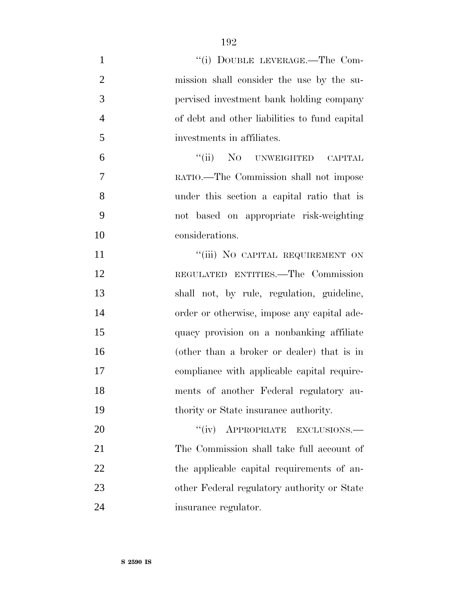| $\mathbf{1}$   | "(i) DOUBLE LEVERAGE.—The Com-                |
|----------------|-----------------------------------------------|
| $\overline{2}$ | mission shall consider the use by the su-     |
| 3              | pervised investment bank holding company      |
| $\overline{4}$ | of debt and other liabilities to fund capital |
| 5              | investments in affiliates.                    |
| 6              | "(ii) NO UNWEIGHTED CAPITAL                   |
| 7              | RATIO.—The Commission shall not impose        |
| 8              | under this section a capital ratio that is    |
| 9              | not based on appropriate risk-weighting       |
| 10             | considerations.                               |
| 11             | "(iii) NO CAPITAL REQUIREMENT ON              |
| 12             | REGULATED ENTITIES.-The Commission            |
| 13             | shall not, by rule, regulation, guideline,    |
| 14             | order or otherwise, impose any capital ade-   |
| 15             | quacy provision on a nonbanking affiliate     |
| 16             | (other than a broker or dealer) that is in    |
| 17             | compliance with applicable capital require-   |
| 18             | ments of another Federal regulatory au-       |
| 19             | thority or State insurance authority.         |
| 20             | "(iv) APPROPRIATE EXCLUSIONS.-                |
| 21             | The Commission shall take full account of     |
| 22             | the applicable capital requirements of an-    |
| 23             | other Federal regulatory authority or State   |
| 24             | insurance regulator.                          |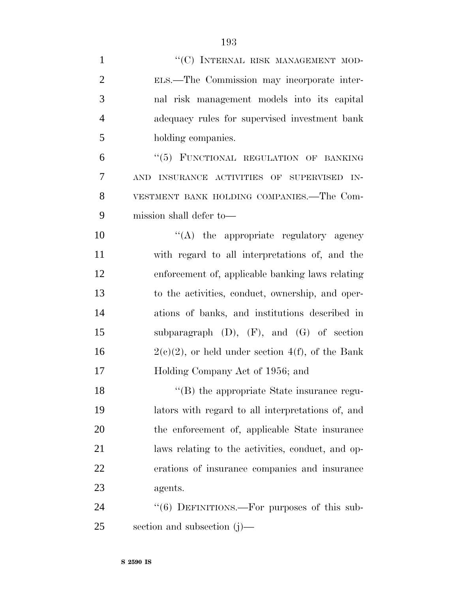| $\mathbf{1}$   | "(C) INTERNAL RISK MANAGEMENT MOD-                     |
|----------------|--------------------------------------------------------|
| $\overline{2}$ | ELS.—The Commission may incorporate inter-             |
| 3              | nal risk management models into its capital            |
| $\overline{4}$ | adequacy rules for supervised investment bank          |
| 5              | holding companies.                                     |
| 6              | "(5) FUNCTIONAL REGULATION OF BANKING                  |
| 7              | AND INSURANCE ACTIVITIES OF SUPERVISED IN-             |
| 8              | VESTMENT BANK HOLDING COMPANIES.—The Com-              |
| 9              | mission shall defer to—                                |
| 10             | $\lq\lq$ the appropriate regulatory agency             |
| 11             | with regard to all interpretations of, and the         |
| 12             | enforcement of, applicable banking laws relating       |
| 13             | to the activities, conduct, ownership, and oper-       |
| 14             | ations of banks, and institutions described in         |
| 15             | subparagraph $(D)$ , $(F)$ , and $(G)$ of section      |
| 16             | $2(e)(2)$ , or held under section $4(f)$ , of the Bank |
| 17             | Holding Company Act of 1956; and                       |
| 18             | "(B) the appropriate State insurance regu-             |
| 19             | lators with regard to all interpretations of, and      |
| 20             | the enforcement of, applicable State insurance         |
| 21             | laws relating to the activities, conduct, and op-      |
| 22             | erations of insurance companies and insurance          |
| 23             | agents.                                                |
| 24             | "(6) DEFINITIONS.—For purposes of this sub-            |
| 25             | section and subsection $(j)$ —                         |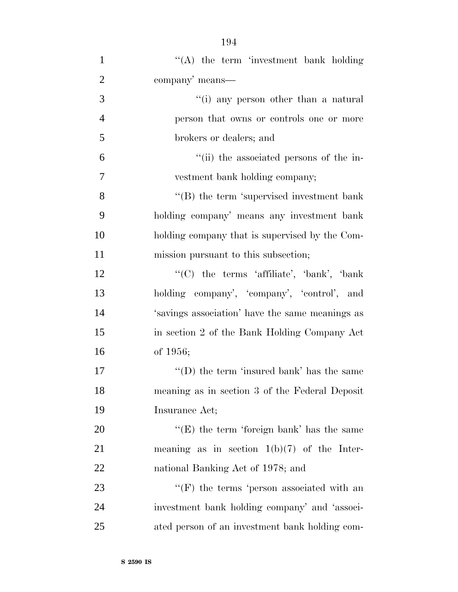| $\mathbf{1}$   | "(A) the term 'investment bank holding           |
|----------------|--------------------------------------------------|
| $\overline{2}$ | company' means—                                  |
| 3              | "(i) any person other than a natural             |
| $\overline{4}$ | person that owns or controls one or more         |
| 5              | brokers or dealers; and                          |
| 6              | "(ii) the associated persons of the in-          |
| 7              | vestment bank holding company;                   |
| 8              | $\lq\lq$ the term 'supervised investment bank    |
| 9              | holding company' means any investment bank       |
| 10             | holding company that is supervised by the Com-   |
| 11             | mission pursuant to this subsection;             |
| 12             | " $(C)$ the terms 'affiliate', 'bank', 'bank'    |
| 13             | holding company', 'company', 'control', and      |
| 14             | 's avings association' have the same meanings as |
| 15             | in section 2 of the Bank Holding Company Act     |
| 16             | of 1956;                                         |
| 17             | "(D) the term 'insured bank' has the same        |
| 18             | meaning as in section 3 of the Federal Deposit   |
| 19             | Insurance Act;                                   |
| 20             | " $(E)$ the term 'foreign bank' has the same     |
| 21             | meaning as in section $1(b)(7)$ of the Inter-    |
| 22             | national Banking Act of 1978; and                |
| 23             | $\lq\lq(F)$ the terms 'person associated with an |
| 24             | investment bank holding company' and 'associ-    |
| 25             | ated person of an investment bank holding com-   |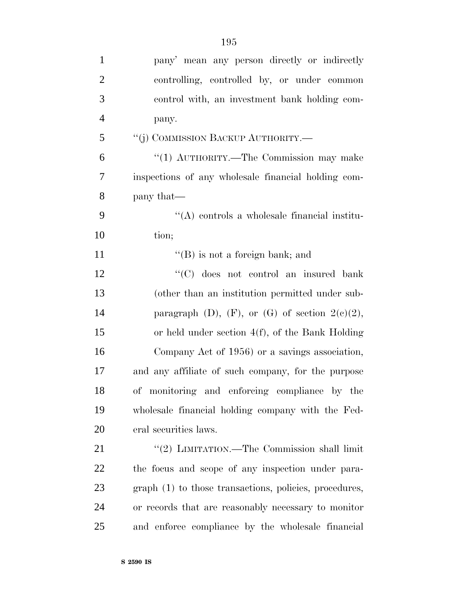| $\mathbf{1}$   | pany' mean any person directly or indirectly           |
|----------------|--------------------------------------------------------|
| $\overline{2}$ | controlling, controlled by, or under common            |
| 3              | control with, an investment bank holding com-          |
| $\overline{4}$ | pany.                                                  |
| 5              | "(j) COMMISSION BACKUP AUTHORITY.—                     |
| 6              | "(1) AUTHORITY.—The Commission may make                |
| 7              | inspections of any wholesale financial holding com-    |
| 8              | pany that—                                             |
| 9              | $\lq\lq$ controls a wholesale financial institu-       |
| 10             | tion;                                                  |
| 11             | $\lq\lq$ (B) is not a foreign bank; and                |
| 12             | "(C) does not control an insured bank                  |
| 13             | (other than an institution permitted under sub-        |
| 14             | paragraph (D), $(F)$ , or $(G)$ of section $2(e)(2)$ , |
| 15             | or held under section $4(f)$ , of the Bank Holding     |
| 16             | Company Act of 1956) or a savings association,         |
| 17             | and any affiliate of such company, for the purpose     |
| 18             | of monitoring and enforcing compliance by the          |
| 19             | wholesale financial holding company with the Fed-      |
| 20             | eral securities laws.                                  |
| 21             | "(2) LIMITATION.—The Commission shall limit            |
| 22             | the focus and scope of any inspection under para-      |
| 23             | graph (1) to those transactions, policies, procedures, |
| 24             | or records that are reasonably necessary to monitor    |
| 25             | and enforce compliance by the wholesale financial      |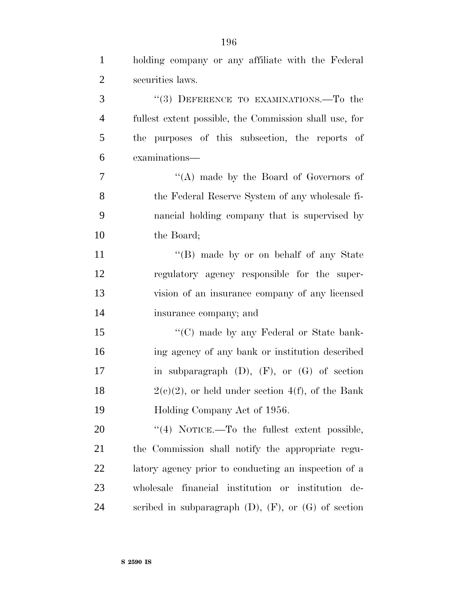| $\mathbf{1}$   | holding company or any affiliate with the Federal           |
|----------------|-------------------------------------------------------------|
| $\overline{2}$ | securities laws.                                            |
| 3              | "(3) DEFERENCE TO EXAMINATIONS.—To the                      |
| $\overline{4}$ | fullest extent possible, the Commission shall use, for      |
| 5              | the purposes of this subsection, the reports of             |
| 6              | examinations-                                               |
| $\tau$         | "(A) made by the Board of Governors of                      |
| 8              | the Federal Reserve System of any wholesale fi-             |
| 9              | nancial holding company that is supervised by               |
| 10             | the Board;                                                  |
| 11             | "(B) made by or on behalf of any State                      |
| 12             | regulatory agency responsible for the super-                |
| 13             | vision of an insurance company of any licensed              |
| 14             | insurance company; and                                      |
| 15             | "(C) made by any Federal or State bank-                     |
| 16             | ing agency of any bank or institution described             |
| 17             | in subparagraph $(D)$ , $(F)$ , or $(G)$ of section         |
| 18             | $2(e)(2)$ , or held under section $4(f)$ , of the Bank      |
| 19             | Holding Company Act of 1956.                                |
| 20             | "(4) NOTICE.—To the fullest extent possible,                |
| 21             | the Commission shall notify the appropriate regu-           |
| 22             | latory agency prior to conducting an inspection of a        |
| 23             | wholesale financial institution or institution de-          |
| 24             | scribed in subparagraph $(D)$ , $(F)$ , or $(G)$ of section |

**S 2590 IS**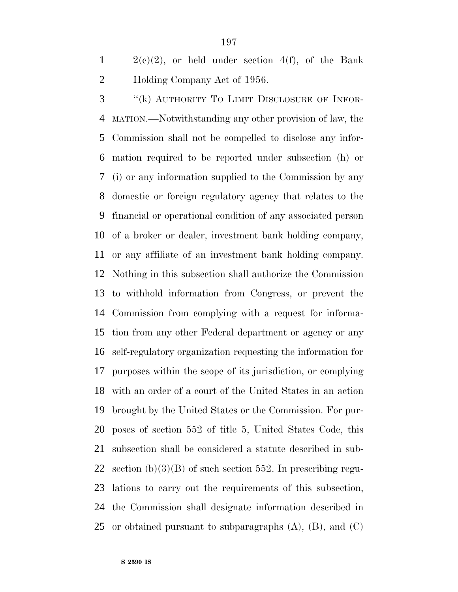$1 \qquad 2(e)(2)$ , or held under section  $4(f)$ , of the Bank Holding Company Act of 1956.

 ''(k) AUTHORITY TO LIMIT DISCLOSURE OF INFOR- MATION.—Notwithstanding any other provision of law, the Commission shall not be compelled to disclose any infor- mation required to be reported under subsection (h) or (i) or any information supplied to the Commission by any domestic or foreign regulatory agency that relates to the financial or operational condition of any associated person of a broker or dealer, investment bank holding company, or any affiliate of an investment bank holding company. Nothing in this subsection shall authorize the Commission to withhold information from Congress, or prevent the Commission from complying with a request for informa- tion from any other Federal department or agency or any self-regulatory organization requesting the information for purposes within the scope of its jurisdiction, or complying with an order of a court of the United States in an action brought by the United States or the Commission. For pur- poses of section 552 of title 5, United States Code, this subsection shall be considered a statute described in sub-22 section  $(b)(3)(B)$  of such section 552. In prescribing regu- lations to carry out the requirements of this subsection, the Commission shall designate information described in 25 or obtained pursuant to subparagraphs  $(A)$ ,  $(B)$ , and  $(C)$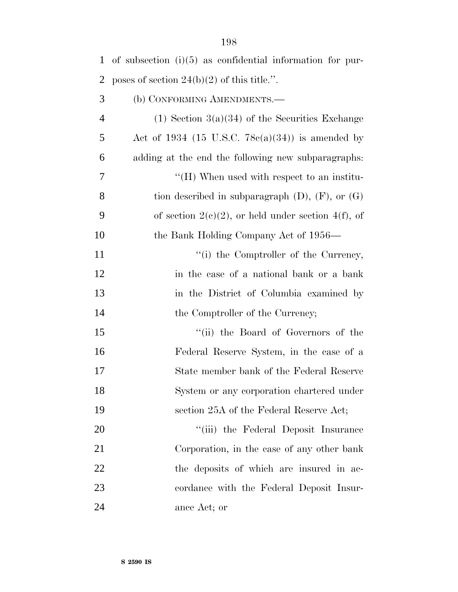| 1              | of subsection $(i)(5)$ as confidential information for pur- |
|----------------|-------------------------------------------------------------|
| 2              | poses of section $24(b)(2)$ of this title.".                |
| 3              | (b) CONFORMING AMENDMENTS.-                                 |
| $\overline{4}$ | $(1)$ Section 3(a)(34) of the Securities Exchange           |
| 5              | Act of 1934 (15 U.S.C. 78 $c(a)(34)$ ) is amended by        |
| 6              | adding at the end the following new subparagraphs:          |
| 7              | $H(H)$ When used with respect to an institu-                |
| 8              | tion described in subparagraph $(D)$ , $(F)$ , or $(G)$     |
| 9              | of section $2(e)(2)$ , or held under section $4(f)$ , of    |
| 10             | the Bank Holding Company Act of 1956—                       |
| 11             | "(i) the Comptroller of the Currency,                       |
| 12             | in the case of a national bank or a bank                    |
| 13             | in the District of Columbia examined by                     |
| 14             | the Comptroller of the Currency;                            |
| 15             | "(ii) the Board of Governors of the                         |
| 16             | Federal Reserve System, in the case of a                    |
| 17             | State member bank of the Federal Reserve                    |
| 18             | System or any corporation chartered under                   |
| 19             | section 25A of the Federal Reserve Act;                     |
| 20             | "(iii) the Federal Deposit Insurance                        |
| 21             | Corporation, in the case of any other bank                  |
| 22             | the deposits of which are insured in ac-                    |
| 23             | cordance with the Federal Deposit Insur-                    |
| 24             | ance Act; or                                                |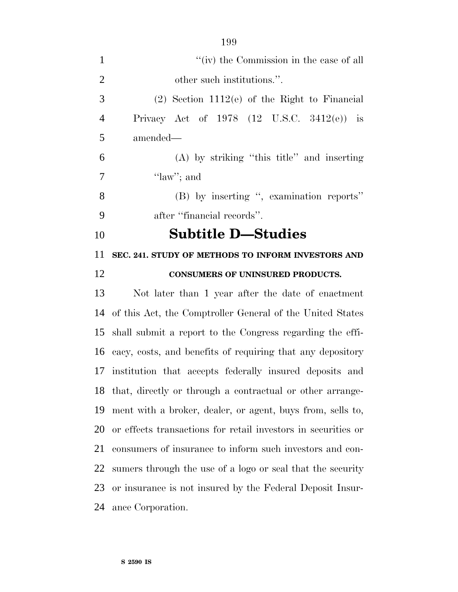| $\mathbf{1}$   | "(iv) the Commission in the case of all                       |
|----------------|---------------------------------------------------------------|
| $\overline{2}$ | other such institutions.".                                    |
| 3              | $(2)$ Section 1112(e) of the Right to Financial               |
| $\overline{4}$ | Privacy Act of 1978 $(12 \text{ U.S.C. } 3412(e))$ is         |
| 5              | amended—                                                      |
| 6              | $(A)$ by striking "this title" and inserting                  |
| 7              | " $law$ "; and                                                |
| 8              | (B) by inserting ", examination reports"                      |
| 9              | after "financial records".                                    |
| 10             | <b>Subtitle D-Studies</b>                                     |
| 11             | SEC. 241. STUDY OF METHODS TO INFORM INVESTORS AND            |
| 12             | CONSUMERS OF UNINSURED PRODUCTS.                              |
| 13             | Not later than 1 year after the date of enactment             |
| 14             | of this Act, the Comptroller General of the United States     |
| 15             | shall submit a report to the Congress regarding the effi-     |
|                | 16 cacy, costs, and benefits of requiring that any depository |
|                | 17 institution that accepts federally insured deposits and    |
|                | 18 that, directly or through a contractual or other arrange-  |
| 19             | ment with a broker, dealer, or agent, buys from, sells to,    |
| 20             | or effects transactions for retail investors in securities or |
| 21             | consumers of insurance to inform such investors and con-      |
| 22             | sumers through the use of a logo or seal that the security    |
| 23             | or insurance is not insured by the Federal Deposit Insur-     |
| 24             | ance Corporation.                                             |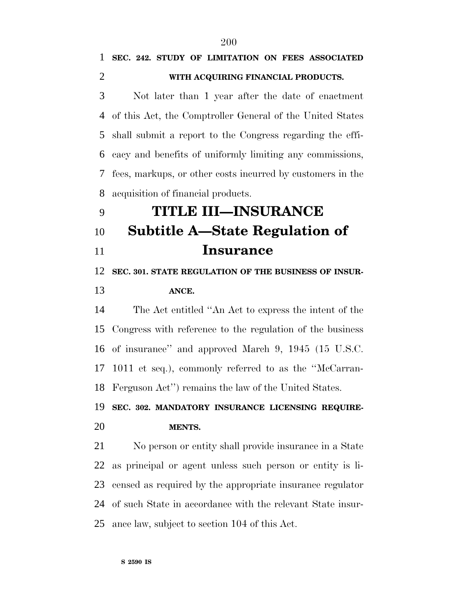### **SEC. 242. STUDY OF LIMITATION ON FEES ASSOCIATED WITH ACQUIRING FINANCIAL PRODUCTS.**

 Not later than 1 year after the date of enactment of this Act, the Comptroller General of the United States shall submit a report to the Congress regarding the effi- cacy and benefits of uniformly limiting any commissions, fees, markups, or other costs incurred by customers in the acquisition of financial products.

# **TITLE III—INSURANCE Subtitle A—State Regulation of Insurance**

**SEC. 301. STATE REGULATION OF THE BUSINESS OF INSUR-**

#### **ANCE.**

 The Act entitled ''An Act to express the intent of the Congress with reference to the regulation of the business of insurance'' and approved March 9, 1945 (15 U.S.C. 1011 et seq.), commonly referred to as the ''McCarran-Ferguson Act'') remains the law of the United States.

# **SEC. 302. MANDATORY INSURANCE LICENSING REQUIRE-MENTS.**

 No person or entity shall provide insurance in a State as principal or agent unless such person or entity is li- censed as required by the appropriate insurance regulator of such State in accordance with the relevant State insur-ance law, subject to section 104 of this Act.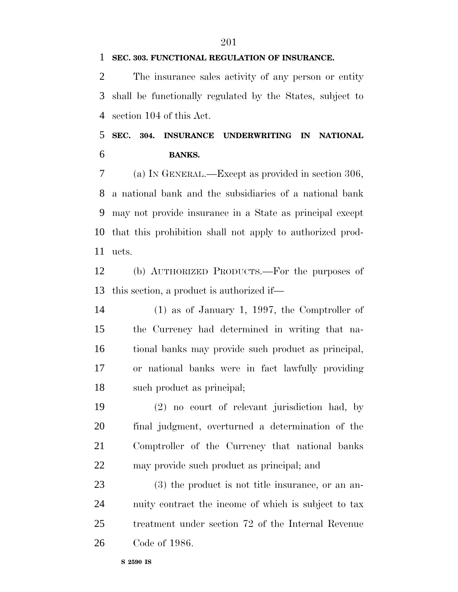#### **SEC. 303. FUNCTIONAL REGULATION OF INSURANCE.**

 The insurance sales activity of any person or entity shall be functionally regulated by the States, subject to section 104 of this Act.

 **SEC. 304. INSURANCE UNDERWRITING IN NATIONAL BANKS.**

 (a) IN GENERAL.—Except as provided in section 306, a national bank and the subsidiaries of a national bank may not provide insurance in a State as principal except that this prohibition shall not apply to authorized prod-ucts.

 (b) AUTHORIZED PRODUCTS.—For the purposes of this section, a product is authorized if—

 (1) as of January 1, 1997, the Comptroller of the Currency had determined in writing that na- tional banks may provide such product as principal, or national banks were in fact lawfully providing such product as principal;

 (2) no court of relevant jurisdiction had, by final judgment, overturned a determination of the Comptroller of the Currency that national banks may provide such product as principal; and

 (3) the product is not title insurance, or an an- nuity contract the income of which is subject to tax treatment under section 72 of the Internal Revenue Code of 1986.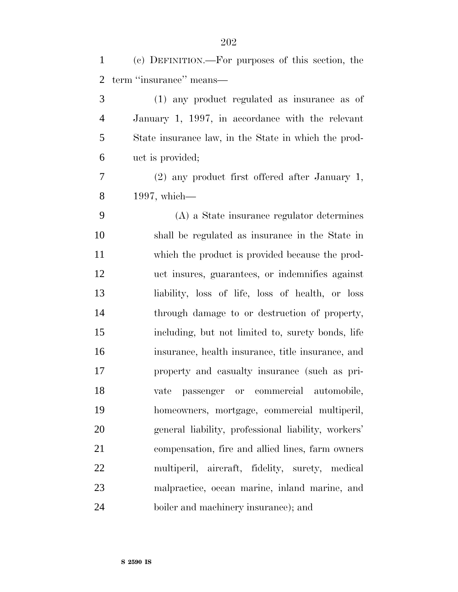| $\mathbf{1}$ | (c) DEFINITION.—For purposes of this section, the    |
|--------------|------------------------------------------------------|
| 2            | term "insurance" means—                              |
| 3            | (1) any product regulated as insurance as of         |
| 4            | January 1, 1997, in accordance with the relevant     |
| 5            | State insurance law, in the State in which the prod- |
| 6            | uct is provided;                                     |
| 7            | $(2)$ any product first offered after January 1,     |
| 8            | $1997$ , which—                                      |
| 9            | (A) a State insurance regulator determines           |
| 10           | shall be regulated as insurance in the State in      |
| 11           | which the product is provided because the prod-      |
| 12           | uct insures, guarantees, or indemnifies against      |
| 13           | liability, loss of life, loss of health, or loss     |
| 14           | through damage to or destruction of property,        |
| 15           | including, but not limited to, surety bonds, life    |
| 16           | insurance, health insurance, title insurance, and    |
| 17           | property and casualty insurance (such as pri-        |
| 18           | vate passenger or commercial automobile,             |
| 19           | homeowners, mortgage, commercial multiperil,         |
| 20           | general liability, professional liability, workers'  |
| 21           | compensation, fire and allied lines, farm owners     |
| 22           | multiperil, aircraft, fidelity, surety, medical      |
| 23           | malpractice, ocean marine, inland marine, and        |
| 24           | boiler and machinery insurance); and                 |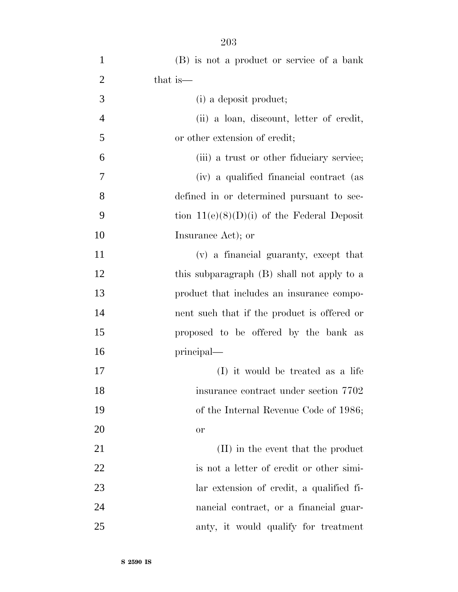| $\mathbf{1}$   | (B) is not a product or service of a bank    |
|----------------|----------------------------------------------|
| $\overline{2}$ | that is—                                     |
| 3              | (i) a deposit product;                       |
| $\overline{4}$ | (ii) a loan, discount, letter of credit,     |
| 5              | or other extension of credit;                |
| 6              | (iii) a trust or other fiduciary service;    |
| 7              | (iv) a qualified financial contract (as      |
| 8              | defined in or determined pursuant to sec-    |
| 9              | tion $11(e)(8)(D)(i)$ of the Federal Deposit |
| 10             | Insurance Act); or                           |
| 11             | (v) a financial guaranty, except that        |
| 12             | this subparagraph (B) shall not apply to a   |
| 13             | product that includes an insurance compo-    |
| 14             | nent such that if the product is offered or  |
| 15             | proposed to be offered by the bank as        |
| 16             | principal—                                   |
| 17             | (I) it would be treated as a life            |
| 18             | insurance contract under section 7702        |
| 19             | of the Internal Revenue Code of 1986;        |
| <b>20</b>      | <b>or</b>                                    |
| 21             | (II) in the event that the product           |
| 22             | is not a letter of credit or other simi-     |
| 23             | lar extension of credit, a qualified fi-     |
| 24             | nancial contract, or a financial guar-       |
| 25             | anty, it would qualify for treatment         |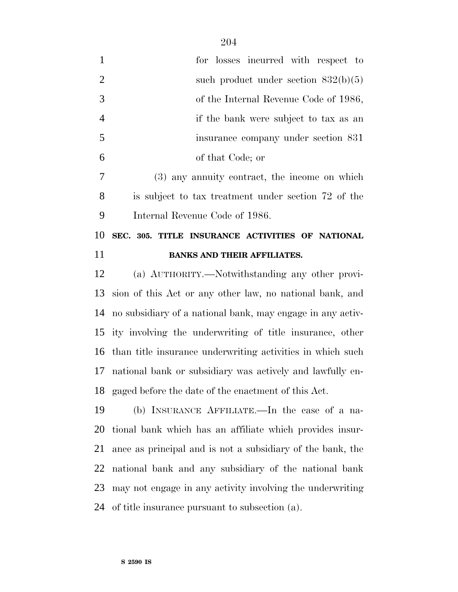| $\mathbf{1}$   | for losses incurred with respect to                      |
|----------------|----------------------------------------------------------|
| $\overline{2}$ | such product under section $832(b)(5)$                   |
| 3              | of the Internal Revenue Code of 1986,                    |
| $\overline{4}$ | if the bank were subject to tax as an                    |
| 5              | insurance company under section 831                      |
| 6              | of that Code; or                                         |
| $\overline{7}$ | (3) any annuity contract, the income on which            |
| 8              | is subject to tax treatment under section 72 of the      |
| 9              | Internal Revenue Code of 1986.                           |
| 10             | SEC. 305. TITLE INSURANCE ACTIVITIES OF NATIONAL         |
| 11             | <b>BANKS AND THEIR AFFILIATES.</b>                       |
| 12             | (a) AUTHORITY.—Notwithstanding any other provi-          |
| 13             | sion of this Act or any other law, no national bank, and |
|                |                                                          |

 no subsidiary of a national bank, may engage in any activ- ity involving the underwriting of title insurance, other than title insurance underwriting activities in which such national bank or subsidiary was actively and lawfully en-gaged before the date of the enactment of this Act.

 (b) INSURANCE AFFILIATE.—In the case of a na- tional bank which has an affiliate which provides insur- ance as principal and is not a subsidiary of the bank, the national bank and any subsidiary of the national bank may not engage in any activity involving the underwriting of title insurance pursuant to subsection (a).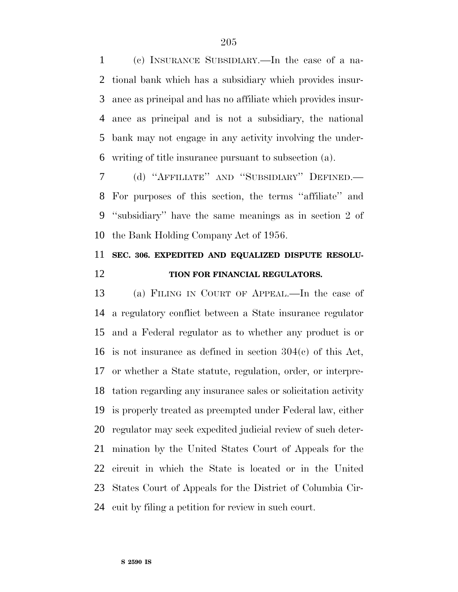(c) INSURANCE SUBSIDIARY.—In the case of a na- tional bank which has a subsidiary which provides insur- ance as principal and has no affiliate which provides insur- ance as principal and is not a subsidiary, the national bank may not engage in any activity involving the under-writing of title insurance pursuant to subsection (a).

 (d) ''AFFILIATE'' AND ''SUBSIDIARY'' DEFINED.— For purposes of this section, the terms ''affiliate'' and ''subsidiary'' have the same meanings as in section 2 of the Bank Holding Company Act of 1956.

## **SEC. 306. EXPEDITED AND EQUALIZED DISPUTE RESOLU-TION FOR FINANCIAL REGULATORS.**

 (a) FILING IN COURT OF APPEAL.—In the case of a regulatory conflict between a State insurance regulator and a Federal regulator as to whether any product is or is not insurance as defined in section 304(c) of this Act, or whether a State statute, regulation, order, or interpre- tation regarding any insurance sales or solicitation activity is properly treated as preempted under Federal law, either regulator may seek expedited judicial review of such deter- mination by the United States Court of Appeals for the circuit in which the State is located or in the United States Court of Appeals for the District of Columbia Cir-cuit by filing a petition for review in such court.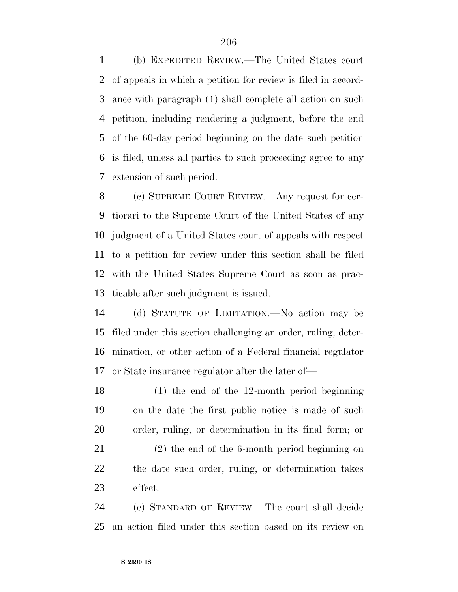(b) EXPEDITED REVIEW.—The United States court of appeals in which a petition for review is filed in accord- ance with paragraph (1) shall complete all action on such petition, including rendering a judgment, before the end of the 60-day period beginning on the date such petition is filed, unless all parties to such proceeding agree to any extension of such period.

 (c) SUPREME COURT REVIEW.—Any request for cer- tiorari to the Supreme Court of the United States of any judgment of a United States court of appeals with respect to a petition for review under this section shall be filed with the United States Supreme Court as soon as prac-ticable after such judgment is issued.

 (d) STATUTE OF LIMITATION.—No action may be filed under this section challenging an order, ruling, deter- mination, or other action of a Federal financial regulator or State insurance regulator after the later of—

 (1) the end of the 12-month period beginning on the date the first public notice is made of such order, ruling, or determination in its final form; or

 (2) the end of the 6-month period beginning on the date such order, ruling, or determination takes effect.

 (e) STANDARD OF REVIEW.—The court shall decide an action filed under this section based on its review on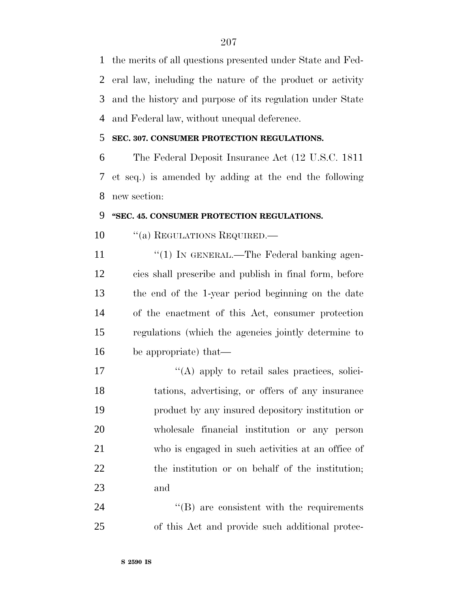the merits of all questions presented under State and Fed- eral law, including the nature of the product or activity and the history and purpose of its regulation under State and Federal law, without unequal deference.

#### **SEC. 307. CONSUMER PROTECTION REGULATIONS.**

 The Federal Deposit Insurance Act (12 U.S.C. 1811 et seq.) is amended by adding at the end the following new section:

#### **''SEC. 45. CONSUMER PROTECTION REGULATIONS.**

10 "(a) REGULATIONS REQUIRED.—

11 "(1) IN GENERAL.—The Federal banking agen- cies shall prescribe and publish in final form, before the end of the 1-year period beginning on the date of the enactment of this Act, consumer protection regulations (which the agencies jointly determine to be appropriate) that—

 $\langle (A)$  apply to retail sales practices, solici- tations, advertising, or offers of any insurance product by any insured depository institution or wholesale financial institution or any person who is engaged in such activities at an office of the institution or on behalf of the institution; and

24 ''(B) are consistent with the requirements of this Act and provide such additional protec-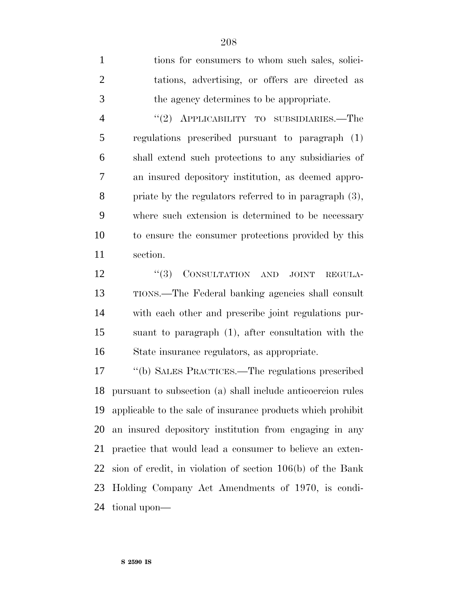tions for consumers to whom such sales, solici- tations, advertising, or offers are directed as the agency determines to be appropriate. ''(2) APPLICABILITY TO SUBSIDIARIES.—The regulations prescribed pursuant to paragraph (1) shall extend such protections to any subsidiaries of an insured depository institution, as deemed appro- priate by the regulators referred to in paragraph (3), where such extension is determined to be necessary to ensure the consumer protections provided by this section.

12 "(3) CONSULTATION AND JOINT REGULA- TIONS.—The Federal banking agencies shall consult with each other and prescribe joint regulations pur- suant to paragraph (1), after consultation with the State insurance regulators, as appropriate.

 ''(b) SALES PRACTICES.—The regulations prescribed pursuant to subsection (a) shall include anticoercion rules applicable to the sale of insurance products which prohibit an insured depository institution from engaging in any practice that would lead a consumer to believe an exten- sion of credit, in violation of section 106(b) of the Bank Holding Company Act Amendments of 1970, is condi-tional upon—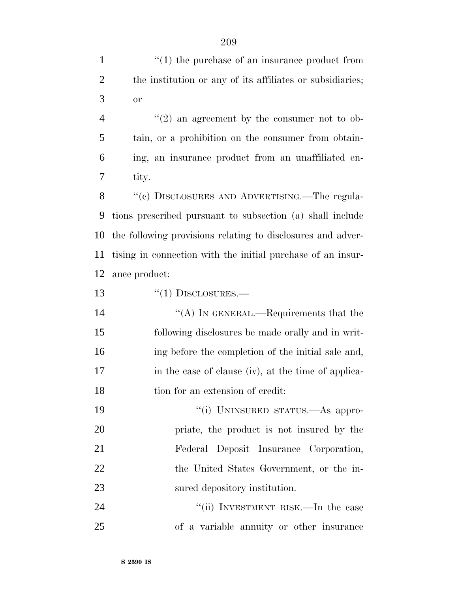| $\mathbf{1}$   | $\cdot$ (1) the purchase of an insurance product from       |
|----------------|-------------------------------------------------------------|
| $\overline{2}$ | the institution or any of its affiliates or subsidiaries;   |
| 3              | <b>or</b>                                                   |
| $\overline{4}$ | $\lq(2)$ an agreement by the consumer not to ob-            |
| 5              | tain, or a prohibition on the consumer from obtain-         |
| 6              | ing, an insurance product from an unaffiliated en-          |
| 7              | tity.                                                       |
| 8              | "(c) DISCLOSURES AND ADVERTISING.—The regula-               |
| 9              | tions prescribed pursuant to subsection (a) shall include   |
| 10             | the following provisions relating to disclosures and adver- |
| 11             | tising in connection with the initial purchase of an insur- |
| 12             | ance product:                                               |
| 13             | $``(1)$ DISCLOSURES.—                                       |
| 14             | "(A) IN GENERAL.—Requirements that the                      |
| 15             | following disclosures be made orally and in writ-           |
| 16             | ing before the completion of the initial sale and,          |
| 17             | in the case of clause (iv), at the time of applica-         |
| 18             | tion for an extension of credit:                            |
| 19             | "(i) UNINSURED STATUS.—As appro-                            |
| 20             | priate, the product is not insured by the                   |
| 21             | Federal Deposit Insurance Corporation,                      |
| 22             | the United States Government, or the in-                    |
| 23             | sured depository institution.                               |
| 24             | "(ii) INVESTMENT RISK.—In the case                          |
| 25             | of a variable annuity or other insurance                    |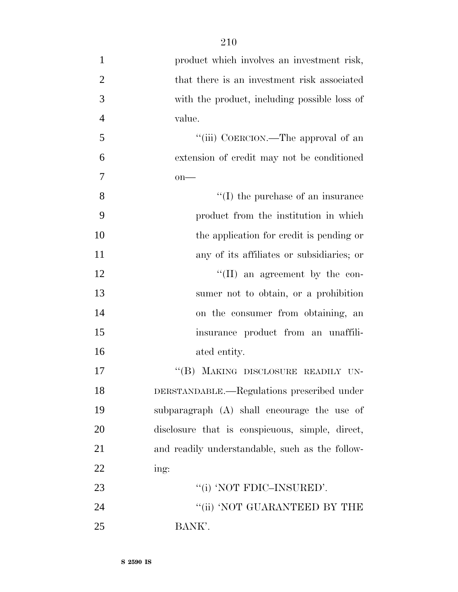| $\mathbf{1}$   | product which involves an investment risk,      |
|----------------|-------------------------------------------------|
| $\overline{2}$ | that there is an investment risk associated     |
| 3              | with the product, including possible loss of    |
| $\overline{4}$ | value.                                          |
| 5              | "(iii) COERCION.—The approval of an             |
| 6              | extension of credit may not be conditioned      |
| $\tau$         | $on$ —                                          |
| 8              | $\lq\lq$ (I) the purchase of an insurance       |
| 9              | product from the institution in which           |
| 10             | the application for credit is pending or        |
| 11             | any of its affiliates or subsidiaries; or       |
| 12             | $\lq\lq$ (II) an agreement by the con-          |
| 13             | sumer not to obtain, or a prohibition           |
| 14             | on the consumer from obtaining, an              |
| 15             | insurance product from an unaffili-             |
| 16             | ated entity.                                    |
| 17             | "(B) MAKING DISCLOSURE READILY UN-              |
| 18             | DERSTANDABLE.—Regulations prescribed under      |
| 19             | subparagraph (A) shall encourage the use of     |
| 20             | disclosure that is conspicuous, simple, direct, |
| 21             | and readily understandable, such as the follow- |
| 22             | ing:                                            |
| 23             | "(i) 'NOT FDIC-INSURED'.                        |
| 24             | "(ii) 'NOT GUARANTEED BY THE                    |
| 25             | BANK'.                                          |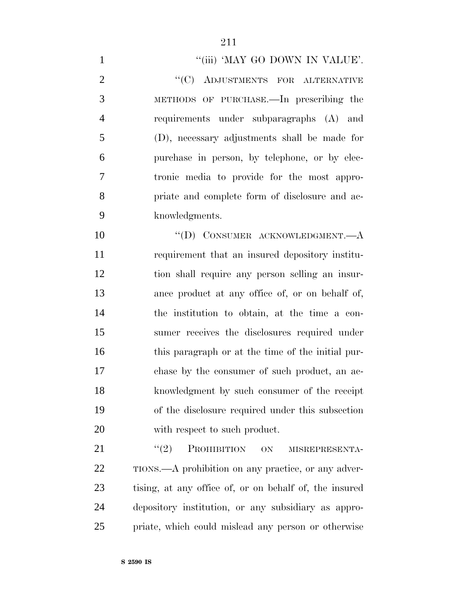#### 1 ""(iii) 'MAY GO DOWN IN VALUE'.

2 "(C) ADJUSTMENTS FOR ALTERNATIVE METHODS OF PURCHASE.—In prescribing the requirements under subparagraphs (A) and (D), necessary adjustments shall be made for purchase in person, by telephone, or by elec- tronic media to provide for the most appro- priate and complete form of disclosure and ac-knowledgments.

10 "(D) CONSUMER ACKNOWLEDGMENT.—A requirement that an insured depository institu- tion shall require any person selling an insur- ance product at any office of, or on behalf of, the institution to obtain, at the time a con- sumer receives the disclosures required under 16 this paragraph or at the time of the initial pur- chase by the consumer of such product, an ac- knowledgment by such consumer of the receipt of the disclosure required under this subsection with respect to such product.

21 "(2) PROHIBITION ON MISREPRESENTA-22 TIONS.—A prohibition on any practice, or any adver- tising, at any office of, or on behalf of, the insured depository institution, or any subsidiary as appro-priate, which could mislead any person or otherwise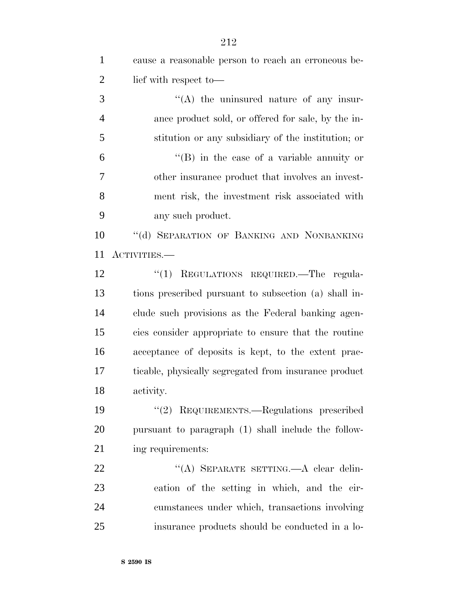| $\mathbf{1}$   | cause a reasonable person to reach an erroneous be-   |
|----------------|-------------------------------------------------------|
| $\overline{2}$ | lief with respect to-                                 |
| 3              | $\lq\lq$ the uninsured nature of any insur-           |
| $\overline{4}$ | ance product sold, or offered for sale, by the in-    |
| 5              | stitution or any subsidiary of the institution; or    |
| 6              | $\lq\lq (B)$ in the case of a variable annuity or     |
| 7              | other insurance product that involves an invest-      |
| 8              | ment risk, the investment risk associated with        |
| 9              | any such product.                                     |
| 10             | "(d) SEPARATION OF BANKING AND NONBANKING             |
| 11             | ACTIVITIES.—                                          |
| 12             | REGULATIONS REQUIRED. The regula-<br>``(1)            |
| 13             | tions prescribed pursuant to subsection (a) shall in- |
| 14             | clude such provisions as the Federal banking agen-    |
| 15             | cies consider appropriate to ensure that the routine  |
| 16             | acceptance of deposits is kept, to the extent prac-   |
| 17             | ticable, physically segregated from insurance product |
| 18             | activity.                                             |
| 19             | "(2) REQUIREMENTS.—Regulations prescribed             |
| 20             | pursuant to paragraph (1) shall include the follow-   |
| 21             | ing requirements:                                     |
| 22             | "(A) SEPARATE SETTING.—A clear delin-                 |
| 23             | eation of the setting in which, and the cir-          |
| 24             | cumstances under which, transactions involving        |
| 25             | insurance products should be conducted in a lo-       |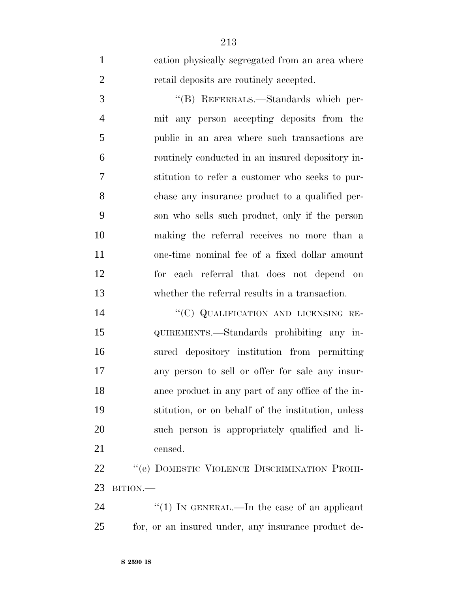| $\mathbf{1}$   | cation physically segregated from an area where    |
|----------------|----------------------------------------------------|
| $\overline{2}$ | retail deposits are routinely accepted.            |
| 3              | "(B) REFERRALS.—Standards which per-               |
| $\overline{4}$ | mit any person accepting deposits from the         |
| 5              | public in an area where such transactions are      |
| 6              | routinely conducted in an insured depository in-   |
| $\tau$         | stitution to refer a customer who seeks to pur-    |
| 8              | chase any insurance product to a qualified per-    |
| 9              | son who sells such product, only if the person     |
| 10             | making the referral receives no more than a        |
| 11             | one-time nominal fee of a fixed dollar amount      |
| 12             | for each referral that does not depend on          |
| 13             | whether the referral results in a transaction.     |
| 14             | "(C) QUALIFICATION AND LICENSING RE-               |
| 15             | QUIREMENTS.—Standards prohibiting any in-          |
| 16             | sured depository institution from permitting       |
| 17             | any person to sell or offer for sale any insur-    |
| 18             | ance product in any part of any office of the in-  |
| 19             | stitution, or on behalf of the institution, unless |
| 20             | such person is appropriately qualified and li-     |
| 21             | censed.                                            |
| 22             | "(e) DOMESTIC VIOLENCE DISCRIMINATION PROHI-       |
| 23             | BITION.                                            |

24 ''(1) IN GENERAL.—In the case of an applicant for, or an insured under, any insurance product de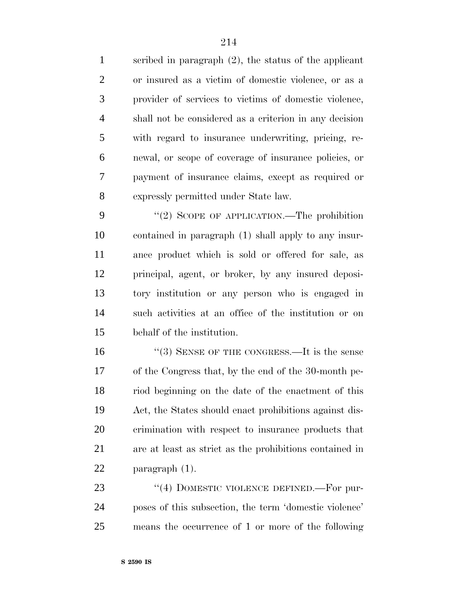scribed in paragraph (2), the status of the applicant or insured as a victim of domestic violence, or as a provider of services to victims of domestic violence, shall not be considered as a criterion in any decision with regard to insurance underwriting, pricing, re- newal, or scope of coverage of insurance policies, or payment of insurance claims, except as required or expressly permitted under State law.

9 "(2) SCOPE OF APPLICATION.—The prohibition contained in paragraph (1) shall apply to any insur- ance product which is sold or offered for sale, as principal, agent, or broker, by any insured deposi- tory institution or any person who is engaged in such activities at an office of the institution or on behalf of the institution.

16 "(3) SENSE OF THE CONGRESS.—It is the sense of the Congress that, by the end of the 30-month pe- riod beginning on the date of the enactment of this Act, the States should enact prohibitions against dis- crimination with respect to insurance products that are at least as strict as the prohibitions contained in paragraph (1).

23 "(4) DOMESTIC VIOLENCE DEFINED. For pur- poses of this subsection, the term 'domestic violence' means the occurrence of 1 or more of the following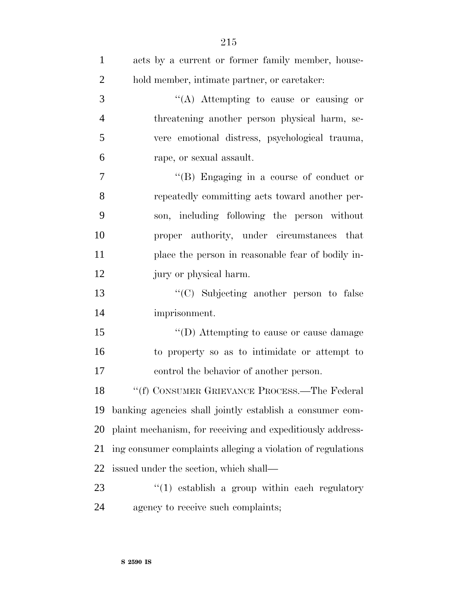| $\mathbf{1}$   | acts by a current or former family member, house-           |
|----------------|-------------------------------------------------------------|
| $\overline{2}$ | hold member, intimate partner, or caretaker.                |
| 3              | "(A) Attempting to cause or causing or                      |
| $\overline{4}$ | threatening another person physical harm, se-               |
| 5              | vere emotional distress, psychological trauma,              |
| 6              | rape, or sexual assault.                                    |
| $\tau$         | "(B) Engaging in a course of conduct or                     |
| 8              | repeatedly committing acts toward another per-              |
| 9              | son, including following the person without                 |
| 10             | proper authority, under circumstances that                  |
| 11             | place the person in reasonable fear of bodily in-           |
| 12             | jury or physical harm.                                      |
| 13             | "(C) Subjecting another person to false                     |
| 14             | imprisonment.                                               |
| 15             | "(D) Attempting to cause or cause damage                    |
| 16             | to property so as to intimidate or attempt to               |
| 17             | control the behavior of another person.                     |
| 18             | "(f) CONSUMER GRIEVANCE PROCESS.—The Federal                |
| 19             | banking agencies shall jointly establish a consumer com-    |
| 20             | plaint mechanism, for receiving and expeditiously address-  |
| 21             | ing consumer complaints alleging a violation of regulations |
| 22             | issued under the section, which shall—                      |
| 23             | $(1)$ establish a group within each regulatory              |
| 24             | agency to receive such complaints;                          |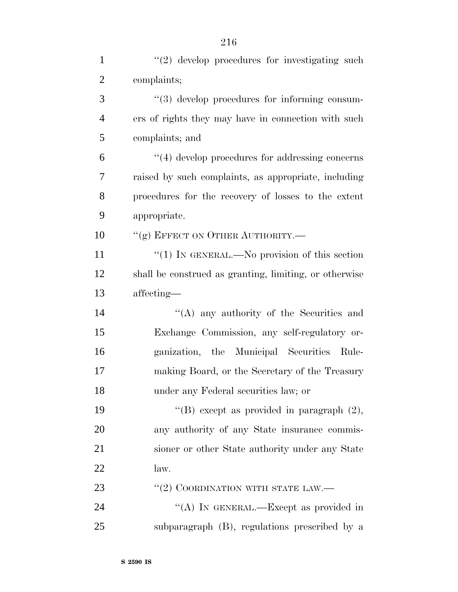| $\mathbf{1}$   | $"(2)$ develop procedures for investigating such       |
|----------------|--------------------------------------------------------|
| $\overline{2}$ | complaints;                                            |
| 3              | $\lq(3)$ develop procedures for informing consum-      |
| $\overline{4}$ | ers of rights they may have in connection with such    |
| 5              | complaints; and                                        |
| 6              | $\lq(4)$ develop procedures for addressing concerns    |
| 7              | raised by such complaints, as appropriate, including   |
| 8              | procedures for the recovery of losses to the extent    |
| 9              | appropriate.                                           |
| 10             | "(g) EFFECT ON OTHER AUTHORITY.-                       |
| 11             | " $(1)$ IN GENERAL.—No provision of this section       |
| 12             | shall be construed as granting, limiting, or otherwise |
| 13             | affecting-                                             |
| 14             | "(A) any authority of the Securities and               |
| 15             | Exchange Commission, any self-regulatory or-           |
| 16             | ganization, the Municipal Securities Rule-             |
| 17             | making Board, or the Secretary of the Treasury         |
| 18             | under any Federal securities law; or                   |
| 19             | "(B) except as provided in paragraph $(2)$ ,           |
| 20             | any authority of any State insurance commis-           |
| 21             | sioner or other State authority under any State        |
| 22             | law.                                                   |
| 23             | $``(2)$ COORDINATION WITH STATE LAW.—                  |
| 24             | "(A) IN GENERAL.—Except as provided in                 |
| 25             | subparagraph (B), regulations prescribed by a          |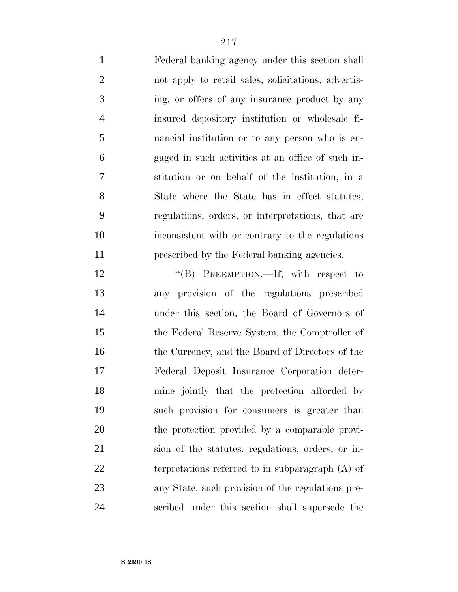Federal banking agency under this section shall not apply to retail sales, solicitations, advertis- ing, or offers of any insurance product by any insured depository institution or wholesale fi- nancial institution or to any person who is en- gaged in such activities at an office of such in- stitution or on behalf of the institution, in a State where the State has in effect statutes, regulations, orders, or interpretations, that are inconsistent with or contrary to the regulations prescribed by the Federal banking agencies.

12 "(B) PREEMPTION.—If, with respect to any provision of the regulations prescribed under this section, the Board of Governors of the Federal Reserve System, the Comptroller of the Currency, and the Board of Directors of the Federal Deposit Insurance Corporation deter- mine jointly that the protection afforded by such provision for consumers is greater than the protection provided by a comparable provi- sion of the statutes, regulations, orders, or in- terpretations referred to in subparagraph (A) of any State, such provision of the regulations pre-scribed under this section shall supersede the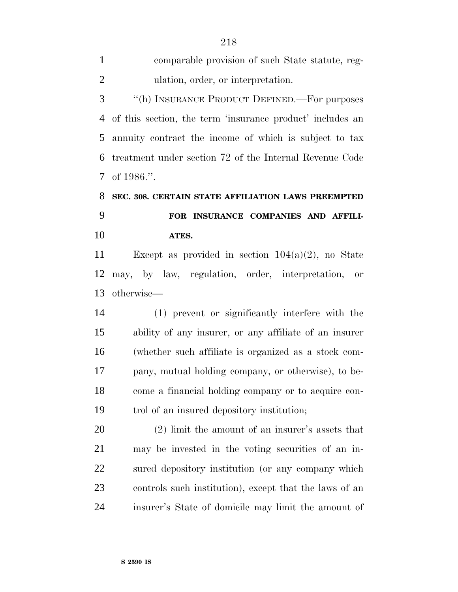comparable provision of such State statute, reg- ulation, order, or interpretation. ''(h) INSURANCE PRODUCT DEFINED.—For purposes of this section, the term 'insurance product' includes an annuity contract the income of which is subject to tax treatment under section 72 of the Internal Revenue Code

of 1986.''.

### **SEC. 308. CERTAIN STATE AFFILIATION LAWS PREEMPTED FOR INSURANCE COMPANIES AND AFFILI-ATES.**

 Except as provided in section 104(a)(2), no State may, by law, regulation, order, interpretation, or otherwise—

 (1) prevent or significantly interfere with the ability of any insurer, or any affiliate of an insurer (whether such affiliate is organized as a stock com- pany, mutual holding company, or otherwise), to be- come a financial holding company or to acquire con-trol of an insured depository institution;

 (2) limit the amount of an insurer's assets that may be invested in the voting securities of an in- sured depository institution (or any company which controls such institution), except that the laws of an insurer's State of domicile may limit the amount of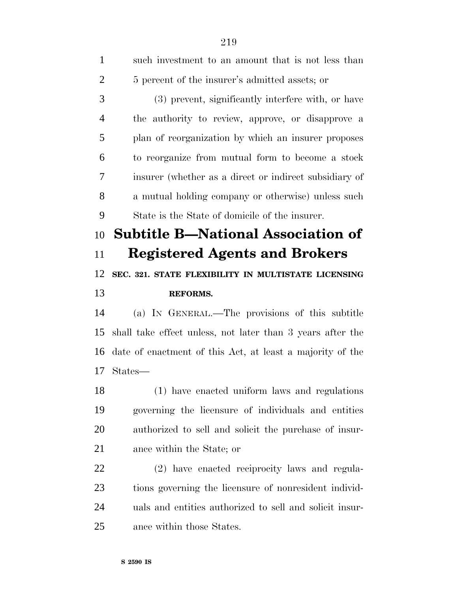| $\mathbf{1}$   | such investment to an amount that is not less than         |
|----------------|------------------------------------------------------------|
| $\overline{2}$ | 5 percent of the insurer's admitted assets; or             |
| 3              | (3) prevent, significantly interfere with, or have         |
| $\overline{4}$ | the authority to review, approve, or disapprove a          |
| 5              | plan of reorganization by which an insurer proposes        |
| 6              | to reorganize from mutual form to become a stock           |
| 7              | insurer (whether as a direct or indirect subsidiary of     |
| 8              | a mutual holding company or otherwise) unless such         |
| 9              | State is the State of domicile of the insurer.             |
| 10             | <b>Subtitle B-National Association of</b>                  |
| 11             | <b>Registered Agents and Brokers</b>                       |
|                | SEC. 321. STATE FLEXIBILITY IN MULTISTATE LICENSING        |
| 12             |                                                            |
| 13             | <b>REFORMS.</b>                                            |
| 14             | (a) IN GENERAL.—The provisions of this subtitle            |
| 15             | shall take effect unless, not later than 3 years after the |
| 16             | date of enactment of this Act, at least a majority of the  |
| 17             | States—                                                    |
| 18             | (1) have enacted uniform laws and regulations              |
| 19             | governing the licensure of individuals and entities        |
| 20             | authorized to sell and solicit the purchase of insur-      |
| 21             | ance within the State; or                                  |
| 22             | (2) have enacted reciprocity laws and regula-              |
| 23             | tions governing the licensure of nonresident individ-      |

ance within those States.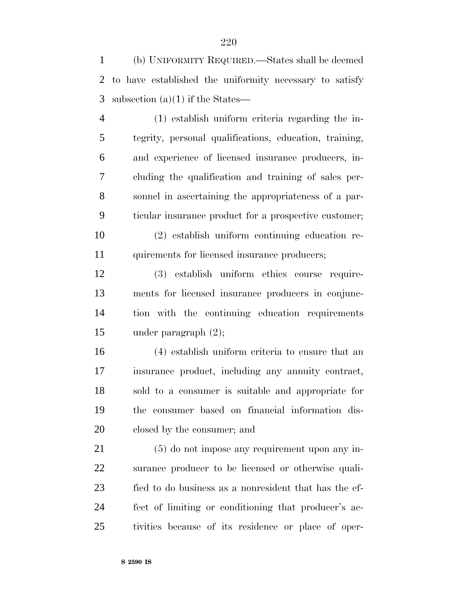(b) UNIFORMITY REQUIRED.—States shall be deemed to have established the uniformity necessary to satisfy subsection (a)(1) if the States—

 (1) establish uniform criteria regarding the in- tegrity, personal qualifications, education, training, and experience of licensed insurance producers, in- cluding the qualification and training of sales per- sonnel in ascertaining the appropriateness of a par- ticular insurance product for a prospective customer; (2) establish uniform continuing education re-

11 quirements for licensed insurance producers;

 (3) establish uniform ethics course require- ments for licensed insurance producers in conjunc- tion with the continuing education requirements under paragraph (2);

 (4) establish uniform criteria to ensure that an insurance product, including any annuity contract, sold to a consumer is suitable and appropriate for the consumer based on financial information dis-closed by the consumer; and

 (5) do not impose any requirement upon any in- surance producer to be licensed or otherwise quali- fied to do business as a nonresident that has the ef- fect of limiting or conditioning that producer's ac-tivities because of its residence or place of oper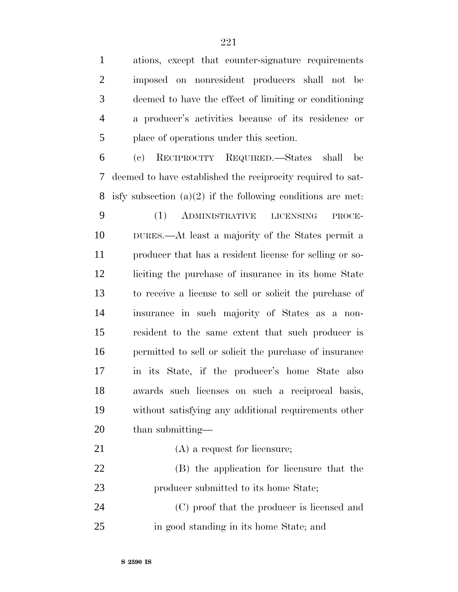ations, except that counter-signature requirements

imposed on nonresident producers shall not be

| 3              | deemed to have the effect of limiting or conditioning         |
|----------------|---------------------------------------------------------------|
| $\overline{4}$ | a producer's activities because of its residence or           |
| 5              | place of operations under this section.                       |
| 6              | RECIPROCITY REQUIRED.—States shall<br>(e)<br>be               |
| 7              | deemed to have established the reciprocity required to sat-   |
| 8              | isfy subsection $(a)(2)$ if the following conditions are met. |
| 9              | (1)<br>ADMINISTRATIVE<br><b>LICENSING</b><br>PROCE-           |
| 10             | DURES.—At least a majority of the States permit a             |
| 11             | producer that has a resident license for selling or so-       |
| 12             | liciting the purchase of insurance in its home State          |
| 13             | to receive a license to sell or solicit the purchase of       |
| 14             | insurance in such majority of States as a non-                |
| 15             | resident to the same extent that such producer is             |
| 16             | permitted to sell or solicit the purchase of insurance        |
| 17             | in its State, if the producer's home State also               |
| 18             | awards such licenses on such a reciprocal basis,              |
| 19             | without satisfying any additional requirements other          |
| 20             | than submitting-                                              |
| 21             | $(A)$ a request for licensure;                                |
| 22             | (B) the application for licensure that the                    |
| 23             | producer submitted to its home State;                         |
| 24             | (C) proof that the producer is licensed and                   |
| 25             | in good standing in its home State; and                       |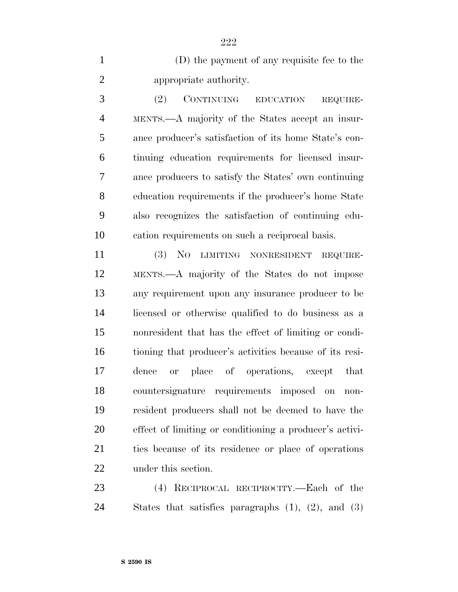(D) the payment of any requisite fee to the appropriate authority.

 (2) CONTINUING EDUCATION REQUIRE- MENTS.—A majority of the States accept an insur- ance producer's satisfaction of its home State's con- tinuing education requirements for licensed insur- ance producers to satisfy the States' own continuing education requirements if the producer's home State also recognizes the satisfaction of continuing edu-cation requirements on such a reciprocal basis.

 (3) NO LIMITING NONRESIDENT REQUIRE- MENTS.—A majority of the States do not impose any requirement upon any insurance producer to be licensed or otherwise qualified to do business as a nonresident that has the effect of limiting or condi- tioning that producer's activities because of its resi- dence or place of operations, except that countersignature requirements imposed on non- resident producers shall not be deemed to have the effect of limiting or conditioning a producer's activi- ties because of its residence or place of operations under this section.

 (4) RECIPROCAL RECIPROCITY.—Each of the States that satisfies paragraphs (1), (2), and (3)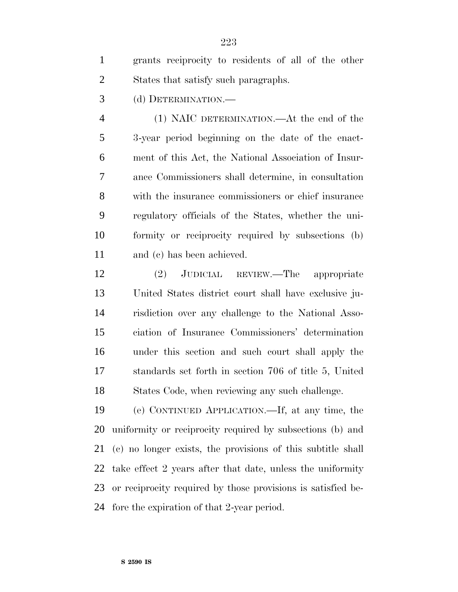| grants reciprocity to residents of all of the other |
|-----------------------------------------------------|
| States that satisfy such paragraphs.                |

(d) DETERMINATION.—

 (1) NAIC DETERMINATION.—At the end of the 3-year period beginning on the date of the enact- ment of this Act, the National Association of Insur- ance Commissioners shall determine, in consultation with the insurance commissioners or chief insurance regulatory officials of the States, whether the uni- formity or reciprocity required by subsections (b) and (c) has been achieved.

 (2) JUDICIAL REVIEW.—The appropriate United States district court shall have exclusive ju- risdiction over any challenge to the National Asso- ciation of Insurance Commissioners' determination under this section and such court shall apply the standards set forth in section 706 of title 5, United States Code, when reviewing any such challenge.

 (e) CONTINUED APPLICATION.—If, at any time, the uniformity or reciprocity required by subsections (b) and (c) no longer exists, the provisions of this subtitle shall take effect 2 years after that date, unless the uniformity or reciprocity required by those provisions is satisfied be-fore the expiration of that 2-year period.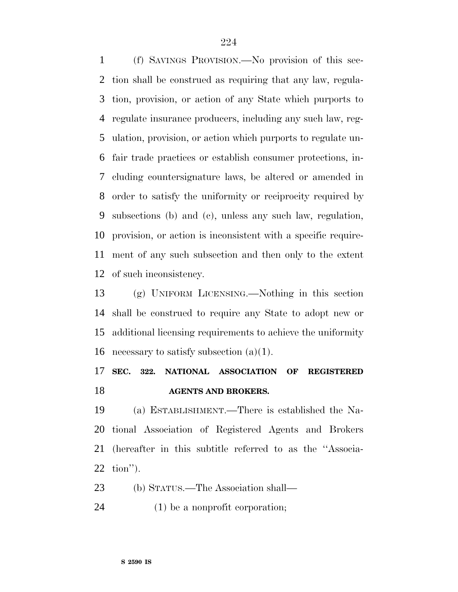(f) SAVINGS PROVISION.—No provision of this sec- tion shall be construed as requiring that any law, regula- tion, provision, or action of any State which purports to regulate insurance producers, including any such law, reg- ulation, provision, or action which purports to regulate un- fair trade practices or establish consumer protections, in- cluding countersignature laws, be altered or amended in order to satisfy the uniformity or reciprocity required by subsections (b) and (c), unless any such law, regulation, provision, or action is inconsistent with a specific require- ment of any such subsection and then only to the extent of such inconsistency.

 (g) UNIFORM LICENSING.—Nothing in this section shall be construed to require any State to adopt new or additional licensing requirements to achieve the uniformity 16 necessary to satisfy subsection  $(a)(1)$ .

### **SEC. 322. NATIONAL ASSOCIATION OF REGISTERED AGENTS AND BROKERS.**

 (a) ESTABLISHMENT.—There is established the Na- tional Association of Registered Agents and Brokers (hereafter in this subtitle referred to as the ''Associa-tion'').

(b) STATUS.—The Association shall—

(1) be a nonprofit corporation;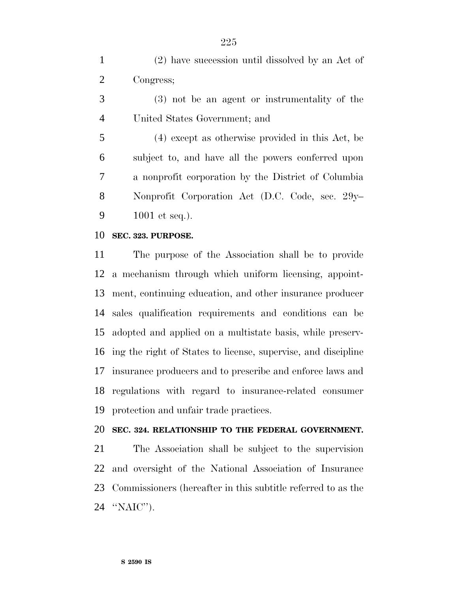(2) have succession until dissolved by an Act of Congress;

 (3) not be an agent or instrumentality of the United States Government; and

 (4) except as otherwise provided in this Act, be subject to, and have all the powers conferred upon a nonprofit corporation by the District of Columbia Nonprofit Corporation Act (D.C. Code, sec. 29y– 1001 et seq.).

#### **SEC. 323. PURPOSE.**

 The purpose of the Association shall be to provide a mechanism through which uniform licensing, appoint- ment, continuing education, and other insurance producer sales qualification requirements and conditions can be adopted and applied on a multistate basis, while preserv- ing the right of States to license, supervise, and discipline insurance producers and to prescribe and enforce laws and regulations with regard to insurance-related consumer protection and unfair trade practices.

### **SEC. 324. RELATIONSHIP TO THE FEDERAL GOVERNMENT.**

 The Association shall be subject to the supervision and oversight of the National Association of Insurance Commissioners (hereafter in this subtitle referred to as the ''NAIC'').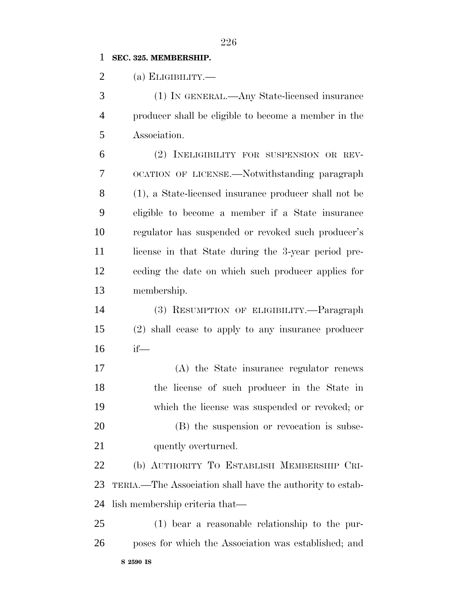### **SEC. 325. MEMBERSHIP.**

(a) ELIGIBILITY.—

 (1) IN GENERAL.—Any State-licensed insurance producer shall be eligible to become a member in the Association.

 (2) INELIGIBILITY FOR SUSPENSION OR REV- OCATION OF LICENSE.—Notwithstanding paragraph (1), a State-licensed insurance producer shall not be eligible to become a member if a State insurance regulator has suspended or revoked such producer's 11 license in that State during the 3-year period pre- ceding the date on which such producer applies for membership.

 (3) RESUMPTION OF ELIGIBILITY.—Paragraph (2) shall cease to apply to any insurance producer if—

 (A) the State insurance regulator renews the license of such producer in the State in which the license was suspended or revoked; or (B) the suspension or revocation is subse-21 quently overturned.

 (b) AUTHORITY TO ESTABLISH MEMBERSHIP CRI- TERIA.—The Association shall have the authority to estab-lish membership criteria that—

**S 2590 IS** (1) bear a reasonable relationship to the pur-poses for which the Association was established; and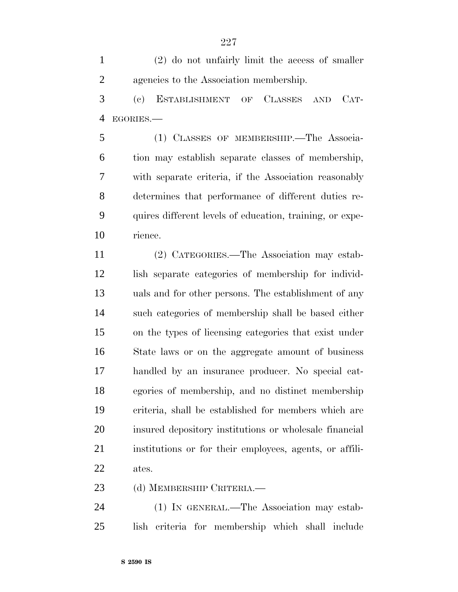(2) do not unfairly limit the access of smaller agencies to the Association membership.

 (c) ESTABLISHMENT OF CLASSES AND CAT-EGORIES.—

 (1) CLASSES OF MEMBERSHIP.—The Associa- tion may establish separate classes of membership, with separate criteria, if the Association reasonably determines that performance of different duties re- quires different levels of education, training, or expe-rience.

 (2) CATEGORIES.—The Association may estab- lish separate categories of membership for individ- uals and for other persons. The establishment of any such categories of membership shall be based either on the types of licensing categories that exist under State laws or on the aggregate amount of business handled by an insurance producer. No special cat- egories of membership, and no distinct membership criteria, shall be established for members which are insured depository institutions or wholesale financial institutions or for their employees, agents, or affili-ates.

(d) MEMBERSHIP CRITERIA.—

 (1) IN GENERAL.—The Association may estab-lish criteria for membership which shall include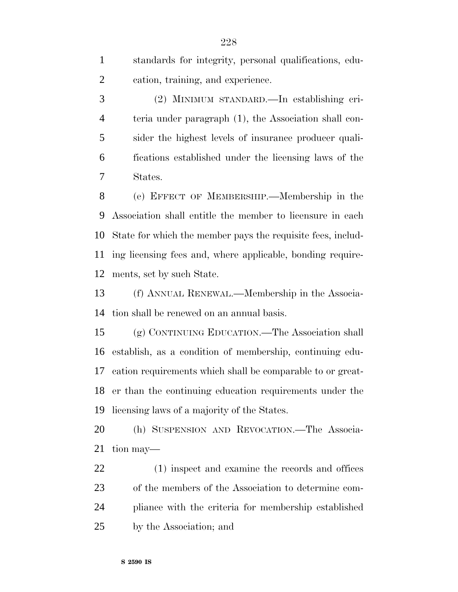standards for integrity, personal qualifications, edu-cation, training, and experience.

 (2) MINIMUM STANDARD.—In establishing cri- teria under paragraph (1), the Association shall con- sider the highest levels of insurance producer quali- fications established under the licensing laws of the States.

 (e) EFFECT OF MEMBERSHIP.—Membership in the Association shall entitle the member to licensure in each State for which the member pays the requisite fees, includ- ing licensing fees and, where applicable, bonding require-ments, set by such State.

 (f) ANNUAL RENEWAL.—Membership in the Associa-tion shall be renewed on an annual basis.

 (g) CONTINUING EDUCATION.—The Association shall establish, as a condition of membership, continuing edu- cation requirements which shall be comparable to or great- er than the continuing education requirements under the licensing laws of a majority of the States.

 (h) SUSPENSION AND REVOCATION.—The Associa-tion may—

 (1) inspect and examine the records and offices of the members of the Association to determine com- pliance with the criteria for membership established by the Association; and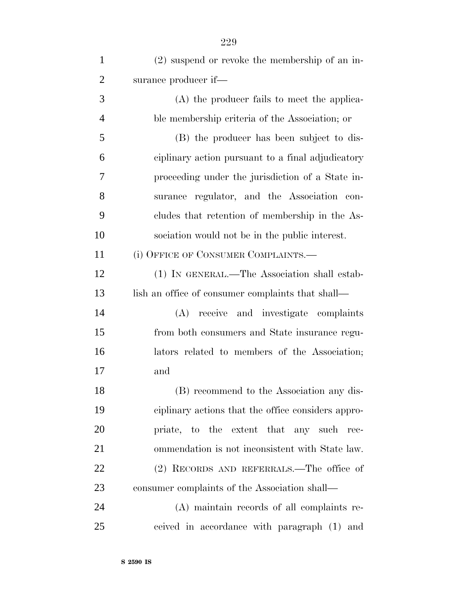| $\mathbf{1}$   | (2) suspend or revoke the membership of an in-     |
|----------------|----------------------------------------------------|
| $\overline{2}$ | surance producer if—                               |
| 3              | (A) the producer fails to meet the applica-        |
| $\overline{4}$ | ble membership criteria of the Association; or     |
| 5              | (B) the producer has been subject to dis-          |
| 6              | ciplinary action pursuant to a final adjudicatory  |
| 7              | proceeding under the jurisdiction of a State in-   |
| 8              | surance regulator, and the Association con-        |
| 9              | cludes that retention of membership in the As-     |
| 10             | sociation would not be in the public interest.     |
| 11             | (i) OFFICE OF CONSUMER COMPLAINTS.—                |
| 12             | (1) IN GENERAL.—The Association shall estab-       |
| 13             | lish an office of consumer complaints that shall—  |
| 14             | (A) receive and investigate complaints             |
| 15             | from both consumers and State insurance regu-      |
| 16             | lators related to members of the Association;      |
| 17             | and                                                |
| 18             | (B) recommend to the Association any dis-          |
| 19             | ciplinary actions that the office considers appro- |
| 20             | priate, to the extent that any such<br>rec-        |
| 21             | ommendation is not inconsistent with State law.    |
| 22             | (2) RECORDS AND REFERRALS.—The office of           |
| 23             | consumer complaints of the Association shall—      |
| 24             | (A) maintain records of all complaints re-         |
| 25             | ceived in accordance with paragraph (1) and        |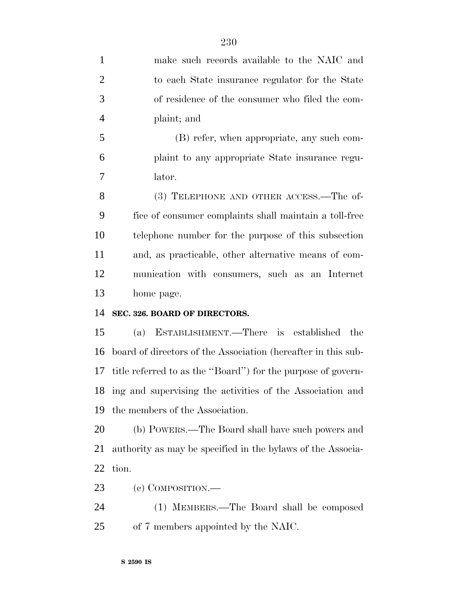| $\mathbf{1}$   | make such records available to the NAIC and                   |
|----------------|---------------------------------------------------------------|
| $\overline{2}$ | to each State insurance regulator for the State               |
| 3              | of residence of the consumer who filed the com-               |
| 4              | plaint; and                                                   |
| 5              | (B) refer, when appropriate, any such com-                    |
| 6              | plaint to any appropriate State insurance regu-               |
| 7              | lator.                                                        |
| 8              | (3) TELEPHONE AND OTHER ACCESS.—The of-                       |
| 9              | fice of consumer complaints shall maintain a toll-free        |
| 10             | telephone number for the purpose of this subsection           |
| 11             | and, as practicable, other alternative means of com-          |
| 12             | munication with consumers, such as an Internet                |
| 13             | home page.                                                    |
| 14             | SEC. 326. BOARD OF DIRECTORS.                                 |
| 15             | ESTABLISHMENT.—There is established the<br>(a)                |
| 16             | board of directors of the Association (hereafter in this sub- |
| 17             | title referred to as the "Board") for the purpose of govern-  |
|                | 18 ing and supervising the activities of the Association and  |
| 19             | the members of the Association.                               |
| 20             | (b) POWERS.—The Board shall have such powers and              |
| 21             | authority as may be specified in the bylaws of the Associa-   |
|                |                                                               |

- tion.
- (c) COMPOSITION.—
- (1) MEMBERS.—The Board shall be composed of 7 members appointed by the NAIC.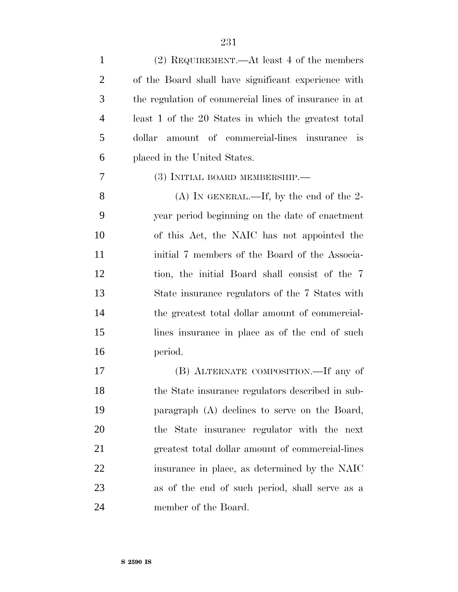| $\mathbf{1}$   | $(2)$ REQUIREMENT.—At least 4 of the members          |
|----------------|-------------------------------------------------------|
| $\overline{2}$ | of the Board shall have significant experience with   |
| 3              | the regulation of commercial lines of insurance in at |
| $\overline{4}$ | least 1 of the 20 States in which the greatest total  |
| 5              | amount of commercial-lines insurance is<br>dollar     |
| 6              | placed in the United States.                          |
| 7              | (3) INITIAL BOARD MEMBERSHIP.—                        |
| 8              | (A) IN GENERAL.—If, by the end of the 2-              |
| 9              | year period beginning on the date of enactment        |
| 10             | of this Act, the NAIC has not appointed the           |
| 11             | initial 7 members of the Board of the Associa-        |
| 12             | tion, the initial Board shall consist of the 7        |
| 13             | State insurance regulators of the 7 States with       |
| 14             | the greatest total dollar amount of commercial-       |
| 15             | lines in surance in place as of the end of such       |
| 16             | period.                                               |
| 17             | (B) ALTERNATE COMPOSITION.—If any of                  |
| 18             | the State insurance regulators described in sub-      |
| 19             | paragraph (A) declines to serve on the Board,         |
| 20             | the State insurance regulator with the next           |
| 21             | greatest total dollar amount of commercial-lines      |
| 22             | insurance in place, as determined by the NAIC         |
| 23             | as of the end of such period, shall serve as a        |
| 24             | member of the Board.                                  |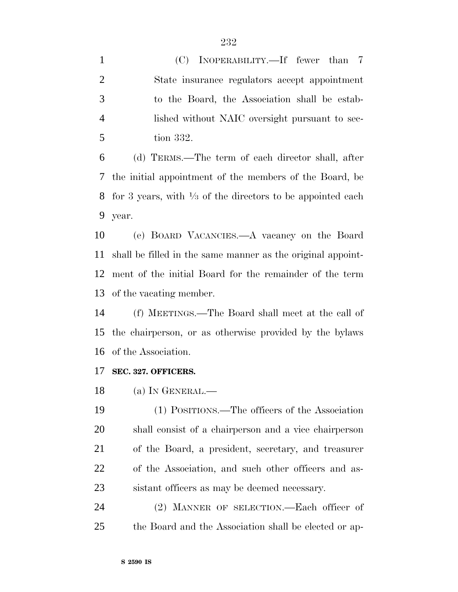(C) INOPERABILITY.—If fewer than 7 State insurance regulators accept appointment to the Board, the Association shall be estab- lished without NAIC oversight pursuant to sec-tion 332.

 (d) TERMS.—The term of each director shall, after the initial appointment of the members of the Board, be 8 for 3 years, with  $\frac{1}{3}$  of the directors to be appointed each year.

 (e) BOARD VACANCIES.—A vacancy on the Board shall be filled in the same manner as the original appoint- ment of the initial Board for the remainder of the term of the vacating member.

 (f) MEETINGS.—The Board shall meet at the call of the chairperson, or as otherwise provided by the bylaws of the Association.

### **SEC. 327. OFFICERS.**

(a) IN GENERAL.—

 (1) POSITIONS.—The officers of the Association shall consist of a chairperson and a vice chairperson of the Board, a president, secretary, and treasurer of the Association, and such other officers and as-sistant officers as may be deemed necessary.

 (2) MANNER OF SELECTION.—Each officer of the Board and the Association shall be elected or ap-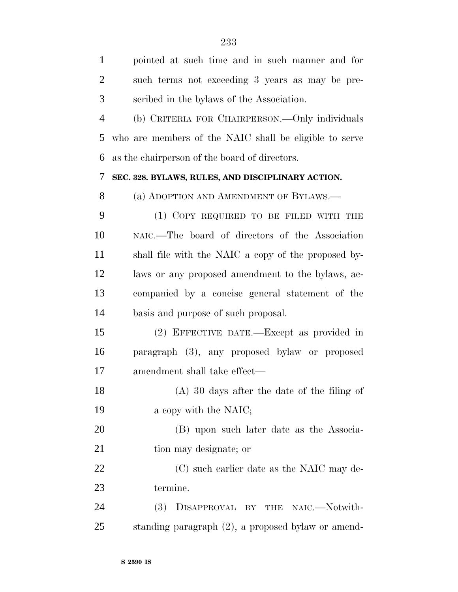| $\mathbf{1}$   | pointed at such time and in such manner and for        |
|----------------|--------------------------------------------------------|
| $\overline{2}$ | such terms not exceeding 3 years as may be pre-        |
| 3              | scribed in the bylaws of the Association.              |
| $\overline{4}$ | (b) CRITERIA FOR CHAIRPERSON.—Only individuals         |
| 5              | who are members of the NAIC shall be eligible to serve |
| 6              | as the chairperson of the board of directors.          |
| 7              | SEC. 328. BYLAWS, RULES, AND DISCIPLINARY ACTION.      |
| 8              | (a) ADOPTION AND AMENDMENT OF BYLAWS.—                 |
| 9              | (1) COPY REQUIRED TO BE FILED WITH THE                 |
| 10             | NAIC.—The board of directors of the Association        |
| 11             | shall file with the NAIC a copy of the proposed by-    |
| 12             | laws or any proposed amendment to the bylaws, ac-      |
| 13             | companied by a concise general statement of the        |
| 14             | basis and purpose of such proposal.                    |
| 15             | (2) EFFECTIVE DATE.—Except as provided in              |
| 16             | paragraph (3), any proposed bylaw or proposed          |
| 17             | amendment shall take effect—                           |
| 18             | $(A)$ 30 days after the date of the filing of          |
| 19             | a copy with the NAIC;                                  |
| 20             | (B) upon such later date as the Associa-               |
| 21             | tion may designate; or                                 |
| 22             | (C) such earlier date as the NAIC may de-              |
| 23             | termine.                                               |
| 24             | DISAPPROVAL BY THE NAIC.-Notwith-<br>(3)               |
| 25             | standing paragraph (2), a proposed bylaw or amend-     |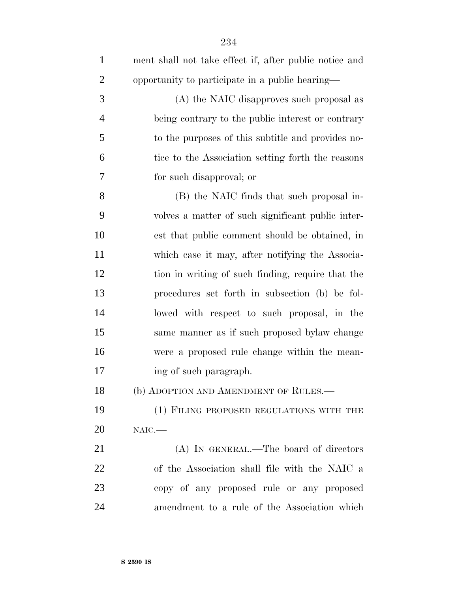| $\mathbf{1}$   | ment shall not take effect if, after public notice and |
|----------------|--------------------------------------------------------|
| $\overline{2}$ | opportunity to participate in a public hearing—        |
| 3              | (A) the NAIC disapproves such proposal as              |
| $\overline{4}$ | being contrary to the public interest or contrary      |
| 5              | to the purposes of this subtitle and provides no-      |
| 6              | tice to the Association setting forth the reasons      |
| 7              | for such disapproval; or                               |
| 8              | (B) the NAIC finds that such proposal in-              |
| 9              | volves a matter of such significant public inter-      |
| 10             | est that public comment should be obtained, in         |
| 11             | which case it may, after notifying the Associa-        |
| 12             | tion in writing of such finding, require that the      |
| 13             | procedures set forth in subsection (b) be fol-         |
| 14             | lowed with respect to such proposal, in the            |
| 15             | same manner as if such proposed bylaw change           |
| 16             | were a proposed rule change within the mean-           |
| 17             | ing of such paragraph.                                 |
| 18             | (b) ADOPTION AND AMENDMENT OF RULES.                   |
| 19             | (1) FILING PROPOSED REGULATIONS WITH THE               |
| 20             | NAIC.                                                  |
| 21             | (A) IN GENERAL.—The board of directors                 |
| 22             | of the Association shall file with the NAIC a          |
| 23             | copy of any proposed rule or any proposed              |
| 24             | amendment to a rule of the Association which           |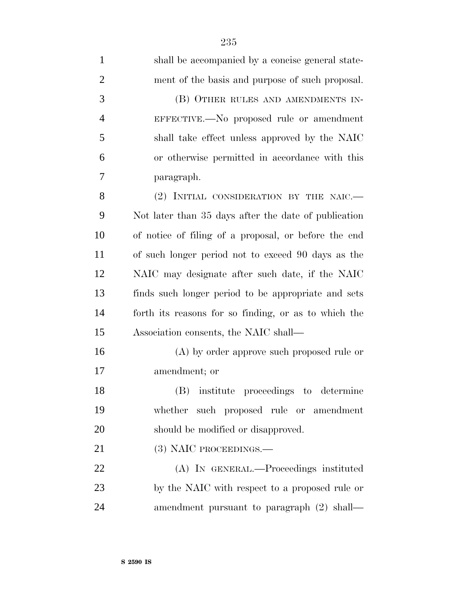| $\mathbf{1}$   | shall be accompanied by a concise general state-     |
|----------------|------------------------------------------------------|
| $\overline{2}$ | ment of the basis and purpose of such proposal.      |
| 3              | (B) OTHER RULES AND AMENDMENTS IN-                   |
| $\overline{4}$ | EFFECTIVE.—No proposed rule or amendment             |
| 5              | shall take effect unless approved by the NAIC        |
| 6              | or otherwise permitted in accordance with this       |
| 7              | paragraph.                                           |
| 8              | (2) INITIAL CONSIDERATION BY THE NAIC.               |
| 9              | Not later than 35 days after the date of publication |
| 10             | of notice of filing of a proposal, or before the end |
| 11             | of such longer period not to exceed 90 days as the   |
| 12             | NAIC may designate after such date, if the NAIC      |
| 13             | finds such longer period to be appropriate and sets  |
| 14             | forth its reasons for so finding, or as to which the |
| 15             | Association consents, the NAIC shall—                |
| 16             | (A) by order approve such proposed rule or           |
| 17             | amendment; or                                        |
| 18             | (B) institute proceedings to determine               |
| 19             | whether such proposed rule or amendment              |
| 20             | should be modified or disapproved.                   |
| 21             | (3) NAIC PROCEEDINGS.                                |
| 22             | (A) IN GENERAL.—Proceedings instituted               |
| 23             | by the NAIC with respect to a proposed rule or       |
| 24             | amendment pursuant to paragraph $(2)$ shall—         |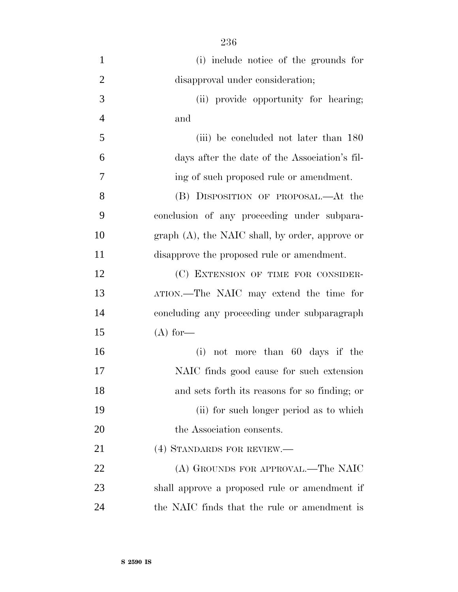| $\mathbf{1}$   | (i) include notice of the grounds for             |
|----------------|---------------------------------------------------|
| $\overline{2}$ | disapproval under consideration;                  |
| 3              | (ii) provide opportunity for hearing;             |
| $\overline{4}$ | and                                               |
| 5              | (iii) be concluded not later than 180             |
| 6              | days after the date of the Association's fil-     |
| 7              | ing of such proposed rule or amendment.           |
| 8              | (B) DISPOSITION OF PROPOSAL.—At the               |
| 9              | conclusion of any proceeding under subpara-       |
| 10             | $graph(A)$ , the NAIC shall, by order, approve or |
| 11             | disapprove the proposed rule or amendment.        |
| 12             | (C) EXTENSION OF TIME FOR CONSIDER-               |
| 13             | ATION.—The NAIC may extend the time for           |
| 14             | concluding any proceeding under subparagraph      |
| 15             | $(A)$ for—                                        |
| 16             | (i) not more than 60 days if the                  |
| 17             | NAIC finds good cause for such extension          |
| 18             | and sets forth its reasons for so finding; or     |
| 19             | (ii) for such longer period as to which           |
| 20             | the Association consents.                         |
| 21             | (4) STANDARDS FOR REVIEW.—                        |
| 22             | (A) GROUNDS FOR APPROVAL.—The NAIC                |
| 23             | shall approve a proposed rule or amendment if     |
| 24             | the NAIC finds that the rule or amendment is      |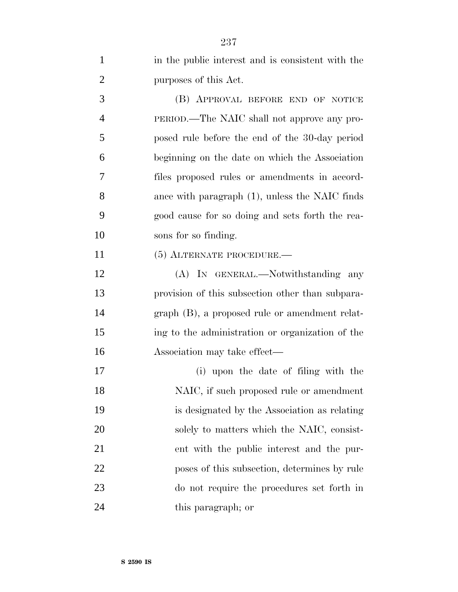| $\mathbf{1}$   | in the public interest and is consistent with the |
|----------------|---------------------------------------------------|
| $\overline{2}$ | purposes of this Act.                             |
| 3              | (B) APPROVAL BEFORE END OF NOTICE                 |
| $\overline{4}$ | PERIOD.—The NAIC shall not approve any pro-       |
| 5              | posed rule before the end of the 30-day period    |
| 6              | beginning on the date on which the Association    |
| 7              | files proposed rules or amendments in accord-     |
| 8              | ance with paragraph $(1)$ , unless the NAIC finds |
| 9              | good cause for so doing and sets forth the rea-   |
| 10             | sons for so finding.                              |
| 11             | $(5)$ ALTERNATE PROCEDURE.—                       |
| 12             | (A) IN GENERAL.—Notwithstanding any               |
| 13             | provision of this subsection other than subpara-  |
| 14             | graph (B), a proposed rule or amendment relat-    |
| 15             | ing to the administration or organization of the  |
| 16             | Association may take effect—                      |
| 17             | (i) upon the date of filing with the              |
| 18             | NAIC, if such proposed rule or amendment          |
| 19             | is designated by the Association as relating      |
| 20             | solely to matters which the NAIC, consist-        |
| 21             | ent with the public interest and the pur-         |
| 22             | poses of this subsection, determines by rule      |
| 23             | do not require the procedures set forth in        |
| 24             | this paragraph; or                                |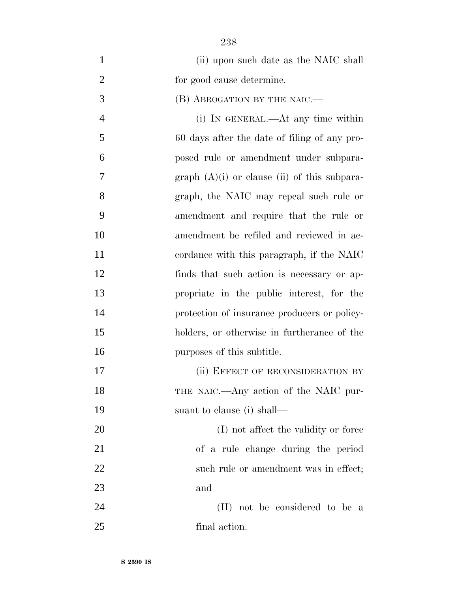| $\mathbf{1}$   | (ii) upon such date as the NAIC shall          |
|----------------|------------------------------------------------|
| $\overline{2}$ | for good cause determine.                      |
| 3              | (B) ABROGATION BY THE NAIC.                    |
| $\overline{4}$ | (i) IN GENERAL.—At any time within             |
| 5              | 60 days after the date of filing of any pro-   |
| 6              | posed rule or amendment under subpara-         |
| 7              | graph $(A)(i)$ or clause (ii) of this subpara- |
| 8              | graph, the NAIC may repeal such rule or        |
| 9              | amendment and require that the rule or         |
| 10             | amendment be refiled and reviewed in ac-       |
| 11             | cordance with this paragraph, if the NAIC      |
| 12             | finds that such action is necessary or ap-     |
| 13             | propriate in the public interest, for the      |
| 14             | protection of insurance producers or policy-   |
| 15             | holders, or otherwise in furtherance of the    |
| 16             | purposes of this subtitle.                     |
| 17             | (ii) EFFECT OF RECONSIDERATION BY              |
| 18             | THE NAIC.—Any action of the NAIC pur-          |
| 19             | suant to clause (i) shall—                     |
| 20             | (I) not affect the validity or force           |
| 21             | of a rule change during the period             |
| 22             | such rule or amendment was in effect;          |
| 23             | and                                            |
| 24             | (II) not be considered to be a                 |
| 25             | final action.                                  |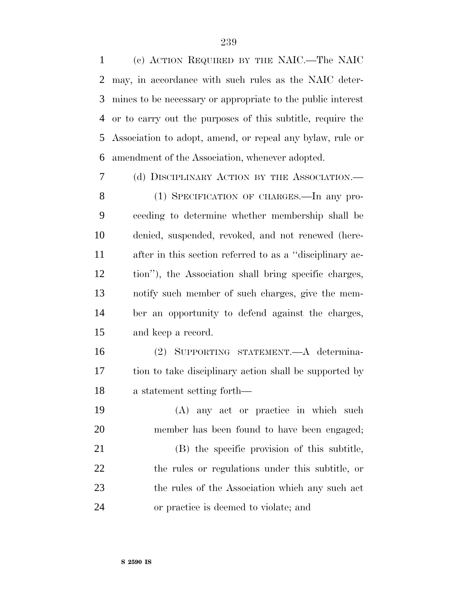(c) ACTION REQUIRED BY THE NAIC.—The NAIC may, in accordance with such rules as the NAIC deter- mines to be necessary or appropriate to the public interest or to carry out the purposes of this subtitle, require the Association to adopt, amend, or repeal any bylaw, rule or amendment of the Association, whenever adopted.

(d) DISCIPLINARY ACTION BY THE ASSOCIATION.—

8 (1) SPECIFICATION OF CHARGES.—In any pro- ceeding to determine whether membership shall be denied, suspended, revoked, and not renewed (here- after in this section referred to as a ''disciplinary ac- tion''), the Association shall bring specific charges, notify such member of such charges, give the mem- ber an opportunity to defend against the charges, and keep a record.

 (2) SUPPORTING STATEMENT.—A determina- tion to take disciplinary action shall be supported by a statement setting forth—

 (A) any act or practice in which such member has been found to have been engaged; (B) the specific provision of this subtitle, the rules or regulations under this subtitle, or 23 the rules of the Association which any such act or practice is deemed to violate; and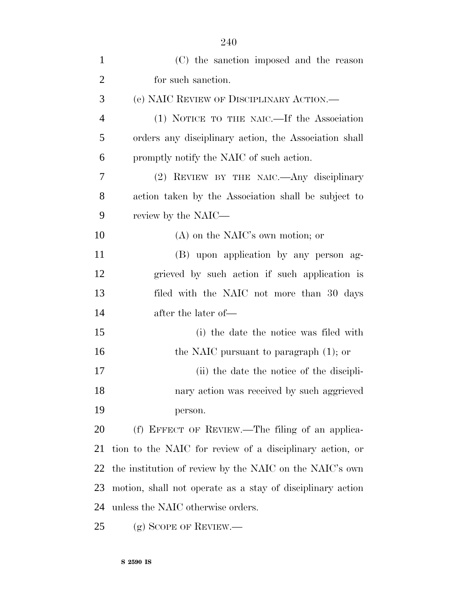| $\mathbf{1}$   | (C) the sanction imposed and the reason                    |
|----------------|------------------------------------------------------------|
| $\overline{2}$ | for such sanction.                                         |
| 3              | (e) NAIC REVIEW OF DISCIPLINARY ACTION.—                   |
| $\overline{4}$ | (1) NOTICE TO THE NAIC.—If the Association                 |
| 5              | orders any disciplinary action, the Association shall      |
| 6              | promptly notify the NAIC of such action.                   |
| 7              | (2) REVIEW BY THE NAIC. Any disciplinary                   |
| 8              | action taken by the Association shall be subject to        |
| 9              | review by the NAIC—                                        |
| 10             | $(A)$ on the NAIC's own motion; or                         |
| 11             | (B) upon application by any person ag-                     |
| 12             | grieved by such action if such application is              |
| 13             | filed with the NAIC not more than 30 days                  |
| 14             | after the later of—                                        |
| 15             | (i) the date the notice was filed with                     |
| 16             | the NAIC pursuant to paragraph $(1)$ ; or                  |
| 17             | (ii) the date the notice of the discipli-                  |
| 18             | nary action was received by such aggrieved                 |
| 19             | person.                                                    |
| 20             | (f) EFFECT OF REVIEW.—The filing of an applica-            |
| 21             | tion to the NAIC for review of a disciplinary action, or   |
| 22             | the institution of review by the NAIC on the NAIC's own    |
| 23             | motion, shall not operate as a stay of disciplinary action |
| 24             | unless the NAIC otherwise orders.                          |
| 25             | $(g)$ SCOPE OF REVIEW.—                                    |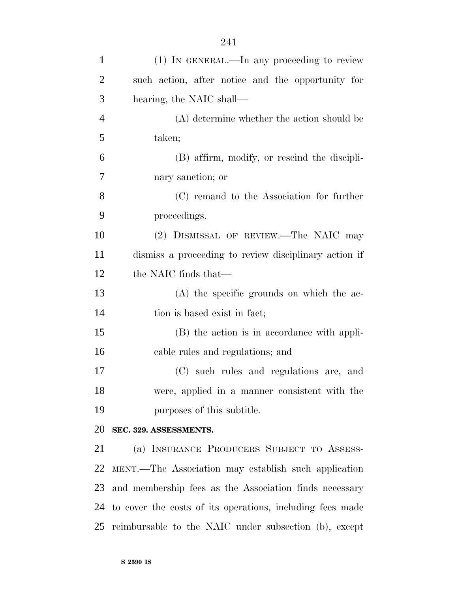| $\mathbf{1}$   | (1) IN GENERAL.—In any proceeding to review               |
|----------------|-----------------------------------------------------------|
| $\overline{2}$ | such action, after notice and the opportunity for         |
| 3              | hearing, the NAIC shall—                                  |
| $\overline{4}$ | (A) determine whether the action should be                |
| 5              | taken;                                                    |
| 6              | (B) affirm, modify, or rescind the discipli-              |
| 7              | nary sanction; or                                         |
| 8              | (C) remand to the Association for further                 |
| 9              | proceedings.                                              |
| 10             | (2) DISMISSAL OF REVIEW.—The NAIC may                     |
| 11             | dismiss a proceeding to review disciplinary action if     |
| 12             | the NAIC finds that—                                      |
| 13             | (A) the specific grounds on which the ac-                 |
| 14             | tion is based exist in fact;                              |
| 15             | (B) the action is in accordance with appli-               |
| 16             | cable rules and regulations; and                          |
| 17             | (C) such rules and regulations are, and                   |
| 18             | were, applied in a manner consistent with the             |
| 19             | purposes of this subtitle.                                |
| 20             | SEC. 329. ASSESSMENTS.                                    |
| 21             | (a) INSURANCE PRODUCERS SUBJECT TO ASSESS-                |
| 22             | MENT.—The Association may establish such application      |
|                | 23 and membership fees as the Association finds necessary |
| 24             | to cover the costs of its operations, including fees made |
| 25             | reimbursable to the NAIC under subsection (b), except     |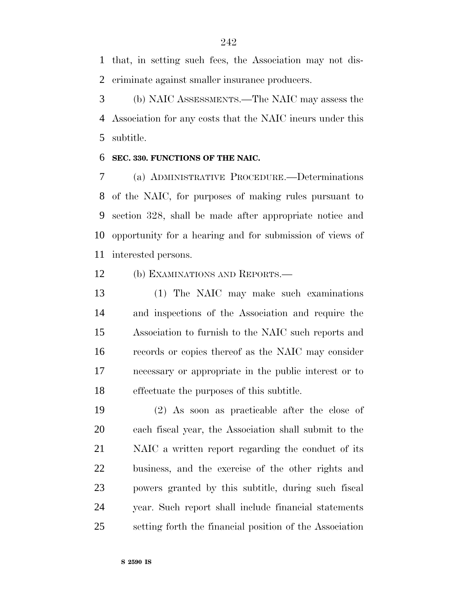that, in setting such fees, the Association may not dis-criminate against smaller insurance producers.

 (b) NAIC ASSESSMENTS.—The NAIC may assess the Association for any costs that the NAIC incurs under this subtitle.

### **SEC. 330. FUNCTIONS OF THE NAIC.**

 (a) ADMINISTRATIVE PROCEDURE.—Determinations of the NAIC, for purposes of making rules pursuant to section 328, shall be made after appropriate notice and opportunity for a hearing and for submission of views of interested persons.

(b) EXAMINATIONS AND REPORTS.—

 (1) The NAIC may make such examinations and inspections of the Association and require the Association to furnish to the NAIC such reports and records or copies thereof as the NAIC may consider necessary or appropriate in the public interest or to effectuate the purposes of this subtitle.

 (2) As soon as practicable after the close of each fiscal year, the Association shall submit to the NAIC a written report regarding the conduct of its business, and the exercise of the other rights and powers granted by this subtitle, during such fiscal year. Such report shall include financial statements setting forth the financial position of the Association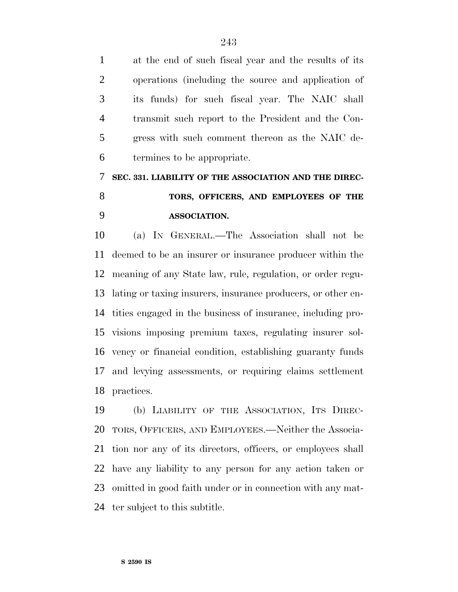at the end of such fiscal year and the results of its operations (including the source and application of its funds) for such fiscal year. The NAIC shall transmit such report to the President and the Con- gress with such comment thereon as the NAIC de-termines to be appropriate.

## **SEC. 331. LIABILITY OF THE ASSOCIATION AND THE DIREC- TORS, OFFICERS, AND EMPLOYEES OF THE ASSOCIATION.**

 (a) IN GENERAL.—The Association shall not be deemed to be an insurer or insurance producer within the meaning of any State law, rule, regulation, or order regu- lating or taxing insurers, insurance producers, or other en- tities engaged in the business of insurance, including pro- visions imposing premium taxes, regulating insurer sol- vency or financial condition, establishing guaranty funds and levying assessments, or requiring claims settlement practices.

 (b) LIABILITY OF THE ASSOCIATION, ITS DIREC- TORS, OFFICERS, AND EMPLOYEES.—Neither the Associa- tion nor any of its directors, officers, or employees shall have any liability to any person for any action taken or omitted in good faith under or in connection with any mat-ter subject to this subtitle.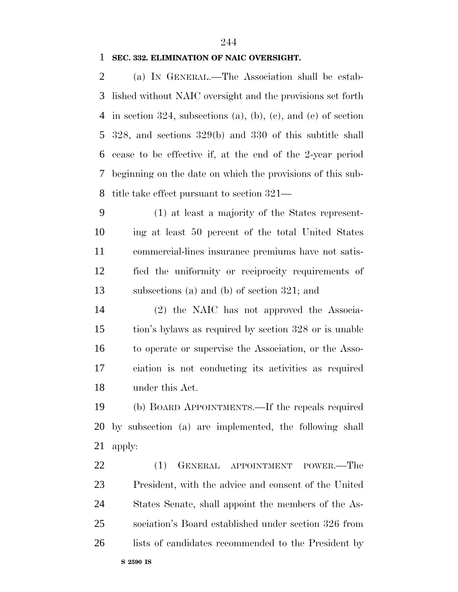### **SEC. 332. ELIMINATION OF NAIC OVERSIGHT.**

 (a) IN GENERAL.—The Association shall be estab- lished without NAIC oversight and the provisions set forth in section 324, subsections (a), (b), (c), and (e) of section 328, and sections 329(b) and 330 of this subtitle shall cease to be effective if, at the end of the 2-year period beginning on the date on which the provisions of this sub-title take effect pursuant to section 321—

 (1) at least a majority of the States represent- ing at least 50 percent of the total United States commercial-lines insurance premiums have not satis- fied the uniformity or reciprocity requirements of subsections (a) and (b) of section 321; and

 (2) the NAIC has not approved the Associa- tion's bylaws as required by section 328 or is unable to operate or supervise the Association, or the Asso- ciation is not conducting its activities as required under this Act.

 (b) BOARD APPOINTMENTS.—If the repeals required by subsection (a) are implemented, the following shall apply:

22 (1) GENERAL APPOINTMENT POWER.—The President, with the advice and consent of the United States Senate, shall appoint the members of the As- sociation's Board established under section 326 from 26 lists of candidates recommended to the President by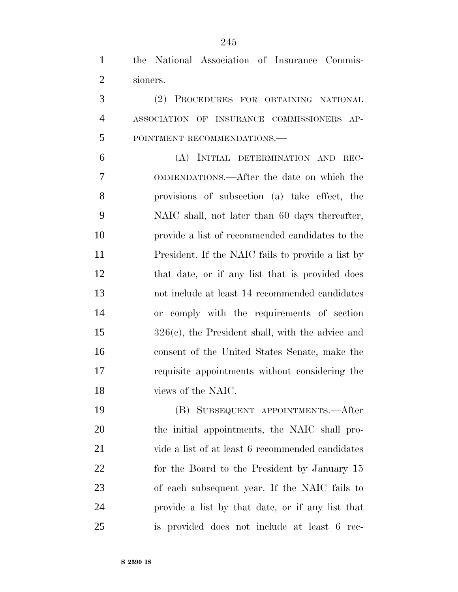the National Association of Insurance Commis-sioners.

 (2) PROCEDURES FOR OBTAINING NATIONAL ASSOCIATION OF INSURANCE COMMISSIONERS AP-POINTMENT RECOMMENDATIONS.—

 (A) INITIAL DETERMINATION AND REC- OMMENDATIONS.—After the date on which the provisions of subsection (a) take effect, the NAIC shall, not later than 60 days thereafter, provide a list of recommended candidates to the President. If the NAIC fails to provide a list by that date, or if any list that is provided does not include at least 14 recommended candidates or comply with the requirements of section 326(c), the President shall, with the advice and consent of the United States Senate, make the requisite appointments without considering the views of the NAIC.

 (B) SUBSEQUENT APPOINTMENTS.—After the initial appointments, the NAIC shall pro- vide a list of at least 6 recommended candidates 22 for the Board to the President by January 15 of each subsequent year. If the NAIC fails to provide a list by that date, or if any list that is provided does not include at least 6 rec-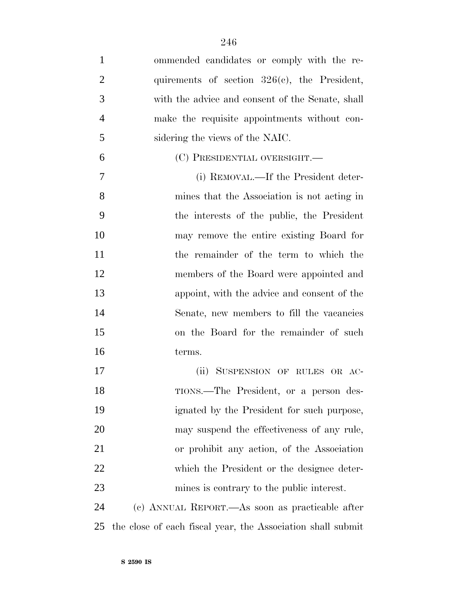ommended candidates or comply with the re-2 quirements of section 326(c), the President, with the advice and consent of the Senate, shall make the requisite appointments without con- sidering the views of the NAIC. (C) PRESIDENTIAL OVERSIGHT.— (i) REMOVAL.—If the President deter- mines that the Association is not acting in the interests of the public, the President may remove the entire existing Board for the remainder of the term to which the members of the Board were appointed and appoint, with the advice and consent of the Senate, new members to fill the vacancies on the Board for the remainder of such terms. (ii) SUSPENSION OF RULES OR AC- TIONS.—The President, or a person des- ignated by the President for such purpose, may suspend the effectiveness of any rule, or prohibit any action, of the Association which the President or the designee deter-

 (c) ANNUAL REPORT.—As soon as practicable after the close of each fiscal year, the Association shall submit

mines is contrary to the public interest.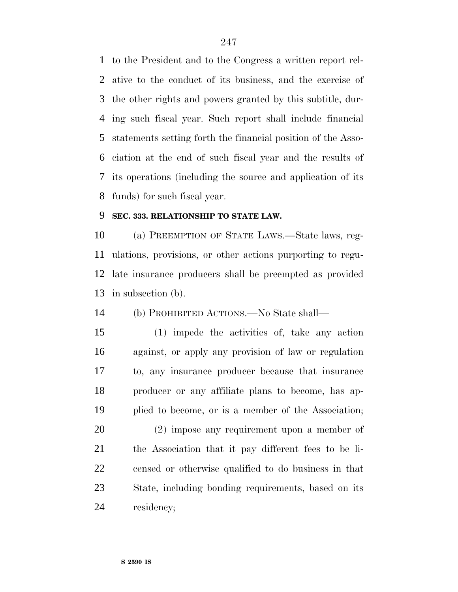to the President and to the Congress a written report rel- ative to the conduct of its business, and the exercise of the other rights and powers granted by this subtitle, dur- ing such fiscal year. Such report shall include financial statements setting forth the financial position of the Asso- ciation at the end of such fiscal year and the results of its operations (including the source and application of its funds) for such fiscal year.

### **SEC. 333. RELATIONSHIP TO STATE LAW.**

 (a) PREEMPTION OF STATE LAWS.—State laws, reg- ulations, provisions, or other actions purporting to regu- late insurance producers shall be preempted as provided in subsection (b).

(b) PROHIBITED ACTIONS.—No State shall—

 (1) impede the activities of, take any action against, or apply any provision of law or regulation to, any insurance producer because that insurance producer or any affiliate plans to become, has ap-plied to become, or is a member of the Association;

 (2) impose any requirement upon a member of the Association that it pay different fees to be li- censed or otherwise qualified to do business in that State, including bonding requirements, based on its residency;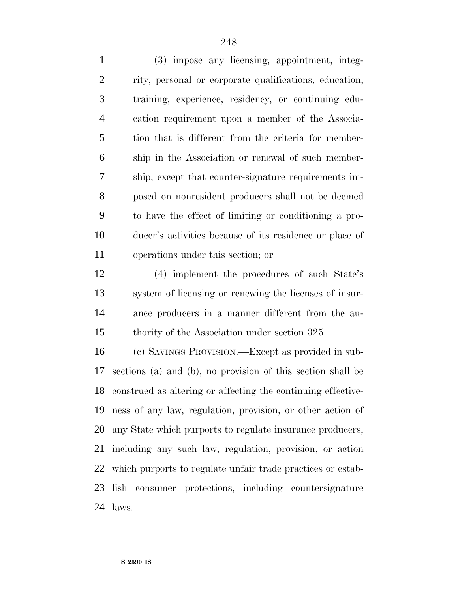(3) impose any licensing, appointment, integ- rity, personal or corporate qualifications, education, training, experience, residency, or continuing edu- cation requirement upon a member of the Associa- tion that is different from the criteria for member- ship in the Association or renewal of such member- ship, except that counter-signature requirements im- posed on nonresident producers shall not be deemed to have the effect of limiting or conditioning a pro- ducer's activities because of its residence or place of operations under this section; or

 (4) implement the procedures of such State's system of licensing or renewing the licenses of insur- ance producers in a manner different from the au-thority of the Association under section 325.

 (c) SAVINGS PROVISION.—Except as provided in sub- sections (a) and (b), no provision of this section shall be construed as altering or affecting the continuing effective- ness of any law, regulation, provision, or other action of any State which purports to regulate insurance producers, including any such law, regulation, provision, or action which purports to regulate unfair trade practices or estab- lish consumer protections, including countersignature laws.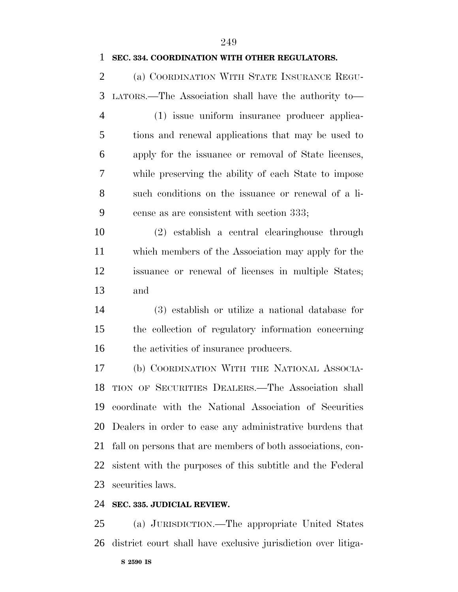### **SEC. 334. COORDINATION WITH OTHER REGULATORS.**

 (a) COORDINATION WITH STATE INSURANCE REGU-LATORS.—The Association shall have the authority to—

 (1) issue uniform insurance producer applica- tions and renewal applications that may be used to apply for the issuance or removal of State licenses, while preserving the ability of each State to impose such conditions on the issuance or renewal of a li-cense as are consistent with section 333;

 (2) establish a central clearinghouse through which members of the Association may apply for the issuance or renewal of licenses in multiple States; and

 (3) establish or utilize a national database for the collection of regulatory information concerning 16 the activities of insurance producers.

 (b) COORDINATION WITH THE NATIONAL ASSOCIA- TION OF SECURITIES DEALERS.—The Association shall coordinate with the National Association of Securities Dealers in order to ease any administrative burdens that fall on persons that are members of both associations, con- sistent with the purposes of this subtitle and the Federal securities laws.

### **SEC. 335. JUDICIAL REVIEW.**

 (a) JURISDICTION.—The appropriate United States district court shall have exclusive jurisdiction over litiga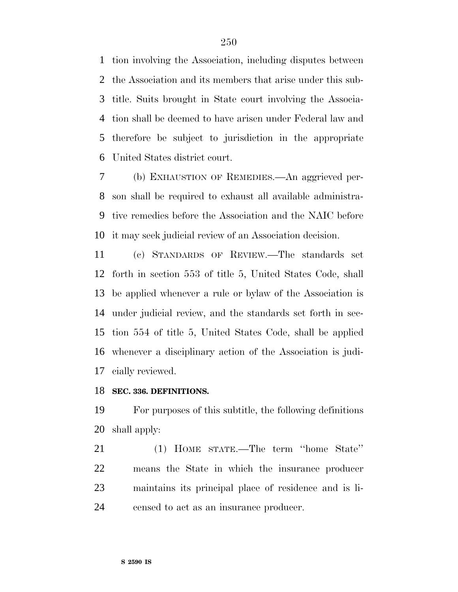tion involving the Association, including disputes between the Association and its members that arise under this sub- title. Suits brought in State court involving the Associa- tion shall be deemed to have arisen under Federal law and therefore be subject to jurisdiction in the appropriate United States district court.

 (b) EXHAUSTION OF REMEDIES.—An aggrieved per- son shall be required to exhaust all available administra- tive remedies before the Association and the NAIC before it may seek judicial review of an Association decision.

 (c) STANDARDS OF REVIEW.—The standards set forth in section 553 of title 5, United States Code, shall be applied whenever a rule or bylaw of the Association is under judicial review, and the standards set forth in sec- tion 554 of title 5, United States Code, shall be applied whenever a disciplinary action of the Association is judi-cially reviewed.

### **SEC. 336. DEFINITIONS.**

 For purposes of this subtitle, the following definitions shall apply:

 (1) HOME STATE.—The term ''home State'' means the State in which the insurance producer maintains its principal place of residence and is li-censed to act as an insurance producer.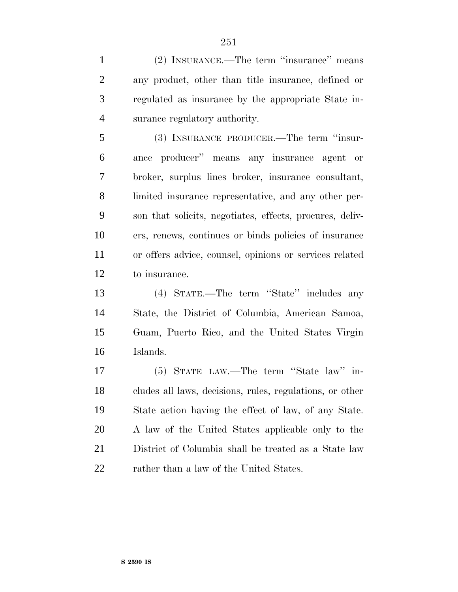(2) INSURANCE.—The term ''insurance'' means any product, other than title insurance, defined or regulated as insurance by the appropriate State in-surance regulatory authority.

 (3) INSURANCE PRODUCER.—The term ''insur- ance producer'' means any insurance agent or broker, surplus lines broker, insurance consultant, limited insurance representative, and any other per- son that solicits, negotiates, effects, procures, deliv- ers, renews, continues or binds policies of insurance or offers advice, counsel, opinions or services related to insurance.

 (4) STATE.—The term ''State'' includes any State, the District of Columbia, American Samoa, Guam, Puerto Rico, and the United States Virgin Islands.

 (5) STATE LAW.—The term ''State law'' in- cludes all laws, decisions, rules, regulations, or other State action having the effect of law, of any State. A law of the United States applicable only to the District of Columbia shall be treated as a State law 22 rather than a law of the United States.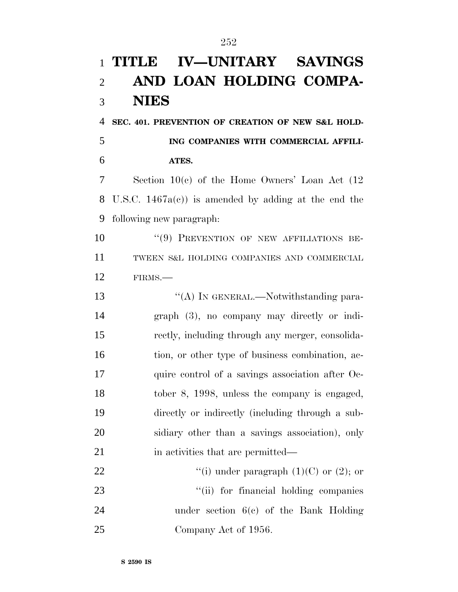# **TITLE IV—UNITARY SAVINGS AND LOAN HOLDING COMPA- NIES SEC. 401. PREVENTION OF CREATION OF NEW S&L HOLD- ING COMPANIES WITH COMMERCIAL AFFILI- ATES.** Section 10(c) of the Home Owners' Loan Act (12 U.S.C. 1467a(c)) is amended by adding at the end the following new paragraph: ''(9) PREVENTION OF NEW AFFILIATIONS BE- TWEEN S&L HOLDING COMPANIES AND COMMERCIAL FIRMS.— 13 "(A) In GENERAL.—Notwithstanding para- graph (3), no company may directly or indi- rectly, including through any merger, consolida-16 tion, or other type of business combination, ac- quire control of a savings association after Oc- tober 8, 1998, unless the company is engaged, directly or indirectly (including through a sub- sidiary other than a savings association), only 21 in activities that are permitted— 22  $\qquad$  "(i) under paragraph (1)(C) or (2); or 23  $\frac{1}{1}$  for financial holding companies under section 6(c) of the Bank Holding 25 Company Act of 1956.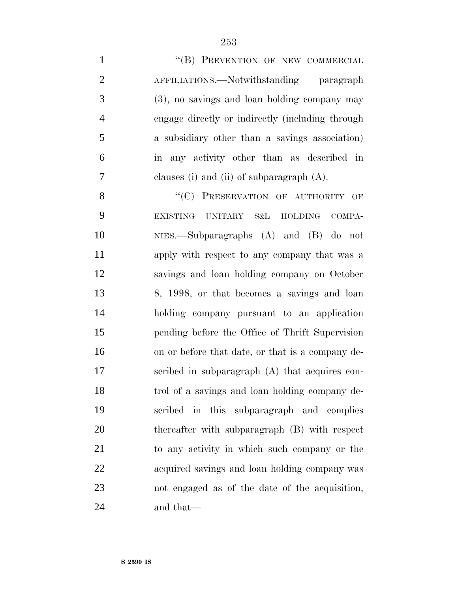1 "(B) PREVENTION OF NEW COMMERCIAL 2 AFFILIATIONS.—Notwithstanding paragraph (3), no savings and loan holding company may engage directly or indirectly (including through a subsidiary other than a savings association) in any activity other than as described in clauses (i) and (ii) of subparagraph (A).

8 "(C) PRESERVATION OF AUTHORITY OF EXISTING UNITARY S&L HOLDING COMPA- NIES.—Subparagraphs (A) and (B) do not apply with respect to any company that was a savings and loan holding company on October 8, 1998, or that becomes a savings and loan holding company pursuant to an application pending before the Office of Thrift Supervision on or before that date, or that is a company de- scribed in subparagraph (A) that acquires con- trol of a savings and loan holding company de- scribed in this subparagraph and complies thereafter with subparagraph (B) with respect to any activity in which such company or the acquired savings and loan holding company was not engaged as of the date of the acquisition, and that—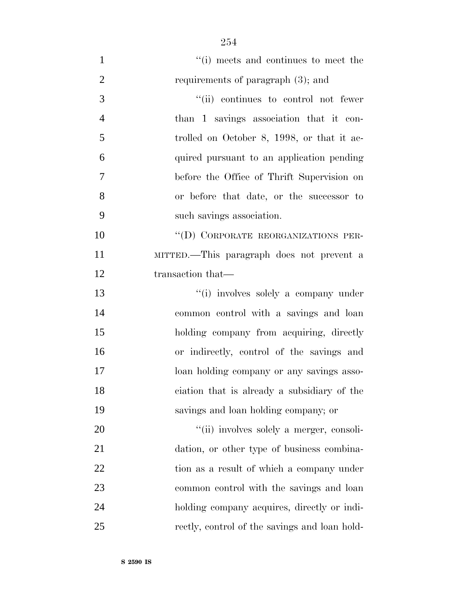$\frac{1}{1}$  ''(i) meets and continues to meet the 2 requirements of paragraph (3); and  $''(ii)$  continues to control not fewer than 1 savings association that it con- trolled on October 8, 1998, or that it ac- quired pursuant to an application pending before the Office of Thrift Supervision on or before that date, or the successor to such savings association. 10 "(D) CORPORATE REORGANIZATIONS PER- MITTED.—This paragraph does not prevent a 12 transaction that— ''(i) involves solely a company under common control with a savings and loan holding company from acquiring, directly or indirectly, control of the savings and loan holding company or any savings asso- ciation that is already a subsidiary of the savings and loan holding company; or  $\frac{1}{20}$   $\frac{1}{20}$  involves solely a merger, consoli- dation, or other type of business combina-22 tion as a result of which a company under common control with the savings and loan holding company acquires, directly or indi-rectly, control of the savings and loan hold-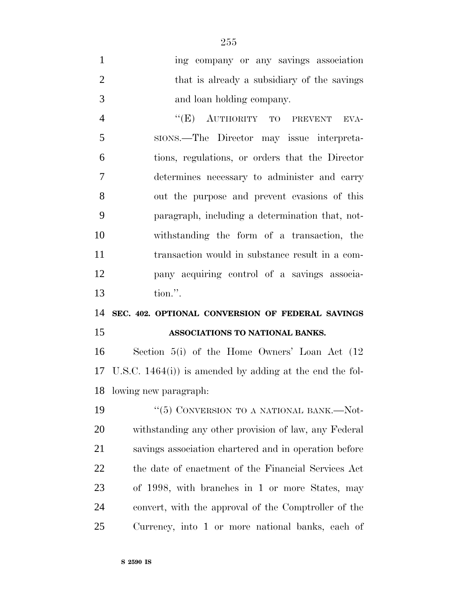| $\mathbf{1}$   | ing company or any savings association             |
|----------------|----------------------------------------------------|
| $\overline{2}$ | that is already a subsidiary of the savings        |
| 3              | and loan holding company.                          |
| $\overline{4}$ | "(E) AUTHORITY TO PREVENT<br>EVA-                  |
| 5              | sions.—The Director may issue interpreta-          |
| 6              | tions, regulations, or orders that the Director    |
| 7              | determines necessary to administer and carry       |
| 8              | out the purpose and prevent evasions of this       |
| 9              | paragraph, including a determination that, not-    |
| 10             | withstanding the form of a transaction, the        |
| 11             | transaction would in substance result in a com-    |
| 12             | pany acquiring control of a savings associa-       |
| 13             | tion.".                                            |
| 14             | SEC. 402. OPTIONAL CONVERSION OF FEDERAL SAVINGS   |
| 15             | ASSOCIATIONS TO NATIONAL BANKS.                    |
| 16             | Section $5(i)$ of the Home Owners' Loan Act $(12)$ |
|                |                                                    |

 U.S.C. 1464(i)) is amended by adding at the end the fol-lowing new paragraph:

 $\frac{1}{2}$  (5) CONVERSION TO A NATIONAL BANK.—Not- withstanding any other provision of law, any Federal savings association chartered and in operation before the date of enactment of the Financial Services Act of 1998, with branches in 1 or more States, may convert, with the approval of the Comptroller of the Currency, into 1 or more national banks, each of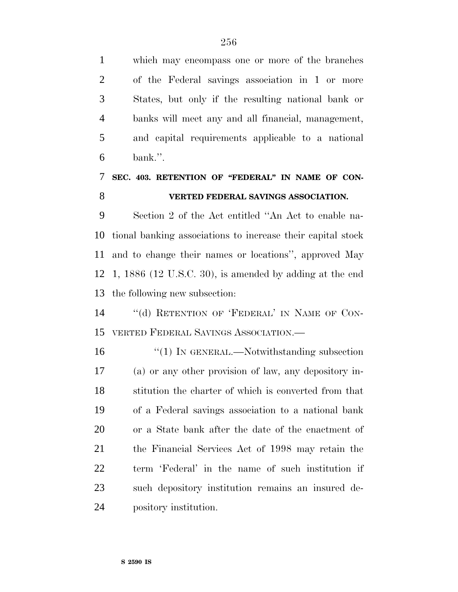which may encompass one or more of the branches of the Federal savings association in 1 or more States, but only if the resulting national bank or banks will meet any and all financial, management, and capital requirements applicable to a national bank.''.

### **SEC. 403. RETENTION OF ''FEDERAL'' IN NAME OF CON-VERTED FEDERAL SAVINGS ASSOCIATION.**

 Section 2 of the Act entitled ''An Act to enable na- tional banking associations to increase their capital stock and to change their names or locations'', approved May 1, 1886 (12 U.S.C. 30), is amended by adding at the end the following new subsection:

14 "(d) RETENTION OF 'FEDERAL' IN NAME OF CON-VERTED FEDERAL SAVINGS ASSOCIATION.—

16 "(1) IN GENERAL.—Notwithstanding subsection (a) or any other provision of law, any depository in- stitution the charter of which is converted from that of a Federal savings association to a national bank or a State bank after the date of the enactment of the Financial Services Act of 1998 may retain the term 'Federal' in the name of such institution if such depository institution remains an insured de-pository institution.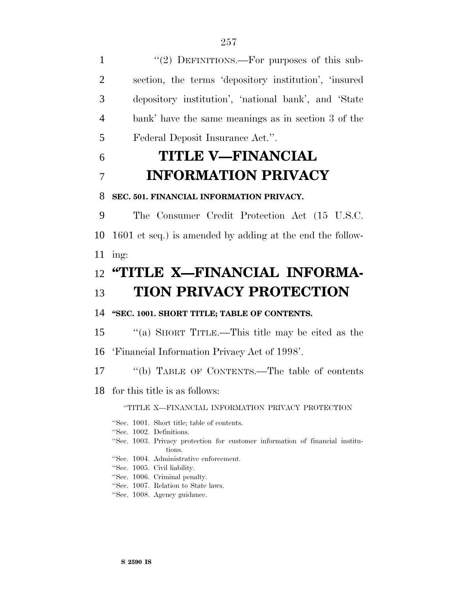1 "(2) DEFINITIONS.—For purposes of this sub- section, the terms 'depository institution', 'insured depository institution', 'national bank', and 'State bank' have the same meanings as in section 3 of the Federal Deposit Insurance Act.''.

# 6 **TITLE V—FINANCIAL** 7 **INFORMATION PRIVACY**

#### 8 **SEC. 501. FINANCIAL INFORMATION PRIVACY.**

9 The Consumer Credit Protection Act (15 U.S.C. 10 1601 et seq.) is amended by adding at the end the follow-11 ing:

## 12 **''TITLE X—FINANCIAL INFORMA-**13 **TION PRIVACY PROTECTION**

#### 14 **''SEC. 1001. SHORT TITLE; TABLE OF CONTENTS.**

15 ''(a) SHORT TITLE.—This title may be cited as the

16 'Financial Information Privacy Act of 1998'.

17 ''(b) TABLE OF CONTENTS.—The table of contents

18 for this title is as follows:

#### ''TITLE X—FINANCIAL INFORMATION PRIVACY PROTECTION

|  | "Sec. 1001. Short title; table of contents.                                   |
|--|-------------------------------------------------------------------------------|
|  | "Sec. 1002. Definitions.                                                      |
|  | "Sec. 1003. Privacy protection for customer information of financial institu- |
|  | tions.                                                                        |
|  | "Sec. 1004. Administrative enforcement.                                       |
|  | "Sec. 1005. Civil liability.                                                  |
|  | "Sec. 1006. Criminal penalty.                                                 |
|  | "Sec. 1007. Relation to State laws.                                           |
|  | "Sec. 1008. Agency guidance.                                                  |
|  |                                                                               |
|  |                                                                               |
|  |                                                                               |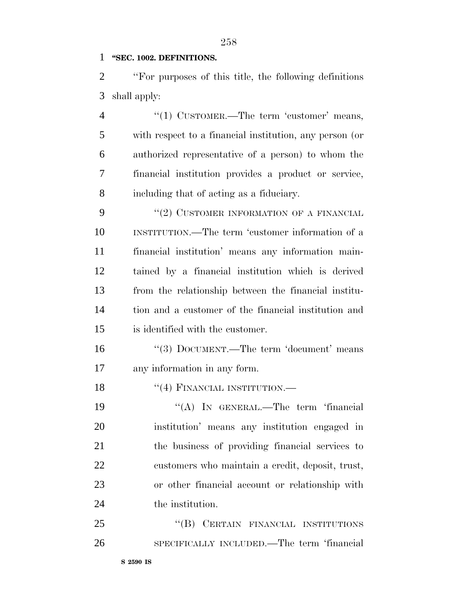#### **''SEC. 1002. DEFINITIONS.**

 ''For purposes of this title, the following definitions shall apply:

4 "(1) CUSTOMER.—The term 'customer' means, with respect to a financial institution, any person (or authorized representative of a person) to whom the financial institution provides a product or service, including that of acting as a fiduciary.

9 "(2) CUSTOMER INFORMATION OF A FINANCIAL INSTITUTION.—The term 'customer information of a financial institution' means any information main- tained by a financial institution which is derived from the relationship between the financial institu- tion and a customer of the financial institution and is identified with the customer.

16 "(3) DOCUMENT.—The term 'document' means any information in any form.

18 "(4) FINANCIAL INSTITUTION.—

19 "(A) In GENERAL.—The term 'financial institution' means any institution engaged in the business of providing financial services to customers who maintain a credit, deposit, trust, or other financial account or relationship with 24 the institution.

25 "(B) CERTAIN FINANCIAL INSTITUTIONS SPECIFICALLY INCLUDED.—The term 'financial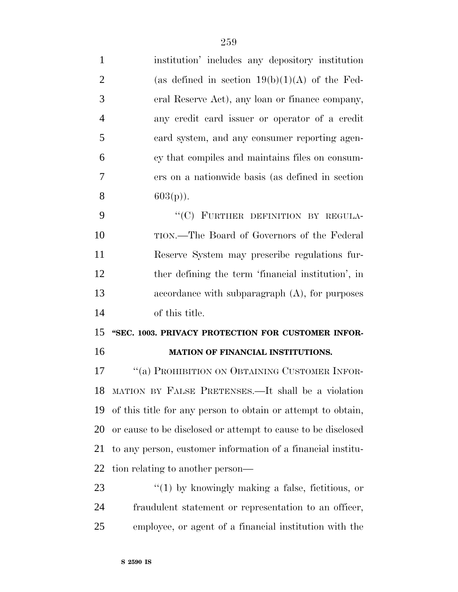| $\mathbf{1}$   | institution' includes any depository institution             |
|----------------|--------------------------------------------------------------|
| $\overline{2}$ | (as defined in section $19(b)(1)(A)$ of the Fed-             |
| 3              | eral Reserve Act), any loan or finance company,              |
| $\overline{4}$ | any credit card issuer or operator of a credit               |
| 5              | card system, and any consumer reporting agen-                |
| 6              | cy that compiles and maintains files on consum-              |
| 7              | ers on a nationwide basis (as defined in section             |
| 8              | $603(p)$ ).                                                  |
| 9              | "(C) FURTHER DEFINITION BY REGULA-                           |
| 10             | TION.—The Board of Governors of the Federal                  |
| 11             | Reserve System may prescribe regulations fur-                |
| 12             | ther defining the term 'financial institution', in           |
| 13             | accordance with subparagraph $(A)$ , for purposes            |
| 14             | of this title.                                               |
|                |                                                              |
| 15             | "SEC. 1003. PRIVACY PROTECTION FOR CUSTOMER INFOR-           |
| 16             | MATION OF FINANCIAL INSTITUTIONS.                            |
| 17             | "(a) PROHIBITION ON OBTAINING CUSTOMER INFOR-                |
|                | 18 MATION BY FALSE PRETENSES.—It shall be a violation        |
| 19             | of this title for any person to obtain or attempt to obtain, |
| 20             | or cause to be disclosed or attempt to cause to be disclosed |
| 21             | to any person, customer information of a financial institu-  |
| 22             | tion relating to another person—                             |
| 23             | $"(1)$ by knowingly making a false, fictitious, or           |
| 24             | fraudulent statement or representation to an officer,        |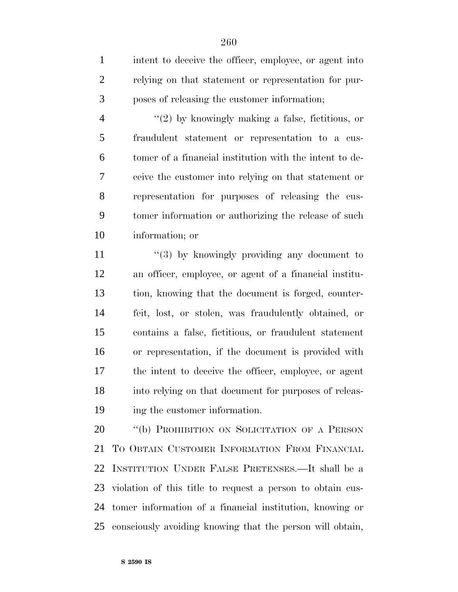1 intent to deceive the officer, employee, or agent into relying on that statement or representation for pur-poses of releasing the customer information;

 ''(2) by knowingly making a false, fictitious, or fraudulent statement or representation to a cus- tomer of a financial institution with the intent to de- ceive the customer into relying on that statement or representation for purposes of releasing the cus- tomer information or authorizing the release of such information; or

 $\frac{11}{2}$  ''(3) by knowingly providing any document to an officer, employee, or agent of a financial institu- tion, knowing that the document is forged, counter- feit, lost, or stolen, was fraudulently obtained, or contains a false, fictitious, or fraudulent statement or representation, if the document is provided with the intent to deceive the officer, employee, or agent into relying on that document for purposes of releas-ing the customer information.

20 "(b) PROHIBITION ON SOLICITATION OF A PERSON TO OBTAIN CUSTOMER INFORMATION FROM FINANCIAL INSTITUTION UNDER FALSE PRETENSES.—It shall be a violation of this title to request a person to obtain cus- tomer information of a financial institution, knowing or consciously avoiding knowing that the person will obtain,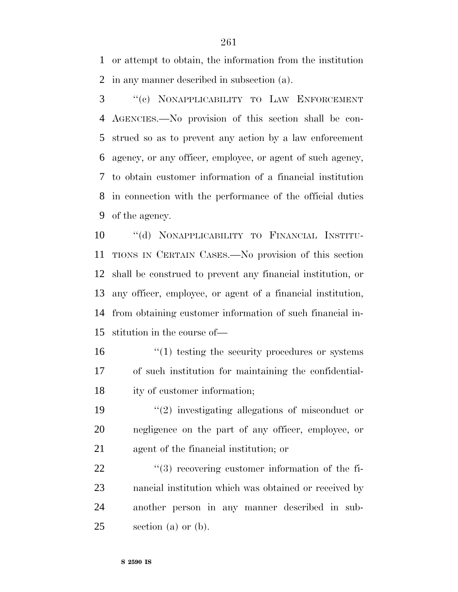or attempt to obtain, the information from the institution in any manner described in subsection (a).

 ''(c) NONAPPLICABILITY TO LAW ENFORCEMENT AGENCIES.—No provision of this section shall be con- strued so as to prevent any action by a law enforcement agency, or any officer, employee, or agent of such agency, to obtain customer information of a financial institution in connection with the performance of the official duties of the agency.

 ''(d) NONAPPLICABILITY TO FINANCIAL INSTITU- TIONS IN CERTAIN CASES.—No provision of this section shall be construed to prevent any financial institution, or any officer, employee, or agent of a financial institution, from obtaining customer information of such financial in-stitution in the course of—

16  $\frac{1}{10}$  testing the security procedures or systems of such institution for maintaining the confidential-ity of customer information;

 ''(2) investigating allegations of misconduct or negligence on the part of any officer, employee, or agent of the financial institution; or

 $\frac{1}{3}$  recovering customer information of the fi- nancial institution which was obtained or received by another person in any manner described in sub-section (a) or (b).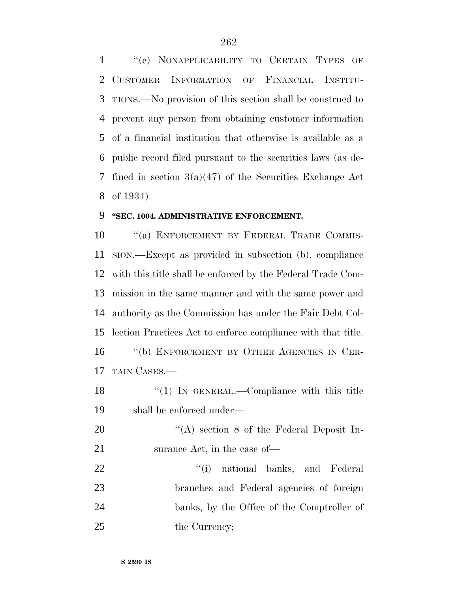''(e) NONAPPLICABILITY TO CERTAIN TYPES OF CUSTOMER INFORMATION OF FINANCIAL INSTITU- TIONS.—No provision of this section shall be construed to prevent any person from obtaining customer information of a financial institution that otherwise is available as a public record filed pursuant to the securities laws (as de- fined in section 3(a)(47) of the Securities Exchange Act of 1934).

#### **''SEC. 1004. ADMINISTRATIVE ENFORCEMENT.**

10 "(a) ENFORCEMENT BY FEDERAL TRADE COMMIS- SION.—Except as provided in subsection (b), compliance with this title shall be enforced by the Federal Trade Com- mission in the same manner and with the same power and authority as the Commission has under the Fair Debt Col- lection Practices Act to enforce compliance with that title. ''(b) ENFORCEMENT BY OTHER AGENCIES IN CER-TAIN CASES.—

18 "(1) In GENERAL.—Compliance with this title shall be enforced under—

20 "(A) section 8 of the Federal Deposit In-21 surance Act, in the case of—

22 ''(i) national banks, and Federal branches and Federal agencies of foreign banks, by the Office of the Comptroller of 25 the Currency;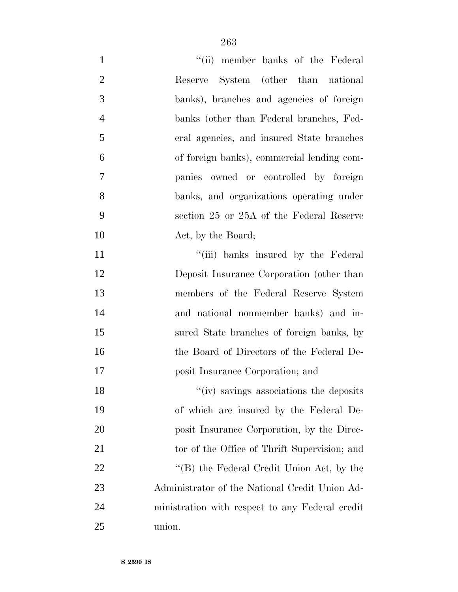| $\mathbf{1}$   | "(ii) member banks of the Federal               |
|----------------|-------------------------------------------------|
| $\overline{2}$ | System (other than national<br>Reserve          |
| 3              | banks), branches and agencies of foreign        |
| $\overline{4}$ | banks (other than Federal branches, Fed-        |
| 5              | eral agencies, and insured State branches       |
| 6              | of foreign banks), commercial lending com-      |
| 7              | panies owned or controlled by foreign           |
| 8              | banks, and organizations operating under        |
| 9              | section 25 or 25A of the Federal Reserve        |
| 10             | Act, by the Board;                              |
| 11             | "(iii) banks insured by the Federal             |
| 12             | Deposit Insurance Corporation (other than       |
| 13             | members of the Federal Reserve System           |
| 14             | and national nonmember banks) and in-           |
| 15             | sured State branches of foreign banks, by       |
| 16             | the Board of Directors of the Federal De-       |
| 17             | posit Insurance Corporation; and                |
| 18             | "(iv) savings associations the deposits         |
| 19             | of which are insured by the Federal De-         |
| 20             | posit Insurance Corporation, by the Direc-      |
| 21             | tor of the Office of Thrift Supervision; and    |
| 22             | "(B) the Federal Credit Union Act, by the       |
| 23             | Administrator of the National Credit Union Ad-  |
| 24             | ministration with respect to any Federal credit |
| 25             | union.                                          |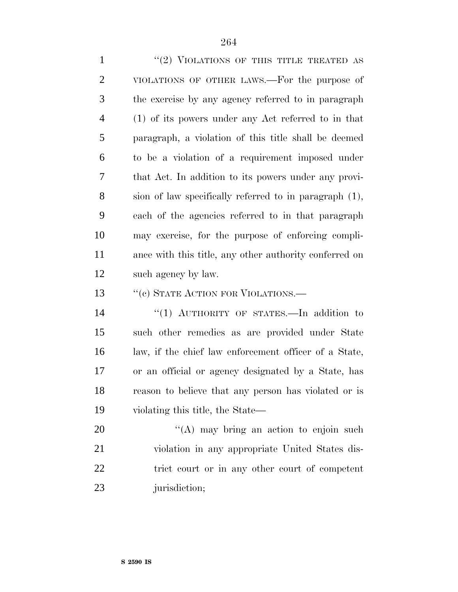1 "(2) VIOLATIONS OF THIS TITLE TREATED AS VIOLATIONS OF OTHER LAWS.—For the purpose of the exercise by any agency referred to in paragraph (1) of its powers under any Act referred to in that paragraph, a violation of this title shall be deemed to be a violation of a requirement imposed under that Act. In addition to its powers under any provi- sion of law specifically referred to in paragraph (1), each of the agencies referred to in that paragraph may exercise, for the purpose of enforcing compli- ance with this title, any other authority conferred on such agency by law.

13 " (c) STATE ACTION FOR VIOLATIONS.—

14 "(1) AUTHORITY OF STATES.—In addition to such other remedies as are provided under State law, if the chief law enforcement officer of a State, or an official or agency designated by a State, has reason to believe that any person has violated or is violating this title, the State—

20 "'(A) may bring an action to enjoin such violation in any appropriate United States dis- trict court or in any other court of competent 23 jurisdiction;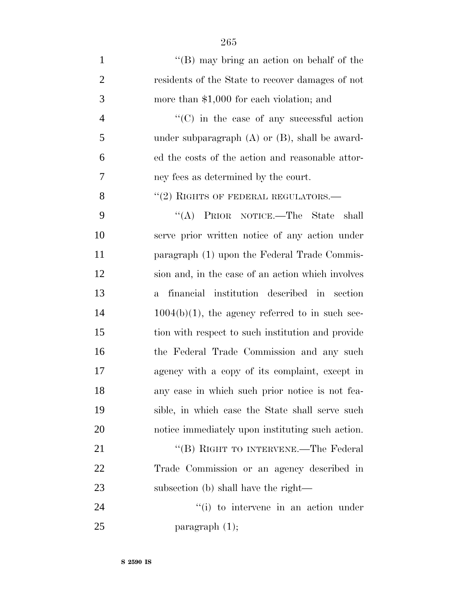| $\mathbf{1}$   | "(B) may bring an action on behalf of the           |
|----------------|-----------------------------------------------------|
| $\overline{2}$ | residents of the State to recover damages of not    |
| 3              | more than $$1,000$ for each violation; and          |
| $\overline{4}$ | $\cdot$ (C) in the case of any successful action    |
| 5              | under subparagraph $(A)$ or $(B)$ , shall be award- |
| 6              | ed the costs of the action and reasonable attor-    |
| 7              | ney fees as determined by the court.                |
| 8              | $``(2)$ RIGHTS OF FEDERAL REGULATORS.—              |
| 9              | "(A) PRIOR NOTICE.—The State<br>shall               |
| 10             | serve prior written notice of any action under      |
| 11             | paragraph (1) upon the Federal Trade Commis-        |
| 12             | sion and, in the case of an action which involves   |
| 13             | financial institution described in section<br>$a -$ |
| 14             | $1004(b)(1)$ , the agency referred to in such sec-  |
| 15             | tion with respect to such institution and provide   |
| 16             | the Federal Trade Commission and any such           |
| 17             | agency with a copy of its complaint, except in      |
| 18             | any case in which such prior notice is not fea-     |
| 19             | sible, in which case the State shall serve such     |
| 20             | notice immediately upon instituting such action.    |
| 21             | "(B) RIGHT TO INTERVENE.—The Federal                |
| 22             | Trade Commission or an agency described in          |
| 23             | subsection (b) shall have the right—                |
| 24             | "(i) to intervene in an action under                |
| 25             | paragraph $(1)$ ;                                   |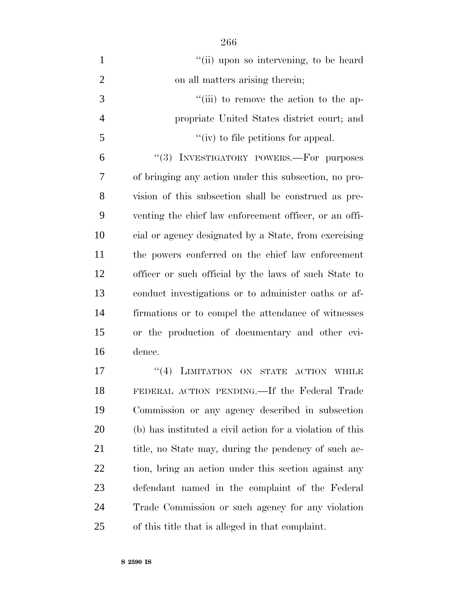| $\mathbf{1}$   | "(ii) upon so intervening, to be heard                 |
|----------------|--------------------------------------------------------|
| $\overline{2}$ | on all matters arising therein;                        |
| 3              | "(iii) to remove the action to the ap-                 |
| $\overline{4}$ | propriate United States district court; and            |
| 5              | "(iv) to file petitions for appeal.                    |
| 6              | INVESTIGATORY POWERS.-For purposes<br>(3)              |
| 7              | of bringing any action under this subsection, no pro-  |
| $8\,$          | vision of this subsection shall be construed as pre-   |
| 9              | venting the chief law enforcement officer, or an offi- |
| 10             | cial or agency designated by a State, from exercising  |
| 11             | the powers conferred on the chief law enforcement      |
| 12             | officer or such official by the laws of such State to  |
| 13             | conduct investigations or to administer oaths or af-   |
| 14             | firmations or to compel the attendance of witnesses    |
| 15             | or the production of documentary and other evi-        |
| 16             | dence.                                                 |
| 17             | $``(4)$ LIMITATION ON<br>STATE ACTION WHILE            |

 FEDERAL ACTION PENDING.—If the Federal Trade Commission or any agency described in subsection (b) has instituted a civil action for a violation of this 21 title, no State may, during the pendency of such ac- tion, bring an action under this section against any defendant named in the complaint of the Federal Trade Commission or such agency for any violation of this title that is alleged in that complaint.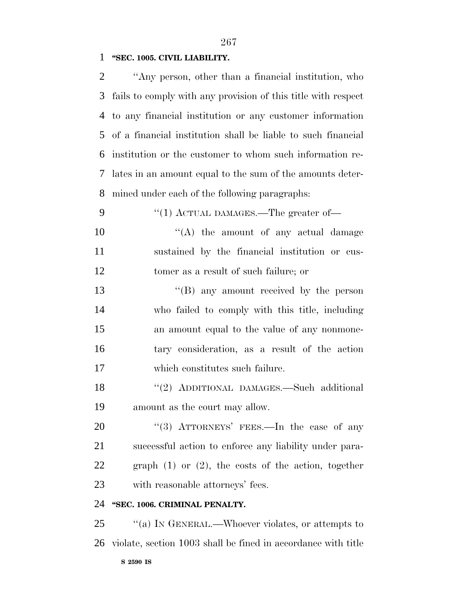**''SEC. 1005. CIVIL LIABILITY.**

| 2 | "Any person, other than a financial institution, who            |
|---|-----------------------------------------------------------------|
|   | 3 fails to comply with any provision of this title with respect |
|   | 4 to any financial institution or any customer information      |
|   | 5 of a financial institution shall be liable to such financial  |
|   | 6 institution or the customer to whom such information re-      |
|   | 7 lates in an amount equal to the sum of the amounts deter-     |
|   | 8 mined under each of the following paragraphs:                 |

9 "(1) ACTUAL DAMAGES.—The greater of—

 $\mathcal{L}(\mathbf{A})$  the amount of any actual damage sustained by the financial institution or cus-tomer as a result of such failure; or

 ''(B) any amount received by the person who failed to comply with this title, including an amount equal to the value of any nonmone- tary consideration, as a result of the action which constitutes such failure.

 ''(2) ADDITIONAL DAMAGES.—Such additional amount as the court may allow.

20 "(3) ATTORNEYS' FEES.—In the case of any successful action to enforce any liability under para- graph (1) or (2), the costs of the action, together with reasonable attorneys' fees.

#### **''SEC. 1006. CRIMINAL PENALTY.**

**S 2590 IS** 25 "(a) IN GENERAL.—Whoever violates, or attempts to violate, section 1003 shall be fined in accordance with title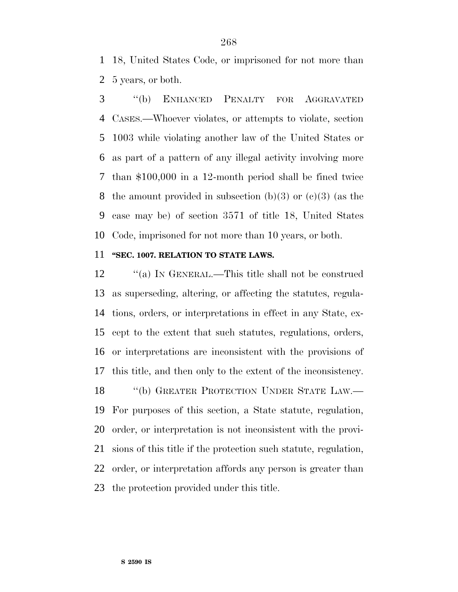18, United States Code, or imprisoned for not more than 5 years, or both.

 ''(b) ENHANCED PENALTY FOR AGGRAVATED CASES.—Whoever violates, or attempts to violate, section 1003 while violating another law of the United States or as part of a pattern of any illegal activity involving more than \$100,000 in a 12-month period shall be fined twice 8 the amount provided in subsection (b)(3) or (c)(3) (as the case may be) of section 3571 of title 18, United States Code, imprisoned for not more than 10 years, or both.

#### **''SEC. 1007. RELATION TO STATE LAWS.**

12 "(a) In GENERAL.—This title shall not be construed as superseding, altering, or affecting the statutes, regula- tions, orders, or interpretations in effect in any State, ex- cept to the extent that such statutes, regulations, orders, or interpretations are inconsistent with the provisions of this title, and then only to the extent of the inconsistency. 18 "(b) GREATER PROTECTION UNDER STATE LAW.— For purposes of this section, a State statute, regulation, order, or interpretation is not inconsistent with the provi- sions of this title if the protection such statute, regulation, order, or interpretation affords any person is greater than the protection provided under this title.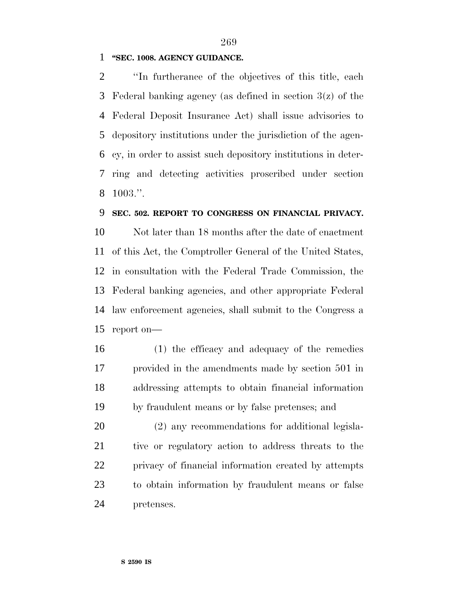#### **''SEC. 1008. AGENCY GUIDANCE.**

 ''In furtherance of the objectives of this title, each Federal banking agency (as defined in section 3(z) of the Federal Deposit Insurance Act) shall issue advisories to depository institutions under the jurisdiction of the agen- cy, in order to assist such depository institutions in deter- ring and detecting activities proscribed under section 1003.''.

#### **SEC. 502. REPORT TO CONGRESS ON FINANCIAL PRIVACY.**

 Not later than 18 months after the date of enactment of this Act, the Comptroller General of the United States, in consultation with the Federal Trade Commission, the Federal banking agencies, and other appropriate Federal law enforcement agencies, shall submit to the Congress a report on—

 (1) the efficacy and adequacy of the remedies provided in the amendments made by section 501 in addressing attempts to obtain financial information by fraudulent means or by false pretenses; and

 (2) any recommendations for additional legisla- tive or regulatory action to address threats to the privacy of financial information created by attempts to obtain information by fraudulent means or false pretenses.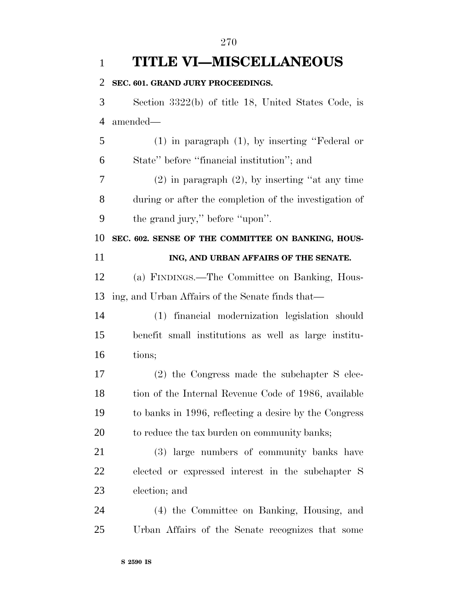**TITLE VI—MISCELLANEOUS SEC. 601. GRAND JURY PROCEEDINGS.** Section 3322(b) of title 18, United States Code, is amended— (1) in paragraph (1), by inserting ''Federal or State'' before ''financial institution''; and (2) in paragraph (2), by inserting ''at any time during or after the completion of the investigation of the grand jury,'' before ''upon''. **SEC. 602. SENSE OF THE COMMITTEE ON BANKING, HOUS- ING, AND URBAN AFFAIRS OF THE SENATE.** (a) FINDINGS.—The Committee on Banking, Hous- ing, and Urban Affairs of the Senate finds that— (1) financial modernization legislation should benefit small institutions as well as large institu- tions; (2) the Congress made the subchapter S elec-18 tion of the Internal Revenue Code of 1986, available to banks in 1996, reflecting a desire by the Congress 20 to reduce the tax burden on community banks; (3) large numbers of community banks have elected or expressed interest in the subchapter S election; and (4) the Committee on Banking, Housing, and Urban Affairs of the Senate recognizes that some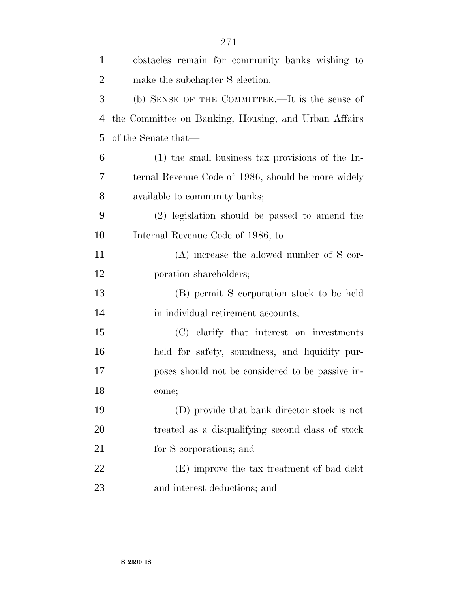| $\mathbf{1}$   | obstacles remain for community banks wishing to      |
|----------------|------------------------------------------------------|
| 2              | make the subchapter S election.                      |
| 3              | (b) SENSE OF THE COMMITTEE.—It is the sense of       |
| $\overline{4}$ | the Committee on Banking, Housing, and Urban Affairs |
| 5              | of the Senate that—                                  |
| 6              | $(1)$ the small business tax provisions of the In-   |
| 7              | ternal Revenue Code of 1986, should be more widely   |
| 8              | available to community banks;                        |
| 9              | (2) legislation should be passed to amend the        |
| 10             | Internal Revenue Code of 1986, to-                   |
| 11             | $(A)$ increase the allowed number of S cor-          |
| 12             | poration shareholders;                               |
| 13             | (B) permit S corporation stock to be held            |
| 14             | in individual retirement accounts;                   |
| 15             | (C) clarify that interest on investments             |
| 16             | held for safety, soundness, and liquidity pur-       |
| 17             | poses should not be considered to be passive in-     |
| 18             | come;                                                |
| 19             | (D) provide that bank director stock is not          |
| 20             | treated as a disqualifying second class of stock     |
| 21             | for S corporations; and                              |
| 22             | (E) improve the tax treatment of bad debt            |
| 23             | and interest deductions; and                         |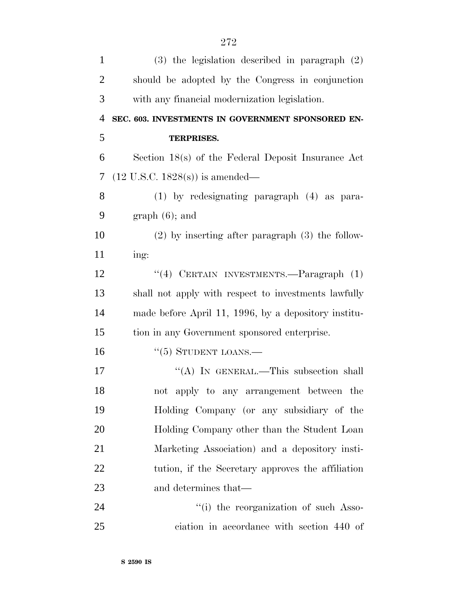| $\mathbf{1}$   | $(3)$ the legislation described in paragraph $(2)$   |
|----------------|------------------------------------------------------|
| $\overline{2}$ | should be adopted by the Congress in conjunction     |
| 3              | with any financial modernization legislation.        |
| 4              | SEC. 603. INVESTMENTS IN GOVERNMENT SPONSORED EN-    |
| 5              | <b>TERPRISES.</b>                                    |
| 6              | Section 18(s) of the Federal Deposit Insurance Act   |
| 7              | $(12 \text{ U.S.C. } 1828(\text{s}))$ is amended—    |
| 8              | (1) by redesignating paragraph (4) as para-          |
| 9              | $graph(6)$ ; and                                     |
| 10             | $(2)$ by inserting after paragraph $(3)$ the follow- |
| 11             | ing:                                                 |
| 12             | "(4) CERTAIN INVESTMENTS.—Paragraph (1)              |
| 13             | shall not apply with respect to investments lawfully |
| 14             | made before April 11, 1996, by a depository institu- |
| 15             | tion in any Government sponsored enterprise.         |
| 16             | $``(5)$ STUDENT LOANS.—                              |
| 17             | "(A) IN GENERAL.—This subsection shall               |
| 18             | not apply to any arrangement between the             |
| 19             | Holding Company (or any subsidiary of the            |
| 20             | Holding Company other than the Student Loan          |
| 21             | Marketing Association) and a depository insti-       |
| 22             | tution, if the Secretary approves the affiliation    |
| 23             | and determines that—                                 |
| 24             | "(i) the reorganization of such Asso-                |
| 25             | ciation in accordance with section 440 of            |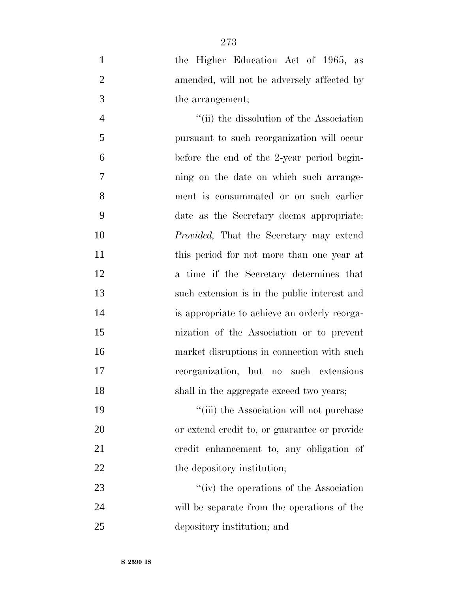the Higher Education Act of 1965, as amended, will not be adversely affected by the arrangement;

4 ''(ii) the dissolution of the Association pursuant to such reorganization will occur before the end of the 2-year period begin- ning on the date on which such arrange- ment is consummated or on such earlier date as the Secretary deems appropriate: *Provided,* That the Secretary may extend 11 this period for not more than one year at a time if the Secretary determines that such extension is in the public interest and is appropriate to achieve an orderly reorga- nization of the Association or to prevent market disruptions in connection with such reorganization, but no such extensions shall in the aggregate exceed two years;

19 ''(iii) the Association will not purchase or extend credit to, or guarantee or provide credit enhancement to, any obligation of 22 the depository institution;

23 ''(iv) the operations of the Association will be separate from the operations of the depository institution; and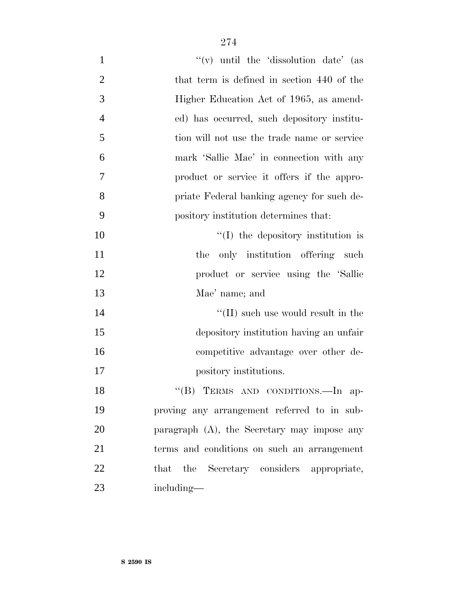| $\mathbf{1}$   | "(v) until the 'dissolution date' (as          |
|----------------|------------------------------------------------|
| $\overline{2}$ | that term is defined in section 440 of the     |
| 3              | Higher Education Act of 1965, as amend-        |
| $\overline{4}$ | ed) has occurred, such depository institu-     |
| 5              | tion will not use the trade name or service    |
| 6              | mark 'Sallie Mae' in connection with any       |
| 7              | product or service it offers if the appro-     |
| 8              | priate Federal banking agency for such de-     |
| 9              | pository institution determines that:          |
| 10             | $\lq (I)$ the depository institution is        |
| 11             | only institution offering such<br>the          |
| 12             | product or service using the 'Sallie'          |
| 13             | Mae' name; and                                 |
| 14             | $\lq\lq$ (II) such use would result in the     |
| 15             | depository institution having an unfair        |
| 16             | competitive advantage over other de-           |
| 17             | pository institutions.                         |
| 18             | "(B) TERMS AND CONDITIONS.-In ap-              |
| 19             | proving any arrangement referred to in sub-    |
| 20             | paragraph $(A)$ , the Secretary may impose any |
| 21             | terms and conditions on such an arrangement    |
| 22             | that the Secretary considers appropriate,      |
| 23             | including—                                     |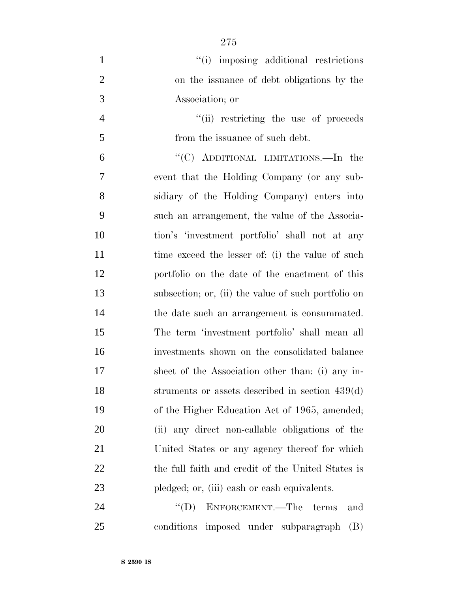| $\mathbf{1}$   | "(i) imposing additional restrictions               |
|----------------|-----------------------------------------------------|
| $\overline{2}$ | on the issuance of debt obligations by the          |
| 3              | Association; or                                     |
| $\overline{4}$ | "(ii) restricting the use of proceeds               |
| 5              | from the issuance of such debt.                     |
| 6              | "(C) ADDITIONAL LIMITATIONS.—In the                 |
| 7              | event that the Holding Company (or any sub-         |
| 8              | sidiary of the Holding Company) enters into         |
| 9              | such an arrangement, the value of the Associa-      |
| 10             | tion's 'investment portfolio' shall not at any      |
| 11             | time exceed the lesser of: (i) the value of such    |
| 12             | portfolio on the date of the enactment of this      |
| 13             | subsection; or, (ii) the value of such portfolio on |
| 14             | the date such an arrangement is consummated.        |
| 15             | The term 'investment portfolio' shall mean all      |
| 16             | investments shown on the consolidated balance       |
| 17             | sheet of the Association other than: (i) any in-    |
| 18             | struments or assets described in section $439(d)$   |
| 19             | of the Higher Education Act of 1965, amended;       |
| <b>20</b>      | (ii) any direct non-callable obligations of the     |
| 21             | United States or any agency thereof for which       |
| <u>22</u>      | the full faith and credit of the United States is   |
| 23             | pledged; or, (iii) eash or eash equivalents.        |
| 24             | ENFORCEMENT.—The<br>$\lq\lq (D)$<br>terms<br>and    |

conditions imposed under subparagraph (B)